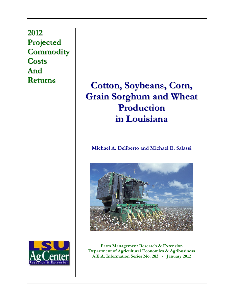**2012 Projected Commodity Costs And**

# **Returns Cotton, Soybeans, Corn, Grain Sorghum and Wheat Production in Louisiana**

**Michael A. Deliberto and Michael E. Salassi** 





**Farm Management Research & Extension Department of Agricultural Economics & Agribusiness A.E.A. Information Series No. 283 - January 2012**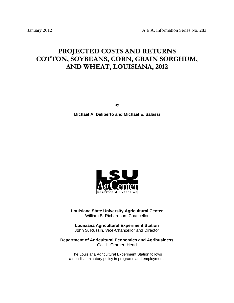## **PROJECTED COSTS AND RETURNS COTTON, SOYBEANS, CORN, GRAIN SORGHUM, AND WHEAT, LOUISIANA, 2012**

by

**Michael A. Deliberto and Michael E. Salassi** 



**Louisiana State University Agricultural Center**  William B. Richardson, Chancellor

**Louisiana Agricultural Experiment Station**  John S. Russin, Vice-Chancellor and Director

**Department of Agricultural Economics and Agribusiness**  Gail L. Cramer, Head

The Louisiana Agricultural Experiment Station follows a nondiscriminatory policy in programs and employment.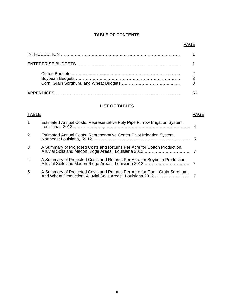## **TABLE OF CONTENTS**

## **LIST OF TABLES**

| <b>TABLE</b>   |                                                                            | <b>PAGE</b> |
|----------------|----------------------------------------------------------------------------|-------------|
| $\mathbf{1}$   | Estimated Annual Costs, Representative Poly Pipe Furrow Irrigation System, |             |
| $\overline{2}$ | Estimated Annual Costs, Representative Center Pivot Irrigation System,     |             |
| 3              | A Summary of Projected Costs and Returns Per Acre for Cotton Production,   |             |
| $\overline{4}$ | A Summary of Projected Costs and Returns Per Acre for Soybean Production,  |             |
| 5              | A Summary of Projected Costs and Returns Per Acre for Corn, Grain Sorghum, |             |

## en de la provincia de la provincia de la provincia de la provincia de la provincia de la provincia de la provi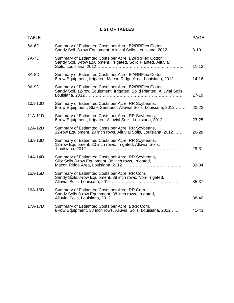## **LIST OF TABLES**

| <b>TABLE</b> |                                                                                                                                   | <b>PAGE</b> |
|--------------|-----------------------------------------------------------------------------------------------------------------------------------|-------------|
| 6A-6D        | Summary of Estiamted Costs per Acre, B2/RRFlex Cotton,<br>Sandy Soil, 8-row Equipment, Alluvial Soils, Louisiana, 2012            | $8 - 10$    |
| 7A-7D        | Summary of Estiamted Costs per Acre, B2/RRFlex Cotton,<br>Sandy Soil, 8-row Equipment, Irrigated, Solid Planted, Alluvial         | $11 - 13$   |
| 8A-8D        | Summary of Estiamted Costs per Acre, B2/RRFlex Cotton,<br>8-row Equipment, Irrigated, Macon Ridge Area, Louisiana, 2012           | $14 - 16$   |
| 9A-9D        | Summary of Estiamted Costs per Acre, B2/RRFlex Cotton,<br>Sandy Soil, 12-row Equipment, Irrigated, Solid Planted, Alluvial Soils, | $17 - 19$   |
| 10A-10D      | Summary of Estiamted Costs per Acre, RR Soybeans,<br>8-row Equipment, Stale Seedbed, Alluvial Soils, Louisiana, 2012              | $20 - 22$   |
| 11A-11D      | Summary of Estiamted Costs per Acre, RR Soybeans,<br>8-row Equipment, Irrigated, Alluvial Soils, Louisiana, 2012                  | 23-25       |
| 12A-12D      | Summary of Estiamted Costs per Acre, RR Soybeans,<br>12-row Equipment, 20 inch rows, Alluvial Soils, Louisiana, 2012              | 26-28       |
| 13A-13D      | Summary of Estiamted Costs per Acre, RR Soybeans,<br>12-row Equipment, 20 inch rows, Irrigated, Alluvial Soils,                   | 29-31       |
| 14A-14D      | Summary of Estiamted Costs per Acre, RR Soybeans,<br>Silty Soils, 8-row Equipment, 38 inch rows, Irrigated,                       | 32-34       |
| 15A-15D      | Summary of Estiamted Costs per Acre, RR Corn,<br>Sandy Soils, 8-row Equipment, 38 inch rows, Non-Irrigated,                       | 35-37       |
| 16A-16D      | Summary of Estiamted Costs per Acre, RR Corn,<br>Sandy Soils, 8-row Equipment, 38 inch rows, Irrigated,                           | 38-40       |
| 17A-17D      | Summary of Estiamted Costs per Acre, BtRR Corn,<br>8-row Equipment, 38 inch rows, Alluvial Soils, Louisiana, 2012                 | 41-43       |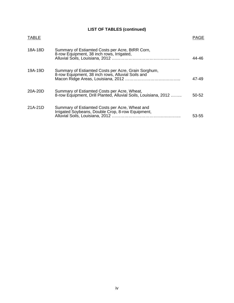## **LIST OF TABLES (continued)**

| <b>TABLE</b> |                                                                                                                | PAGE  |
|--------------|----------------------------------------------------------------------------------------------------------------|-------|
| 18A-18D      | Summary of Estiamted Costs per Acre, BtRR Corn,<br>8-row Equipment, 38 inch rows, Irrigated,                   | 44-46 |
| 19A-19D      | Summary of Estiamted Costs per Acre, Grain Sorghum,<br>8-row Equipment, 38 inch rows, Alluvial Soils and       | 47-49 |
| 20A-20D      | Summary of Estiamted Costs per Acre, Wheat,<br>8-row Equipment, Drill Planted, Alluvial Soils, Louisiana, 2012 | 50-52 |
| 21A-21D      | Summary of Estiamted Costs per Acre, Wheat and<br>Irrigated Soybeans, Double Crop, 8-row Equipment,            | 53-55 |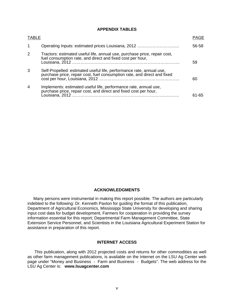### **APPENDIX TABLES**

| <b>TABLE</b>   |                                                                                                                                                  | PAGE  |
|----------------|--------------------------------------------------------------------------------------------------------------------------------------------------|-------|
|                |                                                                                                                                                  | 56-58 |
| 2              | Tractors: estimated useful life, annual use, purchase price, repair cost,<br>fuel consumption rate, and direct and fixed cost per hour,          | 59    |
| 3              | Self-Propelled: estimated useful life, performance rate, annual use,<br>purchase price, repair cost, fuel consumption rate, and direct and fixed | 60    |
| $\overline{4}$ | Implements: estimated useful life, performance rate, annual use,<br>purchase price, repair cost, and direct and fixed cost per hour,             | 61-65 |

### **ACKNOWLEDGMENTS**

 Many persons were instrumental in making this report possible. The authors are particularly indebted to the following: Dr. Kenneth Paxton for guiding the format of this publication, Department of Agricultural Economics, Mississippi State University for developing and sharing input cost data for budget development, Farmers for cooperation in providing the survey information essential for this report; Departmental Farm Management Committee, State Extension Service Personnel, and Scientists in the Louisiana Agricultural Experiment Station for assistance in preparation of this report.

### **INTERNET ACCESS**

 This publication, along with 2012 projected costs and returns for other commodities as well as other farm management publications, is available on the Internet on the LSU Ag Center web page under "Money and Business - Farm and Business - Budgets". The web address for the LSU Ag Center is: **www.lsuagcenter.com**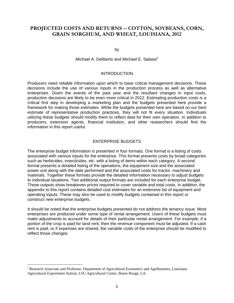## **PROJECTED COSTS AND RETURNS -- COTTON, SOYBEANS, CORN, GRAIN SORGHUM, AND WHEAT, LOUISIANA, 2012**

by

Michael A. Deliberto and Michael E. Salassi<sup>1</sup>

### **INTRODUCTION**

Producers need reliable information upon which to base critical management decisions. These decisions include the use of various inputs in the production process as well as alternative enterprises. Given the events of the past year and the resultant changes in input costs, production decisions are likely to be even more critical in 2012. Estimating production costs is a critical first step in developing a marketing plan and the budgets presented here provide a framework for making those estimates. While the budgets presented here are based on our best estimate of representative production practices, they will not fit every situation. Individuals utilizing these budgets should modify them to reflect data for their own operation. In addition to producers, extension agents, financial institution, and other researchers should find the information in this report useful.

### ENTERPRISE BUDGETS

The enterprise budget information is presented in four formats. One format is a listing of costs associated with various inputs for the enterprise. This format presents costs by broad categories such as herbicides, insecticides, etc. with a listing of items within each category. A second format presents a detailed listing of the operations, the equipment size and the associated power unit along with the date performed and the associated costs for tractor, machinery and materials. Together these formats provide the detailed information necessary to adjust budgets to individual situations. Two additional output formats are included for each enterprise budget. These outputs show breakeven prices required to cover variable and total costs. In addition, the appendix to this report contains detailed cost estimates for an extensive list of equipment and operating inputs. These may also be used to modify budgets contained in this report or construct new enterprise budgets.

It should be noted that the enterprise budgets presented do not address the tenancy issue. Most enterprises are produced under some type of rental arrangement. Users of these budgets must make adjustments to account for details of their particular rental arrangement. For example, if a portion of the crop is paid for land rent, then the revenue component must be adjusted. If a cash rent is paid, or if expenses are shared, the variable costs of the enterprise should be modified to reflect those changes.

 $\overline{a}$ 

<sup>&</sup>lt;sup>1</sup> Research Associate and Professor, Department of Agricultural Economics and Agribusiness, Louisiana Agricultural Experiment Station, LSU Agricultural Center, Baton Rouge, LA.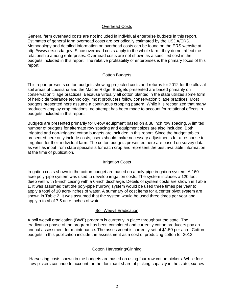## Overhead Costs

General farm overhead costs are not included in individual enterprise budgets in this report. Estimates of general farm overhead costs are periodically estimated by the USDA/ERS. Methodology and detailed information on overhead costs can be found on the ERS website at http://www.ers.usda.gov. Since overhead costs apply to the whole farm, they do not affect the relationship among enterprises. Overhead costs are not shown as a specified cost in the budgets included in this report. The relative profitability of enterprises is the primary focus of this report.

## Cotton Budgets

This report presents cotton budgets showing projected costs and returns for 2012 for the alluvial soil areas of Louisiana and the Macon Ridge. Budgets presented are based primarily on conservation tillage practices. Because virtually all cotton planted in the state utilizes some form of herbicide tolerance technology, most producers follow conservation tillage practices. Most budgets presented here assume a continuous cropping pattern. While it is recognized that many producers employ crop rotations, no attempt has been made to account for rotational effects in budgets included in this report.

Budgets are presented primarily for 8-row equipment based on a 38 inch row spacing. A limited number of budgets for alternate row spacing and equipment sizes are also included. Both irrigated and non-irrigated cotton budgets are included in this report. Since the budget tables presented here only include costs, users should make necessary adjustments for a response to irrigation for their individual farm. The cotton budgets presented here are based on survey data as well as input from state specialists for each crop and represent the best available information at the time of publication.

## Irrigation Costs

Irrigation costs shown in the cotton budget are based on a poly-pipe irrigation system. A 160 acre poly-pipe system was used to develop irrigation costs. The system includes a 120 foot deep well with 8-inch casing with a 6-inch discharge. Details of system costs are shown in Table 1. It was assumed that the poly-pipe (furrow) system would be used three times per year to apply a total of 10 acre-inches of water. A summary of cost items for a center pivot system are shown in Table 2. It was assumed that the system would be used three times per year and apply a total of 7.5 acre-inches of water.

## Boll Weevil Eradication

A boll weevil eradication (BWE) program is currently in place throughout the state. The eradication phase of the program has been completed and currently cotton producers pay an annual assessment for maintenance. The assessment is currently set at \$1.50 per acre. Cotton budgets in this publication include the assessment as a cost of producing cotton for 2012.

## Cotton Harvesting/Ginning

Harvesting costs shown in the budgets are based on using four-row cotton pickers. While fourrow pickers continue to account for the dominant share of picking capacity in the state, six-row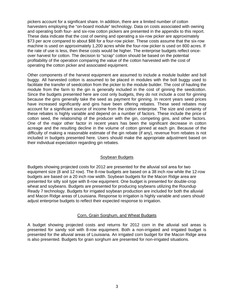pickers account for a significant share. In addition, there are a limited number of cotton harvesters employing the "on-board module" technology. Data on costs associated with owning and operating both four- and six-row cotton pickers are presented in the appendix to this report. These data indicate that the cost of owning and operating a six-row picker are approximately \$73 per acre compared to about \$88 for a four-row picker. These costs assume that the six-row machine is used on approximately 1,200 acres while the four-row picker is used on 800 acres. If the rate of use is less, then these costs would be higher. The enterprise budgets reflect onceover harvest for cotton. The decision to "scrap" cotton should be based on the potential profitability of the operation comparing the value of the cotton harvested with the cost of operating the cotton picker and associated equipment.

Other components of the harvest equipment are assumed to include a module builder and boll buggy. All harvested cotton is assumed to be placed in modules with the boll buggy used to facilitate the transfer of seedcotton from the picker to the module builder. The cost of hauling the module from the farm to the gin is generally included in the cost of ginning the seedcotton. Since the budgets presented here are cost only budgets, they do not include a cost for ginning because the gins generally take the seed as payment for ginning. In recent years seed prices have increased significantly and gins have been offering rebates. These seed rebates may account for a significant source of income from the cotton enterprise. The size and certainty of these rebates is highly variable and depend on a number of factors. These include the price of cotton seed, the relationship of the producer with the gin, competing gins, and other factors. One of the major other factor in recent years has been the significant decrease in cotton acreage and the resulting decline in the volume of cotton ginned at each gin. Because of the difficulty of making a reasonable estimate of the gin rebate (if any), revenue from rebates is not included in budgets presented here. Users should make the appropriate adjustment based on their individual expectation regarding gin rebates.

## Soybean Budgets

Budgets showing projected costs for 2012 are presented for the alluvial soil area for two equipment size (8 and 12 row). The 8-row budgets are based on a 38 inch row while the 12-row budgets are based on a 20 inch row width. Soybean budgets for the Macon Ridge area are presented for silty soil type with 8-row equipment. One budget is presented for double-crop wheat and soybeans. Budgets are presented for producing soybeans utilizing the Roundup Ready 7 technology. Budgets for irrigated soybean production are included for both the alluvial and Macon Ridge areas of Louisiana. Response to irrigation is highly variable and users should adjust enterprise budgets to reflect their expected response to irrigation.

## Corn, Grain Sorghum, and Wheat Budgets

A budget showing projected costs and returns for 2012 corn in the alluvial soil areas is presented for sandy soil with 8-row equipment. Both a non-irrigated and irrigated budget is presented for the alluvial areas of Louisiana. An irrigated corn budget for the Macon Ridge area is also presented. Budgets for grain sorghum are presented for non-irrigated situations.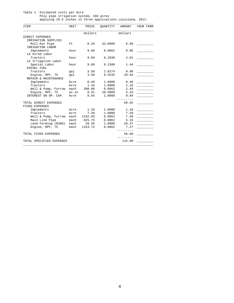| Table 1 Estimated costs per Acre                            |
|-------------------------------------------------------------|
| Poly pipe irrigation system, 160 acres                      |
| applying 10.5 inches in three applications Louisiana, 2012. |

| <b>ITEM</b>              | <b>UNIT</b> | PRICE   | OUANTITY | AMOUNT  | YOUR FARM |
|--------------------------|-------------|---------|----------|---------|-----------|
|                          |             | dollars |          | dollars |           |
| DIRECT EXPENSES          |             |         |          |         |           |
| IRRIGATION SUPPLIES      |             |         |          |         |           |
| Roll-Out Pipe            | ft.         | 0.20    | 33,0000  | 6.60    |           |
| IRRIGATION LABOR         |             |         |          |         |           |
| Implements               | hour        | 9.60    | 0.0062   | 0.06    |           |
| LA Hired Labor           |             |         |          |         |           |
| Tractors                 | hour        | 9.60    | 0.2930   | 2.81    |           |
| LA Irrigation Labor      |             |         |          |         |           |
| Special Labor            | hour        | 9.60    | 0.1500   | 1.44    |           |
| DIESEL FUEL              |             |         |          |         |           |
| Tractors                 | gal         | 3.50    | 2.8274   | 9.90    |           |
| Engine, RPF, 75          | qal         | 3.50    | 8.5535   | 29.94   |           |
| REPAIR & MAINTENANCE     |             |         |          |         |           |
| Implements               | Acre        | 0.40    | 1,0000   | 0.40    |           |
| Tractors                 | Acre        | 1.16    | 1,0000   | 1.16    |           |
| Well & Pump, Furrow      | each        | 390.00  | 0.0062   | 2.44    |           |
| Engine, RPF, 75          | ac-in       | 0.31    | 10.5000  | 3.33    |           |
| INTEREST ON OP. CAP.     | Acre        | 0.84    | 1,0000   | 0.84    |           |
|                          |             |         |          |         |           |
| TOTAL DIRECT EXPENSES    |             |         |          | 58.92   |           |
| FIXED EXPENSES           |             |         |          |         |           |
| Implements               | Acre        | 1.10    | 1,0000   | 1.10    |           |
| Tractors                 | Acre        | 7.39    | 1,0000   | 7.39    |           |
| Well & Pump, Furrow      | each        | 1182.03 | 0.0062   | 7.39    |           |
| Main Line Pipe           | each        | 825.75  | 0.0062   | 5.16    |           |
| Land Forming (\$300)     | each        | 28.36   | 1,0000   | 28.37   |           |
| Engine, RPF, 75          | each        | 1163.72 | 0.0062   | 7.27    |           |
| TOTAL FIXED EXPENSES     |             |         |          | 56.68   |           |
| TOTAL SPECIFIED EXPENSES |             |         |          | 115.60  |           |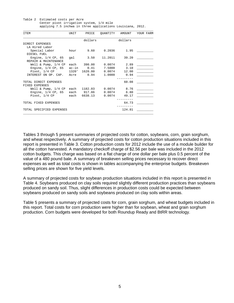Table 2 Estimated costs per Acre Center pivot irrigation system, 1/4 mile applying 7.5 inchwa in three applications Louisiana, 2012.

| <b>ITEM</b>                             | UNIT  | PRICE          | QUANTITY | AMOUNT         | YOUR FARM |
|-----------------------------------------|-------|----------------|----------|----------------|-----------|
|                                         |       | dollars        |          | dollars        |           |
| DIRECT EXPENSES                         |       |                |          |                |           |
| LA Hired Labor                          |       |                |          |                |           |
| Special Labor                           | hour  | 9.60           | 0.2036   | 1.95           |           |
| DIESEL FUEL                             |       |                |          |                |           |
| Engine, $1/4$ CP, $65$                  | qal   | 3.50           | 11.2011  | 39.20          |           |
| REPAIR & MAINTENANCE                    |       |                |          |                |           |
| Well & Pump, $1/4$ CP                   |       | each 390.00    |          | 0.0074 2.89    |           |
| Engine, $1/4$ CP, $65$                  |       | $ac-in$ $0.41$ |          | 7.5000 3.10    |           |
| Pivot, 1/4 CP                           | 1320' | 1620.00        |          | $0.0074$ 12.00 |           |
| INTEREST ON OP. CAP.                    | Acre  | 0.94           | 1,0000   | 0.94           |           |
| TOTAL DIRECT EXPENSES<br>FIXED EXPENSES |       |                |          | 60.08          |           |
| Well & Pump, 1/4 CP each 1182.03        |       |                |          | $0.0074$ 8.76  |           |
| Engine, $1/4$ CP, $65$                  |       | each 917.86    |          | $0.0074$ 6.80  |           |
| Pivot, 1/4 CP each                      |       | 6638.13        | 0.0074   | 49.17          |           |
| TOTAL FIXED EXPENSES                    |       |                |          | 64.73          |           |
| TOTAL SPECIFIED EXPENSES                |       |                |          | 124.81         |           |

Tables 3 through 5 present summaries of projected costs for cotton, soybeans, corn, grain sorghum, and wheat respectively. A summary of projected costs for cotton production situations included in this report is presented in Table 3. Cotton production costs for 2012 include the use of a module builder for all the cotton harvested. A mandatory checkoff charge of \$2.56 per bale was included in the 2012 cotton budgets. This charge was based on a flat charge of one dollar per bale plus 0.5 percent of the value of a 480 pound bale. A summary of breakeven selling prices necessary to recover direct expenses as well as total costs is shown in tables accompanying the enterprise budgets. Breakeven selling prices are shown for five yield levels.

A summary of projected costs for soybean production situations included in this report is presented in Table 4. Soybeans produced on clay soils required slightly different production practices than soybeans produced on sandy soil. Thus, slight differences in production costs could be expected between soybeans produced on sandy soils and soybeans produced on clay soils within areas.

Table 5 presents a summary of projected costs for corn, grain sorghum, and wheat budgets included in this report. Total costs for corn production were higher than for soybean, wheat and grain sorghum production. Corn budgets were developed for both Roundup Ready and BtRR technology.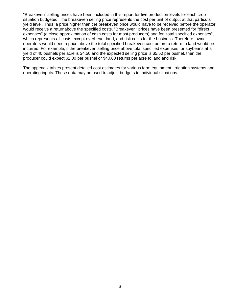"Breakeven" selling prices have been included in this report for five production levels for each crop situation budgeted. The breakeven selling price represents the cost per unit of output at that particular yield level. Thus, a price higher than the breakeven price would have to be received before the operator would receive a returnabove the specified costs. "Breakeven" prices have been presented for "direct expenses" (a close approximation of cash costs for most producers) and for "total specified expenses", which represents all costs except overhead, land, and risk costs for the business. Therefore, owneroperators would need a price above the total specified breakeven cost before a return to land would be incurred. For example, if the breakeven selling price above total specified expenses for soybeans at a yield of 40 bushels per acre is \$4.50 and the expected selling price is \$5.50 per bushel, then the producer could expect \$1.00 per bushel or \$40.00 returns per acre to land and risk.

The appendix tables present detailed cost estimates for various farm equipment, irrigation systems and operating inputs. These data may be used to adjust budgets to individual situations.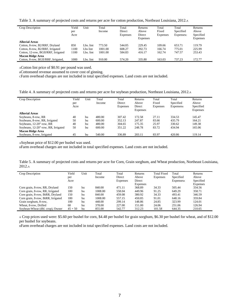Table 3. A summary of projected costs and returns per acre for cotton production, Northeast Louisiana, 2012.A

| Crop Description                    | Yield<br>per<br>Acre | Unit      | Total<br>Income | Total<br>Direct<br>Expenses | Returns<br>Above<br>Direct<br><b>Expenses</b> | Total<br>Fixed<br><b>Expenses</b> | Total<br>Specified<br>Expensesc | Returns<br>Above<br>Specified<br><b>Expenses</b> |
|-------------------------------------|----------------------|-----------|-----------------|-----------------------------|-----------------------------------------------|-----------------------------------|---------------------------------|--------------------------------------------------|
| <b>Alluvial Areas</b>               |                      |           |                 |                             |                                               |                                   |                                 |                                                  |
| Cotton, 8-row, B2/RRF, Dryland      | 850                  | Lbs. lint | 773.50          | 544.05                      | 229.45                                        | 109.66                            | 653.71                          | 119.79                                           |
| Cotton, 8-row, B2/RRF, Irrigated    | 1100                 | Lbs lint  | 1001.00         | 608.27                      | 392.73                                        | 166.74                            | 775.01                          | 225.99                                           |
| Cotton, 12-row, BGII/RRF, Irrigated | 100                  | Lbs. lint | 1001.00         | 584.83                      | 416.17                                        | 162.74                            | 747.57                          | 253.43                                           |
| <b>Macon Ridge Area</b>             |                      |           |                 |                             |                                               |                                   |                                 |                                                  |
| Cotton, 8-row, BGII/RRF, Irrigated, | 1000                 | Lbs. lint | 910.00          | 574.20                      | 335.80                                        | 163.03                            | 737.23                          | 172.77                                           |

ACotton lint price of \$0.91 per pound was used.

BCottonseed revenue assumed to cover cost of ginning.

CFarm overhead charges are not included in total specified expenses. Land costs are not included.

Table 4. A summary of projected costs and returns per acre for soybean production, Northeast Louisiana, 2012.A

| Crop Description                    | Yield<br>per<br>Acre | Unit | Total<br>Income | Total<br>Direct<br>Expenses | Returns<br>Above<br>Direct<br><b>Expenses</b> | Total<br>Fixed<br>Expenses | Total<br>Specified<br>Expenses | Returns<br>Above<br>Specified<br><b>Expenses</b> |
|-------------------------------------|----------------------|------|-----------------|-----------------------------|-----------------------------------------------|----------------------------|--------------------------------|--------------------------------------------------|
| <b>Alluvial Areas</b>               |                      |      |                 |                             |                                               |                            |                                |                                                  |
| Soybeans, 8-row, RR                 | 40                   | bu   | 480.00          | 307.42                      | 172.58                                        | 27.11                      | 334.53                         | 145.47                                           |
| Soybeans, 8-row, RR, Irrigated      | 50                   | bu   | 600.00          | 352.13                      | 247.87                                        | 83.66                      | 435.79                         | 164.21                                           |
| Soybeans, 12-20"-row, RR            | 40                   | bu   | 480.00          | 304.65                      | 175.35                                        | 25.97                      | 330.62                         | 149.38                                           |
| Soybeans, 12-20"-row, RR, Irrigated | 50                   | bu   | 600.00          | 351.22                      | 248.78                                        | 83.72                      | 434.94                         | 165.06                                           |
| <b>Macon Ridge Area</b>             |                      |      |                 |                             |                                               |                            |                                |                                                  |
| Soybeans, 8-row, Irrigated          | 45                   | bu   | 540.00          | 336.89                      | 203.11                                        | 83.97                      | 420.86                         | 119.14                                           |

ASoybean price of \$12.00 per bushel was used.

BFarm overhead charges are not included in total specified expenses. Land costs are not included.

Table 5. A summary of projected costs and returns per acre for Corn, Grain sorghum, and Wheat production, Northeast Louisiana, 2012.A

| <b>Crop Description</b>            | Yield<br>per<br>Acre | Unit | Total<br>Income | Total<br>Direct<br>Expenses | Returns<br>Above<br>Direct | <b>Total Fixed</b><br>Expenses | Total<br>Specified<br>Expenses | Returns<br>Above<br>Specified |
|------------------------------------|----------------------|------|-----------------|-----------------------------|----------------------------|--------------------------------|--------------------------------|-------------------------------|
|                                    |                      |      |                 |                             | <b>Expenses</b>            |                                |                                | Expenses                      |
| Corn grain, 8-row, RR, Dryland     | 150                  | bu   | 840.00          | 471.11                      | 368.89                     | 34.33                          | 505.44                         | 334.56                        |
| Corn grain, 8-row, RR, Irrigated   | 180                  | bu   | 1008.00         | 558.04                      | 449.96                     | 91.25                          | 649.29                         | 358.71                        |
| Corn grain, 8-row, BtRR, Dryland   | 150                  | bu   | 840.00          | 459.08                      | 380.92                     | 34.33                          | 493.41                         | 346.59                        |
| Corn grain, 8-row, BtRR, Irrigated | 180                  | bu   | 1008.00         | 557.15                      | 450.85                     | 91.01                          | 648.16                         | 359.84                        |
| Grain sorghum, 8-row,              | 100                  | bu   | 448.00          | 299.14                      | 148.86                     | 24.85                          | 323.99                         | 124.01                        |
| Wheat, 8-row, Drilled              | 60                   | bu   | 378.00          | 227.00                      | 151.00                     | 24.06                          | 251.06                         | 126.94                        |
| Soybean-Wheat (dbl. crop), Owner   | $45 + 50$            | bu   | 855.00          | 542.77                      | 312.23                     | 101.58                         | 644.35                         | 210.65                        |

A Crop prices used were: \$5.60 per bushel for corn, \$4.48 per bushel for grain sorghum, \$6.30 per bushel for wheat, and of \$12.00 per bushel for soybeans.

BFarm overhead charges are not included in total specified expenses. Land costs are not included.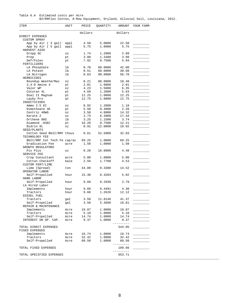| Table 6.A Estimated costs per Acre |  |  |  |                                                                             |  |
|------------------------------------|--|--|--|-----------------------------------------------------------------------------|--|
|                                    |  |  |  | B2/RRFlex Cotton, 8-Row Equipment, Dryland, Alluvial Soil, Louisiana, 2012. |  |

|                            | dollars                                                                                                                                                                                                      |                                                                                                                                                                       | dollars                                                                                                                                                                                                  |                                                                                                                                                                                                                 |
|----------------------------|--------------------------------------------------------------------------------------------------------------------------------------------------------------------------------------------------------------|-----------------------------------------------------------------------------------------------------------------------------------------------------------------------|----------------------------------------------------------------------------------------------------------------------------------------------------------------------------------------------------------|-----------------------------------------------------------------------------------------------------------------------------------------------------------------------------------------------------------------|
|                            |                                                                                                                                                                                                              |                                                                                                                                                                       |                                                                                                                                                                                                          |                                                                                                                                                                                                                 |
|                            |                                                                                                                                                                                                              |                                                                                                                                                                       |                                                                                                                                                                                                          |                                                                                                                                                                                                                 |
| appl                       | 4.50                                                                                                                                                                                                         |                                                                                                                                                                       | 22.50                                                                                                                                                                                                    |                                                                                                                                                                                                                 |
| appl                       | 5.75                                                                                                                                                                                                         |                                                                                                                                                                       |                                                                                                                                                                                                          |                                                                                                                                                                                                                 |
| $\circ z$                  | 1.74                                                                                                                                                                                                         | 1.2000                                                                                                                                                                | 2.09                                                                                                                                                                                                     |                                                                                                                                                                                                                 |
| pt                         | 3.00                                                                                                                                                                                                         | 1.3300                                                                                                                                                                | 3.99                                                                                                                                                                                                     |                                                                                                                                                                                                                 |
| pt                         | 7.92                                                                                                                                                                                                         | 0.7500                                                                                                                                                                | 5.94                                                                                                                                                                                                     |                                                                                                                                                                                                                 |
|                            |                                                                                                                                                                                                              |                                                                                                                                                                       |                                                                                                                                                                                                          |                                                                                                                                                                                                                 |
|                            |                                                                                                                                                                                                              |                                                                                                                                                                       |                                                                                                                                                                                                          |                                                                                                                                                                                                                 |
|                            |                                                                                                                                                                                                              |                                                                                                                                                                       |                                                                                                                                                                                                          |                                                                                                                                                                                                                 |
|                            |                                                                                                                                                                                                              |                                                                                                                                                                       |                                                                                                                                                                                                          |                                                                                                                                                                                                                 |
| $\mathtt{OZ}$              | 0.21                                                                                                                                                                                                         | 88.0000                                                                                                                                                               | 18.48                                                                                                                                                                                                    |                                                                                                                                                                                                                 |
| pt                         | 2.01                                                                                                                                                                                                         | 1.0000                                                                                                                                                                | 2.01                                                                                                                                                                                                     |                                                                                                                                                                                                                 |
| $\circ z$                  | 4.23                                                                                                                                                                                                         | 1.5000                                                                                                                                                                | 6.35                                                                                                                                                                                                     |                                                                                                                                                                                                                 |
| pt                         | 4.69                                                                                                                                                                                                         | 1.2000                                                                                                                                                                | 5.63                                                                                                                                                                                                     | <u> 1990 - Jan Jawa</u>                                                                                                                                                                                         |
|                            |                                                                                                                                                                                                              |                                                                                                                                                                       |                                                                                                                                                                                                          |                                                                                                                                                                                                                 |
| qt                         |                                                                                                                                                                                                              | 1.0000                                                                                                                                                                |                                                                                                                                                                                                          |                                                                                                                                                                                                                 |
|                            |                                                                                                                                                                                                              |                                                                                                                                                                       |                                                                                                                                                                                                          |                                                                                                                                                                                                                 |
| $\circ z$                  | 0.92                                                                                                                                                                                                         | 1.2800                                                                                                                                                                | 1.18                                                                                                                                                                                                     |                                                                                                                                                                                                                 |
| pt                         | 5.50                                                                                                                                                                                                         | 0.4000                                                                                                                                                                | 2.20                                                                                                                                                                                                     |                                                                                                                                                                                                                 |
| $\mathtt{\circ}\mathtt{z}$ | 3.58                                                                                                                                                                                                         | 4.0000                                                                                                                                                                | 14.32                                                                                                                                                                                                    |                                                                                                                                                                                                                 |
| $\circ z$                  | 2.73                                                                                                                                                                                                         | 6.3900                                                                                                                                                                | 17.44                                                                                                                                                                                                    | $\overline{\phantom{a}}$                                                                                                                                                                                        |
| lb                         | 3.25                                                                                                                                                                                                         | 1.1500                                                                                                                                                                | 3.74                                                                                                                                                                                                     |                                                                                                                                                                                                                 |
| pt                         | 16.28                                                                                                                                                                                                        | 0.7500                                                                                                                                                                | 12.21                                                                                                                                                                                                    |                                                                                                                                                                                                                 |
| $\circ z$                  | 0.91                                                                                                                                                                                                         | 12.0000                                                                                                                                                               | 10.92                                                                                                                                                                                                    |                                                                                                                                                                                                                 |
|                            |                                                                                                                                                                                                              |                                                                                                                                                                       |                                                                                                                                                                                                          |                                                                                                                                                                                                                 |
|                            |                                                                                                                                                                                                              |                                                                                                                                                                       |                                                                                                                                                                                                          |                                                                                                                                                                                                                 |
|                            |                                                                                                                                                                                                              |                                                                                                                                                                       |                                                                                                                                                                                                          |                                                                                                                                                                                                                 |
|                            |                                                                                                                                                                                                              |                                                                                                                                                                       |                                                                                                                                                                                                          |                                                                                                                                                                                                                 |
| $\circ z$                  | 0.28                                                                                                                                                                                                         | 16.0000                                                                                                                                                               | 4.48                                                                                                                                                                                                     |                                                                                                                                                                                                                 |
|                            |                                                                                                                                                                                                              |                                                                                                                                                                       |                                                                                                                                                                                                          |                                                                                                                                                                                                                 |
|                            |                                                                                                                                                                                                              |                                                                                                                                                                       |                                                                                                                                                                                                          |                                                                                                                                                                                                                 |
|                            |                                                                                                                                                                                                              |                                                                                                                                                                       |                                                                                                                                                                                                          |                                                                                                                                                                                                                 |
| ton                        | 44.00                                                                                                                                                                                                        | 0.3300                                                                                                                                                                | 14.52                                                                                                                                                                                                    |                                                                                                                                                                                                                 |
|                            |                                                                                                                                                                                                              |                                                                                                                                                                       |                                                                                                                                                                                                          |                                                                                                                                                                                                                 |
|                            |                                                                                                                                                                                                              |                                                                                                                                                                       |                                                                                                                                                                                                          |                                                                                                                                                                                                                 |
| hour                       | 9.60                                                                                                                                                                                                         | 0.2930                                                                                                                                                                | 2.79                                                                                                                                                                                                     |                                                                                                                                                                                                                 |
|                            |                                                                                                                                                                                                              |                                                                                                                                                                       |                                                                                                                                                                                                          |                                                                                                                                                                                                                 |
| hour                       | 9.60                                                                                                                                                                                                         | 0.4491                                                                                                                                                                | 4.30                                                                                                                                                                                                     |                                                                                                                                                                                                                 |
| hour                       | 9.60                                                                                                                                                                                                         | 1.2626                                                                                                                                                                | 12.12                                                                                                                                                                                                    |                                                                                                                                                                                                                 |
|                            |                                                                                                                                                                                                              |                                                                                                                                                                       |                                                                                                                                                                                                          |                                                                                                                                                                                                                 |
| gal                        |                                                                                                                                                                                                              | 11.8146                                                                                                                                                               | 41.37                                                                                                                                                                                                    |                                                                                                                                                                                                                 |
|                            |                                                                                                                                                                                                              |                                                                                                                                                                       |                                                                                                                                                                                                          |                                                                                                                                                                                                                 |
|                            |                                                                                                                                                                                                              |                                                                                                                                                                       |                                                                                                                                                                                                          |                                                                                                                                                                                                                 |
|                            |                                                                                                                                                                                                              |                                                                                                                                                                       |                                                                                                                                                                                                          |                                                                                                                                                                                                                 |
|                            |                                                                                                                                                                                                              |                                                                                                                                                                       |                                                                                                                                                                                                          |                                                                                                                                                                                                                 |
|                            |                                                                                                                                                                                                              |                                                                                                                                                                       |                                                                                                                                                                                                          |                                                                                                                                                                                                                 |
|                            |                                                                                                                                                                                                              |                                                                                                                                                                       |                                                                                                                                                                                                          |                                                                                                                                                                                                                 |
|                            |                                                                                                                                                                                                              |                                                                                                                                                                       | ------                                                                                                                                                                                                   |                                                                                                                                                                                                                 |
|                            |                                                                                                                                                                                                              |                                                                                                                                                                       |                                                                                                                                                                                                          |                                                                                                                                                                                                                 |
|                            |                                                                                                                                                                                                              |                                                                                                                                                                       |                                                                                                                                                                                                          |                                                                                                                                                                                                                 |
|                            |                                                                                                                                                                                                              |                                                                                                                                                                       |                                                                                                                                                                                                          |                                                                                                                                                                                                                 |
|                            |                                                                                                                                                                                                              |                                                                                                                                                                       |                                                                                                                                                                                                          |                                                                                                                                                                                                                 |
|                            |                                                                                                                                                                                                              |                                                                                                                                                                       |                                                                                                                                                                                                          |                                                                                                                                                                                                                 |
|                            |                                                                                                                                                                                                              |                                                                                                                                                                       |                                                                                                                                                                                                          |                                                                                                                                                                                                                 |
|                            |                                                                                                                                                                                                              |                                                                                                                                                                       | 109.66                                                                                                                                                                                                   |                                                                                                                                                                                                                 |
|                            |                                                                                                                                                                                                              |                                                                                                                                                                       | 653.71                                                                                                                                                                                                   |                                                                                                                                                                                                                 |
|                            | lb<br>lb<br>lb<br>pt<br>Cotton Seed BGII/RRF thous<br>BGII/RRF Cot Tech Fe cap/ac<br>acre<br>acre<br>bale<br>hour<br>gal<br>Acre<br>Acre<br>Acre<br>Acre<br>Acre<br>Acre<br>Acre<br>TOTAL SPECIFIED EXPENSES | 0.70<br>0.51<br>0.63<br>12.25<br>12.75<br>0.61<br>69.25<br>1.50<br>5.00<br>2.56<br>15.30<br>3.50<br>3.50<br>10.07<br>5.10<br>14.74<br>9.37<br>16.74<br>32.42<br>60.50 | 5.0000<br>1.0000<br>60.0000<br>60.0000<br>90.0000<br>1.0000<br>52.5000<br>1.0000<br>1.0000<br>1.0000<br>1.7700<br>0.3283<br>5.3686<br>1.0000<br>1.0000<br>1.0000<br>1.0000<br>1.0000<br>1.0000<br>1.0000 | 5.75<br>42.00<br>30.60<br>56.70<br>12.25<br>12.75<br>32.03<br>69.25<br>1.50<br>5.00<br>4.53<br>5.02<br>18.81<br>10.07<br>5.10<br>14.74<br>9.37<br>544.05<br>16.74<br>32.42<br>60.50<br>----------<br>---------- |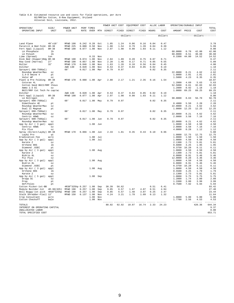## Table 6.B Estimated resource use and costs for field operations, per Acre<br>B2/RRFlex Cotton, 8-Row Equipment, Dryland<br>Alluvial Soil, Louisiana, 2012.

|                                                            |                      |                       |                |                            |            | POWER UNIT COST      |              |                                | EQUIPMENT COST |              | ALLOC LABOR  | OPERATING/DURABLE INPUT | -------------- |                           |                       |
|------------------------------------------------------------|----------------------|-----------------------|----------------|----------------------------|------------|----------------------|--------------|--------------------------------|----------------|--------------|--------------|-------------------------|----------------|---------------------------|-----------------------|
| OPERATION/<br>OPERATING INPUT                              | SIZE/<br>UNIT        | POWER UNIT<br>SIZE    |                | PERF TIMES                 |            | RATE OVER MTH DIRECT | FTXED        | DIRECT                         | FIXED HOURS    |              | COST         | AMOUNT PRICE            |                | COST                      | TOTAL<br>COST         |
|                                                            |                      |                       |                |                            |            |                      |              | ------------dollars----------- |                |              | dollars      |                         |                | ---------dollars--------- |                       |
| Land Plane                                                 | $40'$ x $10'$        | MFWD 190              |                | $0.242 \quad 0.20$         | Oct        | 1.85                 | 1.24         | 0.06                           | 0.16           | 0.04         | 0.47         |                         |                |                           | 3.78                  |
| Paratill & Bed Fold. 8R-38<br>Fert Appl (Liquid)           | $8R - 38$            | MFWD 225<br>MFWD 190  | 0.080<br>0.077 | 0.50<br>1.00               | Nov<br>Nov | 1.88<br>2.97         | 1.54<br>1.98 | 0.79<br>0.90                   | 1.39<br>1.03   | 0.04<br>0.11 | 0.39<br>1.12 |                         |                |                           | 5.99<br>8.00          |
| LA Phosphate                                               | 1 <sub>b</sub>       |                       |                |                            |            |                      |              |                                |                |              |              | 60.0000                 | 0.70           | 42.00                     | 42.00                 |
| LA Potash                                                  | 1 <sub>b</sub>       |                       |                |                            |            |                      |              |                                |                |              |              | 60.0000                 | 0.51           | 30.60                     | 30.60                 |
| Lime (Spread)<br>Disk Bed (Hipper)Rdg 8R-38                | ton                  | MFWD 190              | 0.074          | 0.33<br>1.00               | Nov<br>Nov | 2.84                 | 1.89         | 0.28                           | 0.75           | 0.07         | 0.71         | 0.3300 44.00            |                | 14.52                     | 14.52<br>6.47         |
| Row Cond (Harrow)                                          | 27'                  | MFWD 190              | 0.057          | 1.00                       | Nov        | 2.20                 | 1.46         | 0.17                           | 0.71           | 0.05         | 0.55         |                         |                |                           | 5.09                  |
| Roller                                                     | 32'                  | MFWD 170              | 0.046          | 1.00                       | Nov        | 1.63                 | 1.26         | 0.10                           | 0.56           | 0.04         | 0.45         |                         |                |                           | 4.00                  |
| Ditcher<br>Sprayer( 600-750Gal)                            |                      | 2WD 130<br>60'        |                | 0.020 1.00<br>$0.017$ 1.00 | Nov<br>Mar | 0.53<br>0.79         | 0.37<br>0.97 | 0.04                           | 0.05           | 0.02<br>0.02 | 0.19<br>0.35 |                         |                |                           | 1.18<br>2.11          |
| Roundup WeatherMax                                         | OZ                   |                       |                |                            |            |                      |              |                                |                |              |              | 22.0000                 | 0.21           | 4.62                      | 4.62                  |
| $2, 4-D$ Amine 4                                           | pt                   |                       |                |                            |            |                      |              |                                |                |              |              | 1.0000                  | 2.01           | 2.01                      | 2.01                  |
| Valor WP<br>Plant & Pre Folding                            | OZ<br>$8R - 38$      | MFWD 170              |                | 0.080 1.00 Apr             |            | 2.80                 | 2.17         | 1.21                           | 2.35           | 0.16         | 1.54         | 1.5000                  | 4.23           | 6.35                      | 6.35<br>10.07         |
| Cotoran 4L                                                 | pt                   |                       |                |                            |            |                      |              |                                |                |              |              | 1.2000                  | 4.69           | 5.63                      | 5.63                  |
| Cotton Seed BGII/RRF thous                                 |                      |                       |                |                            |            |                      |              |                                |                |              |              | 52.5000                 | 0.61           | 32.03                     | 32.03                 |
| Ammo 2.5 EC                                                | OZ                   |                       |                |                            |            |                      |              |                                |                |              |              | 1.2800                  | 0.92           | 1.18                      | 1.18<br>69.25         |
| BGII/RRF Cot Tech Fe cap/ac<br>Ditcher                     |                      | 2WD 130               |                | $0.020$ 1.00               | Apr        | 0.53                 | 0.37         | 0.04                           | 0.05           | 0.02         | 0.19         | 1.0000                  | 69.25          | 69.25                     | 1.18                  |
| Fert Appl (Liquid)                                         | $8R - 38$            | MFWD 190              | 0.077          | 1.00                       | Apr        | 2.97                 | 1.98         | 0.90                           | 1.03           | 0.11         | 1.12         |                         |                |                           | 8.00                  |
| LA Nitrogen                                                | 1 <sub>b</sub>       |                       |                |                            |            |                      |              |                                |                |              |              | 90.0000                 | 0.63           | 56.70                     | 56.70                 |
| Sprayer( 600-750Gal)<br>Dimethoate 4E                      | pt                   | 60'                   |                | $0.017$ 1.00               | May        | 0.79                 | 0.97         |                                |                | 0.02         | 0.35         | 0.4000                  | 5.50           | 2.20                      | 2.11<br>2.20          |
| Roundup WeatherMax                                         | OZ                   |                       |                |                            |            |                      |              |                                |                |              |              | 22.0000                 | 0.21           | 4.62                      | 4.62                  |
| Dual II Magnum                                             | pt                   |                       |                |                            |            |                      |              |                                |                |              |              | 1.0000                  | 12.25          | 12.25                     | 12.25                 |
| Sprayer( 600-750Gal)                                       |                      | 60'                   |                | $0.017$ 1.00 May           |            | 0.79                 | 0.97         |                                |                | 0.02         | 0.35         |                         |                |                           | 2.11                  |
| Roundup WeatherMax<br>Centric 40WG                         | OZ<br>OZ             |                       |                |                            |            |                      |              |                                |                |              |              | 22.0000<br>2.0000       | 0.21<br>3.58   | 4.62<br>7.16              | 4.62<br>7.16          |
| Sprayer( 600-750Gal)                                       |                      | 60'                   |                | $0.017$ 1.00               | Jun        | 0.79                 | 0.97         |                                |                | 0.02         | 0.35         |                         |                |                           | 2.11                  |
| Roundup WeatherMax                                         | OZ                   |                       |                |                            |            |                      |              |                                |                |              |              | 22.0000                 | 0.21           | 4.62                      | 4.62                  |
| App by Air ( 3 gal) appl<br>Centric 40WG                   | OZ                   |                       |                | 1.00                       | Jun        |                      |              |                                |                |              |              | 1.0000<br>2.0000        | 4.50<br>3.58   | 4.50<br>7.16              | 4.50<br>7.16          |
| Pix Plus                                                   | OZ                   |                       |                |                            |            |                      |              |                                |                |              |              | 4.0000                  | 0.28           | 1.12                      | 1.12                  |
| Spray (Direct/Layby) 8R-38                                 |                      | MFWD 170              | 0.066          | 1.00                       | Jun        | 2.33                 | 1.81         | 0.35                           | 0.43           | 0.10         | 0.96         |                         |                |                           | 5.88                  |
| Layby Pro                                                  | αt                   |                       |                |                            |            |                      |              |                                |                |              |              | 1.0000                  | 12.75<br>1.50  | 12.75<br>1.50             | 12.75                 |
| Eradication Fee<br>App by Air ( 3 gal)                     | acre<br>appl         |                       |                | 1.00<br>1.00               | Jul<br>Jul |                      |              |                                |                |              |              | 1.0000<br>1.0000        | 4.50           | 4.50                      | 1.50<br>4.50          |
| Karate Z                                                   | OZ                   |                       |                |                            |            |                      |              |                                |                |              |              | 2.1300                  | 2.73           | 5.81                      | 5.81                  |
| Orthene 90S                                                | 1 <sub>b</sub>       |                       |                |                            |            |                      |              |                                |                |              |              | 0.6000                  | 3.25           | 1.95                      | 1.95                  |
| Diamond .83EC<br>App by Air ( 3 gal)                       | pt<br>appl           |                       |                | 1.00 Aug                   |            |                      |              |                                |                |              |              | 0.3750<br>1.0000        | 16.28<br>4.50  | 6.11<br>4.50              | 6.11<br>4.50          |
| Karate Z                                                   | OZ                   |                       |                |                            |            |                      |              |                                |                |              |              | 2.1300                  | 2.73           | 5.81                      | 5.81                  |
| Bidrin 8L                                                  | OZ                   |                       |                |                            |            |                      |              |                                |                |              |              | 6.0000                  | 0.91           | 5.46                      | 5.46                  |
| Pix Plus<br>App by Air ( 3 gal)                            | OZ                   |                       |                | 1.00 Aug                   |            |                      |              |                                |                |              |              | 12.0000<br>1.0000       | 0.28<br>4.50   | 3.36<br>4.50              | 3.36<br>4.50          |
| Bidrin 8L                                                  | appl<br>OZ           |                       |                |                            |            |                      |              |                                |                |              |              | 6.0000                  | 0.91           | 5.46                      | 5.46                  |
| Diamond .83EC                                              | pt                   |                       |                |                            |            |                      |              |                                |                |              |              | 0.3750                  | 16.28          | 6.11                      | 6.11                  |
| App by Air ( 3 gal)                                        | appl                 |                       |                | 1.00                       | Aug        |                      |              |                                |                |              |              | 1.0000                  | 4.50           | 4.50                      | 4.50                  |
| Orthene 90S<br>Karate Z                                    | 1 <sub>b</sub><br>OZ |                       |                |                            |            |                      |              |                                |                |              |              | 0.5500<br>2.1300        | 3.25<br>2.73   | 1.79<br>5.81              | 1.79<br>5.81          |
| App by Air ( 5 gal)                                        | appl                 |                       |                | 1.00 Sep                   |            |                      |              |                                |                |              |              | 1.0000                  | 5.75           | 5.75                      | 5.75                  |
| Dropp SC                                                   | OZ                   |                       |                |                            |            |                      |              |                                |                |              |              | 1.2000                  | 1.74           | 2.09                      | 2.09                  |
| Prep<br>Def/Folex                                          | pt<br>pt             |                       |                |                            |            |                      |              |                                |                |              |              | 1.3300<br>0.7500        | 3.00<br>7.92   | 3.99<br>5.94              | 3.99<br>5.94          |
| Cotton Picker-1st-BB                                       |                      | 4R38"325hp 0.257 1.00 |                |                            | Sep        | 30.39                | 56.62        |                                |                | 0.51         | 6.41         |                         |                |                           | 93.42                 |
| Module Builder-1st                                         | $4R-38(325)$         | MFWD 190              | 0.257          | 1.00                       | Sep        | 9.85                 | 6.57         | 1.97                           | 4.07           | 0.51         | 4.94         |                         |                |                           | 27.40                 |
| Boll Buggy-1st pick 4R38"325hp<br>Stalk Shredder-Flail 12' |                      | MFWD 190<br>MFWD 150  |                | $0.257$ 1.00<br>0.137 1.00 | Sep<br>Nov | 9.85<br>4.24         | 6.57<br>3.21 | 1.48<br>1.78                   | 3.07<br>1.09   | 0.25<br>0.13 | 2.47<br>1.32 |                         |                |                           | 23.44<br>11.64        |
| Crop Consultant                                            | acre                 |                       |                | 1.00                       | Nov        |                      |              |                                |                |              |              | 1.0000                  | 5.00           | 5.00                      | 5.00                  |
| Cotton Checkoff                                            | bale                 |                       |                | 1.00                       | Nov        |                      |              |                                |                |              |              | 1.7700                  | 2.56           | 4.53                      | 4.53                  |
| TOTALS                                                     |                      |                       |                |                            |            | 80.02                | 92.92        | 10.07                          | 16.74          | 2.33         | 24.23        |                         |                | -------<br>420.36         | $- - - - -$<br>644.34 |
| INTEREST ON OPERATING CAPITAL                              |                      |                       |                |                            |            |                      |              |                                |                |              |              |                         |                |                           | 9.37                  |
| UNALLOCATED LABOR                                          |                      |                       |                |                            |            |                      |              |                                |                |              |              |                         |                |                           | 0.00                  |
| TOTAL SPECIFIED COST                                       |                      |                       |                |                            |            |                      |              |                                |                |              |              |                         |                |                           | 653.71                |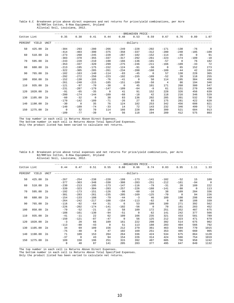|                                            |  |  |  |  | Table 6.C Breakeven price above direct expenses and net returns for price/yield combinations, per Acre |  |
|--------------------------------------------|--|--|--|--|--------------------------------------------------------------------------------------------------------|--|
| B2/RRFlex Cotton, 8-Row Equipment, Dryland |  |  |  |  |                                                                                                        |  |
| Alluvial Soil, Louisiana, 2012.            |  |  |  |  |                                                                                                        |  |

|             |             |      |                    |                    |                        |                          |                  | -BREAKEVEN PRICE-               |                    |                       |                    |                        |                |
|-------------|-------------|------|--------------------|--------------------|------------------------|--------------------------|------------------|---------------------------------|--------------------|-----------------------|--------------------|------------------------|----------------|
| Cotton Lint |             |      | 0.35               | 0.38               | 0.41                   | 0.44                     | 0.48             | 0.53                            | 0.59               | 0.67                  | 0.76               | 0.89                   | 1.07           |
| PERCENT     | YIELD       | UNIT |                    |                    |                        |                          |                  | --------------dollars---------- |                    |                       |                    |                        |                |
| 50          | 425.00      | lb   | $-304$             | $-293$             | $-280$                 | $-266$                   | $-249$           | $-228$                          | $-202$             | $-171$                | $-130$             | $-76$                  | $\overline{0}$ |
| 60          | 510.00      | lb   | $-414$<br>$-273$   | $-403$<br>$-260$   | $-390$<br>$-245$       | $-375$<br>$-228$         | $-358$<br>$-207$ | $-337$<br>$-182$                | $-312$<br>$-152$   | $-280$<br>$-114$      | $-240$<br>$-65$    | $-185$<br>$\mathbf{0}$ | $-109$<br>91   |
| 70          | 595.00      | lb   | $-383$<br>$-243$   | $-370$<br>$-228$   | $-355$<br>$-210$       | $-337$<br>$-190$         | $-317$<br>$-166$ | $-292$<br>$-136$                | $-261$<br>$-101$   | $-223$<br>$-57$       | $-174$<br>$\Omega$ | $-109$<br>76           | $-18$<br>182   |
|             |             |      | $-353$             | $-337$             | $-320$                 | $-299$                   | $-275$           | $-246$                          | $-211$             | $-166$                | $-109$             | $-33$                  | 72             |
| 80          | 680.00      | lb   | $-213$<br>$-322$   | $-195$<br>$-305$   | $-175$<br>$-285$       | $-152$<br>$-261$         | $-124$<br>$-234$ | $-91$<br>$-200$                 | $-50$<br>$-160$    | $\Omega$<br>$-109$    | 65<br>$-44$        | 152<br>42              | 273<br>164     |
| 90          | 765.00      | 1b   | $-182$<br>$-292$   | $-163$<br>$-272$   | $-140$<br>$-250$       | $-114$<br>$-223$         | $-83$<br>$-192$  | $-45$<br>$-155$                 | $\Omega$<br>$-109$ | 57<br>$-52$           | 130<br>20          | 228<br>118             | 365<br>255     |
| 100         | 850.00      | lb   | $-152$<br>$-261$   | $-130$<br>$-240$   | $-105$                 | $-76$                    | $-41$<br>$-151$  | $\Omega$<br>$-109$              | 50<br>$-58$        | 114<br>$\overline{4}$ | 195<br>86          | 304<br>194             | 456<br>346     |
| 110         | 935.00      | lb   | $-121$             | $-97$              | $-215$<br>$-70$        | $-185$<br>$-38$          | $\mathbf 0$      | 45                              | 101                | 171                   | 260                | 380                    | 547            |
| 120         | 1020.00     | lb   | $-231$<br>$-91$    | $-207$<br>$-65$    | $-179$<br>$-35$        | $-147$<br>$\overline{0}$ | $-109$<br>41     | $-64$<br>91                     | $-8$<br>152        | 61<br>228             | 151<br>326         | 270<br>456             | 438<br>639     |
| 130         | 1105.00     | lb   | $-200$<br>$-60$    | $-174$<br>$-32$    | $-144$<br>$\mathbf{0}$ | $-109$<br>38             | $-68$<br>83      | $-18$<br>136                    | 42<br>202          | 118<br>285            | 216<br>391         | 346<br>532             | 529<br>730     |
|             |             |      | $-170$             | $-142$             | $-109$                 | $-71$                    | $-26$            | 27                              | 93                 | 175                   | 281                | 422                    | 620            |
|             | 140 1190.00 | lb   | $-30$<br>$-140$    | $\Omega$<br>$-109$ | 35<br>$-74$            | 76<br>$-33$              | 124<br>14        | 182<br>72                       | 253<br>143         | 342<br>232            | 456<br>346         | 608<br>499             | 821<br>712     |
|             | 150 1275.00 | lb   | $\Omega$<br>$-109$ | 32<br>$-77$        | 70<br>$-39$            | 114<br>$\overline{4}$    | 166<br>56        | 228<br>118                      | 304<br>194         | 399<br>289            | 521<br>412         | 684<br>575             | 913<br>803     |

The top number in each cell is Returns Above Direct Expenses.

The bottom number in each cell is Returns Above Total Specified Expenses.

Only the product listed has been varied to calculate net returns.

Table 6.D Breakeven price above total expenses and net returns for price/yield combinations, per Acre B2/RRFlex Cotton, 8-Row Equipment, Dryland Alluvial Soil, Louisiana, 2012.

|             |         |                |             |             |              |          |                 | -BREAKEVEN PRICE |              |          |          |             |                |
|-------------|---------|----------------|-------------|-------------|--------------|----------|-----------------|------------------|--------------|----------|----------|-------------|----------------|
| Cotton Lint |         |                | 0.44        | 0.47        | 0.51         | 0.55     | 0.60            | 0.66             | 0.74         | 0.83     | 0.95     | 1.11        | 1.33           |
| PERCENT     | YIELD   | <b>UNIT</b>    |             |             |              |          | -------dollars- |                  |              |          |          |             |                |
| 50          | 425.00  | 1b             | $-267$      | $-254$      | $-238$       | $-220$   | $-199$          | $-173$           | $-141$       | $-102$   | $-52$    | 15          | 109            |
|             |         |                | $-377$      | $-363$      | $-348$       | $-330$   | $-308$          | $-283$           | $-251$       | $-212$   | $-161$   | $-94$       | $\overline{0}$ |
| 60          | 510.00  | 1b             | $-230$      | $-213$      | $-195$       | $-173$   | $-147$          | $-116$           | $-79$        | $-31$    | 28       | 109         | 222            |
|             |         |                | $-339$      | $-323$      | $-304$       | $-283$   | $-257$          | $-226$           | $-188$       | $-141$   | $-80$    | $\mathbf 0$ | 113            |
| 70          | 595.00  | 1b             | $-192$      | $-173$      | $-151$       | $-126$   | $-96$           | $-60$            | $-16$        | 38       | 109      | 204         | 336            |
|             |         |                | $-301$      | $-283$      | $-261$       | $-235$   | $-205$          | $-169$           | $-125$       | $-70$    | $\Omega$ | 94          | 226            |
| 80          | 680.00  | 1 <sub>b</sub> | $-154$      | $-133$      | $-108$       | $-79$    | $-44$           | $-3$             | 46           | 109      | 190      | 298         | 449            |
|             |         |                | $-264$      | $-242$      | $-217$       | $-188$   | $-154$          | $-113$           | $-62$        | $\Omega$ | 80       | 188         | 339            |
| 90          | 765.00  | 1 <sub>b</sub> | $-116$      | $-92$       | $-64$        | $-31$    | -6              | 53               | 109          | 180      | 271      | 392         | 562            |
|             |         |                | $-226$      | $-202$      | $-174$       | $-141$   | $-102$          | $-56$            | $\mathbf{0}$ | 70       | 161      | 283         | 452            |
| 100         | 850.00  | 1b             | $-79$       | $-52$       | $-21$        | 15       | 58              | 109              | 172          | 251      | 352      | 487         | 675            |
|             |         |                | $-188$      | $-161$      | $-130$       | $-94$    | $-51$           | $\mathbf 0$      | 62           | 141      | 242      | 377         | 566            |
| 110         | 935.00  | 1 <sub>b</sub> | $-41$       | $-11$       | 22           | 62       | 109             | 166              | 235          | 321      | 433      | 581         | 789            |
|             |         |                | $-150$      | $-121$      | $-87$        | $-47$    | $\mathbf{0}$    | 56               | 125          | 212      | 323      | 471         | 679            |
| 120         | 1020.00 | 1b             | $-3$        | 28          | 66           | 109      | 161             | 222              | 298          | 392      | 514      | 675         | 902            |
|             |         |                | $-113$      | $-80$       | $-43$        | $\Omega$ | 51              | 113              | 188          | 283      | 404      | 566         | 792            |
| 130         | 1105.00 | 1b             | 34          | 69          | 109          | 156      | 212             | 279              | 361          | 463      | 594      | 770         | 1015           |
|             |         |                | $-75$       | $-40$       | $\mathbf{0}$ | 47       | 102             | 169              | 251          | 353      | 485      | 660         | 905            |
| 140         | 1190.00 | 1b             | 71          | 109         | 153          | 204      | 264             | 336              | 424          | 534      | 675      | 864         | 1128           |
|             |         |                | $-37$       | $\mathbf 0$ | 43           | 94       | 154             | 226              | 314          | 424      | 566      | 754         | 1019           |
| 150         | 1275.00 | 1b             | 109         | 150         | 196          | 251      | 315             | 392              | 487          | 605      | 756      | 958         | 1242           |
|             |         |                | $\mathbf 0$ | 40          | 87           | 141      | 205             | 283              | 377          | 495      | 647      | 849         | 1132           |

\_\_\_\_\_\_\_\_\_\_\_\_\_\_\_\_\_\_\_\_\_\_\_\_\_\_\_\_\_\_\_\_\_\_\_\_\_\_\_\_\_\_\_\_\_\_\_\_\_\_\_\_\_\_\_\_\_\_\_\_\_\_\_\_\_\_\_\_\_\_\_\_\_\_\_\_\_\_\_\_\_\_\_\_\_\_\_\_\_\_\_\_\_\_\_\_\_\_\_\_\_\_\_\_\_\_\_\_\_\_\_\_\_\_\_\_\_\_\_\_ The top number in each cell is Returns Above Direct Expenses. The bottom number in each cell is Returns Above Total Specified Expenses.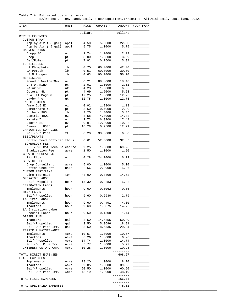Table 7.A Estimated costs per Acre B2/RRFlex Cotton, Sandy Soil, 8-Row Equipment,Irrigated, Alluvial Soil, Louisiana, 2012.

| ITEM                                | UNIT         | PRICE        | QUANTITY         | AMOUNT   | YOUR FARM |
|-------------------------------------|--------------|--------------|------------------|----------|-----------|
|                                     |              | dollars      |                  | dollars  |           |
| DIRECT EXPENSES                     |              |              |                  |          |           |
| <b>CUSTOM SPRAY</b>                 |              |              |                  | 22.50    |           |
| App by Air (3 gal)                  | appl<br>appl | 4.50<br>5.75 | 5.0000<br>1.0000 | 5.75     |           |
| App by Air ( 5 gal)<br>HARVEST AIDS |              |              |                  |          |           |
| Dropp SC                            | OZ           | 1.74         | 1,2000           | 2.09     |           |
| Prep                                | pt           | 3.00         | 1.3300           | 3.99     |           |
| Def/Folex                           | pt           | 7.92         | 0.7500           | 5.94     |           |
| FERTILIZERS                         |              |              |                  |          |           |
| LA Phosphate                        | lb           | 0.70         | 60.0000          | 42.00    |           |
| LA Potash                           | 1b           | 0.51         | 60.0000          | 30.60    |           |
| LA Nitrogen                         | lb           | 0.63         | 90.0000          | 56.70    |           |
| HERBICIDES                          |              |              |                  |          |           |
| Roundup WeatherMax                  | OZ           | 0.21         | 88.0000          | 18.48    |           |
| $2, 4-D$ Amine $4$                  | pt           | 2.01         | 1.0000           | 2.01     |           |
| Valor WP                            | OZ           | 4.23         | 1.5000           | 6.35     |           |
| Cotoran 4L                          | pt           | 4.69         | 1.2000           | 5.63     |           |
| Dual II Magnum                      | pt           | 12.25        | 1.0000           | 12.25    |           |
| Layby Pro                           | qt           | 12.75        | 1.0000           | 12.75    |           |
| INSECTICIDES                        |              |              |                  |          |           |
| Ammo $2.5$ EC                       | ΟZ           | 0.92         | 1.2800           | 1.18     |           |
| Dimethoate 4E                       | pt           | 5.50         | 0.4000           | 2.20     |           |
| Orthene 90S                         | lb           | 3.25         | 1.8000           | 5.85     |           |
| Centric 40WG                        | OZ           | 3.58         | 4.0000           | 14.32    |           |
| Karate Z                            | OZ           | 2.73         | 6.3900           | 17.44    |           |
| Bidrin 8L                           | OZ           | 0.91         | 12.0000          | 10.92    |           |
| Diamond .83EC                       | pt           | 16.28        | 0.7500           | 12.21    |           |
| IRRIGATION SUPPLIES                 |              |              |                  |          |           |
| Roll-Out Pipe                       | ft           | 0.20         | 33.0000          | 6.60     |           |
| SEED/PLANTS                         |              |              |                  |          |           |
| Cotton Seed BGII/RRF thous          |              | 0.61         | 52.5000          | 32.03    |           |
| TECHNOLOGY FEE                      |              |              |                  |          |           |
| BGII/RRF Cot Tech Fe cap/ac         |              | 69.25        | 1.0000           | 69.25    |           |
| Eradication Fee                     | acre         | 1.50         | 1.0000           | 1.50     |           |
| GROWTH REGULATORS                   |              |              |                  |          |           |
| Pix Plus                            | OZ           | 0.28         | 24.0000          | 6.72     |           |
| SERVICE FEE                         |              |              |                  |          |           |
| Crop Consultant                     | acre         | 5.00         | 1.0000           | 5.00     |           |
| Cotton Checkoff                     | bale         | 2.56         | 2.2900           | 5.86     |           |
| CUSTOM FERT/LIME                    |              |              |                  |          |           |
| Lime (Spread)                       | ton          | 44.00        | 0.3300           | 14.52    |           |
| OPERATOR LABOR                      |              |              |                  |          |           |
| Self-Propelled                      | hour         | 15.30        | 0.3283           | 5.02     |           |
| IRRIGATION LABOR                    |              |              |                  |          |           |
| Implements                          | hour         | 9.60         | 0.0062           | 0.06     |           |
| HAND LABOR                          |              |              |                  |          |           |
| Self-Propelled                      | hour         | 9.60         | 0.2930           | 2.79     |           |
| LA Hired Labor                      |              |              |                  |          |           |
| Implements                          | hour         | 9.60         | 0.4491           | 4.30     |           |
| Tractors                            | hour         | 9.60         | 1.5375           | 14.76    |           |
| LA Irrigation Labor                 |              |              |                  |          |           |
| Special Labor                       | hour         | 9.60         | 0.1500           | 1.44     |           |
| DIESEL FUEL                         |              |              |                  |          |           |
| Tractors                            | gal          | 3.50         | 14.5355          | 50.89    |           |
| Self-Propelled                      | gal          | 3.50         | 5.3686           | 18.81    |           |
| Roll-Out Pipe Irr.                  | gal          | 3.50         | 8.5535           | 29.94    |           |
| REPAIR & MAINTENANCE                |              |              |                  |          |           |
| Implements                          | Acre         | 10.57        | 1.0000           | 10.57    |           |
| Tractors                            | Acre         | 6.26         | 1.0000           | 6.26     |           |
| Self-Propelled                      | Acre         | 14.74        | 1.0000           | 14.74    |           |
| Roll-Out Pipe Irr.                  | Acre         | 5.77         | 1.0000           | 5.77     |           |
| INTEREST ON OP. CAP.                | Acre         | 10.28        | 1.0000           | 10.28    |           |
|                                     |              |              |                  |          |           |
| TOTAL DIRECT EXPENSES               |              |              |                  | 608.27   |           |
| FIXED EXPENSES                      |              |              |                  |          |           |
| Implements                          | Acre         | 18.20        | 1.0000           | 18.20    |           |
| Tractors                            | Acre         | 39.85        | 1.0000           | 39.85    |           |
| Self-Propelled                      | Acre         | 60.50        | 1.0000           | 60.50    |           |
| Roll-Out Pipe Irr.                  | Acre         | 48.19        | 1.0000           | 48.19    |           |
|                                     |              |              |                  | -------- |           |
| TOTAL FIXED EXPENSES                |              |              |                  | 166.74   |           |
|                                     |              |              |                  | -------- |           |
| TOTAL SPECIFIED EXPENSES            |              |              |                  | 775.01   |           |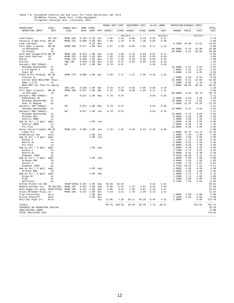# Table 7.B Estimated resource use and costs for field operations, per Acre<br>B2/RRFlex Cotton, Sandy Soil, 8-Row Equipment,<br>Irrigated, Alluvial Soil, Louisiana, 2012.

|                                                 |                        |                      |                |                    |            | POWER UNIT COST          |              | EQUIPMENT COST                 |              |              | ALLOC LABOR           | OPERATING/DURABLE INPUT                 |               |                   |                           |
|-------------------------------------------------|------------------------|----------------------|----------------|--------------------|------------|--------------------------|--------------|--------------------------------|--------------|--------------|-----------------------|-----------------------------------------|---------------|-------------------|---------------------------|
| OPERATION/<br>OPERATING INPUT                   | SIZE/<br>UNIT          | POWER UNIT<br>SIZE   | RATE           | PERF TIMES<br>OVER | MTH        | --------------<br>DIRECT | FIXED        | --------------<br>DIRECT       | FIXED        | HOURS        | -------------<br>COST | -----------------------<br>AMOUNT PRICE |               | COST              | TOTAL<br>COST             |
|                                                 |                        |                      |                |                    |            |                          |              | ------------dollars----------- |              |              | dollars               |                                         |               |                   | ---------dollars--------- |
| Land Plane                                      | $40'$ x $10'$          | MFWD 190             | 0.242          | 0.20               | Oct        | 1.85                     | 1.24         | 0.06                           | 0.16         | 0.04         | 0.47                  |                                         |               |                   | 3.78                      |
| Paratill & Bed Fold. 8R-38<br>Lime (Spread)     | ton                    | MFWD 225             | 0.080          | 0.50<br>0.33       | Nov<br>Nov | 1.88                     | 1.54         | 0.79                           | 1.39         | 0.04         | 0.39                  | 0.3300                                  | 44.00         | 14.52             | 5.99<br>14.52             |
| Fert Appl (Liquid)                              | $8R - 38$              | MFWD 190             | 0.077          | 1.00               | Nov        | 2.97                     | 1.98         | 0.90                           | 1.03         | 0.11         | 1.12                  |                                         |               |                   | 8.00                      |
| LA Phosphate                                    | lb                     |                      |                |                    |            |                          |              |                                |              |              |                       | 60.0000                                 | 0.70          | 42.00             | 42.00                     |
| LA Potash                                       | 1 <sub>b</sub>         |                      |                |                    |            |                          |              |                                |              |              |                       | 60.0000                                 | 0.51          | 30.60             | 30.60                     |
| Disk Bed (Hipper)Fld 8R-38<br>Row Cond (Harrow) | 38'                    | MFWD 190<br>MFWD 225 | 0.074<br>0.039 | 1.00<br>1.00       | Nov<br>Nov | 2.84<br>1.82             | 1.89<br>1.50 | 0.33<br>0.22                   | 0.88<br>0.94 | 0.07<br>0.03 | 0.71<br>0.38          |                                         |               |                   | 6.65<br>4.86              |
| Roller                                          | 32'                    | MFWD 170             | 0.046          | 1.00               | Nov        | 1.63                     | 1.26         | 0.10                           | 0.56         | 0.04         | 0.45                  |                                         |               |                   | 4.00                      |
| Ditcher                                         |                        | 2WD 130              | 0.020          | 1.00               | Nov        | 0.53                     | 0.37         | 0.04                           | 0.05         | 0.02         | 0.19                  |                                         |               |                   | 1.18                      |
| Sprayer( 600-750Gal)                            |                        | 60'                  | 0.017          | 1.00               | Mar        | 0.79                     | 0.97         |                                |              | 0.02         | 0.35                  |                                         |               |                   | 2.11                      |
| Roundup WeatherMax<br>$2, 4-D$ Amine $4$        | OZ<br>pt               |                      |                |                    |            |                          |              |                                |              |              |                       | 22.0000<br>1.0000                       | 0.21<br>2.01  | 4.62<br>2.01      | 4.62<br>2.01              |
| Valor WP                                        | OZ                     |                      |                |                    |            |                          |              |                                |              |              |                       | 1.5000                                  | 4.23          | 6.35              | 6.35                      |
| Plant & Pre Folding                             | $8R - 38$              | MFWD 170             |                | $0.080$ 1.00 Apr   |            | 2.80                     | 2.17         | 1.21                           | 2.35         | 0.16         | 1.54                  |                                         |               |                   | 10.07                     |
| Cotoran 4L<br>Cotton Seed BGII/RRF thous        | pt                     |                      |                |                    |            |                          |              |                                |              |              |                       | 1.2000<br>52.5000                       | 4.69<br>0.61  | 5.63<br>32.03     | 5.63<br>32.03             |
| Ammo 2.5 EC                                     | OZ                     |                      |                |                    |            |                          |              |                                |              |              |                       | 1.2800                                  | 0.92          | 1.18              | 1.18                      |
| BGII/RRF Cot Tech Fe cap/ac                     |                        |                      |                |                    |            |                          |              |                                |              |              |                       | 1.0000                                  | 69.25         | 69.25             | 69.25                     |
| Ditcher                                         |                        | 2WD 130              |                | $0.020$ 1.00       | Apr        | 0.53                     | 0.37         | 0.04                           | 0.05         | 0.02         | 0.19                  |                                         |               |                   | 1.18                      |
| Fert Appl (Liquid)<br>LA Nitrogen               | $8R - 38$<br>lb        | MFWD 190             | 0.077          | 1.00               | Apr        | 2.97                     | 1.98         | 0.90                           | 1.03         | 0.11         | 1.12                  | 90.0000                                 | 0.63          | 56.70             | 8.00<br>56.70             |
| Sprayer( 600-750Gal)                            |                        | 60'                  | $0.017$ 1.00   |                    | May        | 0.79                     | 0.97         |                                |              | 0.02         | 0.35                  |                                         |               |                   | 2.11                      |
| Dimethoate 4E                                   | pt                     |                      |                |                    |            |                          |              |                                |              |              |                       | 0.4000                                  | 5.50          | 2.20              | 2.20                      |
| Roundup WeatherMax                              | OZ                     |                      |                |                    |            |                          |              |                                |              |              |                       | 22.0000                                 | 0.21          | 4.62              | 4.62                      |
| Dual II Magnum<br>Sprayer( 600-750Gal)          | pt                     | 60'                  | $0.017$ 1.00   |                    | May        | 0.79                     | 0.97         |                                |              | 0.02         | 0.35                  | 1.0000                                  | 12.25         | 12.25             | 12.25<br>2.11             |
| Roundup WeatherMax                              | 0.7                    |                      |                |                    |            |                          |              |                                |              |              |                       | 22.0000                                 | 0.21          | 4.62              | 4.62                      |
| Sprayer( 600-750Gal)                            |                        | 60'                  | $0.017$ 1.00   |                    | Jun        | 0.79                     | 0.97         |                                |              | 0.02         | 0.35                  |                                         |               |                   | 2.11                      |
| Roundup WeatherMax                              | OZ                     |                      |                |                    |            |                          |              |                                |              |              |                       | 22.0000                                 | 0.21          | 4.62              | 4.62                      |
| Orthene 90S<br>Centric 40WG                     | 1 <sub>b</sub><br>OZ   |                      |                |                    |            |                          |              |                                |              |              |                       | 0.6000<br>2.0000                        | 3.25<br>3.58  | 1.95<br>7.16      | 1.95<br>7.16              |
| App by Air ( 3 gal)                             | appl                   |                      |                | 1.00               | Jun        |                          |              |                                |              |              |                       | 1.0000                                  | 4.50          | 4.50              | 4.50                      |
| Centric 40WG                                    | OZ                     |                      |                |                    |            |                          |              |                                |              |              |                       | 2.0000                                  | 3.58          | 7.16              | 7.16                      |
| Pix Plus                                        | OZ                     |                      |                |                    |            |                          |              |                                |              |              |                       | 12.0000                                 | 0.28          | 3.36              | 3.36                      |
| Spray (Direct/Layby) 8R-38<br>Layby Pro         | qt                     | MFWD 170             | $0.066$ 1.00   |                    | Jun        | 2.33                     | 1.81         | 0.35                           | 0.43         | 0.10         | 0.96                  | 1.0000                                  | 12.75         | 12.75             | 5.88<br>12.75             |
| Eradication Fee                                 | acre                   |                      |                | 1.00               | Jul        |                          |              |                                |              |              |                       | 1.0000                                  | 1.50          | 1.50              | 1.50                      |
| App by Air ( 3 gal)                             | appl                   |                      |                | 1.00               | Jul        |                          |              |                                |              |              |                       | 1.0000                                  | 4.50          | 4.50              | 4.50                      |
| Karate Z                                        | OZ                     |                      |                |                    |            |                          |              |                                |              |              |                       | 2.1300                                  | 2.73          | 5.81              | 5.81                      |
| Bidrin 8L<br>Pix Plus                           | OZ<br>OZ               |                      |                |                    |            |                          |              |                                |              |              |                       | 6.0000<br>12.0000                       | 0.91<br>0.28  | 5.46<br>3.36      | 5.46<br>3.36              |
| App by Air ( 3 gal)                             | appl                   |                      |                | 1.00 Aug           |            |                          |              |                                |              |              |                       | 1.0000                                  | 4.50          | 4.50              | 4.50                      |
| Karate Z                                        | OZ                     |                      |                |                    |            |                          |              |                                |              |              |                       | 2.1300                                  | 2.73          | 5.81              | 5.81                      |
| Bidrin 8L                                       | OZ                     |                      |                |                    |            |                          |              |                                |              |              |                       | 6.0000                                  | 0.91          | 5.46              | 5.46                      |
| Diamond .83EC<br>App by Air ( 3 gal)            | pt<br>appl             |                      |                | 1.00 Aug           |            |                          |              |                                |              |              |                       | 0.3750<br>1.0000                        | 16.28<br>4.50 | 6.11<br>4.50      | 6.11<br>4.50              |
| Orthene 90S                                     | 1 <sub>b</sub>         |                      |                |                    |            |                          |              |                                |              |              |                       | 0.6000                                  | 3.25          | 1.95              | 1.95                      |
| Karate Z                                        | $\circ z$              |                      |                |                    |            |                          |              |                                |              |              |                       | 2.1300                                  | 2.73          | 5.81              | 5.81                      |
| Diamond .83EC                                   | pt                     |                      |                |                    |            |                          |              |                                |              |              |                       | 0.3750<br>1.0000                        | 16.28<br>4.50 | 6.11<br>4.50      | 6.11<br>4.50              |
| App by Air ( 3 gal)<br>Orthene 90S              | appl<br>1 <sub>b</sub> |                      |                | 1.00               | Aug        |                          |              |                                |              |              |                       | 0.6000                                  | 3.25          | 1.95              | 1.95                      |
| App by Air ( 5 gal)                             | appl                   |                      |                | 1.00 Sep           |            |                          |              |                                |              |              |                       | 1.0000                                  | 5.75          | 5.75              | 5.75                      |
| Dropp SC                                        | OZ                     |                      |                |                    |            |                          |              |                                |              |              |                       | 1.2000                                  | 1.74          | 2.09              | 2.09                      |
| Prep<br>Def/Folex                               | pt                     |                      |                |                    |            |                          |              |                                |              |              |                       | 1.3300<br>0.7500                        | 3.00<br>7.92  | 3.99<br>5.94      | 3.99<br>5.94              |
| Cotton Picker-1st-BB                            | $\operatorname{pt}$    | 4R38"325hp 0.257     |                | 1.00               | Sep        | 30.39                    | 56.62        |                                |              | 0.51         | 6.41                  |                                         |               |                   | 93.42                     |
| Module Builder-1st                              | $4R-38(325)$           | MFWD 190             | 0.257          | 1.00               | Sep        | 9.85                     | 6.57         | 1.97                           | 4.07         | 0.51         | 4.94                  |                                         |               |                   | 27.40                     |
| Boll Buggy-1st pick 4R38"325hp                  |                        | MFWD 190             | 0.257          | 1.00               | Sep        | 9.85                     | 6.57         | 1.48                           | 3.07         | 0.25         | 2.47                  |                                         |               |                   | 23.44                     |
| Stalk Shredder-Flail 12'<br>Crop Consultant     | acre                   | MFWD 150             | 0.137 1.00     | 1.00               | Nov<br>Nov | 4.24                     | 3.21         | 1.78                           | 1.09         | 0.13         | 1.32                  | 1.0000                                  | 5.00          | 5.00              | 11.64<br>5.00             |
| Cotton Checkoff                                 | bale                   |                      |                | 1.00               | Nov        |                          |              |                                |              |              |                       | 2.2900                                  | 2.56          | 5.86              | 5.86                      |
| Roll-Out Pipe Irr.                              | Acre                   |                      |                |                    | Jul        | 11.06                    | 7.39         | 36.11                          | 49.29        | 0.44         | 4.31                  | 1.0000                                  |               | 6.60              | 114.76                    |
| TOTALS                                          |                        |                      |                |                    |            |                          | 90.70 100.35 | 46.28                          | 66.39        | 2.76         | 28.37                 |                                         |               | -------<br>432.64 | -------<br>764.73         |
| INTEREST ON OPERATING CAPITAL                   |                        |                      |                |                    |            |                          |              |                                |              |              |                       |                                         |               |                   | 10.28                     |
| UNALLOCATED LABOR                               |                        |                      |                |                    |            |                          |              |                                |              |              |                       |                                         |               |                   | 0.00                      |
| TOTAL SPECIFIED COST                            |                        |                      |                |                    |            |                          |              |                                |              |              |                       |                                         |               |                   | 775.01                    |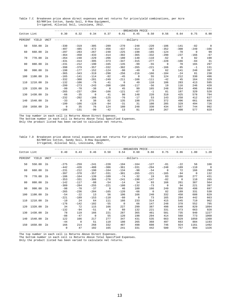Table 7.C Breakeven price above direct expenses and net returns for price/yield combinations, per Acre B2/RRFlex Cotton, Sandy Soil, 8-Row Equipment, Irrigated, Alluvial Soil, Louisiana, 2012.

|             |             |             |                |                |                |                |              | --BREAKEVEN PRICE-         |          |          |          |          |                |
|-------------|-------------|-------------|----------------|----------------|----------------|----------------|--------------|----------------------------|----------|----------|----------|----------|----------------|
| Cotton Lint |             |             | 0.30           | 0.32           | 0.34           | 0.37           | 0.41         | 0.45                       | 0.50     | 0.56     | 0.64     | 0.75     | 0.90           |
| PERCENT     | YIELD       | <b>UNIT</b> |                |                |                |                |              | ---------dollars---------- |          |          |          |          |                |
| 50          | 550.00      | lb          | $-330$         | $-319$         | $-305$         | $-289$         | $-270$       | $-248$                     | $-220$   | $-186$   | $-141$   | $-82$    | $\overline{0}$ |
|             |             |             | $-497$         | $-485$         | $-472$         | $-456$         | $-437$       | $-414$                     | $-387$   | $-352$   | $-308$   | $-249$   | $-166$         |
| 60          | 660.00      | lb          | $-297$         | $-283$         | $-267$         | $-248$         | $-225$       | $-198$                     | $-165$   | $-124$   | $-70$    | $\Omega$ | 99             |
|             |             |             | $-464$         | $-450$         | $-433$         | $-414$         | $-392$       | $-365$                     | $-332$   | $-290$   | $-237$   | $-166$   | $-67$          |
| 70          | 770.00      | lb          | $-264$         | $-248$         | $-229$         | $-206$         | $-180$       | $-148$                     | $-110$   | $-62$    | $\Omega$ | 82       | 198            |
|             |             |             | $-431$         | $-414$         | $-395$         | $-373$         | $-347$       | $-315$                     | $-277$   | $-228$   | $-166$   | $-84$    | 31             |
| 80          | 880.00      | lb          | $-231$         | $-212$         | $-190$         | $-165$         | $-135$       | $-99$                      | $-55$    | $\Omega$ | 70       | 165      | 297            |
|             |             |             | $-398$         | $-379$         | $-357$         | $-332$         | $-302$       | $-265$                     | $-221$   | $-166$   | $-95$    | $-1$     | 131            |
| 90          | 990.00      | - 1 b       | $-198$         | $-177$         | $-152$         | $-124$         | $-90$        | $-49$                      | $\Omega$ | 62       | 141      | 248      | 397            |
|             |             |             | $-365$         | $-343$         | $-319$         | $-290$         | $-256$       | $-216$                     | $-166$   | $-104$   | $-24$    | 81       | 230            |
| 100         | 1100.00     | lb          | $-165$         | $-141$         | $-114$         | $-82$          | $-45$        | $\mathbf 0$                | 55       | 124      | 212      | 330      | 496            |
|             |             |             | $-332$         | $-308$         | $-281$         | $-249$         | $-211$       | $-166$                     | $-111$   | $-42$    | 45       | 164      | 329            |
| 110         | 1210.00     | lb          | $-132$         | $-106$         | $-76$          | $-41$          | $\mathbf{0}$ | 49                         | 110      | 186      | 283      | 413      | 595            |
|             |             |             | $-299$         | $-273$         | $-243$         | $-208$         | $-166$       | $-117$                     | $-56$    | 19       | 116      | 246      | 428            |
| 120         | 1320.00     | lb          | $-99$          | $-70$          | $-38$          | $\overline{0}$ | 45           | 99                         | 165      | 248      | 354      | 496      | 694            |
|             |             |             | $-265$         | $-237$         | $-204$         | $-166$         | $-121$       | $-67$                      | $-1$     | 81       | 187      | 329      | 528            |
|             | 130 1430.00 | lb          | $-66$          | $-35$          | $\overline{0}$ | 41             | 90           | 148                        | 220      | 310      | 425      | 578      | 794            |
|             |             |             | $-232$         | $-202$         | $-166$         | $-125$         | $-76$        | $-17$                      | 53       | 143      | 258      | 412      | 627            |
| 140         | 1540.00     | lb          | $-33$          | $\overline{0}$ | 38             | 82             | 135          | 198                        | 275      | 372      | 496      | 661      | 893            |
|             |             |             | $-199$         | $-166$         | $-128$         | $-84$          | $-31$        | 31                         | 108      | 205      | 329      | 494      | 726            |
| 150         | 1650.00     | lb          | $\overline{0}$ | 35             | 76             | 124            | 180          | 248                        | 330      | 434      | 567      | 744      | 992            |
|             |             |             | $-166$         | $-131$         | $-90$          | $-42$          | 13           | 81                         | 164      | 267      | 400      | 577      | 825            |

\_\_\_\_\_\_\_\_\_\_\_\_\_\_\_\_\_\_\_\_\_\_\_\_\_\_\_\_\_\_\_\_\_\_\_\_\_\_\_\_\_\_\_\_\_\_\_\_\_\_\_\_\_\_\_\_\_\_\_\_\_\_\_\_\_\_\_\_\_\_\_\_\_\_\_\_\_\_\_\_\_\_\_\_\_\_\_\_\_\_\_\_\_\_\_\_\_\_\_\_\_\_\_\_\_\_\_\_\_\_\_\_\_\_\_\_\_\_\_\_ The top number in each cell is Returns Above Direct Expenses.

The bottom number in each cell is Returns Above Total Specified Expenses.

Only the product listed has been varied to calculate net returns.

#### Table 7.D Breakeven price above total expenses and net returns for price/yield combinations, per Acre B2/RRFlex Cotton, Sandy Soil, 8-Row Equipment, Irrigated, Alluvial Soil, Louisiana, 2012.

|             |         |             |             |                |             |                |                | -BREAKEVEN PRICE-           |                |            |          |          |                |
|-------------|---------|-------------|-------------|----------------|-------------|----------------|----------------|-----------------------------|----------------|------------|----------|----------|----------------|
| Cotton Lint |         |             | 0.40        | 0.43           | 0.46        | 0.50           | 0.54           | 0.60                        | 0.66           | 0.75       | 0.86     | 1.00     | 1.20           |
| PERCENT     | YIELD   | <b>UNIT</b> |             |                |             |                |                | --------------dollars------ |                |            |          |          |                |
| 50          | 550.00  | lb          | $-275$      | $-259$         | $-241$      | $-220$         | $-194$         | $-164$                      | $-127$         | $-81$      | $-22$    | 56       | 166            |
|             |         |             | $-442$      | $-426$         | $-408$      | $-386$         | $-361$         | $-331$                      | $-294$         | $-248$     | $-189$   | $-110$   | $\overline{0}$ |
| 60          | 660.00  | 1b          | $-231$      | $-212$         | $-190$      | $-164$         | $-134$         | $-98$                       | $-54$          | $\Omega$   | 72       | 166      | 299            |
|             |         |             | $-397$      | $-378$         | $-357$      | $-331$         | $-301$         | $-265$                      | $-221$         | $-165$     | $-94$    | $\Omega$ | 132            |
| 70          | 770.00  | lb          | $-186$      | $-164$         | $-139$      | $-109$         | $-74$          | $-32$                       | 19             | 83         | 166      | 277      | 431            |
|             |         |             | $-353$      | $-331$         | $-306$      | $-276$         | $-241$         | $-198$                      | $-147$         | $-82$      | $\Omega$ | 110      | 265            |
| 80          | 880.00  | - 1 b       | $-142$      | $-117$         | $-88$       | $-54$          | $-14$          | 34                          | 93             | 166        | 261      | 387      | 564            |
|             |         |             | $-309$      | $-284$         | $-255$      | $-221$         | $-180$         | $-132$                      | $-73$          | $\bigcirc$ | 94       | 221      | 397            |
| 90          | 990.00  | lb          | $-98$       | $-70$          | $-37$       | $\overline{0}$ | 46             | 100                         | 166            | 249        | 356      | 498      | 697            |
|             |         |             | $-265$      | $-236$         | $-204$      | $-165$         | $-120$         | $-66$                       | $\overline{0}$ | 82         | 189      | 331      | 530            |
| 100         | 1100.00 | lb          | $-54$       | $-22$          | 13          | 56             | 106            | 166                         | 240            | 332        | 450      | 608      | 829            |
|             |         |             | $-221$      | $-189$         | $-153$      | $-110$         | $-60$          | $\overline{0}$              | 73             | 165        | 284      | 442      | 663            |
| 110         | 1210.00 | 1b          | $-10$       | 24             | 64          | 111            | 166            | 233                         | 314            | 415        | 545      | 719      | 962            |
|             |         |             | $-176$      | $-142$         | $-102$      | $-55$          | $\overline{0}$ | 66                          | 147            | 248        | 378      | 552      | 795            |
| 120         | 1320.00 | lb          | 34          | 72             | 115         | 166            | 227            | 299                         | 387            | 498        | 640      | 829      | 1094           |
|             |         |             | $-132$      | $-94$          | $-51$       | $\overline{0}$ | 60             | 132                         | 221            | 331        | 473      | 663      | 928            |
| 130         | 1430.00 | 1b          | 78          | 119            | 166         | 221            | 287            | 365                         | 461            | 581        | 735      | 940      | 1227           |
|             |         |             | $-88$       | $-47$          | $\mathbf 0$ | 55             | 120            | 198                         | 294            | 414        | 568      | 773      | 1060           |
| 140         | 1540.00 | 1b          | 122         | 166            | 217         | 277            | 347            | 431                         | 535            | 663        | 829      | 1050     | 1360           |
|             |         |             | $-44$       | $\overline{0}$ | 51          | 110            | 180            | 265                         | 368            | 497        | 663      | 884      | 1193           |
| 150         | 1650.00 | lb          | 166         | 214            | 268         | 332            | 407            | 498                         | 608            | 746        | 924      | 1161     | 1492           |
|             |         |             | $\mathbf 0$ | 47             | 102         | 165            | 241            | 331                         | 442            | 580        | 757      | 994      | 1326           |

The top number in each cell is Returns Above Direct Expenses.

The bottom number in each cell is Returns Above Total Specified Expenses.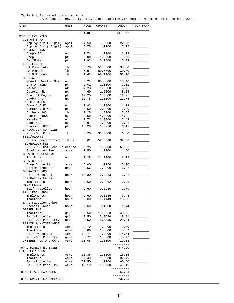| Table 8.A Estimated costs per Acre |  |  |                                                                                        |  |
|------------------------------------|--|--|----------------------------------------------------------------------------------------|--|
|                                    |  |  | B2/RRFlex Cotton, Silty Soil, 8-Row Equipment, Irrigated, Macon Ridge Louisiana, 2012. |  |

| ITEM                                         | UNIT         | PRICE        | QUANTITY         | AMOUNT          | YOUR FARM |
|----------------------------------------------|--------------|--------------|------------------|-----------------|-----------|
|                                              |              | dollars      |                  | dollars         |           |
| DIRECT EXPENSES                              |              |              |                  |                 |           |
| <b>CUSTOM SPRAY</b>                          |              |              |                  |                 |           |
| App by Air (3 gal)<br>App by Air ( 5 gal)    | appl<br>appl | 4.50<br>5.75 | 5.0000<br>1.0000 | 22.50<br>5.75   |           |
| HARVEST AIDS                                 |              |              |                  |                 |           |
| Dropp SC                                     | OZ           | 1.74         | 1.2000           | 2.09            |           |
| Prep                                         | pt           | 3.00         | 1.3300           | 3.99            |           |
| Def/Folex                                    | pt           | 7.92         | 0.7500           | 5.94            |           |
| FERTILIZERS                                  |              |              |                  |                 |           |
| LA Phosphate                                 | lb           | 0.70         | 50.0000          | 35.00           |           |
| LA Potash                                    | 1b           | 0.51         | 60.0000          | 30.60           |           |
| LA Nitrogen                                  | lb           | 0.63         | 90.0000          | 56.70           |           |
| HERBICIDES                                   |              |              |                  |                 |           |
| Roundup WeatherMax                           | OZ           | 0.21         | 88.0000          | 18.48           |           |
| $2, 4-D$ Amine $4$                           | pt           | 2.01         | 1.0000           | 2.01            |           |
| Valor WP                                     | OZ           | 4.23         | 1.5000           | 6.35            |           |
| Cotoran 4L                                   | pt           | 4.69         | 1.2000           | 5.63            |           |
| Dual II Magnum                               | pt           | 12.25        | 1.0000           | 12.25<br>12.75  |           |
| Layby Pro<br>INSECTICIDES                    | qt           | 12.75        | 1.0000           |                 |           |
| Ammo $2.5$ EC                                | ΟZ           | 0.92         | 1.2800           | 1.18            |           |
| Dimethoate 4E                                | pt           | 5.50         | 0.4000           | 2.20            |           |
| Orthene 90S                                  | lb           | 3.25         | 1.8000           | 5.85            |           |
| Centric 40WG                                 | OZ           | 3.58         | 4.0000           | 14.32           |           |
| Karate Z                                     | OZ           | 2.73         | 6.3900           | 17.44           |           |
| Bidrin 8L                                    | ΟZ           | 0.91         | 12.0000          | 10.92           |           |
| Diamond .83EC                                | pt           | 16.28        | 0.3750           | 6.11            |           |
| IRRIGATION SUPPLIES                          |              |              |                  |                 |           |
| Roll-Out Pipe<br>SEED/PLANTS                 | ft           | 0.20         | 33.0000          | 6.60            |           |
| Cotton Seed BGII/RRF thous<br>TECHNOLOGY FEE |              | 0.61         | 52.5000          | 32.03           |           |
| BGII/RRF Cot Tech Fe cap/ac                  |              | 69.25        | 1.0000           | 69.25           |           |
| Eradication Fee                              | acre         | 1.50         | 1.0000           | 1.50            |           |
| GROWTH REGULATORS                            |              |              |                  |                 |           |
| Pix Plus<br>SERVICE FEE                      | OZ           | 0.28         | 24.0000          | 6.72            |           |
| Crop Consultant                              | acre         | 5.00         | 1.0000           | 5.00            |           |
| Cotton Checkoff<br>OPERATOR LABOR            | bale         | 2.56         | 2.0800           | 5.32            |           |
| Self-Propelled<br>IRRIGATION LABOR           | hour         | 15.30        | 0.3283           | 5.02            |           |
| Implements                                   | hour         | 9.60         | 0.0062           | 0.06            |           |
| HAND LABOR<br>Self-Propelled                 | hour         | 9.60         | 0.2930           | 2.79            |           |
| LA Hired Labor                               |              |              |                  |                 |           |
| Implements                                   | hour         | 9.60         | 0.3636           | 3.48            |           |
| Tractors                                     | hour         | 9.60         | 1.4449           | 13.86           |           |
| LA Irrigation Labor<br>Special Labor         | hour         | 9.60         | 0.1500           | 1.44            |           |
| DIESEL FUEL                                  |              |              |                  |                 |           |
| Tractors                                     | gal          | 3.50         | 13.7263          | 48.06           |           |
| Self-Propelled                               | qal          | 3.50         | 5.3686           | 18.81           |           |
| Roll-Out Pipe Irr.<br>REPAIR & MAINTENANCE   | gal          | 3.50         | 8.5535           | 29.94           |           |
| Implements                                   | Acre         | 9.79         | 1.0000           | 9.79            |           |
| Tractors                                     | Acre         | 5.89         | 1.0000           | 5.89            |           |
| Self-Propelled                               | Acre         | 14.74        | 1.0000           | 14.74           |           |
| Roll-Out Pipe Irr.                           | Acre         | 5.77         | 1.0000           | 5.77            |           |
| INTEREST ON OP. CAP.                         | Acre         | 10.08        | 1.0000           | 10.08           |           |
| TOTAL DIRECT EXPENSES<br>FIXED EXPENSES      |              |              |                  | 574.20          |           |
| Implements                                   | Acre         | 16.85        | 1.0000           | 16.85           |           |
| Tractors                                     | Acre         | 37.49        | 1.0000           | 37.49           |           |
| Self-Propelled                               | Acre         | 60.50        | 1.0000           | 60.50           |           |
| Roll-Out Pipe Irr.                           | Acre         | 48.19        | 1.0000           | 48.19           |           |
| TOTAL FIXED EXPENSES                         |              |              |                  | 163.03<br>$- -$ |           |
| TOTAL SPECIFIED EXPENSES                     |              |              |                  | 737.23          |           |

\_\_\_\_\_\_\_\_\_\_\_\_\_\_\_\_\_\_\_\_\_\_\_\_\_\_\_\_\_\_\_\_\_\_\_\_\_\_\_\_\_\_\_\_\_\_\_\_\_\_\_\_\_\_\_\_\_\_\_\_\_\_\_\_\_\_\_\_\_\_\_\_\_\_\_\_\_\_\_\_\_\_\_\_\_\_\_\_\_\_\_\_\_\_\_\_\_\_\_\_\_\_\_\_\_\_\_\_\_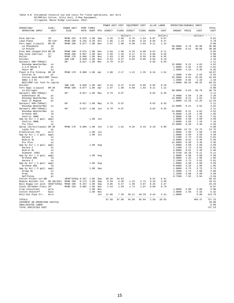## Table 8.B Estimated resource use and costs for field operations, per Acre<br>B2/RRFlex Cotton, Silty Soil, 8-Row Equipment,<br>Irrigated, Macon Ridge Louisiana, 2012.

| PERF TIMES<br>-----------------------<br>--------------<br>--------------<br>-------------<br>COST<br>OPERATING INPUT<br>UNIT<br>SIZE<br>RATE<br><b>OVER</b><br>MTH<br>DIRECT<br>FIXED<br>DIRECT<br>FIXED<br>HOURS<br>COST<br>AMOUNT PRICE<br>COST<br>------------dollars-----------<br>dollars<br>---------dollars----<br>$- - - -$<br>Disk Harrow<br>28'<br>MFWD 225<br>$0.070$ 1.00<br>Sep<br>3.26<br>2.68<br>0.76<br>1.64<br>0.07<br>0.67<br>9.01<br>Land Plane<br>$40'$ x $10'$<br>MFWD 190<br>0.242<br>0.20<br>Oct<br>1.85<br>1.24<br>0.06<br>0.16<br>0.04<br>0.47<br>3.78<br>$8R - 38$<br>2.97<br>0.11<br>8.00<br>Fert Appl (Liquid)<br>MFWD 190<br>0.077<br>1.00<br>Nov<br>1.98<br>0.90<br>1.03<br>1.12<br>1 <sub>b</sub><br>50.0000<br>0.70<br>35.00<br>LA Phosphate<br>35.00<br>60.0000<br>30.60<br>1 <sub>b</sub><br>0.51<br>30.60<br>LA Potash<br>MFWD 190<br>$0.074$ 1.00<br>2.84<br>1.89<br>0.33<br>0.88<br>0.07<br>0.71<br>6.65<br>Disk Bed (Hipper)Fld 8R-38<br>Nov<br>Row Cond (Harrow)<br>27'<br>MFWD 190<br>0.057<br>1.00<br>Nov<br>2.20<br>1.46<br>0.17<br>0.71<br>0.05<br>0.55<br>5.09<br>32'<br>MFWD 170<br>0.046<br>1.00<br>1.63<br>0.10<br>0.56<br>0.04<br>0.45<br>4.00<br>Roller<br>Nov<br>1.26<br>Ditcher<br>2WD 130<br>0.020<br>1.00<br>0.53<br>0.37<br>0.04<br>0.05<br>0.02<br>0.19<br>1.18<br>Nov<br>60'<br>0.79<br>0.97<br>0.02<br>2.11<br>Sprayer( 600-750Gal)<br>$0.017$ 1.00<br>Mar<br>0.35<br>22.0000<br>0.21<br>4.62<br>4.62<br>Roundup WeatherMax<br>OZ<br>2.01<br>2.01<br>$2, 4-D$ Amine $4$<br>pt<br>1.0000<br>2.01<br>Valor WP<br>1.5000<br>4.23<br>6.35<br>6.35<br>OZ<br>10.07<br>Plant & Pre Folding<br>$8R - 38$<br>MFWD 170<br>$0.080$ 1.00 Apr<br>2.80<br>2.17<br>1.21<br>2.35<br>0.16<br>1.54<br>1.2000<br>4.69<br>5.63<br>5.63<br>Cotoran 4L<br>pt<br>0.61<br>32.03<br>32.03<br>52.5000<br>Cotton Seed BGII/RRF thous<br>0.92<br>1.18<br>Ammo 2.5 EC<br>1.2800<br>1.18<br>OZ<br>1.0000<br>69.25<br>69.25<br>BGII/RRF Cot Tech Fe cap/ac<br>69.25<br>0.53<br>Ditcher<br>2WD 130<br>0.020<br>1.00<br>Apr<br>0.37<br>0.04<br>0.05<br>0.02<br>0.19<br>1.18<br>$8R - 38$<br>MFWD 190<br>0.077<br>1.00<br>2.97<br>0.90<br>1.03<br>0.11<br>8.00<br>Fert Appl (Liquid)<br>Apr<br>1.98<br>1.12<br>90.0000<br>0.63<br>56.70<br>56.70<br>LA Nitrogen<br>lb<br>Sprayer( 600-750Gal)<br>60'<br>1.00<br>0.79<br>0.97<br>0.02<br>0.35<br>2.11<br>0.017<br>May<br>0.4000<br>5.50<br>2.20<br>2.20<br>Dimethoate 4E<br>pt<br>4.62<br>22.0000<br>0.21<br>Roundup WeatherMax<br>4.62<br>OZ<br>1.0000<br>Dual II Magnum<br>12.25<br>12.25<br>12.25<br>pt<br>Sprayer( 600-750Gal)<br>60'<br>$0.017$ 1.00<br>0.79<br>0.97<br>0.02<br>0.35<br>2.11<br>May<br>22.0000<br>0.21<br>4.62<br>4.62<br>Roundup WeatherMax<br>OZ<br>2.11<br>Sprayer( 600-750Gal)<br>60'<br>$0.017$ 1.00<br>0.79<br>0.97<br>0.02<br>0.35<br>Jun<br>Roundup WeatherMax<br>22.0000<br>0.21<br>4.62<br>4.62<br>07<br>1.95<br>3.25<br>1.95<br>Orthene 90S<br>1 <sub>b</sub><br>0.6000<br>7.16<br>2.0000<br>3.58<br>7.16<br>Centric 40WG<br>OZ<br>App by Air ( 3 gal)<br>1.00<br>Jun<br>1.0000<br>4.50<br>4.50<br>4.50<br>appl<br>Centric 40WG<br>2.0000<br>3.58<br>7.16<br>7.16<br>OZ<br>Pix Plus<br>12.0000<br>0.28<br>3.36<br>3.36<br>OZ<br>Spray (Direct/Layby) 8R-38<br>MFWD 170<br>$0.066$ 1.00<br>2.33<br>1.81<br>0.35<br>0.43<br>0.10<br>0.96<br>5.88<br>ារោ<br>1.0000<br>12.75<br>12.75<br>12.75<br>Layby Pro<br>qt<br>1.0000<br>1.50<br>1.50<br>Eradication Fee<br>1.00<br>Jul<br>1.50<br>acre<br>App by Air ( 3 gal)<br>1.00<br>Jul<br>1.0000<br>4.50<br>4.50<br>4.50<br>appl<br>Karate Z<br>2.1300<br>2.73<br>5.81<br>5.81<br>OZ<br>Bidrin 8L<br>5.46<br>5.46<br>OZ<br>6.0000<br>0.91<br>Pix Plus<br>12.0000<br>0.28<br>3.36<br>3.36<br>OZ<br>1.0000<br>4.50<br>4.50<br>4.50<br>App by Air ( 3 gal)<br>1.00 Aug<br>appl<br>5.81<br>5.81<br>2.1300<br>2.73<br>Karate Z<br>OZ<br>5.46<br>5.46<br>Bidrin 8L<br>6.0000<br>0.91<br>OZ<br>16.28<br>6.11<br>6.11<br>Diamond .83EC<br>pt<br>0.3750<br>App by Air ( 3 gal)<br>1.00 Aug<br>1.0000<br>4.50<br>4.50<br>4.50<br>appl<br>1.95<br>Orthene 90S<br>1 <sub>b</sub><br>0.6000<br>3.25<br>1.95<br>2.1300<br>2.73<br>5.81<br>5.81<br>Karate Z<br>0.7<br>4.50<br>1.0000<br>4.50<br>4.50<br>App by Air ( 3 gal)<br>1.00<br>appl<br>Aug<br>1.95<br>0.6000<br>3.25<br>1.95<br>Orthene 90S<br>1b<br>5.75<br>5.75<br>5.75<br>App by Air ( 5 gal)<br>appl<br>1.00<br>Sep<br>1.0000<br>2.09<br>Dropp SC<br>1.2000<br>1.74<br>2.09<br>OZ<br>Prep<br>1.3300<br>3.00<br>3.99<br>3.99<br>pt<br>0.7500<br>7.92<br>5.94<br>5.94<br>Def/Folex<br>pt<br>93.42<br>Cotton Picker-1st-BB<br>4R38"325hp 0.257 1.00<br>Sep<br>30.39<br>56.62<br>0.51<br>6.41<br>2.72<br>18.31<br>MFWD 190<br>0.172 1.00<br>6.59<br>4.39<br>0.34<br>3.30<br>Module Builder-1st<br>6R-38(325)<br>Sep<br>1.31<br>0.25<br>23.44<br>MFWD 190<br>0.257<br>1.00<br>Sep<br>9.85<br>6.57<br>1.48<br>3.07<br>Boll Buggy-1st pick 4R38"325hp<br>2.47<br>MFWD 150<br>2.54<br>0.08<br>8.07<br>Stalk Shredder-Flail 20'<br>$0.082$ 1.00<br>Nov<br>1.93<br>1.74<br>1.07<br>0.79<br>5.00<br>Crop Consultant<br>1.00<br>Nov<br>1.0000<br>5.00<br>5.00<br>acre<br>2.0800<br>2.56<br>5.32<br>5.32<br>Cotton Checkoff<br>bale<br>1.00<br>Nov<br>Roll-Out Pipe Irr.<br>Jul<br>11.06<br>7.39<br>36.11<br>49.29<br>0.44<br>4.31<br>1.0000<br>6.60<br>114.76<br>Acre<br>$- - - - -$<br>-------<br>727.15<br><b>TOTALS</b><br>87.50<br>97.99<br>26.65<br>404.47<br>45.50<br>65.04<br>2.58 |            |       |            |  | POWER UNIT COST | EQUIPMENT COST |  | ALLOC LABOR | OPERATING/DURABLE INPUT |  |       |
|----------------------------------------------------------------------------------------------------------------------------------------------------------------------------------------------------------------------------------------------------------------------------------------------------------------------------------------------------------------------------------------------------------------------------------------------------------------------------------------------------------------------------------------------------------------------------------------------------------------------------------------------------------------------------------------------------------------------------------------------------------------------------------------------------------------------------------------------------------------------------------------------------------------------------------------------------------------------------------------------------------------------------------------------------------------------------------------------------------------------------------------------------------------------------------------------------------------------------------------------------------------------------------------------------------------------------------------------------------------------------------------------------------------------------------------------------------------------------------------------------------------------------------------------------------------------------------------------------------------------------------------------------------------------------------------------------------------------------------------------------------------------------------------------------------------------------------------------------------------------------------------------------------------------------------------------------------------------------------------------------------------------------------------------------------------------------------------------------------------------------------------------------------------------------------------------------------------------------------------------------------------------------------------------------------------------------------------------------------------------------------------------------------------------------------------------------------------------------------------------------------------------------------------------------------------------------------------------------------------------------------------------------------------------------------------------------------------------------------------------------------------------------------------------------------------------------------------------------------------------------------------------------------------------------------------------------------------------------------------------------------------------------------------------------------------------------------------------------------------------------------------------------------------------------------------------------------------------------------------------------------------------------------------------------------------------------------------------------------------------------------------------------------------------------------------------------------------------------------------------------------------------------------------------------------------------------------------------------------------------------------------------------------------------------------------------------------------------------------------------------------------------------------------------------------------------------------------------------------------------------------------------------------------------------------------------------------------------------------------------------------------------------------------------------------------------------------------------------------------------------------------------------------------------------------------------------------------------------------------------------------------------------------------------------------------------------------------------------------------------------------------------------------------------------------------------------------------------------------------------------------------------------------------------------------------------------------------------------------------------------------------------------------------------------------------------------------------------------------------------------------------------------------------------------------------------------------------------------------------------------------------------------------------------------------------------------------------------------------------------------------------------------------------------------------------------------------------------------------------------------------------------------------------------------------------------------------------------------------------------------------------------------------------------------------------------------------------------------------------------------------------------------------------------------------------------------------------------------|------------|-------|------------|--|-----------------|----------------|--|-------------|-------------------------|--|-------|
|                                                                                                                                                                                                                                                                                                                                                                                                                                                                                                                                                                                                                                                                                                                                                                                                                                                                                                                                                                                                                                                                                                                                                                                                                                                                                                                                                                                                                                                                                                                                                                                                                                                                                                                                                                                                                                                                                                                                                                                                                                                                                                                                                                                                                                                                                                                                                                                                                                                                                                                                                                                                                                                                                                                                                                                                                                                                                                                                                                                                                                                                                                                                                                                                                                                                                                                                                                                                                                                                                                                                                                                                                                                                                                                                                                                                                                                                                                                                                                                                                                                                                                                                                                                                                                                                                                                                                                                                                                                                                                                                                                                                                                                                                                                                                                                                                                                                                                                                                                                                                                                                                                                                                                                                                                                                                                                                                                                                                                                                            | OPERATION/ | SIZE/ | POWER UNIT |  |                 |                |  |             |                         |  | TOTAL |
|                                                                                                                                                                                                                                                                                                                                                                                                                                                                                                                                                                                                                                                                                                                                                                                                                                                                                                                                                                                                                                                                                                                                                                                                                                                                                                                                                                                                                                                                                                                                                                                                                                                                                                                                                                                                                                                                                                                                                                                                                                                                                                                                                                                                                                                                                                                                                                                                                                                                                                                                                                                                                                                                                                                                                                                                                                                                                                                                                                                                                                                                                                                                                                                                                                                                                                                                                                                                                                                                                                                                                                                                                                                                                                                                                                                                                                                                                                                                                                                                                                                                                                                                                                                                                                                                                                                                                                                                                                                                                                                                                                                                                                                                                                                                                                                                                                                                                                                                                                                                                                                                                                                                                                                                                                                                                                                                                                                                                                                                            |            |       |            |  |                 |                |  |             |                         |  |       |
|                                                                                                                                                                                                                                                                                                                                                                                                                                                                                                                                                                                                                                                                                                                                                                                                                                                                                                                                                                                                                                                                                                                                                                                                                                                                                                                                                                                                                                                                                                                                                                                                                                                                                                                                                                                                                                                                                                                                                                                                                                                                                                                                                                                                                                                                                                                                                                                                                                                                                                                                                                                                                                                                                                                                                                                                                                                                                                                                                                                                                                                                                                                                                                                                                                                                                                                                                                                                                                                                                                                                                                                                                                                                                                                                                                                                                                                                                                                                                                                                                                                                                                                                                                                                                                                                                                                                                                                                                                                                                                                                                                                                                                                                                                                                                                                                                                                                                                                                                                                                                                                                                                                                                                                                                                                                                                                                                                                                                                                                            |            |       |            |  |                 |                |  |             |                         |  |       |
|                                                                                                                                                                                                                                                                                                                                                                                                                                                                                                                                                                                                                                                                                                                                                                                                                                                                                                                                                                                                                                                                                                                                                                                                                                                                                                                                                                                                                                                                                                                                                                                                                                                                                                                                                                                                                                                                                                                                                                                                                                                                                                                                                                                                                                                                                                                                                                                                                                                                                                                                                                                                                                                                                                                                                                                                                                                                                                                                                                                                                                                                                                                                                                                                                                                                                                                                                                                                                                                                                                                                                                                                                                                                                                                                                                                                                                                                                                                                                                                                                                                                                                                                                                                                                                                                                                                                                                                                                                                                                                                                                                                                                                                                                                                                                                                                                                                                                                                                                                                                                                                                                                                                                                                                                                                                                                                                                                                                                                                                            |            |       |            |  |                 |                |  |             |                         |  |       |
|                                                                                                                                                                                                                                                                                                                                                                                                                                                                                                                                                                                                                                                                                                                                                                                                                                                                                                                                                                                                                                                                                                                                                                                                                                                                                                                                                                                                                                                                                                                                                                                                                                                                                                                                                                                                                                                                                                                                                                                                                                                                                                                                                                                                                                                                                                                                                                                                                                                                                                                                                                                                                                                                                                                                                                                                                                                                                                                                                                                                                                                                                                                                                                                                                                                                                                                                                                                                                                                                                                                                                                                                                                                                                                                                                                                                                                                                                                                                                                                                                                                                                                                                                                                                                                                                                                                                                                                                                                                                                                                                                                                                                                                                                                                                                                                                                                                                                                                                                                                                                                                                                                                                                                                                                                                                                                                                                                                                                                                                            |            |       |            |  |                 |                |  |             |                         |  |       |
|                                                                                                                                                                                                                                                                                                                                                                                                                                                                                                                                                                                                                                                                                                                                                                                                                                                                                                                                                                                                                                                                                                                                                                                                                                                                                                                                                                                                                                                                                                                                                                                                                                                                                                                                                                                                                                                                                                                                                                                                                                                                                                                                                                                                                                                                                                                                                                                                                                                                                                                                                                                                                                                                                                                                                                                                                                                                                                                                                                                                                                                                                                                                                                                                                                                                                                                                                                                                                                                                                                                                                                                                                                                                                                                                                                                                                                                                                                                                                                                                                                                                                                                                                                                                                                                                                                                                                                                                                                                                                                                                                                                                                                                                                                                                                                                                                                                                                                                                                                                                                                                                                                                                                                                                                                                                                                                                                                                                                                                                            |            |       |            |  |                 |                |  |             |                         |  |       |
|                                                                                                                                                                                                                                                                                                                                                                                                                                                                                                                                                                                                                                                                                                                                                                                                                                                                                                                                                                                                                                                                                                                                                                                                                                                                                                                                                                                                                                                                                                                                                                                                                                                                                                                                                                                                                                                                                                                                                                                                                                                                                                                                                                                                                                                                                                                                                                                                                                                                                                                                                                                                                                                                                                                                                                                                                                                                                                                                                                                                                                                                                                                                                                                                                                                                                                                                                                                                                                                                                                                                                                                                                                                                                                                                                                                                                                                                                                                                                                                                                                                                                                                                                                                                                                                                                                                                                                                                                                                                                                                                                                                                                                                                                                                                                                                                                                                                                                                                                                                                                                                                                                                                                                                                                                                                                                                                                                                                                                                                            |            |       |            |  |                 |                |  |             |                         |  |       |
|                                                                                                                                                                                                                                                                                                                                                                                                                                                                                                                                                                                                                                                                                                                                                                                                                                                                                                                                                                                                                                                                                                                                                                                                                                                                                                                                                                                                                                                                                                                                                                                                                                                                                                                                                                                                                                                                                                                                                                                                                                                                                                                                                                                                                                                                                                                                                                                                                                                                                                                                                                                                                                                                                                                                                                                                                                                                                                                                                                                                                                                                                                                                                                                                                                                                                                                                                                                                                                                                                                                                                                                                                                                                                                                                                                                                                                                                                                                                                                                                                                                                                                                                                                                                                                                                                                                                                                                                                                                                                                                                                                                                                                                                                                                                                                                                                                                                                                                                                                                                                                                                                                                                                                                                                                                                                                                                                                                                                                                                            |            |       |            |  |                 |                |  |             |                         |  |       |
|                                                                                                                                                                                                                                                                                                                                                                                                                                                                                                                                                                                                                                                                                                                                                                                                                                                                                                                                                                                                                                                                                                                                                                                                                                                                                                                                                                                                                                                                                                                                                                                                                                                                                                                                                                                                                                                                                                                                                                                                                                                                                                                                                                                                                                                                                                                                                                                                                                                                                                                                                                                                                                                                                                                                                                                                                                                                                                                                                                                                                                                                                                                                                                                                                                                                                                                                                                                                                                                                                                                                                                                                                                                                                                                                                                                                                                                                                                                                                                                                                                                                                                                                                                                                                                                                                                                                                                                                                                                                                                                                                                                                                                                                                                                                                                                                                                                                                                                                                                                                                                                                                                                                                                                                                                                                                                                                                                                                                                                                            |            |       |            |  |                 |                |  |             |                         |  |       |
|                                                                                                                                                                                                                                                                                                                                                                                                                                                                                                                                                                                                                                                                                                                                                                                                                                                                                                                                                                                                                                                                                                                                                                                                                                                                                                                                                                                                                                                                                                                                                                                                                                                                                                                                                                                                                                                                                                                                                                                                                                                                                                                                                                                                                                                                                                                                                                                                                                                                                                                                                                                                                                                                                                                                                                                                                                                                                                                                                                                                                                                                                                                                                                                                                                                                                                                                                                                                                                                                                                                                                                                                                                                                                                                                                                                                                                                                                                                                                                                                                                                                                                                                                                                                                                                                                                                                                                                                                                                                                                                                                                                                                                                                                                                                                                                                                                                                                                                                                                                                                                                                                                                                                                                                                                                                                                                                                                                                                                                                            |            |       |            |  |                 |                |  |             |                         |  |       |
|                                                                                                                                                                                                                                                                                                                                                                                                                                                                                                                                                                                                                                                                                                                                                                                                                                                                                                                                                                                                                                                                                                                                                                                                                                                                                                                                                                                                                                                                                                                                                                                                                                                                                                                                                                                                                                                                                                                                                                                                                                                                                                                                                                                                                                                                                                                                                                                                                                                                                                                                                                                                                                                                                                                                                                                                                                                                                                                                                                                                                                                                                                                                                                                                                                                                                                                                                                                                                                                                                                                                                                                                                                                                                                                                                                                                                                                                                                                                                                                                                                                                                                                                                                                                                                                                                                                                                                                                                                                                                                                                                                                                                                                                                                                                                                                                                                                                                                                                                                                                                                                                                                                                                                                                                                                                                                                                                                                                                                                                            |            |       |            |  |                 |                |  |             |                         |  |       |
|                                                                                                                                                                                                                                                                                                                                                                                                                                                                                                                                                                                                                                                                                                                                                                                                                                                                                                                                                                                                                                                                                                                                                                                                                                                                                                                                                                                                                                                                                                                                                                                                                                                                                                                                                                                                                                                                                                                                                                                                                                                                                                                                                                                                                                                                                                                                                                                                                                                                                                                                                                                                                                                                                                                                                                                                                                                                                                                                                                                                                                                                                                                                                                                                                                                                                                                                                                                                                                                                                                                                                                                                                                                                                                                                                                                                                                                                                                                                                                                                                                                                                                                                                                                                                                                                                                                                                                                                                                                                                                                                                                                                                                                                                                                                                                                                                                                                                                                                                                                                                                                                                                                                                                                                                                                                                                                                                                                                                                                                            |            |       |            |  |                 |                |  |             |                         |  |       |
|                                                                                                                                                                                                                                                                                                                                                                                                                                                                                                                                                                                                                                                                                                                                                                                                                                                                                                                                                                                                                                                                                                                                                                                                                                                                                                                                                                                                                                                                                                                                                                                                                                                                                                                                                                                                                                                                                                                                                                                                                                                                                                                                                                                                                                                                                                                                                                                                                                                                                                                                                                                                                                                                                                                                                                                                                                                                                                                                                                                                                                                                                                                                                                                                                                                                                                                                                                                                                                                                                                                                                                                                                                                                                                                                                                                                                                                                                                                                                                                                                                                                                                                                                                                                                                                                                                                                                                                                                                                                                                                                                                                                                                                                                                                                                                                                                                                                                                                                                                                                                                                                                                                                                                                                                                                                                                                                                                                                                                                                            |            |       |            |  |                 |                |  |             |                         |  |       |
|                                                                                                                                                                                                                                                                                                                                                                                                                                                                                                                                                                                                                                                                                                                                                                                                                                                                                                                                                                                                                                                                                                                                                                                                                                                                                                                                                                                                                                                                                                                                                                                                                                                                                                                                                                                                                                                                                                                                                                                                                                                                                                                                                                                                                                                                                                                                                                                                                                                                                                                                                                                                                                                                                                                                                                                                                                                                                                                                                                                                                                                                                                                                                                                                                                                                                                                                                                                                                                                                                                                                                                                                                                                                                                                                                                                                                                                                                                                                                                                                                                                                                                                                                                                                                                                                                                                                                                                                                                                                                                                                                                                                                                                                                                                                                                                                                                                                                                                                                                                                                                                                                                                                                                                                                                                                                                                                                                                                                                                                            |            |       |            |  |                 |                |  |             |                         |  |       |
|                                                                                                                                                                                                                                                                                                                                                                                                                                                                                                                                                                                                                                                                                                                                                                                                                                                                                                                                                                                                                                                                                                                                                                                                                                                                                                                                                                                                                                                                                                                                                                                                                                                                                                                                                                                                                                                                                                                                                                                                                                                                                                                                                                                                                                                                                                                                                                                                                                                                                                                                                                                                                                                                                                                                                                                                                                                                                                                                                                                                                                                                                                                                                                                                                                                                                                                                                                                                                                                                                                                                                                                                                                                                                                                                                                                                                                                                                                                                                                                                                                                                                                                                                                                                                                                                                                                                                                                                                                                                                                                                                                                                                                                                                                                                                                                                                                                                                                                                                                                                                                                                                                                                                                                                                                                                                                                                                                                                                                                                            |            |       |            |  |                 |                |  |             |                         |  |       |
|                                                                                                                                                                                                                                                                                                                                                                                                                                                                                                                                                                                                                                                                                                                                                                                                                                                                                                                                                                                                                                                                                                                                                                                                                                                                                                                                                                                                                                                                                                                                                                                                                                                                                                                                                                                                                                                                                                                                                                                                                                                                                                                                                                                                                                                                                                                                                                                                                                                                                                                                                                                                                                                                                                                                                                                                                                                                                                                                                                                                                                                                                                                                                                                                                                                                                                                                                                                                                                                                                                                                                                                                                                                                                                                                                                                                                                                                                                                                                                                                                                                                                                                                                                                                                                                                                                                                                                                                                                                                                                                                                                                                                                                                                                                                                                                                                                                                                                                                                                                                                                                                                                                                                                                                                                                                                                                                                                                                                                                                            |            |       |            |  |                 |                |  |             |                         |  |       |
|                                                                                                                                                                                                                                                                                                                                                                                                                                                                                                                                                                                                                                                                                                                                                                                                                                                                                                                                                                                                                                                                                                                                                                                                                                                                                                                                                                                                                                                                                                                                                                                                                                                                                                                                                                                                                                                                                                                                                                                                                                                                                                                                                                                                                                                                                                                                                                                                                                                                                                                                                                                                                                                                                                                                                                                                                                                                                                                                                                                                                                                                                                                                                                                                                                                                                                                                                                                                                                                                                                                                                                                                                                                                                                                                                                                                                                                                                                                                                                                                                                                                                                                                                                                                                                                                                                                                                                                                                                                                                                                                                                                                                                                                                                                                                                                                                                                                                                                                                                                                                                                                                                                                                                                                                                                                                                                                                                                                                                                                            |            |       |            |  |                 |                |  |             |                         |  |       |
|                                                                                                                                                                                                                                                                                                                                                                                                                                                                                                                                                                                                                                                                                                                                                                                                                                                                                                                                                                                                                                                                                                                                                                                                                                                                                                                                                                                                                                                                                                                                                                                                                                                                                                                                                                                                                                                                                                                                                                                                                                                                                                                                                                                                                                                                                                                                                                                                                                                                                                                                                                                                                                                                                                                                                                                                                                                                                                                                                                                                                                                                                                                                                                                                                                                                                                                                                                                                                                                                                                                                                                                                                                                                                                                                                                                                                                                                                                                                                                                                                                                                                                                                                                                                                                                                                                                                                                                                                                                                                                                                                                                                                                                                                                                                                                                                                                                                                                                                                                                                                                                                                                                                                                                                                                                                                                                                                                                                                                                                            |            |       |            |  |                 |                |  |             |                         |  |       |
|                                                                                                                                                                                                                                                                                                                                                                                                                                                                                                                                                                                                                                                                                                                                                                                                                                                                                                                                                                                                                                                                                                                                                                                                                                                                                                                                                                                                                                                                                                                                                                                                                                                                                                                                                                                                                                                                                                                                                                                                                                                                                                                                                                                                                                                                                                                                                                                                                                                                                                                                                                                                                                                                                                                                                                                                                                                                                                                                                                                                                                                                                                                                                                                                                                                                                                                                                                                                                                                                                                                                                                                                                                                                                                                                                                                                                                                                                                                                                                                                                                                                                                                                                                                                                                                                                                                                                                                                                                                                                                                                                                                                                                                                                                                                                                                                                                                                                                                                                                                                                                                                                                                                                                                                                                                                                                                                                                                                                                                                            |            |       |            |  |                 |                |  |             |                         |  |       |
|                                                                                                                                                                                                                                                                                                                                                                                                                                                                                                                                                                                                                                                                                                                                                                                                                                                                                                                                                                                                                                                                                                                                                                                                                                                                                                                                                                                                                                                                                                                                                                                                                                                                                                                                                                                                                                                                                                                                                                                                                                                                                                                                                                                                                                                                                                                                                                                                                                                                                                                                                                                                                                                                                                                                                                                                                                                                                                                                                                                                                                                                                                                                                                                                                                                                                                                                                                                                                                                                                                                                                                                                                                                                                                                                                                                                                                                                                                                                                                                                                                                                                                                                                                                                                                                                                                                                                                                                                                                                                                                                                                                                                                                                                                                                                                                                                                                                                                                                                                                                                                                                                                                                                                                                                                                                                                                                                                                                                                                                            |            |       |            |  |                 |                |  |             |                         |  |       |
|                                                                                                                                                                                                                                                                                                                                                                                                                                                                                                                                                                                                                                                                                                                                                                                                                                                                                                                                                                                                                                                                                                                                                                                                                                                                                                                                                                                                                                                                                                                                                                                                                                                                                                                                                                                                                                                                                                                                                                                                                                                                                                                                                                                                                                                                                                                                                                                                                                                                                                                                                                                                                                                                                                                                                                                                                                                                                                                                                                                                                                                                                                                                                                                                                                                                                                                                                                                                                                                                                                                                                                                                                                                                                                                                                                                                                                                                                                                                                                                                                                                                                                                                                                                                                                                                                                                                                                                                                                                                                                                                                                                                                                                                                                                                                                                                                                                                                                                                                                                                                                                                                                                                                                                                                                                                                                                                                                                                                                                                            |            |       |            |  |                 |                |  |             |                         |  |       |
|                                                                                                                                                                                                                                                                                                                                                                                                                                                                                                                                                                                                                                                                                                                                                                                                                                                                                                                                                                                                                                                                                                                                                                                                                                                                                                                                                                                                                                                                                                                                                                                                                                                                                                                                                                                                                                                                                                                                                                                                                                                                                                                                                                                                                                                                                                                                                                                                                                                                                                                                                                                                                                                                                                                                                                                                                                                                                                                                                                                                                                                                                                                                                                                                                                                                                                                                                                                                                                                                                                                                                                                                                                                                                                                                                                                                                                                                                                                                                                                                                                                                                                                                                                                                                                                                                                                                                                                                                                                                                                                                                                                                                                                                                                                                                                                                                                                                                                                                                                                                                                                                                                                                                                                                                                                                                                                                                                                                                                                                            |            |       |            |  |                 |                |  |             |                         |  |       |
|                                                                                                                                                                                                                                                                                                                                                                                                                                                                                                                                                                                                                                                                                                                                                                                                                                                                                                                                                                                                                                                                                                                                                                                                                                                                                                                                                                                                                                                                                                                                                                                                                                                                                                                                                                                                                                                                                                                                                                                                                                                                                                                                                                                                                                                                                                                                                                                                                                                                                                                                                                                                                                                                                                                                                                                                                                                                                                                                                                                                                                                                                                                                                                                                                                                                                                                                                                                                                                                                                                                                                                                                                                                                                                                                                                                                                                                                                                                                                                                                                                                                                                                                                                                                                                                                                                                                                                                                                                                                                                                                                                                                                                                                                                                                                                                                                                                                                                                                                                                                                                                                                                                                                                                                                                                                                                                                                                                                                                                                            |            |       |            |  |                 |                |  |             |                         |  |       |
|                                                                                                                                                                                                                                                                                                                                                                                                                                                                                                                                                                                                                                                                                                                                                                                                                                                                                                                                                                                                                                                                                                                                                                                                                                                                                                                                                                                                                                                                                                                                                                                                                                                                                                                                                                                                                                                                                                                                                                                                                                                                                                                                                                                                                                                                                                                                                                                                                                                                                                                                                                                                                                                                                                                                                                                                                                                                                                                                                                                                                                                                                                                                                                                                                                                                                                                                                                                                                                                                                                                                                                                                                                                                                                                                                                                                                                                                                                                                                                                                                                                                                                                                                                                                                                                                                                                                                                                                                                                                                                                                                                                                                                                                                                                                                                                                                                                                                                                                                                                                                                                                                                                                                                                                                                                                                                                                                                                                                                                                            |            |       |            |  |                 |                |  |             |                         |  |       |
|                                                                                                                                                                                                                                                                                                                                                                                                                                                                                                                                                                                                                                                                                                                                                                                                                                                                                                                                                                                                                                                                                                                                                                                                                                                                                                                                                                                                                                                                                                                                                                                                                                                                                                                                                                                                                                                                                                                                                                                                                                                                                                                                                                                                                                                                                                                                                                                                                                                                                                                                                                                                                                                                                                                                                                                                                                                                                                                                                                                                                                                                                                                                                                                                                                                                                                                                                                                                                                                                                                                                                                                                                                                                                                                                                                                                                                                                                                                                                                                                                                                                                                                                                                                                                                                                                                                                                                                                                                                                                                                                                                                                                                                                                                                                                                                                                                                                                                                                                                                                                                                                                                                                                                                                                                                                                                                                                                                                                                                                            |            |       |            |  |                 |                |  |             |                         |  |       |
|                                                                                                                                                                                                                                                                                                                                                                                                                                                                                                                                                                                                                                                                                                                                                                                                                                                                                                                                                                                                                                                                                                                                                                                                                                                                                                                                                                                                                                                                                                                                                                                                                                                                                                                                                                                                                                                                                                                                                                                                                                                                                                                                                                                                                                                                                                                                                                                                                                                                                                                                                                                                                                                                                                                                                                                                                                                                                                                                                                                                                                                                                                                                                                                                                                                                                                                                                                                                                                                                                                                                                                                                                                                                                                                                                                                                                                                                                                                                                                                                                                                                                                                                                                                                                                                                                                                                                                                                                                                                                                                                                                                                                                                                                                                                                                                                                                                                                                                                                                                                                                                                                                                                                                                                                                                                                                                                                                                                                                                                            |            |       |            |  |                 |                |  |             |                         |  |       |
|                                                                                                                                                                                                                                                                                                                                                                                                                                                                                                                                                                                                                                                                                                                                                                                                                                                                                                                                                                                                                                                                                                                                                                                                                                                                                                                                                                                                                                                                                                                                                                                                                                                                                                                                                                                                                                                                                                                                                                                                                                                                                                                                                                                                                                                                                                                                                                                                                                                                                                                                                                                                                                                                                                                                                                                                                                                                                                                                                                                                                                                                                                                                                                                                                                                                                                                                                                                                                                                                                                                                                                                                                                                                                                                                                                                                                                                                                                                                                                                                                                                                                                                                                                                                                                                                                                                                                                                                                                                                                                                                                                                                                                                                                                                                                                                                                                                                                                                                                                                                                                                                                                                                                                                                                                                                                                                                                                                                                                                                            |            |       |            |  |                 |                |  |             |                         |  |       |
|                                                                                                                                                                                                                                                                                                                                                                                                                                                                                                                                                                                                                                                                                                                                                                                                                                                                                                                                                                                                                                                                                                                                                                                                                                                                                                                                                                                                                                                                                                                                                                                                                                                                                                                                                                                                                                                                                                                                                                                                                                                                                                                                                                                                                                                                                                                                                                                                                                                                                                                                                                                                                                                                                                                                                                                                                                                                                                                                                                                                                                                                                                                                                                                                                                                                                                                                                                                                                                                                                                                                                                                                                                                                                                                                                                                                                                                                                                                                                                                                                                                                                                                                                                                                                                                                                                                                                                                                                                                                                                                                                                                                                                                                                                                                                                                                                                                                                                                                                                                                                                                                                                                                                                                                                                                                                                                                                                                                                                                                            |            |       |            |  |                 |                |  |             |                         |  |       |
|                                                                                                                                                                                                                                                                                                                                                                                                                                                                                                                                                                                                                                                                                                                                                                                                                                                                                                                                                                                                                                                                                                                                                                                                                                                                                                                                                                                                                                                                                                                                                                                                                                                                                                                                                                                                                                                                                                                                                                                                                                                                                                                                                                                                                                                                                                                                                                                                                                                                                                                                                                                                                                                                                                                                                                                                                                                                                                                                                                                                                                                                                                                                                                                                                                                                                                                                                                                                                                                                                                                                                                                                                                                                                                                                                                                                                                                                                                                                                                                                                                                                                                                                                                                                                                                                                                                                                                                                                                                                                                                                                                                                                                                                                                                                                                                                                                                                                                                                                                                                                                                                                                                                                                                                                                                                                                                                                                                                                                                                            |            |       |            |  |                 |                |  |             |                         |  |       |
|                                                                                                                                                                                                                                                                                                                                                                                                                                                                                                                                                                                                                                                                                                                                                                                                                                                                                                                                                                                                                                                                                                                                                                                                                                                                                                                                                                                                                                                                                                                                                                                                                                                                                                                                                                                                                                                                                                                                                                                                                                                                                                                                                                                                                                                                                                                                                                                                                                                                                                                                                                                                                                                                                                                                                                                                                                                                                                                                                                                                                                                                                                                                                                                                                                                                                                                                                                                                                                                                                                                                                                                                                                                                                                                                                                                                                                                                                                                                                                                                                                                                                                                                                                                                                                                                                                                                                                                                                                                                                                                                                                                                                                                                                                                                                                                                                                                                                                                                                                                                                                                                                                                                                                                                                                                                                                                                                                                                                                                                            |            |       |            |  |                 |                |  |             |                         |  |       |
|                                                                                                                                                                                                                                                                                                                                                                                                                                                                                                                                                                                                                                                                                                                                                                                                                                                                                                                                                                                                                                                                                                                                                                                                                                                                                                                                                                                                                                                                                                                                                                                                                                                                                                                                                                                                                                                                                                                                                                                                                                                                                                                                                                                                                                                                                                                                                                                                                                                                                                                                                                                                                                                                                                                                                                                                                                                                                                                                                                                                                                                                                                                                                                                                                                                                                                                                                                                                                                                                                                                                                                                                                                                                                                                                                                                                                                                                                                                                                                                                                                                                                                                                                                                                                                                                                                                                                                                                                                                                                                                                                                                                                                                                                                                                                                                                                                                                                                                                                                                                                                                                                                                                                                                                                                                                                                                                                                                                                                                                            |            |       |            |  |                 |                |  |             |                         |  |       |
|                                                                                                                                                                                                                                                                                                                                                                                                                                                                                                                                                                                                                                                                                                                                                                                                                                                                                                                                                                                                                                                                                                                                                                                                                                                                                                                                                                                                                                                                                                                                                                                                                                                                                                                                                                                                                                                                                                                                                                                                                                                                                                                                                                                                                                                                                                                                                                                                                                                                                                                                                                                                                                                                                                                                                                                                                                                                                                                                                                                                                                                                                                                                                                                                                                                                                                                                                                                                                                                                                                                                                                                                                                                                                                                                                                                                                                                                                                                                                                                                                                                                                                                                                                                                                                                                                                                                                                                                                                                                                                                                                                                                                                                                                                                                                                                                                                                                                                                                                                                                                                                                                                                                                                                                                                                                                                                                                                                                                                                                            |            |       |            |  |                 |                |  |             |                         |  |       |
|                                                                                                                                                                                                                                                                                                                                                                                                                                                                                                                                                                                                                                                                                                                                                                                                                                                                                                                                                                                                                                                                                                                                                                                                                                                                                                                                                                                                                                                                                                                                                                                                                                                                                                                                                                                                                                                                                                                                                                                                                                                                                                                                                                                                                                                                                                                                                                                                                                                                                                                                                                                                                                                                                                                                                                                                                                                                                                                                                                                                                                                                                                                                                                                                                                                                                                                                                                                                                                                                                                                                                                                                                                                                                                                                                                                                                                                                                                                                                                                                                                                                                                                                                                                                                                                                                                                                                                                                                                                                                                                                                                                                                                                                                                                                                                                                                                                                                                                                                                                                                                                                                                                                                                                                                                                                                                                                                                                                                                                                            |            |       |            |  |                 |                |  |             |                         |  |       |
|                                                                                                                                                                                                                                                                                                                                                                                                                                                                                                                                                                                                                                                                                                                                                                                                                                                                                                                                                                                                                                                                                                                                                                                                                                                                                                                                                                                                                                                                                                                                                                                                                                                                                                                                                                                                                                                                                                                                                                                                                                                                                                                                                                                                                                                                                                                                                                                                                                                                                                                                                                                                                                                                                                                                                                                                                                                                                                                                                                                                                                                                                                                                                                                                                                                                                                                                                                                                                                                                                                                                                                                                                                                                                                                                                                                                                                                                                                                                                                                                                                                                                                                                                                                                                                                                                                                                                                                                                                                                                                                                                                                                                                                                                                                                                                                                                                                                                                                                                                                                                                                                                                                                                                                                                                                                                                                                                                                                                                                                            |            |       |            |  |                 |                |  |             |                         |  |       |
|                                                                                                                                                                                                                                                                                                                                                                                                                                                                                                                                                                                                                                                                                                                                                                                                                                                                                                                                                                                                                                                                                                                                                                                                                                                                                                                                                                                                                                                                                                                                                                                                                                                                                                                                                                                                                                                                                                                                                                                                                                                                                                                                                                                                                                                                                                                                                                                                                                                                                                                                                                                                                                                                                                                                                                                                                                                                                                                                                                                                                                                                                                                                                                                                                                                                                                                                                                                                                                                                                                                                                                                                                                                                                                                                                                                                                                                                                                                                                                                                                                                                                                                                                                                                                                                                                                                                                                                                                                                                                                                                                                                                                                                                                                                                                                                                                                                                                                                                                                                                                                                                                                                                                                                                                                                                                                                                                                                                                                                                            |            |       |            |  |                 |                |  |             |                         |  |       |
|                                                                                                                                                                                                                                                                                                                                                                                                                                                                                                                                                                                                                                                                                                                                                                                                                                                                                                                                                                                                                                                                                                                                                                                                                                                                                                                                                                                                                                                                                                                                                                                                                                                                                                                                                                                                                                                                                                                                                                                                                                                                                                                                                                                                                                                                                                                                                                                                                                                                                                                                                                                                                                                                                                                                                                                                                                                                                                                                                                                                                                                                                                                                                                                                                                                                                                                                                                                                                                                                                                                                                                                                                                                                                                                                                                                                                                                                                                                                                                                                                                                                                                                                                                                                                                                                                                                                                                                                                                                                                                                                                                                                                                                                                                                                                                                                                                                                                                                                                                                                                                                                                                                                                                                                                                                                                                                                                                                                                                                                            |            |       |            |  |                 |                |  |             |                         |  |       |
|                                                                                                                                                                                                                                                                                                                                                                                                                                                                                                                                                                                                                                                                                                                                                                                                                                                                                                                                                                                                                                                                                                                                                                                                                                                                                                                                                                                                                                                                                                                                                                                                                                                                                                                                                                                                                                                                                                                                                                                                                                                                                                                                                                                                                                                                                                                                                                                                                                                                                                                                                                                                                                                                                                                                                                                                                                                                                                                                                                                                                                                                                                                                                                                                                                                                                                                                                                                                                                                                                                                                                                                                                                                                                                                                                                                                                                                                                                                                                                                                                                                                                                                                                                                                                                                                                                                                                                                                                                                                                                                                                                                                                                                                                                                                                                                                                                                                                                                                                                                                                                                                                                                                                                                                                                                                                                                                                                                                                                                                            |            |       |            |  |                 |                |  |             |                         |  |       |
|                                                                                                                                                                                                                                                                                                                                                                                                                                                                                                                                                                                                                                                                                                                                                                                                                                                                                                                                                                                                                                                                                                                                                                                                                                                                                                                                                                                                                                                                                                                                                                                                                                                                                                                                                                                                                                                                                                                                                                                                                                                                                                                                                                                                                                                                                                                                                                                                                                                                                                                                                                                                                                                                                                                                                                                                                                                                                                                                                                                                                                                                                                                                                                                                                                                                                                                                                                                                                                                                                                                                                                                                                                                                                                                                                                                                                                                                                                                                                                                                                                                                                                                                                                                                                                                                                                                                                                                                                                                                                                                                                                                                                                                                                                                                                                                                                                                                                                                                                                                                                                                                                                                                                                                                                                                                                                                                                                                                                                                                            |            |       |            |  |                 |                |  |             |                         |  |       |
|                                                                                                                                                                                                                                                                                                                                                                                                                                                                                                                                                                                                                                                                                                                                                                                                                                                                                                                                                                                                                                                                                                                                                                                                                                                                                                                                                                                                                                                                                                                                                                                                                                                                                                                                                                                                                                                                                                                                                                                                                                                                                                                                                                                                                                                                                                                                                                                                                                                                                                                                                                                                                                                                                                                                                                                                                                                                                                                                                                                                                                                                                                                                                                                                                                                                                                                                                                                                                                                                                                                                                                                                                                                                                                                                                                                                                                                                                                                                                                                                                                                                                                                                                                                                                                                                                                                                                                                                                                                                                                                                                                                                                                                                                                                                                                                                                                                                                                                                                                                                                                                                                                                                                                                                                                                                                                                                                                                                                                                                            |            |       |            |  |                 |                |  |             |                         |  |       |
|                                                                                                                                                                                                                                                                                                                                                                                                                                                                                                                                                                                                                                                                                                                                                                                                                                                                                                                                                                                                                                                                                                                                                                                                                                                                                                                                                                                                                                                                                                                                                                                                                                                                                                                                                                                                                                                                                                                                                                                                                                                                                                                                                                                                                                                                                                                                                                                                                                                                                                                                                                                                                                                                                                                                                                                                                                                                                                                                                                                                                                                                                                                                                                                                                                                                                                                                                                                                                                                                                                                                                                                                                                                                                                                                                                                                                                                                                                                                                                                                                                                                                                                                                                                                                                                                                                                                                                                                                                                                                                                                                                                                                                                                                                                                                                                                                                                                                                                                                                                                                                                                                                                                                                                                                                                                                                                                                                                                                                                                            |            |       |            |  |                 |                |  |             |                         |  |       |
|                                                                                                                                                                                                                                                                                                                                                                                                                                                                                                                                                                                                                                                                                                                                                                                                                                                                                                                                                                                                                                                                                                                                                                                                                                                                                                                                                                                                                                                                                                                                                                                                                                                                                                                                                                                                                                                                                                                                                                                                                                                                                                                                                                                                                                                                                                                                                                                                                                                                                                                                                                                                                                                                                                                                                                                                                                                                                                                                                                                                                                                                                                                                                                                                                                                                                                                                                                                                                                                                                                                                                                                                                                                                                                                                                                                                                                                                                                                                                                                                                                                                                                                                                                                                                                                                                                                                                                                                                                                                                                                                                                                                                                                                                                                                                                                                                                                                                                                                                                                                                                                                                                                                                                                                                                                                                                                                                                                                                                                                            |            |       |            |  |                 |                |  |             |                         |  |       |
|                                                                                                                                                                                                                                                                                                                                                                                                                                                                                                                                                                                                                                                                                                                                                                                                                                                                                                                                                                                                                                                                                                                                                                                                                                                                                                                                                                                                                                                                                                                                                                                                                                                                                                                                                                                                                                                                                                                                                                                                                                                                                                                                                                                                                                                                                                                                                                                                                                                                                                                                                                                                                                                                                                                                                                                                                                                                                                                                                                                                                                                                                                                                                                                                                                                                                                                                                                                                                                                                                                                                                                                                                                                                                                                                                                                                                                                                                                                                                                                                                                                                                                                                                                                                                                                                                                                                                                                                                                                                                                                                                                                                                                                                                                                                                                                                                                                                                                                                                                                                                                                                                                                                                                                                                                                                                                                                                                                                                                                                            |            |       |            |  |                 |                |  |             |                         |  |       |
|                                                                                                                                                                                                                                                                                                                                                                                                                                                                                                                                                                                                                                                                                                                                                                                                                                                                                                                                                                                                                                                                                                                                                                                                                                                                                                                                                                                                                                                                                                                                                                                                                                                                                                                                                                                                                                                                                                                                                                                                                                                                                                                                                                                                                                                                                                                                                                                                                                                                                                                                                                                                                                                                                                                                                                                                                                                                                                                                                                                                                                                                                                                                                                                                                                                                                                                                                                                                                                                                                                                                                                                                                                                                                                                                                                                                                                                                                                                                                                                                                                                                                                                                                                                                                                                                                                                                                                                                                                                                                                                                                                                                                                                                                                                                                                                                                                                                                                                                                                                                                                                                                                                                                                                                                                                                                                                                                                                                                                                                            |            |       |            |  |                 |                |  |             |                         |  |       |
|                                                                                                                                                                                                                                                                                                                                                                                                                                                                                                                                                                                                                                                                                                                                                                                                                                                                                                                                                                                                                                                                                                                                                                                                                                                                                                                                                                                                                                                                                                                                                                                                                                                                                                                                                                                                                                                                                                                                                                                                                                                                                                                                                                                                                                                                                                                                                                                                                                                                                                                                                                                                                                                                                                                                                                                                                                                                                                                                                                                                                                                                                                                                                                                                                                                                                                                                                                                                                                                                                                                                                                                                                                                                                                                                                                                                                                                                                                                                                                                                                                                                                                                                                                                                                                                                                                                                                                                                                                                                                                                                                                                                                                                                                                                                                                                                                                                                                                                                                                                                                                                                                                                                                                                                                                                                                                                                                                                                                                                                            |            |       |            |  |                 |                |  |             |                         |  |       |
|                                                                                                                                                                                                                                                                                                                                                                                                                                                                                                                                                                                                                                                                                                                                                                                                                                                                                                                                                                                                                                                                                                                                                                                                                                                                                                                                                                                                                                                                                                                                                                                                                                                                                                                                                                                                                                                                                                                                                                                                                                                                                                                                                                                                                                                                                                                                                                                                                                                                                                                                                                                                                                                                                                                                                                                                                                                                                                                                                                                                                                                                                                                                                                                                                                                                                                                                                                                                                                                                                                                                                                                                                                                                                                                                                                                                                                                                                                                                                                                                                                                                                                                                                                                                                                                                                                                                                                                                                                                                                                                                                                                                                                                                                                                                                                                                                                                                                                                                                                                                                                                                                                                                                                                                                                                                                                                                                                                                                                                                            |            |       |            |  |                 |                |  |             |                         |  |       |
|                                                                                                                                                                                                                                                                                                                                                                                                                                                                                                                                                                                                                                                                                                                                                                                                                                                                                                                                                                                                                                                                                                                                                                                                                                                                                                                                                                                                                                                                                                                                                                                                                                                                                                                                                                                                                                                                                                                                                                                                                                                                                                                                                                                                                                                                                                                                                                                                                                                                                                                                                                                                                                                                                                                                                                                                                                                                                                                                                                                                                                                                                                                                                                                                                                                                                                                                                                                                                                                                                                                                                                                                                                                                                                                                                                                                                                                                                                                                                                                                                                                                                                                                                                                                                                                                                                                                                                                                                                                                                                                                                                                                                                                                                                                                                                                                                                                                                                                                                                                                                                                                                                                                                                                                                                                                                                                                                                                                                                                                            |            |       |            |  |                 |                |  |             |                         |  |       |
|                                                                                                                                                                                                                                                                                                                                                                                                                                                                                                                                                                                                                                                                                                                                                                                                                                                                                                                                                                                                                                                                                                                                                                                                                                                                                                                                                                                                                                                                                                                                                                                                                                                                                                                                                                                                                                                                                                                                                                                                                                                                                                                                                                                                                                                                                                                                                                                                                                                                                                                                                                                                                                                                                                                                                                                                                                                                                                                                                                                                                                                                                                                                                                                                                                                                                                                                                                                                                                                                                                                                                                                                                                                                                                                                                                                                                                                                                                                                                                                                                                                                                                                                                                                                                                                                                                                                                                                                                                                                                                                                                                                                                                                                                                                                                                                                                                                                                                                                                                                                                                                                                                                                                                                                                                                                                                                                                                                                                                                                            |            |       |            |  |                 |                |  |             |                         |  |       |
|                                                                                                                                                                                                                                                                                                                                                                                                                                                                                                                                                                                                                                                                                                                                                                                                                                                                                                                                                                                                                                                                                                                                                                                                                                                                                                                                                                                                                                                                                                                                                                                                                                                                                                                                                                                                                                                                                                                                                                                                                                                                                                                                                                                                                                                                                                                                                                                                                                                                                                                                                                                                                                                                                                                                                                                                                                                                                                                                                                                                                                                                                                                                                                                                                                                                                                                                                                                                                                                                                                                                                                                                                                                                                                                                                                                                                                                                                                                                                                                                                                                                                                                                                                                                                                                                                                                                                                                                                                                                                                                                                                                                                                                                                                                                                                                                                                                                                                                                                                                                                                                                                                                                                                                                                                                                                                                                                                                                                                                                            |            |       |            |  |                 |                |  |             |                         |  |       |
|                                                                                                                                                                                                                                                                                                                                                                                                                                                                                                                                                                                                                                                                                                                                                                                                                                                                                                                                                                                                                                                                                                                                                                                                                                                                                                                                                                                                                                                                                                                                                                                                                                                                                                                                                                                                                                                                                                                                                                                                                                                                                                                                                                                                                                                                                                                                                                                                                                                                                                                                                                                                                                                                                                                                                                                                                                                                                                                                                                                                                                                                                                                                                                                                                                                                                                                                                                                                                                                                                                                                                                                                                                                                                                                                                                                                                                                                                                                                                                                                                                                                                                                                                                                                                                                                                                                                                                                                                                                                                                                                                                                                                                                                                                                                                                                                                                                                                                                                                                                                                                                                                                                                                                                                                                                                                                                                                                                                                                                                            |            |       |            |  |                 |                |  |             |                         |  |       |
|                                                                                                                                                                                                                                                                                                                                                                                                                                                                                                                                                                                                                                                                                                                                                                                                                                                                                                                                                                                                                                                                                                                                                                                                                                                                                                                                                                                                                                                                                                                                                                                                                                                                                                                                                                                                                                                                                                                                                                                                                                                                                                                                                                                                                                                                                                                                                                                                                                                                                                                                                                                                                                                                                                                                                                                                                                                                                                                                                                                                                                                                                                                                                                                                                                                                                                                                                                                                                                                                                                                                                                                                                                                                                                                                                                                                                                                                                                                                                                                                                                                                                                                                                                                                                                                                                                                                                                                                                                                                                                                                                                                                                                                                                                                                                                                                                                                                                                                                                                                                                                                                                                                                                                                                                                                                                                                                                                                                                                                                            |            |       |            |  |                 |                |  |             |                         |  |       |
|                                                                                                                                                                                                                                                                                                                                                                                                                                                                                                                                                                                                                                                                                                                                                                                                                                                                                                                                                                                                                                                                                                                                                                                                                                                                                                                                                                                                                                                                                                                                                                                                                                                                                                                                                                                                                                                                                                                                                                                                                                                                                                                                                                                                                                                                                                                                                                                                                                                                                                                                                                                                                                                                                                                                                                                                                                                                                                                                                                                                                                                                                                                                                                                                                                                                                                                                                                                                                                                                                                                                                                                                                                                                                                                                                                                                                                                                                                                                                                                                                                                                                                                                                                                                                                                                                                                                                                                                                                                                                                                                                                                                                                                                                                                                                                                                                                                                                                                                                                                                                                                                                                                                                                                                                                                                                                                                                                                                                                                                            |            |       |            |  |                 |                |  |             |                         |  |       |
|                                                                                                                                                                                                                                                                                                                                                                                                                                                                                                                                                                                                                                                                                                                                                                                                                                                                                                                                                                                                                                                                                                                                                                                                                                                                                                                                                                                                                                                                                                                                                                                                                                                                                                                                                                                                                                                                                                                                                                                                                                                                                                                                                                                                                                                                                                                                                                                                                                                                                                                                                                                                                                                                                                                                                                                                                                                                                                                                                                                                                                                                                                                                                                                                                                                                                                                                                                                                                                                                                                                                                                                                                                                                                                                                                                                                                                                                                                                                                                                                                                                                                                                                                                                                                                                                                                                                                                                                                                                                                                                                                                                                                                                                                                                                                                                                                                                                                                                                                                                                                                                                                                                                                                                                                                                                                                                                                                                                                                                                            |            |       |            |  |                 |                |  |             |                         |  |       |
|                                                                                                                                                                                                                                                                                                                                                                                                                                                                                                                                                                                                                                                                                                                                                                                                                                                                                                                                                                                                                                                                                                                                                                                                                                                                                                                                                                                                                                                                                                                                                                                                                                                                                                                                                                                                                                                                                                                                                                                                                                                                                                                                                                                                                                                                                                                                                                                                                                                                                                                                                                                                                                                                                                                                                                                                                                                                                                                                                                                                                                                                                                                                                                                                                                                                                                                                                                                                                                                                                                                                                                                                                                                                                                                                                                                                                                                                                                                                                                                                                                                                                                                                                                                                                                                                                                                                                                                                                                                                                                                                                                                                                                                                                                                                                                                                                                                                                                                                                                                                                                                                                                                                                                                                                                                                                                                                                                                                                                                                            |            |       |            |  |                 |                |  |             |                         |  |       |
| 10.08<br>INTEREST ON OPERATING CAPITAL                                                                                                                                                                                                                                                                                                                                                                                                                                                                                                                                                                                                                                                                                                                                                                                                                                                                                                                                                                                                                                                                                                                                                                                                                                                                                                                                                                                                                                                                                                                                                                                                                                                                                                                                                                                                                                                                                                                                                                                                                                                                                                                                                                                                                                                                                                                                                                                                                                                                                                                                                                                                                                                                                                                                                                                                                                                                                                                                                                                                                                                                                                                                                                                                                                                                                                                                                                                                                                                                                                                                                                                                                                                                                                                                                                                                                                                                                                                                                                                                                                                                                                                                                                                                                                                                                                                                                                                                                                                                                                                                                                                                                                                                                                                                                                                                                                                                                                                                                                                                                                                                                                                                                                                                                                                                                                                                                                                                                                     |            |       |            |  |                 |                |  |             |                         |  |       |
| UNALLOCATED LABOR<br>0.00                                                                                                                                                                                                                                                                                                                                                                                                                                                                                                                                                                                                                                                                                                                                                                                                                                                                                                                                                                                                                                                                                                                                                                                                                                                                                                                                                                                                                                                                                                                                                                                                                                                                                                                                                                                                                                                                                                                                                                                                                                                                                                                                                                                                                                                                                                                                                                                                                                                                                                                                                                                                                                                                                                                                                                                                                                                                                                                                                                                                                                                                                                                                                                                                                                                                                                                                                                                                                                                                                                                                                                                                                                                                                                                                                                                                                                                                                                                                                                                                                                                                                                                                                                                                                                                                                                                                                                                                                                                                                                                                                                                                                                                                                                                                                                                                                                                                                                                                                                                                                                                                                                                                                                                                                                                                                                                                                                                                                                                  |            |       |            |  |                 |                |  |             |                         |  |       |
| TOTAL SPECIFIED COST<br>737.23                                                                                                                                                                                                                                                                                                                                                                                                                                                                                                                                                                                                                                                                                                                                                                                                                                                                                                                                                                                                                                                                                                                                                                                                                                                                                                                                                                                                                                                                                                                                                                                                                                                                                                                                                                                                                                                                                                                                                                                                                                                                                                                                                                                                                                                                                                                                                                                                                                                                                                                                                                                                                                                                                                                                                                                                                                                                                                                                                                                                                                                                                                                                                                                                                                                                                                                                                                                                                                                                                                                                                                                                                                                                                                                                                                                                                                                                                                                                                                                                                                                                                                                                                                                                                                                                                                                                                                                                                                                                                                                                                                                                                                                                                                                                                                                                                                                                                                                                                                                                                                                                                                                                                                                                                                                                                                                                                                                                                                             |            |       |            |  |                 |                |  |             |                         |  |       |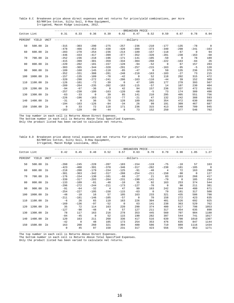Table 8.C Breakeven price above direct expenses and net returns for price/yield combinations, per Acre B2/RRFlex Cotton, Silty Soil, 8-Row Equipment, Irrigated, Macon Ridge Louisiana, 2012.

|             |         |       |              |            |          |                |             | --BREAKEVEN PRICE- |          |             |          |                |                |
|-------------|---------|-------|--------------|------------|----------|----------------|-------------|--------------------|----------|-------------|----------|----------------|----------------|
| Cotton Lint |         |       | 0.31         | 0.33       | 0.36     | 0.39           | 0.42        | 0.47               | 0.52     | 0.59        | 0.67     | 0.78           | 0.94           |
| PERCENT     | YIELD   | UNIT  |              |            |          |                |             | $----dollars---$   |          |             |          |                |                |
| 50          | 500.00  | lb    | $-315$       | $-303$     | $-290$   | $-275$         | $-257$      | $-236$             | $-210$   | $-177$      | $-135$   | $-78$          | $\overline{0}$ |
|             |         |       | $-478$       | $-466$     | $-453$   | $-438$         | $-420$      | $-399$             | $-373$   | $-340$      | $-298$   | $-2.41$        | $-163$         |
| 60          | 600.00  | lb    | $-283$       | $-270$     | $-254$   | $-236$         | $-214$      | $-189$             | $-157$   | $-118$      | $-67$    | $\overline{0}$ | 94             |
|             |         |       | $-446$       | $-433$     | $-417$   | $-399$         | $-377$      | $-352$             | $-320$   | $-281$      | $-230$   | $-163$         | $-68$          |
| 70          | 700.00  | lb    | $-252$       | $-236$     | $-218$   | $-196$         | $-171$      | $-141$             | $-105$   | $-59$       | $\Omega$ | 78             | 189            |
|             |         |       | $-415$       | $-399$     | $-381$   | $-359$         | $-334$      | $-304$             | $-268$   | $-222$      | $-163$   | $-84$          | 26             |
| 80          | 800.00  | lb    | $-220$       | $-202$     | $-181$   | $-157$         | $-128$      | $-94$              | $-52$    | $\mathbf 0$ | 67       | 157            | 283            |
|             |         |       | $-383$       | $-365$     | $-344$   | $-320$         | $-291$      | $-257$             | $-215$   | $-163$      | $-95$    | $-5$           | 120            |
| 90          | 900.00  | - 1 b | $-189$       | $-168$     | $-145$   | $-118$         | $-85$       | $-47$              | $\Omega$ | 59          | 135      | 236            | 378            |
|             |         |       | $-352$       | $-331$     | $-308$   | $-281$         | $-248$      | $-210$             | $-163$   | $-103$      | $-27$    | 73             | 215            |
| 100         | 1000.00 | lb    | $-157$       | $-135$     | $-109$   | $-78$          | $-42$       | $\mathbf 0$        | 52       | 118         | 202      | 315            | 472            |
|             |         |       | $-320$       | $-298$     | $-272$   | $-241$         | $-206$      | $-163$             | $-110$   | $-44$       | 39       | 152            | 309            |
| 110         | 1100.00 | lb    | $-126$       | $-101$     | $-72$    | $-39$          | $\mathbf 0$ | 47                 | 105      | 177         | 270      | 393            | 567            |
|             |         |       | $-289$       | $-264$     | $-235$   | $-202$         | $-163$      | $-115$             | $-57$    | 14          | 107      | 230            | 404            |
| 120         | 1200.00 | lb    | $-94$        | $-67$      | $-36$    | $\overline{0}$ | 42          | 94                 | 157      | 236         | 337      | 472            | 661            |
|             |         |       | $-257$       | $-230$     | $-199$   | $-163$         | $-120$      | $-68$              | $-5$     | 73          | 174      | 309            | 498            |
| 130         | 1300.00 | lb    | $-63$        | $-33$      | $\Omega$ | 39             | 85          | 141                | 210      | 295         | 405      | 551            | 756            |
|             |         |       | $-226$       | $-196$     | $-163$   | $-123$         | $-77$       | $-21$              | 47       | 132         | 242      | 388            | 593            |
| 140         | 1400.00 | lb    | $-31$        | $\bigcirc$ | 36       | 78             | 128         | 189                | 262      | 354         | 472      | 630            | 850            |
|             |         |       | $-194$       | $-163$     | $-126$   | $-84$          | $-34$       | 26                 | 99       | 191         | 309      | 467            | 687            |
| 150         | 1500.00 | lb    | $\mathbf{0}$ | 33         | 72       | 118            | 171         | 236                | 315      | 413         | 540      | 709            | 945            |
|             |         |       | $-163$       | $-129$     | $-90$    | $-44$          | 8           | 73                 | 152      | 250         | 377      | 546            | 782            |

\_\_\_\_\_\_\_\_\_\_\_\_\_\_\_\_\_\_\_\_\_\_\_\_\_\_\_\_\_\_\_\_\_\_\_\_\_\_\_\_\_\_\_\_\_\_\_\_\_\_\_\_\_\_\_\_\_\_\_\_\_\_\_\_\_\_\_\_\_\_\_\_\_\_\_\_\_\_\_\_\_\_\_\_\_\_\_\_\_\_\_\_\_\_\_\_\_\_\_\_\_\_\_\_\_\_\_\_\_\_\_\_\_\_\_\_\_\_\_\_ The top number in each cell is Returns Above Direct Expenses.

The bottom number in each cell is Returns Above Total Specified Expenses.

Only the product listed has been varied to calculate net returns.

Table 8.D Breakeven price above total expenses and net returns for price/yield combinations, per Acre B2/RRFlex Cotton, Silty Soil, 8-Row Equipment, Irrigated, Macon Ridge Louisiana, 2012.

|             |         |                |             |                |             |                |                | -BREAKEVEN PRICE-                 |              |                |          |             |                |
|-------------|---------|----------------|-------------|----------------|-------------|----------------|----------------|-----------------------------------|--------------|----------------|----------|-------------|----------------|
| Cotton Lint |         |                | 0.42        | 0.45           | 0.48        | 0.52           | 0.57           | 0.63                              | 0.70         | 0.79           | 0.90     | 1.05        | 1.27           |
| PERCENT     | YIELD   | <b>UNIT</b>    |             |                |             |                |                | ---------------dollars----------- |              |                |          |             |                |
| 50          | 500.00  | lb             | $-260$      | $-245$         | $-228$      | $-207$         | $-183$         | $-154$                            | $-119$       | $-75$          | $-18$    | 57          | 163            |
|             |         |                | $-423$      | $-408$         | $-391$      | $-370$         | $-346$         | $-317$                            | $-282$       | $-238$         | $-181$   | $-105$      | $\overline{0}$ |
| 60          | 600.00  | 1 <sub>b</sub> | $-218$      | $-200$         | $-179$      | $-154$         | $-125$         | $-91$                             | $-48$        | $\overline{4}$ | 72       | 163         | 290            |
|             |         |                | $-381$      | $-363$         | $-342$      | $-317$         | $-288$         | $-254$                            | $-211$       | $-158$         | $-90$    | $\mathbf 0$ | 127            |
| 70          | 700.00  | 1b             | $-176$      | $-154$         | $-130$      | $-101$         | $-68$          | $-27$                             | 21           | 83             | 163      | 268         | 417            |
|             |         |                | $-339$      | $-317$         | $-293$      | $-264$         | $-231$         | $-190$                            | $-141$       | $-79$          | $\Omega$ | 105         | 254            |
| 80          | 800.00  | - 1 b          | $-133$      | $-109$         | $-81$       | $-48$          | $-10$          | 35                                | 92           | 163            | 253      | 374         | 544            |
|             |         |                | $-296$      | $-272$         | $-244$      | $-211$         | $-173$         | $-127$                            | $-70$        | $\Omega$       | 90       | 211         | 381            |
| 90          | 900.00  | lb             | $-91$       | $-64$          | $-32$       | $\overline{4}$ | 47             | 99                                | 163          | 242            | 344      | 480         | 671            |
|             |         |                | $-254$      | $-227$         | $-195$      | $-158$         | $-115$         | $-63$                             | $\mathbf{0}$ | 79             | 181      | 317         | 508            |
| 100         | 1000.00 | 1 <sub>b</sub> | $-48$       | $-18$          | 16          | 57             | 105            | 163                               | 233          | 321            | 435      | 586         | 798            |
|             |         |                | $-211$      | $-181$         | $-146$      | $-105$         | $-57$          | $\overline{0}$                    | 70           | 158            | 272      | 423         | 635            |
| 110         | 1100.00 | 1 <sub>b</sub> | $-6$        | 26             | 65          | 110            | 163            | 226                               | 304          | 401            | 526      | 692         | 925            |
|             |         |                | $-169$      | $-136$         | $-97$       | $-52$          | $\overline{0}$ | 63                                | 141          | 238            | 363      | 529         | 762            |
| 120         | 1200.00 | 1b             | 35          | 72             | 114         | 163            | 220            | 290                               | 374          | 480            | 617      | 798         | 1053           |
|             |         |                | $-127$      | $-90$          | $-48$       | $\Omega$       | 57             | 127                               | 211          | 317            | 454      | 635         | 890            |
| 130         | 1300.00 | 1b             | 78          | 117            | 163         | 216            | 278            | 353                               | 445          | 560            | 707      | 904         | 1180           |
|             |         |                | $-84$       | $-45$          | $\mathbf 0$ | 52             | 115            | 190                               | 282          | 397            | 544      | 741         | 1017           |
| 140         | 1400.00 | 1b             | 120         | 163            | 211         | 268            | 336            | 417                               | 516          | 639            | 798      | 1010        | 1307           |
|             |         |                | $-42$       | $\overline{0}$ | 48          | 105            | 173            | 254                               | 353          | 476            | 635      | 847         | 1144           |
| 150         | 1500.00 | 1b             | 163         | 208            | 260         | 321            | 394            | 480                               | 586          | 719            | 889      | 1116        | 1434           |
|             |         |                | $\mathbf 0$ | 45             | 97          | 158            | 231            | 317                               | 423          | 556            | 726      | 953         | 1271           |

The top number in each cell is Returns Above Direct Expenses.

The bottom number in each cell is Returns Above Total Specified Expenses.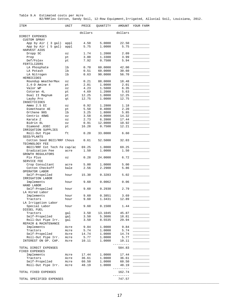Table 9.A Estimated costs per Acre B2/RRFlex Cotton, Sandy Soil, 12-Row Equipment,Irrigated, Alluvial Soil, Louisiana, 2012.

| ITEM                                 | UNIT                     | PRICE         | QUANTITY          | AMOUNT          | YOUR FARM                  |
|--------------------------------------|--------------------------|---------------|-------------------|-----------------|----------------------------|
|                                      |                          | dollars       |                   | dollars         |                            |
| DIRECT EXPENSES                      |                          |               |                   |                 |                            |
| <b>CUSTOM SPRAY</b>                  |                          |               |                   |                 |                            |
| App by Air ( 3 gal)                  | appl                     | 4.50          | 5.0000            | 22.50           |                            |
| App by Air ( 5 gal)                  | appl                     | 5.75          | 1.0000            | 5.75            |                            |
| HARVEST AIDS<br>Dropp SC             | $\mathsf{O}\,\mathbf{Z}$ | 1.74          | 1.2000            | 2.09            |                            |
| Prep                                 | pt                       | 3.00          | 1.3300            | 3.99            |                            |
| Def/Folex                            | pt                       | 7.92          | 0.7500            | 5.94            |                            |
| FERTILIZERS                          |                          |               |                   |                 |                            |
| LA Phosphate                         | lb                       | 0.70          | 60.0000           | 42.00           |                            |
| LA Potash                            | lb                       | 0.51          | 60.0000           | 30.60           |                            |
| LA Nitrogen                          | lb                       | 0.63          | 90.0000           | 56.70           |                            |
| HERBICIDES                           |                          |               |                   |                 |                            |
| Roundup WeatherMax                   | $\mathtt{OZ}$            | 0.21          | 88.0000           | 18.48           |                            |
| $2, 4-D$ Amine 4                     | pt                       | 2.01          | 1.0000            | 2.01            |                            |
| Valor WP                             | $\circ z$                | 4.23          | 1.5000            | 6.35            |                            |
| Cotoran 4L                           | pt                       | 4.69          | 1.2000            | 5.63            |                            |
| Dual II Magnum                       | pt                       | 12.25         | 1.0000            | 12.25           |                            |
| Layby Pro                            | qt                       | 12.75         | 1.0000            | 12.75           |                            |
| INSECTICIDES                         |                          |               |                   |                 |                            |
| Ammo 2.5 EC                          | $\circ z$                | 0.92          | 1.2800            | 1.18            |                            |
| Dimethoate 4E                        | pt                       | 5.50          | 0.4000            | 2.20            |                            |
| Orthene 90S                          | lb                       | 3.25          | 1.8000            | 5.85            |                            |
| Centric 40WG                         | $\circ z$                | 3.58          | 4.0000            | 14.32           |                            |
| Karate Z<br>Bidrin 8L                | $\circ z$                | 2.73          | 6.3900            | 17.44           |                            |
| Diamond .83EC                        | $\circ z$                | 0.91<br>16.28 | 12.0000<br>0.7500 | 10.92<br>12.21  |                            |
| IRRIGATION SUPPLIES                  | pt                       |               |                   |                 |                            |
| Roll-Out Pipe                        | ft                       | 0.20          | 33.0000           | 6.60            |                            |
| SEED/PLANTS                          |                          |               |                   |                 |                            |
| Cotton Seed BGII/RRF thous           |                          | 0.61          | 52.5000           | 32.03           |                            |
| TECHNOLOGY FEE                       |                          |               |                   |                 |                            |
| BGII/RRF Cot Tech Fe cap/ac          |                          | 69.25         | 1.0000            | 69.25           |                            |
| Eradication Fee                      | acre                     | 1.50          | 1.0000            | 1.50            |                            |
| GROWTH REGULATORS                    |                          |               |                   |                 |                            |
| Pix Plus                             | OZ                       | 0.28          | 24.0000           | 6.72            |                            |
| SERVICE FEE                          |                          |               |                   |                 |                            |
| Crop Consultant                      | acre                     | 5.00          | 1.0000            | 5.00            |                            |
| Cotton Checkoff                      | bale                     | 2.56          | 2.2900            | 5.86            |                            |
| OPERATOR LABOR                       |                          |               |                   |                 |                            |
| Self-Propelled                       | hour                     | 15.30         | 0.3283            | 5.02            |                            |
| IRRIGATION LABOR                     |                          |               |                   |                 |                            |
| Implements                           | hour                     | 9.60          | 0.0062            | 0.06            |                            |
| HAND LABOR                           |                          |               |                   |                 |                            |
| Self-Propelled                       | hour                     | 9.60          | 0.2930            | 2.79            |                            |
| LA Hired Labor                       |                          |               |                   |                 |                            |
| Implements                           | hour                     | 9.60          | 0.3851            | 3.69            |                            |
| Tractors                             | hour                     | 9.60          | 1.3431            | 12.89           |                            |
| LA Irrigation Labor                  |                          |               |                   |                 |                            |
| Special Labor                        | hour                     | 9.60          | 0.1500            | 1.44            |                            |
| DIESEL FUEL                          |                          |               |                   |                 |                            |
| Tractors                             | gal                      | 3.50          | 13.1045           | 45.87           |                            |
| Self-Propelled                       | gal                      | 3.50          | 5.3686            | 18.81           |                            |
| Roll-Out Pipe Irr.                   | gal                      | 3.50          | 8.5535            | 29.94           |                            |
| REPAIR & MAINTENANCE                 |                          |               |                   |                 |                            |
| Implements<br>Tractors               | Acre                     | 9.84          | 1.0000            | 9.84            |                            |
|                                      | Acre                     | 5.74<br>14.74 | 1.0000            | 5.74<br>14.74   | $\overline{\phantom{a}}$   |
| Self-Propelled<br>Roll-Out Pipe Irr. | Acre<br>Acre             | 5.77          | 1.0000<br>1.0000  | 5.77            |                            |
| INTEREST ON OP. CAP.                 | Acre                     | 10.11         | 1.0000            | 10.11           | <u> 1999 - Jan Jan Jan</u> |
|                                      |                          |               |                   | $- - - - - - -$ |                            |
| TOTAL DIRECT EXPENSES                |                          |               |                   | 584.83          |                            |
| FIXED EXPENSES                       |                          |               |                   |                 |                            |
| Implements                           | Acre                     | 17.44         | 1.0000            | 17.44           |                            |
| Tractors                             | Acre                     | 36.61         | 1.0000            | 36.61           |                            |
| Self-Propelled                       | Acre                     | 60.50         | 1.0000            | 60.50           |                            |
| Roll-Out Pipe Irr.                   | Acre                     | 48.19         | 1.0000            | 48.19           |                            |
|                                      |                          |               |                   | $- - - - - - -$ |                            |
| TOTAL FIXED EXPENSES                 |                          |               |                   | 162.74          |                            |
|                                      |                          |               |                   | ----------      |                            |
| TOTAL SPECIFIED EXPENSES             |                          |               |                   | 747.57          |                            |
|                                      |                          |               |                   |                 |                            |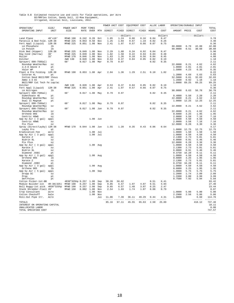# Table 9.B Estimated resource use and costs for field operations, per Acre<br>B2/RRFlex Cotton, Sandy Soil, 12-Row Equipment,<br>Irrigated, Alluvial Soil, Louisiana, 2012.

|                                            |                |                              |                     |                    |            | POWER UNIT COST |               | EQUIPMENT COST                 |              |              | ALLOC LABOR  | OPERATING/DURABLE INPUT |               |                      |                   |
|--------------------------------------------|----------------|------------------------------|---------------------|--------------------|------------|-----------------|---------------|--------------------------------|--------------|--------------|--------------|-------------------------|---------------|----------------------|-------------------|
| OPERATION/<br>OPERATING INPUT              | SIZE/<br>UNIT  | POWER UNIT<br>SIZE           | RATE                | PERF TIMES<br>OVER | MTH        | DIRECT          | FIXED         | DIRECT                         | FIXED        | HOURS        | COST         | AMOUNT PRICE            |               | COST                 | TOTAL<br>COST     |
|                                            |                |                              |                     |                    |            |                 |               | ------------dollars----------- |              |              | dollars      |                         |               | ---------dollars---- | $- - - - -$       |
| Land Plane                                 | $40'$ x $10'$  | MFWD 190                     | 0.242               | 0.20               | Oct        | 1.85            | 1.24          | 0.06                           | 0.16         | 0.04         | 0.47         |                         |               |                      | 3.78              |
| Paratill & Bed Fold. 12R-38                |                | MFWD 225                     | 0.053               | 0.50               | Nov        | 1.25            | 1.03          | 0.67                           | 1.19         | 0.02         | 0.26         |                         |               |                      | 4.40              |
| Fert Appl (Liquid)                         | $12R - 38$     | MFWD 225                     | 0.051               | 1.00               | Nov        | 2.41            | 1.97          | 0.57                           | 0.66         | 0.07         | 0.75         |                         |               |                      | 6.36              |
| LA Phosphate                               | lb<br>lb       |                              |                     |                    |            |                 |               |                                |              |              |              | 60.0000<br>60.0000      | 0.70<br>0.51  | 42.00<br>30.60       | 42.00<br>30.60    |
| LA Potash<br>Disk Bed (Hipper)             | $12R - 38$     | MFWD 225                     | 0.049               | 1.00               | Nov        | 2.29            | 1.88          | 0.34                           | 0.92         | 0.04         | 0.47         |                         |               |                      | 5.90              |
| Row Cond (Harrow)                          | 38'            | MFWD 225                     | 0.039               | 1.00               | Nov        | 1.82            | 1.50          | 0.22                           | 0.94         | 0.03         | 0.38         |                         |               |                      | 4.86              |
| Roller                                     | 32'            | MFWD 170                     | 0.046               | 1.00               | Nov        | 1.63            | 1.26          | 0.10                           | 0.56         | 0.04         | 0.45         |                         |               |                      | 4.00              |
| Ditcher                                    |                | 2WD 130                      | 0.020               | 1.00               | Nov        | 0.53            | 0.37          | 0.04                           | 0.05         | 0.02         | 0.19         |                         |               |                      | 1.18              |
| Sprayer( 600-750Gal)                       |                | 60'                          | $0.017$ 1.00        |                    | Mar        | 0.79            | 0.97          |                                |              | 0.02         | 0.35         |                         |               |                      | 2.11              |
| Roundup WeatherMax                         | OZ             |                              |                     |                    |            |                 |               |                                |              |              |              | 22.0000<br>1.0000       | 0.21<br>2.01  | 4.62<br>2.01         | 4.62<br>2.01      |
| $2, 4-D$ Amine $4$<br>Valor WP             | pt<br>OZ       |                              |                     |                    |            |                 |               |                                |              |              |              | 1.5000                  | 4.23          | 6.35                 | 6.35              |
| Plant & Pre Folding                        | $12R - 38$     | MFWD 190                     | $0.053$ 1.00        |                    | Apr        | 2.04            | 1.36          | 1.29                           | 2.51         | 0.10         | 1.02         |                         |               |                      | 8.22              |
| Cotoran 4L                                 | pt             |                              |                     |                    |            |                 |               |                                |              |              |              | 1.2000                  | 4.69          | 5.63                 | 5.63              |
| Cotton Seed BGII/RRF thous                 |                |                              |                     |                    |            |                 |               |                                |              |              |              | 52.5000                 | 0.61          | 32.03                | 32.03             |
| Ammo 2.5 EC                                | OZ             |                              |                     |                    |            |                 |               |                                |              |              |              | 1.2800                  | 0.92          | 1.18                 | 1.18              |
| BGII/RRF Cot Tech Fe cap/ac                |                |                              |                     |                    |            |                 |               |                                |              |              |              | 1.0000                  | 69.25         | 69.25                | 69.25             |
| Ditcher<br>Fert Appl (Liquid)              | $12R - 38$     | 2WD 130<br>MFWD 225          | 0.020 1.00<br>0.051 | 1.00               | Apr<br>Apr | 0.53<br>2.41    | 0.37<br>1.97  | 0.04<br>0.57                   | 0.05<br>0.66 | 0.02<br>0.07 | 0.19<br>0.75 |                         |               |                      | 1.18<br>6.36      |
| LA Nitrogen                                | 1b             |                              |                     |                    |            |                 |               |                                |              |              |              | 90.0000                 | 0.63          | 56.70                | 56.70             |
| Sprayer( 600-750Gal)                       |                | 60'                          |                     | 0.017 1.00 May     |            | 0.79            | 0.97          |                                |              | 0.02         | 0.35         |                         |               |                      | 2.11              |
| Dimethoate 4E                              | pt             |                              |                     |                    |            |                 |               |                                |              |              |              | 0.4000                  | 5.50          | 2.20                 | 2.20              |
| Roundup WeatherMax                         | OZ             |                              |                     |                    |            |                 |               |                                |              |              |              | 22.0000                 | 0.21          | 4.62                 | 4.62              |
| Dual II Magnum                             | pt             |                              |                     |                    |            |                 |               |                                |              |              |              | 1.0000                  | 12.25         | 12.25                | 12.25             |
| Sprayer( 600-750Gal)                       |                | 60'                          |                     | $0.017$ 1.00       | May        | 0.79            | 0.97          |                                |              | 0.02         | 0.35         |                         |               |                      | 2.11              |
| Roundup WeatherMax<br>Sprayer( 600-750Gal) | OZ             | 60'                          | $0.017$ 1.00        |                    | Jun        | 0.79            | 0.97          |                                |              | 0.02         | 0.35         | 22.0000                 | 0.21          | 4.62                 | 4.62<br>2.11      |
| Roundup WeatherMax                         | 0.7            |                              |                     |                    |            |                 |               |                                |              |              |              | 22.0000                 | 0.21          | 4.62                 | 4.62              |
| Orthene 90S                                | 1 <sub>b</sub> |                              |                     |                    |            |                 |               |                                |              |              |              | 0.6000                  | 3.25          | 1.95                 | 1.95              |
| Centric 40WG                               | OZ             |                              |                     |                    |            |                 |               |                                |              |              |              | 2.0000                  | 3.58          | 7.16                 | 7.16              |
| App by Air ( 3 gal)                        | appl           |                              |                     | 1.00 Jun           |            |                 |               |                                |              |              |              | 1.0000                  | 4.50          | 4.50                 | 4.50              |
| Centric 40WG                               | OZ             |                              |                     |                    |            |                 |               |                                |              |              |              | 2.0000                  | 3.58          | 7.16                 | 7.16              |
| Pix Plus                                   | OZ             | MFWD 170                     | $0.044$ 1.00        |                    | Jun        | 1.55            | 1.20          | 0.35                           | 0.43         | 0.06         | 0.64         | 12.0000                 | 0.28          | 3.36                 | 3.36<br>4.17      |
| Spray (Direct/Layby) 12R-38<br>Layby Pro   | qt             |                              |                     |                    |            |                 |               |                                |              |              |              | 1.0000                  | 12.75         | 12.75                | 12.75             |
| Eradication Fee                            | acre           |                              |                     | 1.00               | Jul        |                 |               |                                |              |              |              | 1.0000                  | 1.50          | 1.50                 | 1.50              |
| App by Air ( 3 gal)                        | appl           |                              |                     | 1.00               | Jul        |                 |               |                                |              |              |              | 1,0000                  | 4.50          | 4.50                 | 4.50              |
| Karate Z                                   | OZ             |                              |                     |                    |            |                 |               |                                |              |              |              | 2.1300                  | 2.73          | 5.81                 | 5.81              |
| Bidrin 8L                                  | OZ             |                              |                     |                    |            |                 |               |                                |              |              |              | 6.0000                  | 0.91          | 5.46                 | 5.46              |
| Pix Plus                                   | OZ             |                              |                     |                    |            |                 |               |                                |              |              |              | 12.0000                 | 0.28          | 3.36                 | 3.36<br>4.50      |
| App by Air (3 gal)<br>Karate Z             | appl<br>OZ     |                              |                     | 1.00               | Aug        |                 |               |                                |              |              |              | 1.0000<br>2.1300        | 4.50<br>2.73  | 4.50<br>5.81         | 5.81              |
| Bidrin 8L                                  | OZ             |                              |                     |                    |            |                 |               |                                |              |              |              | 6.0000                  | 0.91          | 5.46                 | 5.46              |
| Diamond .83EC                              | pt             |                              |                     |                    |            |                 |               |                                |              |              |              | 0.3750                  | 16.28         | 6.11                 | 6.11              |
| App by Air ( 3 gal)                        | appl           |                              |                     | 1.00               | Aug        |                 |               |                                |              |              |              | 1.0000                  | 4.50          | 4.50                 | 4.50              |
| Orthene 90S                                | lb             |                              |                     |                    |            |                 |               |                                |              |              |              | 0.6000                  | 3.25          | 1.95                 | 1.95              |
| Karate Z                                   | OZ             |                              |                     |                    |            |                 |               |                                |              |              |              | 2.1300<br>0.3750        | 2.73<br>16.28 | 5.81<br>6.11         | 5.81<br>6.11      |
| Diamond .83EC<br>App by Air ( 3 gal)       | pt<br>appl     |                              |                     | 1.00               | Aug        |                 |               |                                |              |              |              | 1.0000                  | 4.50          | 4.50                 | 4.50              |
| Orthene 90S                                | 1b             |                              |                     |                    |            |                 |               |                                |              |              |              | 0.6000                  | 3.25          | 1.95                 | 1.95              |
| App by Air ( 5 gal)                        | appl           |                              |                     | 1.00               | Sep        |                 |               |                                |              |              |              | 1.0000                  | 5.75          | 5.75                 | 5.75              |
| Dropp SC                                   | $\circ z$      |                              |                     |                    |            |                 |               |                                |              |              |              | 1.2000                  | 1.74          | 2.09                 | 2.09              |
| Prep                                       | pt             |                              |                     |                    |            |                 |               |                                |              |              |              | 1.3300                  | 3.00          | 3.99                 | 3.99              |
| Def/Folex                                  | pt             |                              |                     |                    |            |                 |               |                                |              |              |              | 0.7500                  | 7.92          | 5.94                 | 5.94              |
| Cotton Picker-1st-BB<br>Module Builder-1st | $4R-38(325)$   | 4R38"325hp 0.257<br>MFWD 190 | 0.257               | 1.00<br>1.00       | Sep<br>Sep | 30.39<br>9.85   | 56.62<br>6.57 | 1.97                           | 4.07         | 0.51<br>0.51 | 6.41<br>4.94 |                         |               |                      | 93.42<br>27.40    |
| Boll Buggy-1st pick 4R38"325hp             |                | MFWD 190                     | 0.257               | 1.00               | Sep        | 9.85            | 6.57          | 1.48                           | 3.07         | 0.25         | 2.47         |                         |               |                      | 23.44             |
| Stalk Shredder-Flail 20'                   |                | MFWD 150                     | 0.082 1.00          |                    | Nov        | 2.54            | 1.93          | 1.74                           | 1.07         | 0.08         | 0.79         |                         |               |                      | 8.07              |
| Crop Consultant                            | acre           |                              |                     | 1.00               | Nov        |                 |               |                                |              |              |              | 1,0000                  | 5.00          | 5.00                 | 5.00              |
| Cotton Checkoff                            | bale           |                              |                     | 1.00               | Nov        |                 |               |                                |              |              |              | 2.2900                  | 2.56          | 5.86                 | 5.86              |
| Roll-Out Pipe Irr.                         | Acre           |                              |                     |                    | Jul        | 11.06           | 7.39          | 36.11                          | 49.29        | 0.44         | 4.31         | 1.0000                  |               | 6.60                 | 114.76            |
| TOTALS                                     |                |                              |                     |                    |            | 85.16           | 97.11         | 45.55                          | 65.63        | 2.50         | 25.89        |                         |               | -------<br>418.12    | -------<br>737.46 |
| INTEREST ON OPERATING CAPITAL              |                |                              |                     |                    |            |                 |               |                                |              |              |              |                         |               |                      | 10.11             |
| UNALLOCATED LABOR                          |                |                              |                     |                    |            |                 |               |                                |              |              |              |                         |               |                      | 0.00              |
| TOTAL SPECIFIED COST                       |                |                              |                     |                    |            |                 |               |                                |              |              |              |                         |               |                      | 747.57            |
|                                            |                |                              |                     |                    |            |                 |               |                                |              |              |              |                         |               |                      |                   |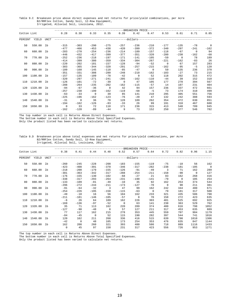Table 9.C Breakeven price above direct expenses and net returns for price/yield combinations, per Acre B2/RRFlex Cotton, Sandy Soil, 12-Row Equipment, Irrigated, Alluvial Soil, Louisiana, 2012.

|             |             |       |                          |                  |                    |                  |                  | --BREAKEVEN PRICE-                 |                  |                    |                 |                          |                |
|-------------|-------------|-------|--------------------------|------------------|--------------------|------------------|------------------|------------------------------------|------------------|--------------------|-----------------|--------------------------|----------------|
| Cotton Lint |             |       | 0.28                     | 0.30             | 0.33               | 0.35             | 0.39             | 0.42                               | 0.47             | 0.53               | 0.61            | 0.71                     | 0.85           |
| PERCENT     | YIELD       | UNIT  |                          |                  |                    |                  |                  | ---------------dollars------------ |                  |                    |                 |                          |                |
| 50          | 550.00      | lb    | $-315$                   | $-303$           | $-290$             | $-275$           | $-257$           | $-236$                             | $-210$           | $-177$             | $-135$          | $-78$                    | $\overline{0}$ |
| 60          | 660.00      | - 1b  | $-477$<br>$-283$         | $-466$<br>$-270$ | $-453$<br>$-254$   | $-438$<br>$-236$ | $-420$<br>$-214$ | $-399$<br>$-189$                   | $-372$<br>$-157$ | $-340$<br>$-118$   | $-297$<br>$-67$ | $-241$<br>$\overline{0}$ | $-162$<br>94   |
|             |             |       | $-446$                   | $-432$           | $-417$             | $-399$           | $-377$           | $-351$                             | $-320$           | $-280$             | $-230$          | $-162$                   | $-68$          |
| 70          | 770.00      | - 1b  | $-252$                   | $-236$           | $-218$             | $-197$           | $-171$           | $-141$                             | $-105$           | $-59$              | $\Omega$        | 78                       | 189            |
| 80          | 880.00      | lb    | $-414$<br>$-220$         | $-399$<br>$-202$ | $-380$<br>$-181$   | $-359$<br>$-157$ | $-334$<br>$-128$ | $-304$<br>$-94$                    | $-267$<br>$-52$  | $-221$<br>$\Omega$ | $-162$<br>67    | $-83$<br>157             | 26<br>283      |
|             |             |       | $-383$                   | $-365$           | $-344$             | $-320$           | $-291$           | $-257$                             | $-215$           | $-162$             | $-95$           | $-5$                     | 120            |
| 90          | 990.00      | - 1 b | $-189$                   | $-168$           | $-145$             | $-118$           | $-85$            | $-47$                              | $\Omega$         | 59                 | 135             | 236                      | 378            |
|             |             |       | $-351$                   | $-331$           | $-308$             | $-280$           | $-248$           | $-210$                             | $-162$           | $-103$             | $-27$           | 73                       | 215            |
| 100         | 1100.00     | lb    | $-157$<br>$-320$         | $-135$<br>$-297$ | $-109$<br>$-271$   | $-78$<br>$-241$  | $-42$<br>$-205$  | $\Omega$<br>$-162$                 | 52<br>$-110$     | 118<br>$-44$       | 202<br>39       | 315<br>152               | 472<br>310     |
| 110         | 1210.00     | lb    | $-126$                   | $-101$           | $-72$              | $-39$            | $\mathbf{0}$     | 47                                 | 105              | 177                | 270             | 394                      | 567            |
|             |             |       | $-288$                   | $-264$           | $-235$             | $-202$           | $-162$           | $-115$                             | $-57$            | 14                 | 107             | 231                      | 404            |
| 120         | 1320.00     | lb    | $-94$                    | $-67$            | $-36$              | $\overline{0}$   | 42               | 94                                 | 157              | 236                | 337             | 472                      | 661            |
|             | 130 1430.00 | lb    | $-257$<br>$-63$          | $-230$<br>$-33$  | $-199$<br>$\Omega$ | $-162$<br>39     | $-119$<br>85     | $-68$<br>141                       | $-5$<br>210      | 73<br>295          | 174<br>405      | 310<br>551               | 499<br>756     |
|             |             |       | $-225$                   | $-196$           | $-162$             | $-123$           | $-76$            | $-20$                              | 47               | 132                | 242             | 388                      | 593            |
| 140         | 1540.00     | lb    | $-31$                    | $\Omega$         | 36                 | 78               | 128              | 189                                | 262              | 354                | 472             | 630                      | 851            |
|             |             |       | $-194$                   | $-162$           | $-126$             | $-83$            | $-33$            | 26                                 | 99               | 191                | 310             | 467                      | 688            |
| 150         | 1650.00     | lb    | $\overline{0}$<br>$-162$ | 33<br>$-128$     | 72<br>$-89$        | 118<br>$-44$     | 171<br>9         | 236<br>73                          | 315<br>152       | 413<br>250         | 540<br>377      | 709<br>546               | 945<br>782     |

\_\_\_\_\_\_\_\_\_\_\_\_\_\_\_\_\_\_\_\_\_\_\_\_\_\_\_\_\_\_\_\_\_\_\_\_\_\_\_\_\_\_\_\_\_\_\_\_\_\_\_\_\_\_\_\_\_\_\_\_\_\_\_\_\_\_\_\_\_\_\_\_\_\_\_\_\_\_\_\_\_\_\_\_\_\_\_\_\_\_\_\_\_\_\_\_\_\_\_\_\_\_\_\_\_\_\_\_\_\_\_\_\_\_\_\_\_\_\_\_ The top number in each cell is Returns Above Direct Expenses. The bottom number in each cell is Returns Above Total Specified Expenses.

Only the product listed has been varied to calculate net returns.

Table 9.D Breakeven price above total expenses and net returns for price/yield combinations, per Acre B2/RRFlex Cotton, Sandy Soil, 12-Row Equipment, Irrigated, Alluvial Soil, Louisiana, 2012.

|             |             |                |                  |                  |                  |                          |                       | -BREAKEVEN PRICE- |                     |                 |                 |                     |                       |
|-------------|-------------|----------------|------------------|------------------|------------------|--------------------------|-----------------------|-------------------|---------------------|-----------------|-----------------|---------------------|-----------------------|
| Cotton Lint |             |                | 0.38             | 0.41             | 0.44             | 0.48                     | 0.52                  | 0.57              | 0.64                | 0.72            | 0.82            | 0.96                | 1.15                  |
| PERCENT     | YIELD       | UNIT           |                  |                  |                  |                          | $----dollars-$        |                   |                     |                 |                 |                     |                       |
| 50          | 550.00      | 1b             | $-260$<br>$-423$ | $-245$<br>$-408$ | $-228$<br>$-391$ | $-208$<br>$-370$         | $-183$<br>$-346$      | $-155$<br>$-317$  | $-119$<br>$-282$    | $-75$<br>$-238$ | $-18$<br>$-181$ | 56<br>$-105$        | 162<br>$\overline{0}$ |
| 60          | 660.00      | 1 <sub>b</sub> | $-218$<br>$-381$ | $-200$<br>$-363$ | $-179$<br>$-342$ | $-155$<br>$-317$         | $-126$<br>$-288$      | $-91$<br>$-254$   | $-49$<br>$-211$     | 3<br>$-158$     | 71<br>$-90$     | 162<br>$\mathbf{0}$ | 289<br>127            |
| 70          | 770.00      | 1 <sub>b</sub> | $-176$<br>$-338$ | $-155$<br>$-317$ | $-130$<br>$-293$ | $-102$<br>$-264$         | $-68$<br>$-231$       | $-27$<br>$-190$   | 2.1<br>$-141$       | 83<br>$-79$     | 162<br>$\Omega$ | 268<br>105          | 416<br>254            |
| 80          | 880.00      | 1b             | $-133$<br>$-296$ | $-109$<br>$-272$ | $-81$<br>$-244$  | $-49$<br>$-211$          | $-10$<br>$-173$       | 35<br>$-127$      | 92<br>$-70$         | 162<br>$\Omega$ | 253<br>90       | 374<br>211          | 544<br>381            |
| 90          | 990.00      | 1 <sub>b</sub> | $-91$<br>$-254$  | $-64$<br>$-226$  | $-32$<br>$-195$  | $\overline{3}$<br>$-158$ | 47<br>$-115$          | 99<br>$-63$       | 162<br>$\mathbf{0}$ | 242<br>79       | 344<br>181      | 480<br>317          | 671<br>508            |
| 100         | 1100.00     | 1b             | $-49$<br>$-211$  | $-18$<br>$-181$  | 16<br>$-146$     | 56<br>$-105$             | 104<br>$-57$          | 162<br>$\Omega$   | 233<br>70           | 321<br>158      | 435<br>272      | 586<br>423          | 798<br>635            |
| 110         | 1210.00     | 1b             | $-6$<br>$-169$   | 26<br>$-136$     | 64<br>$-97$      | 109<br>$-52$             | 162<br>$\overline{0}$ | 226<br>63         | 303<br>141          | 401<br>238      | 525<br>363      | 692<br>529          | 925<br>762            |
| 120         | 1320.00     | lb             | 35<br>$-127$     | 71<br>$-90$      | 113<br>$-48$     | 162<br>$\overline{0}$    | 220<br>57             | 289<br>127        | 374<br>211          | 480<br>317      | 616<br>453      | 798<br>635          | 1052<br>889           |
|             | 130 1430.00 | 1b             | 77<br>$-84$      | 117<br>$-45$     | 162<br>$\Omega$  | 215<br>52                | 278<br>115            | 353<br>190        | 445<br>282          | 559<br>397      | 707<br>544      | 904<br>741          | 1179<br>1016          |
|             | 140 1540.00 | 1b             | 120<br>$-42$     | 162<br>$\Omega$  | 211<br>48        | 268<br>105               | 336<br>173            | 416<br>254        | 515<br>353          | 639<br>476      | 798<br>635      | 1010<br>847         | 1306<br>1144          |
| 150         | 1650.00     | 1b             | 162<br>0         | 208<br>45        | 260<br>97        | 321<br>158               | 393<br>231            | 480<br>317        | 586<br>423          | 718<br>556      | 889<br>726      | 1116<br>953         | 1433<br>1271          |

\_\_\_\_\_\_\_\_\_\_\_\_\_\_\_\_\_\_\_\_\_\_\_\_\_\_\_\_\_\_\_\_\_\_\_\_\_\_\_\_\_\_\_\_\_\_\_\_\_\_\_\_\_\_\_\_\_\_\_\_\_\_\_\_\_\_\_\_\_\_\_\_\_\_\_\_\_\_\_\_\_\_\_\_\_\_\_\_\_\_\_\_\_\_\_\_\_\_\_\_\_\_\_\_\_\_\_\_\_\_\_\_\_\_\_\_\_\_\_\_ The top number in each cell is Returns Above Direct Expenses.

The bottom number in each cell is Returns Above Total Specified Expenses. Only the product listed has been varied to calculate net returns.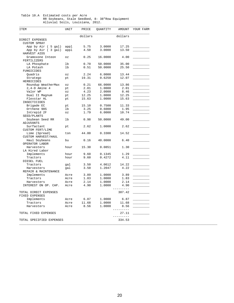#### Table 10.A Estimated costs per Acre RR Soybeans, Stale Seedbed, 8- 38"Row Equipment Alluvial Soils, Louisiana, 2012.

| <b>ITEM</b>              | UNIT                       | PRICE   | QUANTITY | AMOUNT       | YOUR FARM |
|--------------------------|----------------------------|---------|----------|--------------|-----------|
|                          |                            | dollars |          | dollars      |           |
| DIRECT EXPENSES          |                            |         |          |              |           |
| <b>CUSTOM SPRAY</b>      |                            |         |          |              |           |
| App by Air ( 5 gal)      | appl                       | 5.75    | 3.0000   | 17.25        |           |
| App by Air ( 3 gal)      | appl                       | 4.50    | 3.0000   | 13.50        |           |
| HARVEST AIDS             |                            |         |          |              |           |
| Gramoxone Inteon         | OZ                         | 0.25    | 16.0000  | 4.00         |           |
| FERTILIZERS              |                            |         |          |              |           |
| LA Phosphate             | lb                         | 0.70    | 50.0000  | 35.00        |           |
|                          | lb                         |         |          |              |           |
| LA Potash                |                            | 0.51    | 50.0000  | 25.50        |           |
| FUNGICIDES               |                            |         |          |              |           |
| Quadris                  | ΟZ                         | 2.24    | 6.0000   | 13.44        |           |
| Stratego                 | pt                         | 19.31   | 0.6250   | 12.07        |           |
| HERBICIDES               |                            |         |          |              |           |
| Roundup WeatherMax       | $\mathtt{\circ}\mathtt{z}$ | 0.21    | 66.0000  | 13.86        |           |
| $2, 4-D$ Amine 4         | pt                         | 2.01    | 1.0000   | 2.01         |           |
| Valor WP                 | $\circ z$                  | 4.23    | 2.0000   | 8.46         |           |
| Dual II Magnum           | pt                         | 12.25   | 1.0000   | 12.25        |           |
| Flexstar HL              | pt                         | 15.63   | 1.0000   | 15.63        |           |
| INSECTICIDES             |                            |         |          |              |           |
| Brigade EC               | pt                         | 15.10   | 0.7500   | 11.33        |           |
| Orthene 90S              | 1b                         | 3.25    | 0.6000   | 1.95         |           |
| Intrepid 2F              | $\mathtt{\circ}\mathtt{z}$ | 1.79    | 6.0000   | 10.74        |           |
| SEED/PLANTS              |                            |         |          |              |           |
| Soybean Seed RR          | lb                         | 0.98    | 50.0000  | 49.00        |           |
| <b>ADJUVANTS</b>         |                            |         |          |              |           |
| Surfactant               | pt                         | 2.62    | 1.0000   | 2.62         |           |
| <b>CUSTOM FERT/LIME</b>  |                            |         |          |              |           |
| Lime (Spread)            | ton                        | 44.00   | 0.3300   | 14.52        |           |
|                          |                            |         |          |              |           |
| CUSTOM HARVEST/HAUL      |                            |         |          |              |           |
| Haul Soybeans            | bu                         | 0.16    | 40.0000  | 6.40         |           |
| OPERATOR LABOR           |                            |         |          |              |           |
| Harvesters               | hour                       | 15.30   | 0.0851   | 1.30         |           |
| LA Hired Labor           |                            |         |          |              |           |
| Implements               | hour                       | 9.60    | 0.1345   | 1.29         |           |
| Tractors                 | hour                       | 9.60    | 0.4272   | 4.11         |           |
| DIESEL FUEL              |                            |         |          |              |           |
| Tractors                 | gal                        | 3.50    | 4.0612   | 14.22        |           |
| Harvesters               | gal                        | 3.50    | 1.2047   | 4.22         |           |
| REPAIR & MAINTENANCE     |                            |         |          |              |           |
| Implements               | Acre                       | 3.89    | 1.0000   | 3.89         |           |
| Tractors                 | Acre                       | 1.83    | 1.0000   | 1.83         |           |
| Harvesters               | Acre                       | 2.14    | 1.0000   | 2.14         |           |
|                          |                            | 4.90    |          |              |           |
| INTEREST ON OP. CAP.     | Acre                       |         | 1.0000   | 4.90<br>---- |           |
|                          |                            |         |          |              |           |
| TOTAL DIRECT EXPENSES    |                            |         |          | 307.42       |           |
| FIXED EXPENSES           |                            |         |          |              |           |
| Implements               | Acre                       | 6.87    | 1.0000   | 6.87         |           |
| Tractors                 | Acre                       | 11.68   | 1.0000   | 11.68        |           |
| Harvesters               | Acre                       | 8.56    | 1.0000   | 8.56         |           |
|                          |                            |         |          | -----        |           |
| TOTAL FIXED EXPENSES     |                            |         |          | 27.11        |           |
|                          |                            |         |          | ---------    |           |
| TOTAL SPECIFIED EXPENSES |                            |         |          | 334.53       |           |
|                          |                            |         |          |              |           |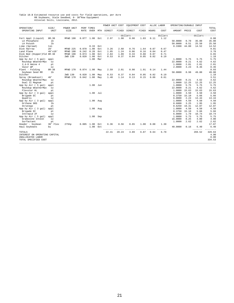## Table 10.B Estimated resource use and costs for field operations, per Acre<br>RR Soybeans, Stale Seedbed, 8- 38 Row Equipment<br>Alluvial Soils, Louisiana, 2012.

|                               |                |                    |              |                           |     | POWER UNIT COST |       | EQUIPMENT COST        |       |       | ALLOC LABOR | OPERATING/DURABLE INPUT |       |                 |                     |
|-------------------------------|----------------|--------------------|--------------|---------------------------|-----|-----------------|-------|-----------------------|-------|-------|-------------|-------------------------|-------|-----------------|---------------------|
| OPERATION/<br>OPERATING INPUT | SIZE/<br>UNIT  | POWER UNIT<br>SIZE | RATE         | PERF TIMES<br><b>OVER</b> | MTH | DIRECT          | FIXED | DIRECT                | FIXED | HOURS | COST        | AMOUNT PRICE            |       | COST            | TOTAL<br>COST       |
|                               |                |                    |              |                           |     |                 |       |                       |       |       |             |                         |       |                 |                     |
|                               |                |                    |              |                           |     |                 |       | ---dollars----------- |       |       | dollars     |                         |       | $-----dollars-$ | -----               |
| Fert Appl (Liquid)            | $8R - 38$      | MFWD 190           | 0.077        | 1.00                      | Oct | 2.97            | 1.98  | 0.90                  | 1.03  | 0.11  | 1.12        |                         |       |                 | 8.00                |
| LA Phosphate                  | lb             |                    |              |                           |     |                 |       |                       |       |       |             | 50.0000                 | 0.70  | 35.00           | 35.00               |
| LA Potash                     | 1 <sub>b</sub> |                    |              |                           |     |                 |       |                       |       |       |             | 50.0000                 | 0.51  | 25.50           | 25.50               |
| Lime (Spread)                 | ton            |                    |              | 0.33                      | Oct |                 |       |                       |       |       |             | 0.3300                  | 44.00 | 14.52           | 14.52               |
| Disk Harrow                   | 28'            | MFWD 225           | 0.070        | 1.00                      | Oct | 3.26            | 2.68  | 0.76                  | 1.64  | 0.07  | 0.67        |                         |       |                 | 9.01                |
| Land Plane                    | $40'$ x $10'$  | MFWD 190           | 0.242        | 0.20                      | Oct | 1.85            | 1.24  | 0.06                  | 0.16  | 0.04  | 0.47        |                         |       |                 | 3.78                |
| Disk Bed (Hipper)Fld 8R-38    |                | MFWD 190           | 0.074        | 1.00                      | Oct | 2.84            | 1.89  | 0.33                  | 0.88  | 0.07  | 0.71        |                         |       |                 | 6.65                |
| Ditcher                       |                | 2WD 130            | 0.020        | 1.00                      | Oct | 0.53            | 0.37  | 0.04                  | 0.05  | 0.02  | 0.19        |                         |       |                 | 1.18                |
| App by Air ( 5 gal)           | appl           |                    |              | 1.00                      | Mar |                 |       |                       |       |       |             | 1,0000                  | 5.75  | 5.75            | 5.75                |
| Roundup WeatherMax            | $\circ z$      |                    |              |                           |     |                 |       |                       |       |       |             | 22.0000                 | 0.21  | 4.62            | 4.62                |
| $2, 4-D$ Amine $4$            | pt             |                    |              |                           |     |                 |       |                       |       |       |             | 1,0000                  | 2.01  | 2.01            | 2.01                |
| Valor WP                      | $\circ z$      |                    |              |                           |     |                 |       |                       |       |       |             | 2.0000                  | 4.23  | 8.46            | 8.46                |
| Plant - Folding               | $8R - 38$      | MFWD 170           |              | $0.074$ 1.00              | May | 2.59            | 2.01  | 0.98                  | 1.91  | 0.14  | 1.44        |                         |       |                 | 8.93                |
| Soybean Seed RR               | lb             |                    |              |                           |     |                 |       |                       |       |       |             | 50.0000                 | 0.98  | 49.00           | 49.00               |
| Ditcher                       |                | 2WD 130            | 0.020        | 1.00                      | May | 0.53            | 0.37  | 0.04                  | 0.05  | 0.02  | 0.19        |                         |       |                 | 1.18                |
| Spray (Broadcast)             | 40'            | MFWD 170           | 0.042        | 1.00                      | May | 1.48            | 1.14  | 0.13                  | 0.15  | 0.06  | 0.61        |                         |       |                 | 3.51                |
| Roundup WeatherMax            | OZ             |                    |              |                           |     |                 |       |                       |       |       |             | 22,0000                 | 0.21  | 4.62            | 4.62                |
| Dual II Magnum                | pt             |                    |              |                           |     |                 |       |                       |       |       |             | 1.0000                  | 12.25 | 12.25           | 12.25               |
| App by Air ( 5 gal)           | appl           |                    |              | 1.00                      | Jun |                 |       |                       |       |       |             | 1,0000                  | 5.75  | 5.75            | 5.75                |
| Roundup WeatherMax            | OZ             |                    |              |                           |     |                 |       |                       |       |       |             | 22.0000                 | 0.21  | 4.62            | 4.62                |
| Flexstar HL                   | pt             |                    |              |                           |     |                 |       |                       |       |       |             | 1.0000                  | 15.63 | 15.63           | 15.63               |
| App by Air (3 gal)            | appl           |                    |              | $1.00$ Jul                |     |                 |       |                       |       |       |             | 1.0000                  | 4.50  | 4.50            | 4.50                |
| Brigade EC                    | pt             |                    |              |                           |     |                 |       |                       |       |       |             | 0.3750                  | 15.10 | 5.66            | 5.66                |
| Ouadris                       | OZ             |                    |              |                           |     |                 |       |                       |       |       |             | 6,0000                  | 2.24  | 13.44           | 13.44               |
| App by Air (3 gal)            | appl           |                    |              | 1.00 Aug                  |     |                 |       |                       |       |       |             | 1.0000                  | 4.50  | 4.50            | 4.50                |
| Orthene 90S                   | 1 <sub>b</sub> |                    |              |                           |     |                 |       |                       |       |       |             | 0.6000                  | 3.25  | 1.95            | 1.95                |
| Stratego                      | pt             |                    |              |                           |     |                 |       |                       |       |       |             | 0.6250                  | 19.31 | 12.07           | 12.07               |
| App by Air ( 3 gal)           | appl           |                    |              | 1.00                      | Aug |                 |       |                       |       |       |             | 1,0000                  | 4.50  | 4.50            | 4.50                |
| Brigade EC                    | pt             |                    |              |                           |     |                 |       |                       |       |       |             | 0.3750                  | 15.10 | 5.66            | 5.66                |
| Intrepid 2F                   | OZ             |                    |              |                           |     |                 |       |                       |       |       |             | 6.0000                  | 1.79  | 10.74           | 10.74               |
| App by Air ( 5 gal)           | appl           |                    |              | 1.00                      | Sep |                 |       |                       |       |       |             | 1.0000                  | 5.75  | 5.75            | 5.75                |
| Gramoxone Inteon              | OZ             |                    |              |                           |     |                 |       |                       |       |       |             | 16,0000                 | 0.25  | 4.00            | 4.00                |
| Surfactant                    | pt             |                    |              |                           |     |                 |       |                       |       |       |             | 1.0000                  | 2.62  | 2.62            | 2.62                |
| Header - Soybean              | 30' Flex       | 275hp              | $0.085$ 1.00 |                           | Oct | 6.36            | 8.56  | 0.65                  | 1.00  | 0.08  | 1.30        |                         |       |                 | 17.87               |
| Haul Soybeans                 | bu             |                    |              | 1.00                      | Oct |                 |       |                       |       |       |             | 40.0000                 | 0.16  | 6.40<br>------- | 6.40<br>$- - - - -$ |
| TOTALS                        |                |                    |              |                           |     | 22.41           | 20.24 | 3.89                  | 6.87  | 0.64  | 6.70        |                         |       | 269.52          | 329.63              |
| INTEREST ON OPERATING CAPITAL |                |                    |              |                           |     |                 |       |                       |       |       |             |                         |       |                 | 4.90                |
| UNALLOCATED LABOR             |                |                    |              |                           |     |                 |       |                       |       |       |             |                         |       |                 | 0.00                |
| TOTAL SPECIFIED COST          |                |                    |              |                           |     |                 |       |                       |       |       |             |                         |       |                 | 334.53              |
|                               |                |                    |              |                           |     |                 |       |                       |       |       |             |                         |       |                 |                     |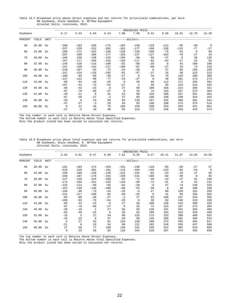Table 10.C Breakeven price above direct expenses and net returns for price/yield combinations, per Acre RR Soybeans, Stale Seedbed, 8- 38"Row Equipment Alluvial Soils, Louisiana, 2012.

|          |          |      |                  |                  |                  |                  |                                | -BREAKEVEN PRICE- |                  |                 |                |                      |                |
|----------|----------|------|------------------|------------------|------------------|------------------|--------------------------------|-------------------|------------------|-----------------|----------------|----------------------|----------------|
| Soybeans |          |      | 5.17             | 5.53             | 5.94             | 6.43             | 7.00                           | 7.68              | 8.52             | 9.56            | 10.91          | 12.70                | 15.20          |
| PERCENT  | YIELD    | UNIT |                  |                  |                  |                  | -------------dollars---------- |                   |                  |                 |                |                      |                |
| 50       | 20.00    | bu   | $-200$           | $-193$           | $-185$           | $-175$           | $-164$                         | $-150$            | $-133$           | $-112$          | $-85$          | $-50$                | $\overline{0}$ |
|          |          |      | $-227$           | $-220$           | $-212$           | $-202$           | $-191$                         | $-177$            | $-160$           | $-139$          | $-113$         | $-77$                | $-27$          |
| 60       | 24.00    | bu   | $-180$<br>$-207$ | $-171$<br>$-199$ | $-162$<br>$-189$ | $-150$<br>$-177$ | $-136$<br>$-163$               | $-120$<br>$-147$  | $-100$<br>$-127$ | $-75$<br>$-102$ | $-42$<br>$-70$ | $\mathbf 0$<br>$-27$ | 60<br>33       |
| 70       | 28.00    | bu   | $-160$           | $-150$           | $-138$           | $-125$           | $-109$                         | $-90$             | $-66$            | $-37$           | $\Omega$       | 50                   | 120            |
|          |          |      | $-187$           | $-177$           | $-166$           | $-152$           | $-136$                         | $-117$            | $-93$            | $-64$           | $-27$          | 23                   | 93             |
| 80       | 32.00    | bu   | $-140$           | $-128$           | $-115$           | $-100$           | $-82$                          | $-60$             | $-33$            | $\mathbf 0$     | 42             | 100                  | 180            |
|          |          |      | $-167$           | $-156$           | $-142$           | $-127$           | $-109$                         | $-87$             | $-60$            | $-27$           | 15             | 73                   | 153            |
| 90       | 36.00    | bu   | $-120$           | $-107$           | $-92$            | $-75$            | $-54$                          | $-30$             | $\mathbf{0}$     | 37              | 85             | 150                  | 240            |
|          |          |      | $-147$           | $-134$           | $-119$           | $-102$           | $-81$                          | $-57$             | $-27$            | 10              | 58             | 123                  | 213            |
| 100      | 40.00    | bu   | $-100$           | $-85$            | $-69$            | $-50$            | $-27$                          | $\Omega$          | 33               | 75              | 128            | 200                  | 300            |
|          |          |      | $-127$           | $-113$           | $-96$            | $-77$            | $-54$                          | $-27$             | 6                | 48              | 101            | 173                  | 273            |
| 110      | 44.00    | bu   | $-80$            | $-64$            | $-46$            | $-25$            | $\mathbf 0$                    | 30                | 66               | 112             | 171            | 250                  | 361            |
|          |          |      | $-107$           | $-91$            | $-73$            | $-52$            | $-27$                          | $\overline{a}$    | 39               | 85              | 144            | 223                  | 334            |
| 120      | 48.00    | bu   | $-60$            | $-42$            | $-23$            | $\mathbf 0$      | 27                             | 60                | 100              | 150             | 214            | 300                  | 421            |
|          |          |      | $-87$            | $-70$            | $-50$            | $-27$            | 0                              | 33                | 73               | 123             | 187            | 273                  | 394            |
| 130      | 52.00    | bu   | $-40$            | $-21$            | $\Omega$         | 25               | 54                             | 90                | 133              | 188             | 257            | 351                  | 481            |
|          |          |      | $-67$            | $-48$            | $-27$            | $-2$             | 27                             | 63                | 106              | 160             | 230            | 324                  | 454            |
| 140      | 56.00    | bu   | $-20$            | $\Omega$         | 23               | 50               | 82                             | 120               | 167              | 225             | 300            | 401                  | 541            |
|          |          |      | $-47$            | $-27$            | $-3$             | 23               | 54                             | 93                | 140              | 198             | 273            | 374                  | 514            |
| 150      | 60.00 bu |      | $\mathbf 0$      | 21               | 46               | 75               | 109                            | 150               | 200              | 263             | 343            | 451                  | 601            |
|          |          |      | $-27$            | $-5$             | 19               | 48               | 82                             | 123               | 173              | 236             | 316            | 424                  | 574            |

\_\_\_\_\_\_\_\_\_\_\_\_\_\_\_\_\_\_\_\_\_\_\_\_\_\_\_\_\_\_\_\_\_\_\_\_\_\_\_\_\_\_\_\_\_\_\_\_\_\_\_\_\_\_\_\_\_\_\_\_\_\_\_\_\_\_\_\_\_\_\_\_\_\_\_\_\_\_\_\_\_\_\_\_\_\_\_\_\_\_\_\_\_\_\_\_\_\_\_\_\_\_\_\_\_\_\_\_\_\_\_\_\_\_\_\_\_\_\_\_ The top number in each cell is Returns Above Direct Expenses. The bottom number in each cell is Returns Above Total Specified Expenses.

Only the product listed has been varied to calculate net returns.

Table 10.D Breakeven price above total expenses and net returns for price/yield combinations, per Acre RR Soybeans, Stale Seedbed, 8- 38"Row Equipment Alluvial Soils, Louisiana, 2012.

|          |          |      |                   |                  |                       |                  |                   | -BREAKEVEN PRICE  |                    |                   |                |                |                    |
|----------|----------|------|-------------------|------------------|-----------------------|------------------|-------------------|-------------------|--------------------|-------------------|----------------|----------------|--------------------|
| Soybeans |          |      | 5.62              | 6.01             | 6.47                  | 6.99             | 7.61              | 8.36              | 9.27               | 10.41             | 11.87          | 13.83          | 16.56              |
| PERCENT  | YIELD    | UNIT |                   |                  |                       |                  | $----dollars--$   |                   |                    |                   |                |                |                    |
| 50       | 20.00 bu |      | $-191$<br>$-218$  | $-183$<br>$-210$ | $-174$<br>$-201$      | $-164$<br>$-191$ | $-151$<br>$-178$  | $-136$<br>$-164$  | $-118$<br>$-145$   | $-95$<br>$-123$   | $-66$<br>$-93$ | $-27$<br>$-54$ | 27<br>$\mathbf{0}$ |
| 60       | 24.00    | bu   | $-169$<br>$-196$  | $-160$<br>$-187$ | $-149$<br>$-176$      | $-136$<br>$-164$ | $-122$<br>$-149$  | $-104$<br>$-131$  | $-82$<br>$-109$    | $-54$<br>$-82$    | $-19$<br>$-46$ | 27<br>0        | 92<br>65           |
| 70       | 28.00    | bu   | $-147$<br>$-174$  | $-136$<br>$-164$ | $-124$<br>$-151$      | $-109$<br>$-136$ | $-92$<br>$-119$   | $-71$<br>$-98$    | $-45$<br>$-72$     | $-13$<br>$-41$    | 27<br>$\Omega$ | 81<br>54       | 158<br>131         |
| 80       | 32.00    | bu   | $-125$<br>$-153$  | $-113$<br>$-140$ | $-99$<br>$-126$       | $-82$<br>$-109$  | $-62$<br>$-89$    | $-38$<br>$-65$    | $-9$<br>$-36$      | 27<br>$\mathbf 0$ | 73<br>46       | 136<br>109     | 223<br>196         |
| 90       | 36.00 bu |      | $-104$<br>$-131$  | $-90$<br>$-117$  | $-73$<br>$-100$       | $-54$<br>$-82$   | $-32$<br>$-59$    | $-5$<br>$-32$     | 27<br>$\mathbf{0}$ | 68<br>41          | 120<br>93      | 191<br>164     | 289<br>262         |
| 100      | 40.00    | bu   | $-82$<br>$-109$   | $-66$<br>$-93$   | $-48$<br>$-75$        | $-27$<br>$-54$   | $-2$<br>$-29$     | 27<br>$\mathbf 0$ | 63<br>36           | 109<br>82         | 167<br>140     | 245<br>218     | 355<br>328         |
| 110      | 44.00    | bu   | $-60$<br>$-87$    | $-43$<br>$-70$   | $-23$<br>$-50$        | $-0$<br>$-27$    | 27<br>$\mathbf 0$ | 59<br>32          | 100<br>72          | 150<br>123        | 214<br>187     | 300<br>273     | 420<br>393         |
| 120      | 48.00 bu |      | $-38$<br>$-65$    | $-19$<br>$-46$   | $\mathbf{1}$<br>$-25$ | 27<br>$\Omega$   | 56<br>29          | 92<br>65          | 136<br>109         | 191<br>164        | 261<br>234     | 355<br>328     | 486<br>459         |
| 130      | 52.00 bu |      | $-16$<br>$-43$    | 3<br>$-23$       | 27<br>$\mathbf 0$     | 54<br>27         | 86<br>59          | 125<br>98         | 172<br>145         | 232<br>205        | 308<br>281     | 409<br>382     | 552<br>524         |
| 140      | 56.00    | bu   | 5<br>$-21$        | 27<br>$\Omega$   | 52<br>25              | 81<br>54         | 116<br>89         | 158<br>131        | 209<br>182         | 273<br>246        | 355<br>328     | 464<br>437     | 617<br>590         |
| 150      | 60.00 bu |      | 27<br>$\mathbf 0$ | 50<br>23         | 77<br>50              | 109<br>82        | 146<br>119        | 191<br>164        | 245<br>218         | 314<br>287        | 402<br>374     | 519<br>492     | 683<br>656         |

\_\_\_\_\_\_\_\_\_\_\_\_\_\_\_\_\_\_\_\_\_\_\_\_\_\_\_\_\_\_\_\_\_\_\_\_\_\_\_\_\_\_\_\_\_\_\_\_\_\_\_\_\_\_\_\_\_\_\_\_\_\_\_\_\_\_\_\_\_\_\_\_\_\_\_\_\_\_\_\_\_\_\_\_\_\_\_\_\_\_\_\_\_\_\_\_\_\_\_\_\_\_\_\_\_\_\_\_\_\_\_\_\_\_\_\_\_\_\_\_ The top number in each cell is Returns Above Direct Expenses. The bottom number in each cell is Returns Above Total Specified Expenses.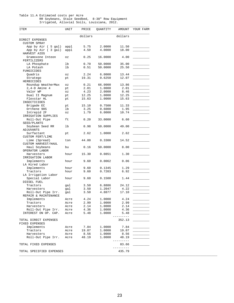#### Table 11.A Estimated costs per Acre RR Soybeans, Stale Seedbed, 8-38" Row Equipment Irrigated, Alluvial Soils, Louisiana, 2012.

| UNIT                       | PRICE                                                                                                                                                                                 | QUANTITY                                                                                                                                             | AMOUNT                                                                                                                                                                                | YOUR FARM                                                                                                                                                                                                                                   |
|----------------------------|---------------------------------------------------------------------------------------------------------------------------------------------------------------------------------------|------------------------------------------------------------------------------------------------------------------------------------------------------|---------------------------------------------------------------------------------------------------------------------------------------------------------------------------------------|---------------------------------------------------------------------------------------------------------------------------------------------------------------------------------------------------------------------------------------------|
|                            |                                                                                                                                                                                       |                                                                                                                                                      |                                                                                                                                                                                       |                                                                                                                                                                                                                                             |
|                            |                                                                                                                                                                                       |                                                                                                                                                      |                                                                                                                                                                                       |                                                                                                                                                                                                                                             |
|                            |                                                                                                                                                                                       |                                                                                                                                                      |                                                                                                                                                                                       |                                                                                                                                                                                                                                             |
| appl                       | 5.75                                                                                                                                                                                  | 2.0000                                                                                                                                               | 11.50                                                                                                                                                                                 |                                                                                                                                                                                                                                             |
| appl                       | 4.50                                                                                                                                                                                  |                                                                                                                                                      |                                                                                                                                                                                       |                                                                                                                                                                                                                                             |
| $\mathtt{\circ}\mathtt{z}$ | 0.25                                                                                                                                                                                  | 16.0000                                                                                                                                              | 4.00                                                                                                                                                                                  |                                                                                                                                                                                                                                             |
|                            |                                                                                                                                                                                       |                                                                                                                                                      |                                                                                                                                                                                       |                                                                                                                                                                                                                                             |
| lb                         |                                                                                                                                                                                       | 50.0000                                                                                                                                              |                                                                                                                                                                                       |                                                                                                                                                                                                                                             |
| lb                         |                                                                                                                                                                                       |                                                                                                                                                      |                                                                                                                                                                                       |                                                                                                                                                                                                                                             |
|                            |                                                                                                                                                                                       |                                                                                                                                                      |                                                                                                                                                                                       |                                                                                                                                                                                                                                             |
|                            |                                                                                                                                                                                       |                                                                                                                                                      |                                                                                                                                                                                       |                                                                                                                                                                                                                                             |
|                            |                                                                                                                                                                                       |                                                                                                                                                      |                                                                                                                                                                                       |                                                                                                                                                                                                                                             |
|                            |                                                                                                                                                                                       |                                                                                                                                                      |                                                                                                                                                                                       |                                                                                                                                                                                                                                             |
|                            |                                                                                                                                                                                       |                                                                                                                                                      |                                                                                                                                                                                       |                                                                                                                                                                                                                                             |
|                            |                                                                                                                                                                                       |                                                                                                                                                      |                                                                                                                                                                                       |                                                                                                                                                                                                                                             |
|                            |                                                                                                                                                                                       |                                                                                                                                                      |                                                                                                                                                                                       |                                                                                                                                                                                                                                             |
|                            |                                                                                                                                                                                       |                                                                                                                                                      |                                                                                                                                                                                       |                                                                                                                                                                                                                                             |
|                            |                                                                                                                                                                                       |                                                                                                                                                      |                                                                                                                                                                                       |                                                                                                                                                                                                                                             |
|                            |                                                                                                                                                                                       |                                                                                                                                                      |                                                                                                                                                                                       |                                                                                                                                                                                                                                             |
|                            |                                                                                                                                                                                       |                                                                                                                                                      |                                                                                                                                                                                       |                                                                                                                                                                                                                                             |
|                            |                                                                                                                                                                                       |                                                                                                                                                      |                                                                                                                                                                                       |                                                                                                                                                                                                                                             |
|                            |                                                                                                                                                                                       |                                                                                                                                                      |                                                                                                                                                                                       |                                                                                                                                                                                                                                             |
|                            |                                                                                                                                                                                       |                                                                                                                                                      |                                                                                                                                                                                       |                                                                                                                                                                                                                                             |
|                            |                                                                                                                                                                                       |                                                                                                                                                      |                                                                                                                                                                                       |                                                                                                                                                                                                                                             |
|                            |                                                                                                                                                                                       |                                                                                                                                                      |                                                                                                                                                                                       |                                                                                                                                                                                                                                             |
|                            |                                                                                                                                                                                       |                                                                                                                                                      |                                                                                                                                                                                       |                                                                                                                                                                                                                                             |
|                            |                                                                                                                                                                                       |                                                                                                                                                      |                                                                                                                                                                                       |                                                                                                                                                                                                                                             |
|                            |                                                                                                                                                                                       |                                                                                                                                                      |                                                                                                                                                                                       |                                                                                                                                                                                                                                             |
| ton                        |                                                                                                                                                                                       |                                                                                                                                                      |                                                                                                                                                                                       |                                                                                                                                                                                                                                             |
|                            |                                                                                                                                                                                       |                                                                                                                                                      |                                                                                                                                                                                       |                                                                                                                                                                                                                                             |
| bu                         |                                                                                                                                                                                       |                                                                                                                                                      |                                                                                                                                                                                       |                                                                                                                                                                                                                                             |
|                            |                                                                                                                                                                                       |                                                                                                                                                      |                                                                                                                                                                                       |                                                                                                                                                                                                                                             |
| hour                       | 15.30                                                                                                                                                                                 | 0.0851                                                                                                                                               | 1.30                                                                                                                                                                                  |                                                                                                                                                                                                                                             |
|                            |                                                                                                                                                                                       |                                                                                                                                                      |                                                                                                                                                                                       |                                                                                                                                                                                                                                             |
| hour                       | 9.60                                                                                                                                                                                  | 0.0062                                                                                                                                               | 0.06                                                                                                                                                                                  |                                                                                                                                                                                                                                             |
|                            |                                                                                                                                                                                       |                                                                                                                                                      |                                                                                                                                                                                       |                                                                                                                                                                                                                                             |
| hour                       | 9.60                                                                                                                                                                                  | 0.1345                                                                                                                                               | 1.29                                                                                                                                                                                  |                                                                                                                                                                                                                                             |
| hour                       | 9.60                                                                                                                                                                                  | 0.7203                                                                                                                                               | 6.92                                                                                                                                                                                  |                                                                                                                                                                                                                                             |
|                            |                                                                                                                                                                                       |                                                                                                                                                      |                                                                                                                                                                                       |                                                                                                                                                                                                                                             |
| hour                       | 9.60                                                                                                                                                                                  | 0.1500                                                                                                                                               | 1.44                                                                                                                                                                                  |                                                                                                                                                                                                                                             |
|                            |                                                                                                                                                                                       |                                                                                                                                                      |                                                                                                                                                                                       |                                                                                                                                                                                                                                             |
| gal                        | 3.50                                                                                                                                                                                  | 6.8886                                                                                                                                               | 24.12                                                                                                                                                                                 |                                                                                                                                                                                                                                             |
| gal                        | 3.50                                                                                                                                                                                  | 1.2047                                                                                                                                               | 4.22                                                                                                                                                                                  |                                                                                                                                                                                                                                             |
| gal                        | 3.50                                                                                                                                                                                  | 4.8877                                                                                                                                               | 17.10                                                                                                                                                                                 |                                                                                                                                                                                                                                             |
|                            |                                                                                                                                                                                       |                                                                                                                                                      |                                                                                                                                                                                       |                                                                                                                                                                                                                                             |
| Acre                       | 4.24                                                                                                                                                                                  | 1.0000                                                                                                                                               |                                                                                                                                                                                       |                                                                                                                                                                                                                                             |
| Acre                       | 2.99                                                                                                                                                                                  |                                                                                                                                                      |                                                                                                                                                                                       |                                                                                                                                                                                                                                             |
| Acre                       | 2.14                                                                                                                                                                                  | 1.0000                                                                                                                                               | 2.14                                                                                                                                                                                  |                                                                                                                                                                                                                                             |
| Acre                       | 4.36                                                                                                                                                                                  | 1.0000                                                                                                                                               | 4.36                                                                                                                                                                                  |                                                                                                                                                                                                                                             |
| Acre                       | 5.48                                                                                                                                                                                  | 1.0000                                                                                                                                               | 5.48                                                                                                                                                                                  |                                                                                                                                                                                                                                             |
|                            |                                                                                                                                                                                       |                                                                                                                                                      |                                                                                                                                                                                       |                                                                                                                                                                                                                                             |
|                            |                                                                                                                                                                                       |                                                                                                                                                      | 352.13                                                                                                                                                                                |                                                                                                                                                                                                                                             |
|                            |                                                                                                                                                                                       |                                                                                                                                                      |                                                                                                                                                                                       |                                                                                                                                                                                                                                             |
| Acre                       | 7.84                                                                                                                                                                                  | 1.0000                                                                                                                                               | 7.84                                                                                                                                                                                  |                                                                                                                                                                                                                                             |
| Acre                       | 19.07                                                                                                                                                                                 | 1.0000                                                                                                                                               | 19.07                                                                                                                                                                                 |                                                                                                                                                                                                                                             |
| Acre                       | 8.56                                                                                                                                                                                  | 1.0000                                                                                                                                               | 8.56                                                                                                                                                                                  |                                                                                                                                                                                                                                             |
| Acre                       | 48.19                                                                                                                                                                                 | 1.0000                                                                                                                                               | 48.19                                                                                                                                                                                 |                                                                                                                                                                                                                                             |
|                            |                                                                                                                                                                                       |                                                                                                                                                      |                                                                                                                                                                                       |                                                                                                                                                                                                                                             |
|                            |                                                                                                                                                                                       |                                                                                                                                                      |                                                                                                                                                                                       |                                                                                                                                                                                                                                             |
|                            |                                                                                                                                                                                       |                                                                                                                                                      |                                                                                                                                                                                       |                                                                                                                                                                                                                                             |
|                            |                                                                                                                                                                                       |                                                                                                                                                      |                                                                                                                                                                                       |                                                                                                                                                                                                                                             |
|                            | $\circ z$<br>pt<br>$\mathtt{\circ}\mathtt{z}$<br>pt<br>$\mathtt{\circ}\mathtt{z}$<br>pt<br>pt<br>pt<br>lb<br>$\mathtt{\circ}\mathtt{z}$<br>ft<br>lb<br>pt<br>TOTAL SPECIFIED EXPENSES | dollars<br>0.70<br>0.51<br>2.24<br>19.31<br>0.21<br>2.01<br>4.23<br>12.25<br>15.63<br>15.10<br>3.25<br>1.79<br>0.20<br>0.98<br>2.62<br>44.00<br>0.16 | 4.0000<br>50.0000<br>6.0000<br>0.6250<br>66.0000<br>1.0000<br>2.0000<br>1.0000<br>1.0000<br>0.7500<br>0.6000<br>6.0000<br>33.0000<br>50.0000<br>1.0000<br>0.3300<br>50.0000<br>1,0000 | dollars<br>18.00<br>35.00<br>25.50<br>13.44<br>12.07<br>13.86<br>2.01<br>8.46<br>12.25<br>15.63<br>11.33<br>1.95<br>10.74<br>6.60<br>49.00<br>2.62<br>14.52<br>8.00<br>4.24<br>2.99<br>---------<br>----------<br>83.66<br>------<br>435.79 |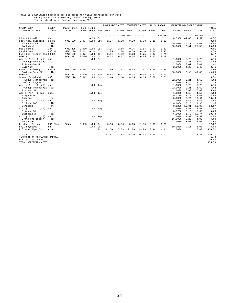# Table 11.B Estimated resource use and costs for field operations, per Acre<br>RR Soybeans, Stale Seedbed, 8-38" Row Equipment<br>Irrigated, Alluvial Soils, Louisiana, 2012.

|                                                              |                |            |              |            |     | POWER UNIT COST |       | EQUIPMENT COST                 |       |       | ALLOC LABOR   | OPERATING/DURABLE INPUT |                    |                   |                        |
|--------------------------------------------------------------|----------------|------------|--------------|------------|-----|-----------------|-------|--------------------------------|-------|-------|---------------|-------------------------|--------------------|-------------------|------------------------|
| OPERATION/                                                   | SIZE/          | POWER UNIT |              | PERF TIMES |     |                 |       |                                |       |       |               |                         | ------------------ |                   | TOTAL                  |
| OPERATING INPUT                                              | UNIT           | SIZE       | RATE         | OVER       | MTH | DIRECT          | FIXED | DIRECT                         | FIXED | HOURS | COST          | AMOUNT PRICE            |                    | COST              | COST                   |
|                                                              |                |            |              |            |     |                 |       | ------------dollars----------- |       |       | dollars       |                         |                    | $-----dollars---$ | $- - - - -$            |
| Lime (Spread)                                                | ton            |            |              | 0.33       | Oct |                 |       |                                |       |       |               | 0.3300                  | 44.00              | 14.52             | 14.52                  |
| Fert Appl (Liquid)                                           | $8R - 38$      | MFWD 190   | 0.077        | 1.00       | Oct | 2.97            | 1.98  | 0.90                           | 1.03  | 0.11  | 1.12          |                         |                    |                   | 8.00                   |
| LA Phosphate                                                 | 1 <sub>b</sub> |            |              |            |     |                 |       |                                |       |       |               | 50.0000                 | 0.70               | 35.00             | 35.00                  |
| LA Potash                                                    | 1 <sub>b</sub> |            |              |            |     |                 |       |                                |       |       |               | 50.0000                 | 0.51               | 25.50             | 25.50                  |
| Disk Harrow                                                  | 28'            | MFWD 225   | 0.070        | 1.00       | Oct | 3.26            | 2.68  | 0.76                           | 1.64  | 0.07  | 0.67          |                         |                    |                   | 9.01                   |
| Land Plane                                                   | 40'x10'        | MFWD 190   | 0.242        | 0.20       | Oct | 1.85            | 1.24  | 0.06                           | 0.16  | 0.04  | 0.47          |                         |                    |                   | 3.78                   |
| Disk Bed (Hipper)Rdg 8R-38                                   |                | MFWD 190   | 0.074        | 1.00       | Oct | 2.84            | 1.89  | 0.28                           | 0.75  | 0.07  | 0.71          |                         |                    |                   | 6.47                   |
| Ditcher                                                      |                | 2WD 130    | 0.020        | 1.00       | Oct | 0.53            | 0.37  | 0.04                           | 0.05  | 0.02  | 0.19          |                         |                    |                   | 1.18                   |
| App by Air ( 5 gal)                                          | appl           |            |              | 1.00       | Mar |                 |       |                                |       |       |               | 1,0000                  | 5.75               | 5.75              | 5.75                   |
| Roundup WeatherMax                                           | OZ             |            |              |            |     |                 |       |                                |       |       |               | 22.0000                 | 0.21               | 4.62              | 4.62                   |
| $2, 4-D$ Amine $4$                                           | pt             |            |              |            |     |                 |       |                                |       |       |               | 1.0000                  | 2.01               | 2.01              | 2.01                   |
| Valor WP                                                     | $\circ z$      |            |              |            |     |                 |       |                                |       |       |               | 2.0000                  | 4.23               | 8.46              | 8.46                   |
| Plant - Folding                                              | $8R - 38$      | MFWD 170   | $0.074$ 1.00 |            | May | 2.59            | 2.01  | 0.98                           | 1.91  | 0.14  | 1.44          |                         |                    |                   | 8.93                   |
| Soybean Seed RR                                              | lb             |            |              |            |     |                 |       |                                |       |       |               | 50.0000                 | 0.98               | 49.00             | 49.00                  |
| Ditcher                                                      |                | 2WD 130    | 0.020        | 1.00       | May | 0.53            | 0.37  | 0.04                           | 0.05  | 0.02  | 0.19          |                         |                    |                   | 1.18                   |
| Spray (Broadcast)                                            | 40'            | MFWD 170   | 0.042        | 1.00       | May | 1.48            | 1.14  | 0.13                           | 0.15  | 0.06  | 0.61          |                         |                    |                   | 3.51                   |
| Roundup WeatherMax                                           | OZ             |            |              |            |     |                 |       |                                |       |       |               | 22,0000                 | 0.21               | 4.62              | 4.62                   |
| Dual II Magnum                                               | pt             |            |              |            |     |                 |       |                                |       |       |               | 1,0000                  | 12.25              | 12.25             | 12.25                  |
| App by Air ( 5 gal)                                          | appl           |            |              | 1.00       | Jun |                 |       |                                |       |       |               | 1,0000                  | 5.75               | 5.75              | 5.75                   |
| Roundup WeatherMax                                           | OZ             |            |              |            |     |                 |       |                                |       |       |               | 22.0000                 | 0.21               | 4.62              | 4.62                   |
| Flexstar HL                                                  | pt             |            |              |            |     |                 |       |                                |       |       |               | 1.0000                  | 15.63              | 15.63             | 15.63                  |
| App by Air (3 gal)                                           | appl           |            |              | 1.00       | Jul |                 |       |                                |       |       |               | 1.0000                  | 4.50               | 4.50              | 4.50                   |
| Brigade EC                                                   | pt             |            |              |            |     |                 |       |                                |       |       |               | 0.3750                  | 15.10              | 5.66              | 5.66                   |
| Ouadris                                                      | OZ             |            |              |            |     |                 |       |                                |       |       |               | 6,0000                  | 2.24               | 13.44             | 13.44                  |
| App by Air ( 3 gal)                                          | appl           |            |              | 1.00 Aug   |     |                 |       |                                |       |       |               | 1,0000                  | 4.50               | 4.50              | 4.50                   |
| Orthene 90S                                                  | 1 <sub>b</sub> |            |              |            |     |                 |       |                                |       |       |               | 0.6000                  | 3.25               | 1.95              | 1.95                   |
| Stratego                                                     | pt             |            |              |            |     |                 |       |                                |       |       |               | 0.6250                  | 19.31              | 12.07             | 12.07                  |
| App by Air ( 3 gal)                                          | appl           |            |              | $1.00$ Aug |     |                 |       |                                |       |       |               | 1.0000                  | 4.50               | 4.50              | 4.50                   |
| Brigade EC                                                   | pt             |            |              |            |     |                 |       |                                |       |       |               | 0.3750                  | 15.10              | 5.66              | 5.66                   |
| Intrepid 2F                                                  | OZ             |            |              |            |     |                 |       |                                |       |       |               | 6.0000                  | 1.79               | 10.74             | 10.74                  |
| App by Air ( 3 gal)                                          | appl           |            |              | 1.00       | Sep |                 |       |                                |       |       |               | 1,0000                  | 4.50               | 4.50              | 4.50                   |
| Gramoxone Inteon                                             | OZ             |            |              |            |     |                 |       |                                |       |       |               | 16.0000                 | 0.25               | 4.00              | 4.00                   |
| Surfactant                                                   | pt             |            |              |            |     |                 |       |                                |       |       |               | 1.0000                  | 2.62               | 2.62              | 2.62                   |
| Header - Soybean                                             | 30' Flex       | 275hp      | $0.085$ 1.00 |            | Oct | 6.36            | 8.56  | 0.65                           | 1.00  | 0.08  | 1.30          |                         |                    |                   | 17.87                  |
| Haul Soybeans                                                | bu             |            |              | 1.00       | Oct |                 |       |                                |       |       |               | 50.0000                 | 0.16               | 8.00              | 8.00                   |
| Roll-Out Pipe Irr.                                           | Acre           |            |              |            | Jul | 11.06           | 7.39  | 21.86                          | 49.29 | 0.44  | 4.31<br>----- | 1,0000                  |                    | 6.60<br>-------   | 100.51<br>$- - - -$    |
| TOTALS<br>INTEREST ON OPERATING CAPITAL<br>UNALLOCATED LABOR |                |            |              |            |     | 33.47           | 27.63 | 25.70                          | 56.03 | 1.09  | 11.01         |                         |                    | 276.47            | 430.31<br>5.48<br>0.00 |
| TOTAL SPECIFIED COST                                         |                |            |              |            |     |                 |       |                                |       |       |               |                         |                    |                   | 435.79                 |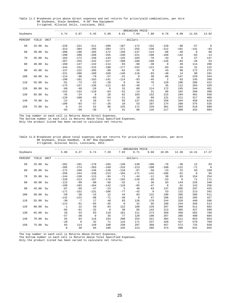Table 11.C Breakeven price above direct expenses and net returns for price/yield combinations, per Acre RR Soybeans, Stale Seedbed, 8-38" Row Equipment Irrigated, Alluvial Soils, Louisiana, 2012.

|          |          |      |                |                |                |                |                | -BREAKEVEN PRICE- |              |                |          |             |                |
|----------|----------|------|----------------|----------------|----------------|----------------|----------------|-------------------|--------------|----------------|----------|-------------|----------------|
| Soybeans |          |      | 4.74           | 5.07           | 5.45           | 5.89           | 6.41           | 7.04              | 7.80         | 8.76           | 9.99     | 11.63       | 13.92          |
| PERCENT  | YIELD    | UNIT |                |                |                |                | $- - - - - -$  | -dollars-         |              |                |          |             |                |
| 50       | 25.00    | bu   | $-229$         | $-221$         | $-211$         | $-200$         | $-187$         | $-172$            | $-152$       | $-129$         | $-98$    | $-57$       | $\overline{0}$ |
|          |          |      | $-313$         | $-304$         | $-295$         | $-284$         | $-2.71$        | $-255$            | $-236$       | $-212$         | $-181$   | $-141$      | $-83$          |
| 60       | 30.00    | bu   | $-206$         | $-196$         | $-185$         | $-172$         | $-156$         | $-137$            | $-114$       | $-86$          | $-49$    | $\mathbf 0$ | 68             |
|          |          |      | $-290$         | $-280$         | $-268$         | $-255$         | $-240$         | $-221$            | $-198$       | $-169$         | $-132$   | $-83$       | $-14$          |
| 70       | 35.00    | bu   | $-183$         | $-172$         | $-158$         | $-143$         | $-125$         | $-103$            | $-76$        | $-43$          | $\Omega$ | 57          | 137            |
|          |          |      | $-267$         | $-255$         | $-242$         | $-227$         | $-208$         | $-186$            | $-160$       | $-126$         | $-83$    | $-26$       | 53             |
| 80       | 40.00    | bu   | $-160$         | $-147$         | $-132$         | $-114$         | $-93$          | $-68$             | $-38$        | $\mathbf 0$    | 49       | 114         | 206            |
|          |          |      | $-244$         | $-231$         | $-215$         | $-198$         | $-177$         | $-152$            | $-121$       | $-83$          | $-34$    | 31          | 122            |
| 90       | 45.00    | bu   | $-137$         | $-122$         | $-105$         | $-86$          | $-62$          | $-34$             | $\mathbf{0}$ | 43             | 98       | 172         | 275            |
|          |          |      | $-221$         | $-206$         | $-189$         | $-169$         | $-146$         | $-118$            | $-83$        | $-40$          | 14       | 88          | 191            |
| 100      | 50.00    | bu   | $-114$         | $-98$          | $-79$          | $-57$          | $-31$          | $\mathbf 0$       | 38           | 86             | 147      | 229         | 344            |
|          |          |      | $-198$         | $-181$         | $-163$         | $-141$         | $-114$         | $-83$             | $-45$        | $\mathfrak{D}$ | 63       | 145         | 260            |
| 110      | 55.00    | bu   | $-91$          | $-73$          | $-52$          | $-28$          | $\overline{0}$ | 34                | 76           | 129            | 196      | 286         | 412            |
|          |          |      | $-175$         | $-157$         | $-136$         | $-112$         | $-83$          | $-49$             | $-7$         | 45             | 112      | 203         | 329            |
| 120      | 60.00    | bu   | $-68$          | $-49$          | $-26$          | $\Omega$       | 31             | 68                | 114          | 172            | 245      | 344         | 481            |
|          |          |      | $-152$         | $-132$         | $-110$         | $-83$          | $-52$          | $-14$             | 31           | 88             | 162      | 260         | 398            |
| 130      | 65.00    | bu   | $-45$          | $-24$          | $\overline{0}$ | 28             | 62             | 103               | 152          | 215            | 294      | 401         | 550            |
|          |          |      | $-129$         | $-108$         | $-83$          | $-54$          | $-21$          | 19                | 69           | 131            | 211      | 317         | 466            |
| 140      | 70.00 bu |      | $-22$          | $\overline{0}$ | 26             | 57             | 93             | 137               | 191          | 258            | 344      | 458         | 619            |
|          |          |      | $-106$         | $-83$          | $-57$          | $-26$          | 10             | 53                | 107          | 174            | 260      | 375         | 535            |
| 150      | 75.00    | bu   | $\overline{0}$ | 24             | 52             | 86             | 125            | 172               | 229          | 301            | 393      | 516         | 688            |
|          |          |      | $-83$          | $-59$          | $-30$          | $\overline{a}$ | 41             | 88                | 145          | 217            | 309      | 432         | 604            |

\_\_\_\_\_\_\_\_\_\_\_\_\_\_\_\_\_\_\_\_\_\_\_\_\_\_\_\_\_\_\_\_\_\_\_\_\_\_\_\_\_\_\_\_\_\_\_\_\_\_\_\_\_\_\_\_\_\_\_\_\_\_\_\_\_\_\_\_\_\_\_\_\_\_\_\_\_\_\_\_\_\_\_\_\_\_\_\_\_\_\_\_\_\_\_\_\_\_\_\_\_\_\_\_\_\_\_\_\_\_\_\_\_\_\_\_\_\_\_\_ The top number in each cell is Returns Above Direct Expenses.

The bottom number in each cell is Returns Above Total Specified Expenses.

Only the product listed has been varied to calculate net returns.

### Table 11.D Breakeven price above total expenses and net returns for price/yield combinations, per Acre RR Soybeans, Stale Seedbed, 8-38" Row Equipment

Irrigated, Alluvial Soils, Louisiana, 2012.

|          |          |             |             |             |             |          |        | -BREAKEVEN PRICE-            |              |             |          |             |                |
|----------|----------|-------------|-------------|-------------|-------------|----------|--------|------------------------------|--------------|-------------|----------|-------------|----------------|
| Soybeans |          |             | 5.86        | 6.27        | 6.74        | 7.29     | 7.93   | 8.71                         | 9.66         | 10.85       | 12.38    | 14.41       | 17.27          |
| PERCENT  | YIELD    | <b>UNIT</b> |             |             |             |          |        | ---------------dollars------ |              |             |          |             |                |
| 50       | 25.00    | bu          | $-201$      | $-191$      | $-179$      | $-165$   | $-149$ | $-130$                       | $-106$       | $-76$       | $-38$    | 12          | 83             |
|          |          |             | $-285$      | $-274$      | $-263$      | $-249$   | $-233$ | $-213$                       | $-190$       | $-160$      | $-122$   | $-71$       | $\overline{0}$ |
| 60       | 30.00    | bu          | $-172$      | $-160$      | $-146$      | $-130$   | $-110$ | $-87$                        | $-58$        | $-23$       | 22       | 83          | 169            |
|          |          |             | $-256$      | $-244$      | $-230$      | $-213$   | $-194$ | $-171$                       | $-142$       | $-106$      | $-61$    | $\mathbf 0$ | 85             |
| 70       | 35.00    | bu          | $-144$      | $-130$      | $-113$      | $-94$    | $-71$  | $-44$                        | $-11$        | 30          | 83       | 154         | 254            |
|          |          |             | $-228$      | $-213$      | $-197$      | $-178$   | $-155$ | $-128$                       | $-95$        | $-53$       | $\Omega$ | 71          | 171            |
| 80       | 40.00 bu |             | $-115$      | $-99$       | $-80$       | $-58$    | $-32$  | $-1$                         | 36           | 83          | 144      | 226         | 340            |
|          |          |             | $-199$      | $-183$      | $-164$      | $-142$   | $-116$ | $-85$                        | $-47$        | $\mathbf 0$ | 61       | 142         | 256            |
| 90       | 45.00    | bu          | $-87$       | $-69$       | $-47$       | $-23$    | 5      | 40                           | 83           | 137         | 205      | 297         | 425            |
|          |          |             | $-171$      | $-152$      | $-131$      | $-106$   | $-77$  | $-42$                        | $\mathbf{0}$ | 53          | 122      | 213         | 342            |
| 100      | 50.00    | bu          | $-58$       | $-38$       | $-15$       | 12       | 44     | 83                           | 131          | 190         | 266      | 368         | 511            |
|          |          |             | $-142$      | $-122$      | $-98$       | $-71$    | $-38$  | $\circ$                      | 47           | 106         | 183      | 285         | 427            |
| 110      | 55.00    | bu          | $-30$       | $-7$        | 17          | 48       | 83     | 126                          | 178          | 244         | 328      | 440         | 596            |
|          |          |             | $-114$      | $-91$       | $-65$       | $-35$    | 0      | 42                           | 95           | 160         | 244      | 356         | 513            |
| 120      | 60.00    | bu          | $-1$        | 22          | 50          | 83       | 122    | 169                          | 226          | 297         | 389      | 511         | 682            |
|          |          |             | $-85$       | $-61$       | $-32$       | $\Omega$ | 38     | 85                           | 142          | 213         | 305      | 427         | 598            |
| 130      | 65.00    | bu          | 26          | 53          | 83          | 119      | 161    | 211                          | 273          | 350         | 450      | 582         | 768            |
|          |          |             | $-57$       | $-30$       | $\mathbf 0$ | 35       | 77     | 128                          | 190          | 267         | 366      | 499         | 684            |
| 140      | 70.00    | bu          | 55          | 83          | 116         | 154      | 200    | 254                          | 321          | 404         | 511      | 653         | 853            |
|          |          |             | $-28$       | $\mathbf 0$ | 32          | 71       | 116    | 171                          | 237          | 320         | 427      | 570         | 769            |
| 150      | 75.00    | bu          | 83          | 114         | 149         | 190      | 239    | 297                          | 368          | 457         | 572      | 725         | 939            |
|          |          |             | $\mathbf 0$ | 30          | 65          | 106      | 155    | 213                          | 285          | 374         | 488      | 641         | 855            |

The top number in each cell is Returns Above Direct Expenses.

The bottom number in each cell is Returns Above Total Specified Expenses.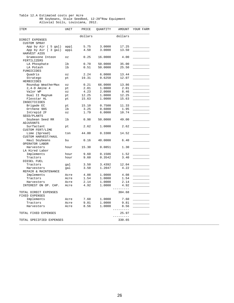#### Table 12.A Estimated costs per Acre RR Soybeans, Stale Seedbed, 12-20"Row Equipment Alluvial Soils, Louisiana, 2012.

| <b>ITEM</b>               | UNIT                                       | PRICE   | QUANTITY | AMOUNT    | YOUR FARM |
|---------------------------|--------------------------------------------|---------|----------|-----------|-----------|
|                           |                                            | dollars |          | dollars   |           |
| DIRECT EXPENSES           |                                            |         |          |           |           |
| <b>CUSTOM SPRAY</b>       |                                            |         |          |           |           |
| App by Air ( 5 gal)       | appl                                       | 5.75    | 3.0000   | 17.25     |           |
| App by Air (3 gal)        | appl                                       | 4.50    | 3.0000   | 13.50     |           |
| HARVEST AIDS              |                                            |         |          |           |           |
| Gramoxone Inteon          | $\mathsf{O}\,\mathbf{Z}$                   | 0.25    | 16.0000  | 4.00      |           |
| FERTILIZERS               |                                            |         |          |           |           |
|                           | lb                                         | 0.70    | 50.0000  | 35.00     |           |
| LA Phosphate<br>LA Potash | 1 <sub>b</sub>                             | 0.51    | 50.0000  | 25.50     |           |
|                           |                                            |         |          |           |           |
| FUNGICIDES                |                                            |         |          |           |           |
| Quadris                   | $\overline{\text{O}}\,\overline{\text{Z}}$ | 2.24    | 6.0000   | 13.44     |           |
| Stratego                  | pt                                         | 19.31   | 0.6250   | 12.07     |           |
| HERBICIDES                |                                            |         |          |           |           |
| Roundup WeatherMax        | $\mathsf{O}\,\mathbf{Z}$                   | 0.21    | 66.0000  | 13.86     |           |
| $2, 4-D$ Amine $4$        | pt                                         | 2.01    | 1.0000   | 2.01      |           |
| Valor WP                  | $\circ z$                                  | 4.23    | 2.0000   | 8.46      |           |
| Dual II Magnum            | pt                                         | 12.25   | 1.0000   | 12.25     |           |
| Flexstar HL               | pt                                         | 15.63   | 1.0000   | 15.63     |           |
| INSECTICIDES              |                                            |         |          |           |           |
| Brigade EC                | pt                                         | 15.10   | 0.7500   | 11.33     |           |
| Orthene 90S               | 1b                                         | 3.25    | 0.6000   | 1.95      |           |
| Intrepid 2F               | $\circ z$                                  | 1.79    | 6.0000   | 10.74     |           |
| SEED/PLANTS               |                                            |         |          |           |           |
| Soybean Seed RR           | lb                                         | 0.98    | 50.0000  | 49.00     |           |
| ADJUVANTS                 |                                            |         |          |           |           |
| Surfactant                | pt                                         | 2.62    | 1.0000   | 2.62      |           |
| <b>CUSTOM FERT/LIME</b>   |                                            |         |          |           |           |
|                           |                                            |         |          |           |           |
| Lime (Spread)             | ton                                        | 44.00   | 0.3300   | 14.52     |           |
| CUSTOM HARVEST/HAUL       |                                            |         |          |           |           |
| Haul Soybeans             | bu                                         | 0.16    | 40.0000  | 6.40      |           |
| OPERATOR LABOR            |                                            |         |          |           |           |
| Harvesters                | hour                                       | 15.30   | 0.0851   | 1.30      |           |
| LA Hired Labor            |                                            |         |          |           |           |
| Implements                | hour                                       | 9.60    | 0.1586   | 1.52      |           |
| Tractors                  | hour                                       | 9.60    | 0.3542   | 3.40      |           |
| DIESEL FUEL               |                                            |         |          |           |           |
| Tractors                  | gal                                        | 3.50    | 3.4392   | 12.04     |           |
| Harvesters                | gal                                        | 3.50    | 1.2047   | 4.22      |           |
| REPAIR & MAINTENANCE      |                                            |         |          |           |           |
| Implements                | Acre                                       | 4.08    | 1.0000   | 4.08      |           |
|                           | Acre                                       | 1.54    |          |           |           |
| Tractors                  |                                            |         | 1.0000   | 1.54      |           |
| Harvesters                | Acre                                       | 2.14    | 1.0000   | 2.14      |           |
| INTEREST ON OP. CAP.      | Acre                                       | 4.92    | 1,0000   | 4.92      |           |
|                           |                                            |         |          | $------$  |           |
| TOTAL DIRECT EXPENSES     |                                            |         |          | 304.68    |           |
| FIXED EXPENSES            |                                            |         |          |           |           |
| Implements                | Acre                                       | 7.60    | 1.0000   | 7.60      |           |
| Tractors                  | Acre                                       | 9.81    | 1.0000   | 9.81      |           |
| Harvesters                | Acre                                       | 8.56    | 1.0000   | 8.56      |           |
|                           |                                            |         |          | $- - - -$ |           |
| TOTAL FIXED EXPENSES      |                                            |         |          | 25.97     |           |
|                           |                                            |         |          | ------    |           |
| TOTAL SPECIFIED EXPENSES  |                                            |         |          | 330.65    |           |
|                           |                                            |         |          |           |           |
|                           |                                            |         |          |           |           |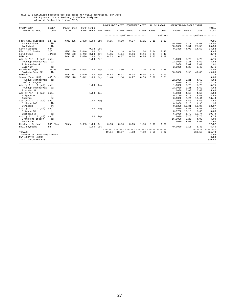# Table 12.B Estimated resource use and costs for field operations, per Acre<br>RR Soybeans, Stale Seedbed, 12-20"Row Equipment<br>Alluvial Soils, Louisiana, 2012.

|                               |                |                    |       |                        |     | POWER UNIT COST |       | EQUIPMENT COST                 |       |       | ALLOC LABOR | OPERATING/DURABLE INPUT |       |                  |                     |
|-------------------------------|----------------|--------------------|-------|------------------------|-----|-----------------|-------|--------------------------------|-------|-------|-------------|-------------------------|-------|------------------|---------------------|
| OPERATION/<br>OPERATING INPUT | SIZE/<br>UNIT  | POWER UNIT<br>SIZE | RATE  | PERF TIMES<br>OVER MTH |     | DIRECT          | FIXED | DIRECT                         | FIXED | HOURS | COST        | AMOUNT PRICE            |       | COST             | TOTAL<br>COST       |
|                               |                |                    |       |                        |     |                 |       | ------------dollars----------- |       |       | dollars     |                         |       | $------dollars-$ | --------            |
| Fert Appl (Liquid)            | $12R - 30$     | MFWD 225           | 0.078 | 1.00                   | Oct | 3.65            | 3.00  | 0.97                           | 1.11  | 0.11  | 1.13        |                         |       |                  | 9.86                |
| LA Phosphate                  | 1 <sub>b</sub> |                    |       |                        |     |                 |       |                                |       |       |             | 50.0000                 | 0.70  | 35.00            | 35.00               |
| LA Potash                     | 1 <sub>b</sub> |                    |       |                        |     |                 |       |                                |       |       |             | 50.0000                 | 0.51  | 25.50            | 25.50               |
| Lime (Spread)                 | ton            |                    |       | $0.33$ Oct             |     |                 |       |                                |       |       |             | 0.3300                  | 44.00 | 14.52            | 14.52               |
| Field Cultivate               | 32'            | MFWD 190           | 0.046 | 1.00                   | Oct | 1.79            | 1.19  | 0.38                           | 1.64  | 0.04  | 0.45        |                         |       |                  | 5.45                |
| Land Plane                    | 40'x10'        | MFWD 190           | 0.242 | 0.20                   | Oct | 1.85            | 1.24  | 0.06                           | 0.16  | 0.04  | 0.47        |                         |       |                  | 3.78                |
| Ditcher                       |                | 2WD 130            | 0.020 | 1.00                   | Oct | 0.53            | 0.37  | 0.04                           | 0.05  | 0.02  | 0.19        |                         |       |                  | 1.18                |
| App by Air ( 5 gal)           | appl           |                    |       | 1.00                   | Mar |                 |       |                                |       |       |             | 1,0000                  | 5.75  | 5.75             | 5.75                |
| Roundup WeatherMax            | OZ             |                    |       |                        |     |                 |       |                                |       |       |             | 22.0000                 | 0.21  | 4.62             | 4.62                |
| $2, 4-D$ Amine $4$            | pt             |                    |       |                        |     |                 |       |                                |       |       |             | 1.0000                  | 2.01  | 2.01             | 2.01                |
| Valor WP                      | $\circ z$      |                    |       |                        |     |                 |       |                                |       |       |             | 2.0000                  | 4.23  | 8.46             | 8.46                |
| NT Plant-Rigid                | $12R - 20$     | MFWD 190           | 0.098 | 1.00                   | May | 3.75            | 2.50  | 1.67                           | 3.26  | 0.19  | 1.88        |                         |       |                  | 13.06               |
| Soybean Seed RR               | 1 <sub>b</sub> |                    |       |                        |     |                 |       |                                |       |       |             | 50.0000                 | 0.98  | 49.00            | 49.00               |
| Ditcher                       |                | 2WD 130            | 0.020 | 1.00                   | May | 0.53            | 0.37  | 0.04                           | 0.05  | 0.02  | 0.19        |                         |       |                  | 1.18                |
| Spray (Bcast/HB)              | 40' Fold       | MFWD 170           | 0.042 | 1.00                   | May | 1.48            | 1.14  | 0.27                           | 0.33  | 0.06  | 0.61        |                         |       |                  | 3.83                |
| Roundup WeatherMax            | OZ             |                    |       |                        |     |                 |       |                                |       |       |             | 22,0000                 | 0.21  | 4.62             | 4.62                |
| Dual II Magnum                | pt             |                    |       |                        |     |                 |       |                                |       |       |             | 1,0000                  | 12.25 | 12.25            | 12.25               |
| App by Air ( 5 gal)           | appl           |                    |       | 1.00                   | Jun |                 |       |                                |       |       |             | 1,0000                  | 5.75  | 5.75             | 5.75                |
| Roundup WeatherMax            | OZ             |                    |       |                        |     |                 |       |                                |       |       |             | 22.0000                 | 0.21  | 4.62             | 4.62                |
| Flexstar HL                   | pt             |                    |       |                        |     |                 |       |                                |       |       |             | 1,0000                  | 15.63 | 15.63            | 15.63               |
| App by Air (3 gal)            | appl           |                    |       | $1.00$ Jul             |     |                 |       |                                |       |       |             | 1.0000                  | 4.50  | 4.50             | 4.50                |
| Brigade EC                    | pt             |                    |       |                        |     |                 |       |                                |       |       |             | 0.3750                  | 15.10 | 5.66             | 5.66                |
| Ouadris                       | OZ             |                    |       |                        |     |                 |       |                                |       |       |             | 6,0000                  | 2.24  | 13.44            | 13.44               |
| App by Air ( 3 gal)           | appl           |                    |       | 1.00 Aug               |     |                 |       |                                |       |       |             | 1.0000                  | 4.50  | 4.50             | 4.50                |
| Orthene 90S                   | 1b             |                    |       |                        |     |                 |       |                                |       |       |             | 0.6000                  | 3.25  | 1.95             | 1.95                |
| Stratego                      | pt             |                    |       |                        |     |                 |       |                                |       |       |             | 0.6250                  | 19.31 | 12.07            | 12.07               |
| App by Air ( 3 gal)           | appl           |                    |       | 1.00 Aug               |     |                 |       |                                |       |       |             | 1.0000                  | 4.50  | 4.50             | 4.50                |
| Brigade EC                    | pt             |                    |       |                        |     |                 |       |                                |       |       |             | 0.3750                  | 15.10 | 5.66             | 5.66                |
| Intrepid 2F                   | OZ             |                    |       |                        |     |                 |       |                                |       |       |             | 6,0000                  | 1.79  | 10.74            | 10.74               |
| App by Air ( 5 gal)           | appl           |                    |       | 1.00 Sep               |     |                 |       |                                |       |       |             | 1,0000                  | 5.75  | 5.75             | 5.75                |
| Gramoxone Inteon              | OZ             |                    |       |                        |     |                 |       |                                |       |       |             | 16,0000                 | 0.25  | 4.00             | 4.00                |
| Surfactant                    | pt             |                    |       |                        |     |                 |       |                                |       |       |             | 1.0000                  | 2.62  | 2.62             | 2.62                |
| Header - Soybean              | 30' Flex       | 275hp              | 0.085 | 1.00                   | Oct | 6.36            | 8.56  | 0.65                           | 1.00  | 0.08  | 1.30        |                         |       |                  | 17.87               |
| Haul Soybeans                 | bu             |                    |       | 1.00                   | Oct |                 |       |                                |       |       | $- - - -$   | 40.0000                 | 0.16  | 6.40<br>-------  | 6.40<br>$- - - - -$ |
| <b>TOTALS</b>                 |                |                    |       |                        |     | 19.94           | 18.37 | 4.08                           | 7.60  | 0.59  | 6.22        |                         |       | 269.52           | 325.73              |
| INTEREST ON OPERATING CAPITAL |                |                    |       |                        |     |                 |       |                                |       |       |             |                         |       |                  | 4.92                |
| UNALLOCATED LABOR             |                |                    |       |                        |     |                 |       |                                |       |       |             |                         |       |                  | 0.00                |
| TOTAL SPECIFIED COST          |                |                    |       |                        |     |                 |       |                                |       |       |             |                         |       |                  | 330.65              |
|                               |                |                    |       |                        |     |                 |       |                                |       |       |             |                         |       |                  |                     |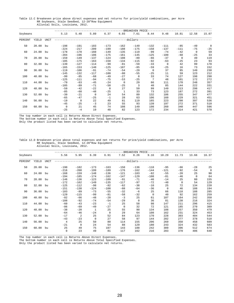Table 12.C Breakeven price above direct expenses and net returns for price/yield combinations, per Acre RR Soybeans, Stale Seedbed, 12-20"Row Equipment Alluvial Soils, Louisiana, 2012.

|          |          |             |             |                |             |          |              | -BREAKEVEN PRICE |                |             |          |       |                |
|----------|----------|-------------|-------------|----------------|-------------|----------|--------------|------------------|----------------|-------------|----------|-------|----------------|
| Soybeans |          |             | 5.13        | 5.48           | 5.89        | 6.37     | 6.93         | 7.61             | 8.44           | 9.48        | 10.81    | 12.58 | 15.07          |
| PERCENT  | YIELD    | <b>UNIT</b> |             |                |             |          |              | -dollars-        |                |             |          |       |                |
| 50       | 20.00 bu |             | $-198$      | $-191$         | $-183$      | $-173$   | $-162$       | $-149$           | $-132$         | $-111$      | $-85$    | $-49$ | $\overline{0}$ |
|          |          |             | $-224$      | $-217$         | $-209$      | $-199$   | $-188$       | $-175$           | $-158$         | $-137$      | $-111$   | $-75$ | $-25$          |
| 60       | 24.00    | bu          | $-178$      | $-170$         | $-160$      | $-149$   | $-135$       | $-119$           | $-99$          | $-74$       | $-42$    | 0     | 59             |
|          |          |             | $-204$      | $-196$         | $-186$      | $-175$   | $-161$       | $-145$           | $-125$         | $-100$      | $-68$    | $-25$ | 33             |
| 70       | 28.00    | bu          | $-159$      | $-149$         | $-137$      | $-124$   | $-108$       | $-89$            | $-66$          | $-37$       | $\Omega$ | 49    | 119            |
|          |          |             | $-185$      | $-175$         | $-163$      | $-150$   | $-134$       | $-115$           | $-92$          | $-63$       | $-25$    | 23    | 93             |
| 80       | 32.00    | bu          | $-139$      | $-127$         | $-114$      | $-99$    | $-81$        | $-59$            | $-33$          | $\mathbf 0$ | 42       | 99    | 178            |
|          |          |             | $-165$      | $-153$         | $-140$      | $-125$   | $-107$       | $-85$            | $-59$          | $-25$       | 16       | 73    | 152            |
| 90       | 36.00    | bu          | $-119$      | $-106$         | $-91$       | $-74$    | $-54$        | $-29$            | $\mathbf{0}$   | 37          | 85       | 149   | 238            |
|          |          |             | $-145$      | $-132$         | $-117$      | $-100$   | $-80$        | $-55$            | $-25$          | 11          | 59       | 123   | 212            |
| 100      | 40.00    | bu          | $-99$       | $-85$          | $-68$       | $-49$    | $-27$        | $\circ$          | 33             | 74          | 127      | 198   | 298            |
|          |          |             | $-125$      | $-111$         | $-94$       | $-75$    | $-53$        | $-25$            | $\overline{7}$ | 48          | 101      | 172   | 272            |
| 110      | 44.00    | bu          | $-79$       | $-63$          | $-45$       | $-24$    | $\mathbf 0$  | 29               | 66             | 111         | 170      | 248   | 357            |
|          |          |             | $-105$      | $-89$          | $-71$       | $-50$    | $-25$        | 3                | 40             | 85          | 144      | 222   | 331            |
| 120      | 48.00    | bu          | $-59$       | $-42$          | $-22$       | $\Omega$ | 27           | 59               | 99             | 149         | 213      | 298   | 417            |
|          |          |             | $-85$       | $-68$          | $-48$       | $-25$    | $\mathbf{1}$ | 33               | 73             | 123         | 187      | 272   | 391            |
| 130      | 52.00    | bu          | $-39$       | $-21$          | $\mathbf 0$ | 24       | 54           | 89               | 132            | 186         | 255      | 347   | 477            |
|          |          |             | $-65$       | $-47$          | $-25$       | $-1$     | 28           | 63               | 106            | 160         | 229      | 321   | 451            |
| 140      | 56.00 bu |             | $-19$       | $\overline{0}$ | 22          | 49       | 81           | 119              | 165            | 223         | 298      | 397   | 536            |
|          |          |             | $-45$       | $-25$          | $-3$        | 23       | 55           | 93               | 139            | 197         | 272      | 371   | 510            |
| 150      | 60.00 bu |             | $\mathbf 0$ | 21             | 45          | 74       | 108          | 149              | 198            | 260         | 340      | 447   | 596            |
|          |          |             | $-25$       | $-4$           | 19          | 48       | 82           | 123              | 172            | 234         | 314      | 421   | 570            |

\_\_\_\_\_\_\_\_\_\_\_\_\_\_\_\_\_\_\_\_\_\_\_\_\_\_\_\_\_\_\_\_\_\_\_\_\_\_\_\_\_\_\_\_\_\_\_\_\_\_\_\_\_\_\_\_\_\_\_\_\_\_\_\_\_\_\_\_\_\_\_\_\_\_\_\_\_\_\_\_\_\_\_\_\_\_\_\_\_\_\_\_\_\_\_\_\_\_\_\_\_\_\_\_\_\_\_\_\_\_\_\_\_\_\_\_\_\_\_\_ The top number in each cell is Returns Above Direct Expenses.

The bottom number in each cell is Returns Above Total Specified Expenses.

Only the product listed has been varied to calculate net returns.

### Table 12.D Breakeven price above total expenses and net returns for price/yield combinations, per Acre RR Soybeans, Stale Seedbed, 12-20"Row Equipment Alluvial Soils, Louisiana, 2012.

|          |          |             |                |          |              |          |          | -BREAKEVEN PRICE               |              |             |          |             |          |
|----------|----------|-------------|----------------|----------|--------------|----------|----------|--------------------------------|--------------|-------------|----------|-------------|----------|
| Soybeans |          |             | 5.56           | 5.95     | 6.39         | 6.91     | 7.52     | 8.26                           | 9.16         | 10.29       | 11.73    | 13.66       | 16.37    |
| PERCENT  | YIELD    | <b>UNIT</b> |                |          |              |          |          | --------------dollars--------- |              |             |          |             |          |
| 50       | 20.00    | bu          | $-190$         | $-182$   | $-173$       | $-163$   | $-150$   | $-136$                         | $-118$       | $-95$       | $-66$    | $-28$       | 25       |
|          |          |             | $-216$         | $-208$   | $-199$       | $-189$   | $-176$   | $-162$                         | $-144$       | $-121$      | $-92$    | $-54$       | $\Omega$ |
| 60       | 24.00    | bu          | $-168$         | $-159$   | $-148$       | $-136$   | $-121$   | $-103$                         | $-82$        | $-55$       | $-20$    | 25          | 90       |
|          |          |             | $-194$         | $-185$   | $-174$       | $-162$   | $-147$   | $-129$                         | $-108$       | $-81$       | $-46$    | $\mathbf 0$ | 64       |
| 70       | 28.00    | bu          | $-146$         | $-136$   | $-123$       | $-109$   | $-91$    | $-71$                          | $-46$        | $-14$       | 25       | 80          | 155      |
|          |          |             | $-172$         | $-162$   | $-149$       | $-135$   | $-117$   | $-97$                          | $-72$        | $-40$       | $\Omega$ | 54          | 129      |
| 80       | 32.00 bu |             | $-125$         | $-112$   | $-98$        | $-82$    | $-62$    | $-38$                          | $-10$        | 25          | 72       | 134         | 220      |
|          |          |             | $-151$         | $-138$   | $-124$       | $-108$   | $-88$    | $-64$                          | $-36$        | $\mathbf 0$ | 46       | 108         | 194      |
| 90       | 36.00 bu |             | $-103$         | $-89$    | $-73$        | $-55$    | $-32$    | $-6$                           | 25           | 66          | 118      | 188         | 285      |
|          |          |             | $-129$         | $-115$   | $-99$        | $-81$    | $-58$    | $-32$                          | $\mathbf{0}$ | 40          | 92       | 162         | 259      |
| 100      | 40.00    | bu          | $-82$          | $-66$    | $-48$        | $-28$    | $-3$     | 25                             | 61           | 107         | 164      | 242         | 350      |
|          |          |             | $-108$         | $-92$    | $-74$        | $-54$    | $-29$    | $\Omega$                       | 36           | 81          | 138      | 216         | 324      |
| 110      | 44.00    | bu          | $-60$          | $-43$    | $-23$        | $-1$     | 25       | 58                             | 98           | 147         | 211      | 296         | 415      |
|          |          |             | $-86$          | $-69$    | $-49$        | $-27$    | $\Omega$ | 32                             | 72           | 121         | 185      | 270         | 389      |
| 120      | 48.00    | bu          | $-38$          | $-20$    | $\mathbf{1}$ | 25       | 55       | 90                             | 134          | 188         | 257      | 350         | 479      |
|          |          |             | $-64$          | $-46$    | $-24$        | $\Omega$ | 29       | 64                             | 108          | 162         | 231      | 324         | 453      |
| 130      | 52.00    | bu          | $-17$          | 2        | 25           | 52       | 84       | 123                            | 170          | 228         | 303      | 404         | 544      |
|          |          |             | $-43$          | $-23$    | $\Omega$     | 27       | 58       | 97                             | 144          | 202         | 277      | 378         | 518      |
| 140      | 56.00 bu |             | $\overline{4}$ | 25       | 50           | 80       | 114      | 155                            | 206          | 269         | 350      | 458         | 609      |
|          |          |             | $-21$          | $\Omega$ | 24           | 54       | 88       | 129                            | 180          | 243         | 324      | 432         | 583      |
| 150      | 60.00 bu |             | 25             | 49       | 75           | 107      | 143      | 188                            | 242          | 309         | 396      | 512         | 674      |
|          |          |             | 0              | 23       | 49           | 81       | 117      | 162                            | 216          | 283         | 370      | 486         | 648      |

The top number in each cell is Returns Above Direct Expenses.

The bottom number in each cell is Returns Above Total Specified Expenses.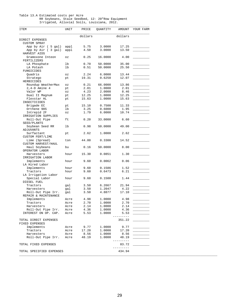#### Table 13.A Estimated costs per Acre RR Soybeans, Stale Seedbed, 12- 20"Row Equipment Irrigated, Alluvial Soils, Louisiana, 2012.

| ITEM                               | UNIT                       | PRICE   | QUANTITY | AMOUNT    | YOUR FARM |
|------------------------------------|----------------------------|---------|----------|-----------|-----------|
|                                    |                            | dollars |          | dollars   |           |
| DIRECT EXPENSES                    |                            |         |          |           |           |
| <b>CUSTOM SPRAY</b>                |                            |         |          |           |           |
| App by Air ( 5 gal)                | appl                       | 5.75    | 3.0000   | 17.25     |           |
| App by Air (3 gal)<br>HARVEST AIDS | appl                       | 4.50    | 3.0000   | 13.50     |           |
| Gramoxone Inteon                   | $\mathtt{\circ}\mathtt{z}$ | 0.25    | 16.0000  | 4.00      |           |
| FERTILIZERS                        |                            |         |          |           |           |
| LA Phosphate                       | lb                         | 0.70    | 50.0000  | 35.00     |           |
| LA Potash                          | lb                         | 0.51    | 50.0000  | 25.50     |           |
| FUNGICIDES                         |                            |         |          |           |           |
| Quadris                            | $\circ z$                  | 2.24    | 6.0000   | 13.44     |           |
| Stratego                           | pt                         | 19.31   | 0.6250   | 12.07     |           |
| HERBICIDES                         |                            |         |          |           |           |
| Roundup WeatherMax                 | $\mathtt{\circ}\mathtt{z}$ | 0.21    | 66.0000  | 13.86     |           |
| $2, 4-D$ Amine 4                   | pt                         | 2.01    | 1.0000   | 2.01      |           |
| Valor WP                           | $\mathtt{\circ}\mathtt{z}$ | 4.23    | 2.0000   | 8.46      |           |
| Dual II Magnum                     | pt                         | 12.25   | 1.0000   | 12.25     |           |
| Flexstar HL                        | pt                         | 15.63   | 1.0000   | 15.63     |           |
| <b>INSECTICIDES</b>                |                            |         |          |           |           |
| Brigade EC                         | pt                         | 15.10   | 0.7500   | 11.33     |           |
| Orthene 90S                        | lb                         | 3.25    | 0.6000   | 1.95      |           |
| Intrepid 2F                        | $\mathtt{\circ}\mathtt{z}$ | 1.79    | 6.0000   | 10.74     |           |
| IRRIGATION SUPPLIES                |                            |         |          | 6.60      |           |
| Roll-Out Pipe                      | ft                         | 0.20    | 33.0000  |           |           |
| SEED/PLANTS                        |                            |         |          | 49.00     |           |
| Soybean Seed RR<br>ADJUVANTS       | lb                         | 0.98    | 50.0000  |           |           |
| Surfactant                         | pt                         | 2.62    | 1.0000   | 2.62      |           |
| <b>CUSTOM FERT/LIME</b>            |                            |         |          |           |           |
| Lime (Spread)                      | ton                        | 44.00   | 0.3300   | 14.52     |           |
| CUSTOM HARVEST/HAUL                |                            |         |          |           |           |
| Haul Soybeans                      | bu                         | 0.16    | 50.0000  | 8.00      |           |
| OPERATOR LABOR                     |                            |         |          |           |           |
| Harvesters                         | hour                       | 15.30   | 0.0851   | 1.30      |           |
| IRRIGATION LABOR                   |                            |         |          |           |           |
| Implements                         | hour                       | 9.60    | 0.0062   | 0.06      |           |
| LA Hired Labor                     |                            |         |          |           |           |
| Implements                         | hour                       | 9.60    | 0.1586   | 1.52      |           |
| Tractors                           | hour                       | 9.60    | 0.6473   | 6.21      |           |
| LA Irrigation Labor                |                            |         |          |           |           |
| Special Labor                      | hour                       | 9.60    | 0.1500   | 1.44      |           |
| DIESEL FUEL                        |                            |         |          |           |           |
| Tractors                           | gal                        | 3.50    | 6.2667   | 21.94     |           |
| Harvesters                         | gal                        | 3.50    | 1.2047   | 4.22      |           |
| Roll-Out Pipe Irr.                 | gal                        | 3.50    | 4.8877   | 17.10     |           |
| REPAIR & MAINTENANCE               |                            |         |          |           |           |
| Implements                         | Acre                       | 4.98    | 1.0000   | 4.98      |           |
| Tractors                           | Acre                       | 2.70    | 1.0000   | 2.70      |           |
| Harvesters                         | Acre                       | 2.14    | 1.0000   | 2.14      |           |
| Roll-Out Pipe Irr.                 | Acre                       | 4.36    | 1.0000   | 4.36      |           |
| INTEREST ON OP. CAP.               | Acre                       | 5.53    | 1.0000   | 5.53      |           |
|                                    |                            |         |          | --------- |           |
| TOTAL DIRECT EXPENSES              |                            |         |          | 351.22    |           |
| FIXED EXPENSES                     |                            |         |          |           |           |
| Implements                         | Acre                       | 9.77    | 1,0000   | 9.77      |           |
| Tractors                           | Acre                       | 17.20   | 1.0000   | 17.20     |           |
| Harvesters                         | Acre                       | 8.56    | 1.0000   | 8.56      |           |
| Roll-Out Pipe Irr.                 | Acre                       | 48.19   | 1.0000   | 48.19     |           |
|                                    |                            |         |          | --------- |           |
| TOTAL FIXED EXPENSES               |                            |         |          | 83.72     |           |
|                                    |                            |         |          | ------    |           |
| TOTAL SPECIFIED EXPENSES           |                            |         |          | 434.94    |           |
|                                    |                            |         |          |           |           |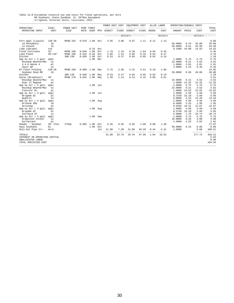# Table 13.B Estimated resource use and costs for field operations, per Acre<br>RR Soybeans, Stale Seedbed, 12- 20"Row Equipment<br>Irrigated, Alluvial Soils, Louisiana, 2012.

|                                                              |                |                    |              |                    |     | POWER UNIT COST |       | EQUIPMENT COST           |       |       | ALLOC LABOR | OPERATING/DURABLE INPUT |       |                 |                        |
|--------------------------------------------------------------|----------------|--------------------|--------------|--------------------|-----|-----------------|-------|--------------------------|-------|-------|-------------|-------------------------|-------|-----------------|------------------------|
| OPERATION/<br>OPERATING INPUT                                | SIZE/<br>UNIT  | POWER UNIT<br>SIZE | RATE         | PERF TIMES<br>OVER | MTH | DIRECT          | FIXED | DIRECT                   | FIXED | HOURS | COST        | AMOUNT PRICE            |       | COST            | TOTAL<br>COST          |
|                                                              |                |                    |              |                    |     |                 |       | $- -$ dollars----------- |       |       | dollars     |                         |       | -dollars--      | -----                  |
| Fert Appl (Liquid)                                           | $12R - 30$     | MFWD 225           | 0.078        | 1.00               | Oct | 3.65            | 3.00  | 0.97                     | 1.11  | 0.11  | 1.13        |                         |       |                 | 9.86                   |
| LA Phosphate                                                 | 1 <sub>b</sub> |                    |              |                    |     |                 |       |                          |       |       |             | 50.0000                 | 0.70  | 35.00           | 35.00                  |
| LA Potash                                                    | 1 <sub>b</sub> |                    |              |                    |     |                 |       |                          |       |       |             | 50.0000                 | 0.51  | 25.50           | 25.50                  |
| Lime (Spread)                                                | ton            |                    |              | $0.33$ Oct         |     |                 |       |                          |       |       |             | 0.3300                  | 44.00 | 14.52           | 14.52                  |
| Field Cultivate                                              | 32'            | MFWD 190           | 0.046        | 1.00               | Oct | 1.79            | 1.19  | 0.38                     | 1.64  | 0.04  | 0.45        |                         |       |                 | 5.45                   |
| Land Plane                                                   | 40'x10'        | MFWD 190           | 0.242        | 0.20               | Oct | 1.85            | 1.24  | 0.06                     | 0.16  | 0.04  | 0.47        |                         |       |                 | 3.78                   |
| Ditcher                                                      |                | 2WD 130            | 0.020        | 1.00               | Oct | 0.53            | 0.37  | 0.04                     | 0.05  | 0.02  | 0.19        |                         |       |                 | 1.18                   |
| App by Air ( 5 gal)                                          | appl           |                    |              | 1.00               | Mar |                 |       |                          |       |       |             | 1.0000                  | 5.75  | 5.75            | 5.75                   |
| Roundup WeatherMax                                           | OZ             |                    |              |                    |     |                 |       |                          |       |       |             | 22.0000                 | 0.21  | 4.62            | 4.62                   |
| $2, 4-D$ Amine $4$                                           | pt             |                    |              |                    |     |                 |       |                          |       |       |             | 1.0000                  | 2.01  | 2.01            | 2.01                   |
| Valor WP                                                     | $\circ z$      |                    |              |                    |     |                 |       |                          |       |       |             | 2.0000                  | 4.23  | 8.46            | 8.46                   |
| NT Plant-Folding                                             | $12R - 20$     | MFWD 190           | 0.098        | 1.00               | May | 3.75            | 2.50  | 2.31                     | 4.51  | 0.19  | 1.88        |                         |       |                 | 14.95                  |
| Soybean Seed RR                                              | 1 <sub>b</sub> |                    |              |                    |     |                 |       |                          |       |       |             | 50.0000                 | 0.98  | 49.00           | 49.00                  |
| Ditcher                                                      |                | 2WD 130            | 0.020        | 1.00               | May | 0.53            | 0.37  | 0.04                     | 0.05  | 0.02  | 0.19        |                         |       |                 | 1.18                   |
| Spray (Broadcast)                                            | 40'            | MFWD 170           | 0.042        | 1.00               | May | 1.48            | 1.14  | 0.13                     | 0.15  | 0.06  | 0.61        |                         |       |                 | 3.51                   |
| Roundup WeatherMax                                           | OZ             |                    |              |                    |     |                 |       |                          |       |       |             | 22,0000                 | 0.21  | 4.62            | 4.62                   |
| Dual II Magnum                                               | pt             |                    |              |                    |     |                 |       |                          |       |       |             | 1,0000                  | 12.25 | 12.25           | 12.25                  |
| App by Air ( 5 gal)                                          | appl           |                    |              | 1.00               | Jun |                 |       |                          |       |       |             | 1,0000                  | 5.75  | 5.75            | 5.75                   |
| Roundup WeatherMax                                           | OZ             |                    |              |                    |     |                 |       |                          |       |       |             | 22.0000                 | 0.21  | 4.62            | 4.62                   |
| Flexstar HL                                                  | pt             |                    |              |                    |     |                 |       |                          |       |       |             | 1,0000                  | 15.63 | 15.63           | 15.63                  |
| App by Air ( 3 gal)                                          | appl           |                    |              | 1.00               | Jul |                 |       |                          |       |       |             | 1.0000                  | 4.50  | 4.50            | 4.50                   |
| Brigade EC                                                   | pt             |                    |              |                    |     |                 |       |                          |       |       |             | 0.3750                  | 15.10 | 5.66            | 5.66                   |
| Ouadris                                                      | OZ             |                    |              |                    |     |                 |       |                          |       |       |             | 6.0000                  | 2.24  | 13.44           | 13.44                  |
| App by Air ( 3 gal)                                          | appl           |                    |              | 1.00               | Aug |                 |       |                          |       |       |             | 1.0000                  | 4.50  | 4.50            | 4.50                   |
| Orthene 90S                                                  | 1 <sub>b</sub> |                    |              |                    |     |                 |       |                          |       |       |             | 0.6000                  | 3.25  | 1.95            | 1.95                   |
| Stratego                                                     | pt             |                    |              |                    |     |                 |       |                          |       |       |             | 0.6250                  | 19.31 | 12.07           | 12.07                  |
| App by Air ( 3 gal)                                          | appl           |                    |              | 1.00               | Aug |                 |       |                          |       |       |             | 1,0000                  | 4.50  | 4.50            | 4.50                   |
| Brigade EC                                                   | pt             |                    |              |                    |     |                 |       |                          |       |       |             | 0.3750                  | 15.10 | 5.66            | 5.66                   |
| Intrepid 2F                                                  | OZ             |                    |              |                    |     |                 |       |                          |       |       |             | 6.0000                  | 1.79  | 10.74           | 10.74                  |
| App by Air ( 5 gal)                                          | appl           |                    |              | 1.00 Sep           |     |                 |       |                          |       |       |             | 1,0000                  | 5.75  | 5.75            | 5.75                   |
| Gramoxone Inteon                                             | OZ             |                    |              |                    |     |                 |       |                          |       |       |             | 16.0000                 | 0.25  | 4.00            | 4.00                   |
| Surfactant                                                   | pt             |                    |              |                    |     |                 |       |                          |       |       |             | 1.0000                  | 2.62  | 2.62            | 2.62                   |
| Header - Soybean                                             | 30' Flex       | 275hp              | $0.085$ 1.00 |                    | Oct | 6.36            | 8.56  | 0.65                     | 1.00  | 0.08  | 1.30        |                         |       |                 | 17.87                  |
| Haul Soybeans                                                | bu             |                    |              | 1.00               | Oct |                 |       |                          |       |       |             | 50.0000                 | 0.16  | 8.00            | 8.00                   |
| Roll-Out Pipe Irr.                                           | Acre           |                    |              |                    | Jul | 11.06           | 7.39  | 21.86                    | 49.29 | 0.44  | 4.31        | 1,0000                  |       | 6.60<br>------- | 100.51                 |
| TOTALS<br>INTEREST ON OPERATING CAPITAL<br>UNALLOCATED LABOR |                |                    |              |                    |     | 31.00           | 25.76 | 26.44                    | 57.96 | 1.04  | 10.53       |                         |       | 277.72          | 429.41<br>5.53<br>0.00 |
| TOTAL SPECIFIED COST                                         |                |                    |              |                    |     |                 |       |                          |       |       |             |                         |       |                 | 434.94                 |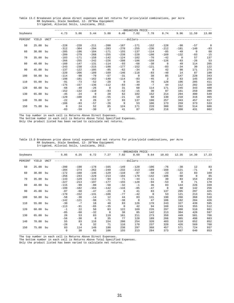Table 13.C Breakeven price above direct expenses and net returns for price/yield combinations, per Acre RR Soybeans, Stale Seedbed, 12- 20"Row Equipment Irrigated, Alluvial Soils, Louisiana, 2012.

|          |          |      |                |          |          |                |             | -BREAKEVEN PRICE                  |              |                |          |              |                |
|----------|----------|------|----------------|----------|----------|----------------|-------------|-----------------------------------|--------------|----------------|----------|--------------|----------------|
| Soybeans |          |      | 4.73           | 5.06     | 5.44     | 5.88           | 6.40        | 7.02                              | 7.78         | 8.74           | 9.96     | 11.59        | 13.88          |
| PERCENT  | YIELD    | UNIT |                |          |          |                |             | --------------dollars------------ |              |                |          |              |                |
| 50       | 25.00 bu |      | $-228$         | $-220$   | $-211$   | $-200$         | $-187$      | $-171$                            | $-152$       | $-128$         | $-98$    | $-57$        | $\overline{0}$ |
|          |          |      | $-312$         | $-304$   | $-294$   | $-283$         | $-270$      | $-255$                            | $-236$       | $-212$         | $-181$   | $-140$       | $-83$          |
| 60       | 30.00 bu |      | $-205$         | $-196$   | $-184$   | $-171$         | $-1.55$     | $-137$                            | $-114$       | $-85$          | $-49$    | $\mathbf{0}$ | 68             |
|          |          |      | $-289$         | $-279$   | $-268$   | $-255$         | $-239$      | $-220$                            | $-198$       | $-169$         | $-132$   | $-83$        | $-15$          |
| 70       | 35.00 bu |      | $-183$         | $-171$   | $-158$   | $-142$         | $-124$      | $-102$                            | $-76$        | $-42$          | $\Omega$ | 57           | 137            |
|          |          |      | $-266$         | $-255$   | $-242$   | $-226$         | $-208$      | $-186$                            | $-159$       | $-126$         | $-83$    | $-26$        | 53             |
| 80       | 40.00    | bu   | $-160$         | $-147$   | $-131$   | $-114$         | $-93$       | $-68$                             | $-38$        | $\mathbf 0$    | 49       | 114          | 205            |
|          |          |      | $-243$         | $-230$   | $-215$   | $-198$         | $-177$      | $-152$                            | $-121$       | $-83$          | $-34$    | 30           | 122            |
| 90       | 45.00 bu |      | $-137$         | $-122$   | $-105$   | $-85$          | $-62$       | $-34$                             | $\mathbf{0}$ | 42             | 98       | 171          | 274            |
|          |          |      | $-220$         | $-206$   | $-189$   | $-169$         | $-146$      | $-118$                            | $-83$        | $-40$          | 14       | 87           | 190            |
| 100      | 50.00 bu |      | $-114$         | $-98$    | $-79$    | $-57$          | $-31$       | $\Omega$                          | 38           | 85             | 147      | 228          | 343            |
|          |          |      | $-198$         | $-181$   | $-162$   | $-140$         | $-114$      | $-83$                             | $-45$        | $\overline{a}$ | 63       | 145          | 259            |
| 110      | 55.00    | bu   | $-91$          | $-73$    | $-52$    | $-28$          | $\mathbf 0$ | 34                                | 76           | 128            | 196      | 285          | 411            |
|          |          |      | $-175$         | $-157$   | $-136$   | $-112$         | $-83$       | $-49$                             | $-7$         | 44             | 112      | 202          | 328            |
| 120      | 60.00 bu |      | $-68$          | $-49$    | $-26$    | $\Omega$       | 31          | 68                                | 114          | 171            | 245      | 343          | 480            |
|          |          |      | $-152$         | $-132$   | $-110$   | $-83$          | $-52$       | $-15$                             | 30           | 87             | 161      | 259          | 396            |
| 130      | 65.00 bu |      | $-45$          | $-24$    | $\Omega$ | 28             | 62          | 102                               | 152          | 214            | 294      | 400          | 549            |
|          |          |      | $-129$         | $-108$   | $-83$    | $-55$          | $-21$       | 19                                | 68           | 130            | 210      | 316          | 465            |
| 140      | 70.00    | bu   | $-22$          | $\Omega$ | 26       | 57             | 93          | 137                               | 190          | 257            | 343      | 457          | 617            |
|          |          |      | $-106$         | $-83$    | $-57$    | $-26$          | 9           | 53                                | 106          | 173            | 259      | 373          | 533            |
| 150      | 75.00 bu |      | $\overline{0}$ | 24       | 52       | 85             | 124         | 171                               | 228          | 300            | 392      | 514          | 686            |
|          |          |      | $-83$          | $-59$    | $-30$    | $\overline{a}$ | 41          | 87                                | 145          | 216            | 308      | 431          | 602            |

\_\_\_\_\_\_\_\_\_\_\_\_\_\_\_\_\_\_\_\_\_\_\_\_\_\_\_\_\_\_\_\_\_\_\_\_\_\_\_\_\_\_\_\_\_\_\_\_\_\_\_\_\_\_\_\_\_\_\_\_\_\_\_\_\_\_\_\_\_\_\_\_\_\_\_\_\_\_\_\_\_\_\_\_\_\_\_\_\_\_\_\_\_\_\_\_\_\_\_\_\_\_\_\_\_\_\_\_\_\_\_\_\_\_\_\_\_\_\_\_ The top number in each cell is Returns Above Direct Expenses. The bottom number in each cell is Returns Above Total Specified Expenses.

Only the product listed has been varied to calculate net returns.

Table 13.D Breakeven price above total expenses and net returns for price/yield combinations, per Acre RR Soybeans, Stale Seedbed, 12- 20"Row Equipment Irrigated, Alluvial Soils, Louisiana, 2012.

|          |          |      |                   |                  |                  |                   |                   | -BREAKEVEN PRICE              |                    |                   |                 |                   |                    |
|----------|----------|------|-------------------|------------------|------------------|-------------------|-------------------|-------------------------------|--------------------|-------------------|-----------------|-------------------|--------------------|
| Soybeans |          |      | 5.85              | 6.25             | 6.72             | 7.27              | 7.92              | 8.69                          | 9.64               | 10.83             | 12.35           | 14.39             | 17.23              |
| PERCENT  | YIELD    | UNIT |                   |                  |                  |                   |                   | --------------dollars-------- |                    |                   |                 |                   |                    |
| 50       | 25.00    | bu   | $-200$<br>$-284$  | $-190$<br>$-274$ | $-178$<br>$-262$ | $-165$<br>$-249$  | $-149$<br>$-232$  | $-129$<br>$-213$              | $-106$<br>$-189$   | $-76$<br>$-160$   | $-38$<br>$-121$ | 12<br>$-71$       | 83<br>$\mathbf{0}$ |
| 60       | 30.00 bu |      | $-172$<br>$-256$  | $-160$<br>$-243$ | $-146$<br>$-229$ | $-129$<br>$-213$  | $-110$<br>$-194$  | $-87$<br>$-170$               | $-58$<br>$-142$    | $-23$<br>$-106$   | 22<br>$-60$     | 83<br>$\mathbf 0$ | 169<br>85          |
| 70       | 35.00    | bu   | $-143$<br>$-227$  | $-129$<br>$-213$ | $-113$<br>$-197$ | $-94$<br>$-177$   | $-71$<br>$-155$   | $-44$<br>$-128$               | $-11$<br>$-94$     | 30<br>$-53$       | 83<br>$\Omega$  | 154<br>71         | 254<br>170         |
| 80       | 40.00    | bu   | $-115$<br>$-199$  | $-99$<br>$-182$  | $-80$<br>$-164$  | $-58$<br>$-142$   | $-32$<br>$-116$   | $-1$<br>$-85$                 | 36<br>$-47$        | 83<br>$\mathbf 0$ | 144<br>60       | 226<br>142        | 339<br>256         |
| 90       | 45.00 bu |      | $-87$<br>$-170$   | $-68$<br>$-152$  | $-47$<br>$-131$  | $-23$<br>$-106$   | 6<br>$-77$        | 41<br>$-42$                   | 83<br>$\mathbf{0}$ | 137<br>53         | 205<br>121      | 297<br>213        | 425<br>341         |
| 100      | 50.00    | bu   | $-58$<br>$-142$   | $-38$<br>$-121$  | $-14$<br>$-98$   | 12<br>$-71$       | 44<br>$-38$       | 83<br>$\mathbf 0$             | 131<br>47          | 190<br>106        | 266<br>182      | 368<br>284        | 510<br>426         |
| 110      | 55.00    | bu   | $-30$<br>$-113$   | $-7$<br>$-91$    | 18<br>$-65$      | 48<br>$-35$       | 83<br>$\mathbf 0$ | 126<br>42                     | 178<br>94          | 243<br>160        | 327<br>243      | 439<br>355        | 595<br>512         |
| 120      | 60.00 bu |      | $-1$<br>$-85$     | 22<br>$-60$      | 50<br>$-32$      | 83<br>$\mathbf 0$ | 122<br>38         | 169<br>85                     | 226<br>142         | 297<br>213        | 388<br>304      | 510<br>426        | 681<br>597         |
| 130      | 65.00    | bu   | 26<br>$-56$       | 53<br>$-30$      | 83<br>$\Omega$   | 119<br>35         | 161<br>77         | 211<br>128                    | 273<br>189         | 350<br>266        | 449<br>365      | 581<br>498        | 766<br>683         |
| 140      | 70.00    | bu   | 55<br>$-28$       | 83<br>$\Omega$   | 116<br>32        | 154<br>71         | 200<br>116        | 254<br>170                    | 320<br>237         | 403<br>320        | 510<br>426      | 652<br>569        | 852<br>768         |
| 150      | 75.00 bu |      | 83<br>$\mathbf 0$ | 114<br>30        | 149<br>65        | 190<br>106        | 238<br>155        | 297<br>213                    | 368<br>284         | 457<br>373        | 571<br>487      | 724<br>640        | 937<br>853         |

\_\_\_\_\_\_\_\_\_\_\_\_\_\_\_\_\_\_\_\_\_\_\_\_\_\_\_\_\_\_\_\_\_\_\_\_\_\_\_\_\_\_\_\_\_\_\_\_\_\_\_\_\_\_\_\_\_\_\_\_\_\_\_\_\_\_\_\_\_\_\_\_\_\_\_\_\_\_\_\_\_\_\_\_\_\_\_\_\_\_\_\_\_\_\_\_\_\_\_\_\_\_\_\_\_\_\_\_\_\_\_\_\_\_\_\_\_\_\_\_ The top number in each cell is Returns Above Direct Expenses. The bottom number in each cell is Returns Above Total Specified Expenses.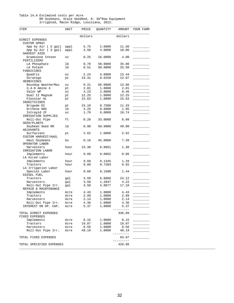#### Table 14.A Estimated costs per Acre RR Soybeans, Stale Seedbed, 8- 38"Row Equipment Irrigated, Macon Ridge, Louisiana, 2012.

| ITEM                             | UNIT                       | PRICE   | QUANTITY | AMOUNT  | YOUR FARM |
|----------------------------------|----------------------------|---------|----------|---------|-----------|
|                                  |                            | dollars |          | dollars |           |
| DIRECT EXPENSES                  |                            |         |          |         |           |
| CUSTOM SPRAY                     |                            |         |          |         |           |
| App by Air ( 5 gal)              | appl                       | 5.75    | 2.0000   | 11.50   |           |
| App by Air (3 gal)               | appl                       | 4.50    | 4.0000   | 18.00   |           |
| HARVEST AIDS<br>Gramoxone Inteon | OZ                         | 0.25    | 16.0000  | 4.00    |           |
| FERTILIZERS                      |                            |         |          |         |           |
| LA Phosphate                     | lb                         | 0.70    | 50.0000  | 35.00   |           |
| LA Potash                        | lb                         | 0.51    | 50.0000  | 25.50   |           |
| FUNGICIDES                       |                            |         |          |         |           |
| Quadris                          | $\circ z$                  | 2.24    | 6.0000   | 13.44   |           |
| Stratego                         | pt                         | 19.31   | 0.6250   | 12.07   |           |
| HERBICIDES                       |                            |         |          |         |           |
| Roundup WeatherMax               | $\mathtt{\circ}\mathtt{z}$ | 0.21    | 66.0000  | 13.86   |           |
| $2, 4-D$ Amine $4$               | pt                         | 2.01    | 1.0000   | 2.01    |           |
| Valor WP                         | OZ                         | 4.23    | 2.0000   | 8.46    |           |
| Dual II Magnum                   | pt                         | 12.25   | 1.0000   | 12.25   |           |
| Flexstar HL                      | pt                         | 15.63   | 1.0000   | 15.63   |           |
| INSECTICIDES                     |                            |         |          |         |           |
| Brigade EC                       | pt                         | 15.10   | 0.7500   | 11.33   |           |
| Orthene 90S                      | lb                         | 3.25    | 0.6000   | 1.95    |           |
| Intrepid 2F                      | $\mathtt{\circ}\mathtt{z}$ | 1.79    | 6.0000   | 10.74   |           |
| IRRIGATION SUPPLIES              |                            |         |          |         |           |
| Roll-Out Pipe                    | ft                         | 0.20    | 33.0000  | 6.60    |           |
| SEED/PLANTS                      |                            |         |          |         |           |
| Soybean Seed RR                  | lb                         | 0.98    | 50.0000  | 49.00   |           |
| ADJUVANTS                        |                            |         |          |         |           |
| Surfactant                       | pt                         | 2.62    | 1.0000   | 2.62    |           |
| CUSTOM HARVEST/HAUL              |                            |         |          |         |           |
| Haul Soybeans                    | bu                         | 0.16    | 45.0000  | 7.20    |           |
| OPERATOR LABOR                   |                            |         |          |         |           |
| Harvesters                       | hour                       | 15.30   | 0.0851   | 1.30    |           |
| IRRIGATION LABOR                 | hour                       |         | 0.0062   | 0.06    |           |
| Implements<br>LA Hired Labor     |                            | 9.60    |          |         |           |
| Implements                       | hour                       | 9.60    | 0.1345   | 1.29    |           |
| Tractors                         | hour                       | 9.60    | 0.7203   | 6.92    |           |
| LA Irrigation Labor              |                            |         |          |         |           |
| Special Labor                    | hour                       | 9.60    | 0.1500   | 1.44    |           |
| DIESEL FUEL                      |                            |         |          |         |           |
| Tractors                         | gal                        | 3.50    | 6.8886   | 24.12   |           |
| Harvesters                       | gal                        | 3.50    | 1.2047   | 4.22    |           |
| Roll-Out Pipe Irr.               | gal                        | 3.50    | 4.8877   | 17.10   |           |
| REPAIR & MAINTENANCE             |                            |         |          |         |           |
| Implements                       | Acre                       | 4.43    | 1.0000   | 4.43    |           |
| Tractors                         | Acre                       | 2.99    | 1,0000   | 2.99    |           |
| Harvesters                       | Acre                       | 2.14    | 1.0000   | 2.14    |           |
| Roll-Out Pipe Irr.               | Acre                       | 4.36    | 1.0000   | 4.36    |           |
| INTEREST ON OP. CAP.             | Acre                       | 5.37    | 1.0000   | 5.37    |           |
|                                  |                            |         |          | $---$   |           |
| TOTAL DIRECT EXPENSES            |                            |         |          | 336.89  |           |
| FIXED EXPENSES                   |                            |         |          |         |           |
| Implements                       | Acre                       | 8.15    | 1.0000   | 8.15    |           |
| Tractors                         | Acre                       | 19.07   | 1.0000   | 19.07   |           |
| Harvesters                       | Acre                       | 8.56    | 1.0000   | 8.56    |           |
| Roll-Out Pipe Irr.               | Acre                       | 48.19   | 1.0000   | 48.19   |           |
|                                  |                            |         |          | ------- |           |
| TOTAL FIXED EXPENSES             |                            |         |          | 83.97   |           |
|                                  |                            |         |          | ------- |           |
| TOTAL SPECIFIED EXPENSES         |                            |         |          | 420.86  |           |
|                                  |                            |         |          |         |           |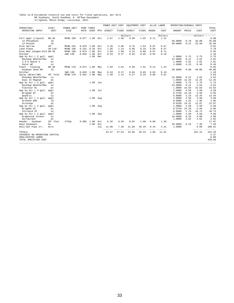# Table 14.B Estimated resource use and costs for field operations, per Acre<br>RR Soybeans, Stale Seedbed, 8- 38 Row Equipment<br>Irrigated, Macon Ridge, Louisiana, 2012.

|                               |                |            |              |            |     | POWER UNIT COST |       | EQUIPMENT COST  |       |       | ALLOC LABOR        | OPERATING/DURABLE INPUT |       |                   |                 |
|-------------------------------|----------------|------------|--------------|------------|-----|-----------------|-------|-----------------|-------|-------|--------------------|-------------------------|-------|-------------------|-----------------|
| OPERATION/                    | SIZE/          | POWER UNIT |              | PERF TIMES |     |                 |       |                 |       |       |                    |                         |       |                   | TOTAL           |
| OPERATING INPUT               | UNIT           | SIZE       | <b>RATE</b>  | OVER       | MTH | DIRECT          | FIXED | DIRECT          | FIXED | HOURS | COST               | AMOUNT PRICE            |       | COST              | COST            |
|                               |                |            |              |            |     | ---------       |       | $-dollars-----$ |       |       | dollars            |                         |       | $-----dollars-$   | -----           |
| Fert Appl (Liquid)            | $8R - 38$      | MFWD 190   | 0.077        | 1.00       | Oct | 2.97            | 1.98  | 0.90            | 1.03  | 0.11  | 1.12               |                         |       |                   | 8.00            |
| LA Phosphate                  | lb             |            |              |            |     |                 |       |                 |       |       |                    | 50.0000                 | 0.70  | 35.00             | 35.00           |
| LA Potash                     | 1 <sub>b</sub> |            |              |            |     |                 |       |                 |       |       |                    | 50.0000                 | 0.51  | 25.50             | 25.50           |
| Disk Harrow                   | 28'            | MFWD 225   | 0.070        | 1.00       | Oct | 3.26            | 2.68  | 0.76            | 1.64  | 0.07  | 0.67               |                         |       |                   | 9.01            |
| Land Plane                    | 40'x10'        | MFWD 190   | 0.242        | 0.20       | Oct | 1.85            | 1.24  | 0.06            | 0.16  | 0.04  | 0.47               |                         |       |                   | 3.78            |
| Disk Bed (Hipper)Fld 8R-38    |                | MFWD 190   | 0.074        | 1.00       | Oct | 2.84            | 1.89  | 0.33            | 0.88  | 0.07  | 0.71               |                         |       |                   | 6.65            |
| Ditcher                       |                | 2WD 130    | 0.020        | 1.00       | Oct | 0.53            | 0.37  | 0.04            | 0.05  | 0.02  | 0.19               |                         |       |                   | 1.18            |
| App by Air ( 5 gal)           | appl           |            |              | 1.00       | Mar |                 |       |                 |       |       |                    | 1,0000                  | 5.75  | 5.75              | 5.75            |
| Roundup WeatherMax            | OZ             |            |              |            |     |                 |       |                 |       |       |                    | 22.0000                 | 0.21  | 4.62              | 4.62            |
| $2, 4-D$ Amine $4$            | pt             |            |              |            |     |                 |       |                 |       |       |                    | 1.0000                  | 2.01  | 2.01              | 2.01            |
| Valor WP                      | $\circ z$      |            |              |            |     |                 |       |                 |       |       |                    | 2.0000                  | 4.23  | 8.46              | 8.46            |
| Plant - Folding               | $8R - 38$      | MFWD 170   | $0.074$ 1.00 |            | May | 2.59            | 2.01  | 0.98            | 1.91  | 0.14  | 1.44               |                         |       |                   | 8.93            |
| Soybean Seed RR               | 1 <sub>b</sub> |            |              |            |     |                 |       |                 |       |       |                    | 50.0000                 | 0.98  | 49.00             | 49.00           |
| Ditcher                       |                | 2WD 130    | 0.020        | 1.00       | May | 0.53            | 0.37  | 0.04            | 0.05  | 0.02  | 0.19               |                         |       |                   | 1.18            |
| Spray (Bcast/HB)              | 40' Fold       | MFWD 170   | 0.042        | 1.00       | May | 1.48            | 1.14  | 0.27            | 0.33  | 0.06  | 0.61               |                         |       |                   | 3.83            |
| Roundup WeatherMax            | OZ             |            |              |            |     |                 |       |                 |       |       |                    | 22.0000                 | 0.21  | 4.62              | 4.62            |
| Dual II Magnum                | pt             |            |              |            |     |                 |       |                 |       |       |                    | 1.0000                  | 12.25 | 12.25             | 12.25           |
| App by Air ( 5 gal)           | appl           |            |              | 1.00       | Jun |                 |       |                 |       |       |                    | 1.0000                  | 5.75  | 5.75              | 5.75            |
| Roundup WeatherMax            | OZ             |            |              |            |     |                 |       |                 |       |       |                    | 22.0000                 | 0.21  | 4.62              | 4.62            |
| Flexstar HL                   | pt             |            |              |            |     |                 |       |                 |       |       |                    | 1.0000                  | 15.63 | 15.63             | 15.63           |
| App by Air ( 3 gal)           | appl           |            |              | 1.00       | Jul |                 |       |                 |       |       |                    | 1,0000                  | 4.50  | 4.50              | 4.50            |
| Brigade EC                    | pt             |            |              |            |     |                 |       |                 |       |       |                    | 0.3750                  | 15.10 | 5.66              | 5.66            |
| Ouadris                       | OZ             |            |              |            |     |                 |       |                 |       |       |                    | 6,0000                  | 2.24  | 13.44             | 13.44           |
| App by Air ( 3 gal)           | appl           |            |              | 1.00       | Aug |                 |       |                 |       |       |                    | 1.0000                  | 4.50  | 4.50              | 4.50            |
| Orthene 90S                   | 1 <sub>b</sub> |            |              |            |     |                 |       |                 |       |       |                    | 0.6000                  | 3.25  | 1.95              | 1.95            |
| Stratego                      | pt             |            |              |            |     |                 |       |                 |       |       |                    | 0.6250                  | 19.31 | 12.07             | 12.07           |
| App by Air ( 3 gal)           | appl           |            |              | 1.00 Aug   |     |                 |       |                 |       |       |                    | 1.0000                  | 4.50  | 4.50              | 4.50            |
| Brigade EC                    | pt             |            |              |            |     |                 |       |                 |       |       |                    | 0.3750                  | 15.10 | 5.66              | 5.66            |
| Intrepid 2F                   | OZ             |            |              |            |     |                 |       |                 |       |       |                    | 6.0000                  | 1.79  | 10.74             | 10.74           |
| App by Air ( 3 gal)           | appl           |            |              | 1.00 Sep   |     |                 |       |                 |       |       |                    | 1.0000                  | 4.50  | 4.50              | 4.50            |
| Gramoxone Inteon              | OZ             |            |              |            |     |                 |       |                 |       |       |                    | 16.0000                 | 0.25  | 4.00              | 4.00            |
| Surfactant                    | pt             |            |              |            |     |                 |       |                 |       |       |                    | 1.0000                  | 2.62  | 2.62              | 2.62            |
| Header - Soybean              | 30' Flex       | 275hp      | 0.085        | 1.00       | Oct | 6.36            | 8.56  | 0.65            | 1.00  | 0.08  | 1.30               |                         |       |                   | 17.87           |
| Haul Soybeans                 | bu             |            |              | 1.00       | Oct |                 |       |                 |       |       |                    | 45.0000                 | 0.16  | 7.20              | 7.20            |
| Roll-Out Pipe Irr.            | Acre           |            |              |            | Jul | 11.06           | 7.39  | 21.86           | 49.29 | 0.44  | 4.31               | 1.0000                  |       | 6.60              | 100.51          |
| TOTALS                        |                |            |              |            |     | 33.47           | 27.63 | 25.89           | 56.34 | 1.09  | $- - - -$<br>11.01 |                         |       | -------<br>261.15 | -----<br>415.49 |
| INTEREST ON OPERATING CAPITAL |                |            |              |            |     |                 |       |                 |       |       |                    |                         |       |                   | 5.37            |
| UNALLOCATED LABOR             |                |            |              |            |     |                 |       |                 |       |       |                    |                         |       |                   | 0.00            |
| TOTAL SPECIFIED COST          |                |            |              |            |     |                 |       |                 |       |       |                    |                         |       |                   | 420.86          |
|                               |                |            |              |            |     |                 |       |                 |       |       |                    |                         |       |                   |                 |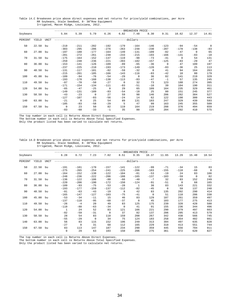Table 14.C Breakeven price above direct expenses and net returns for price/yield combinations, per Acre RR Soybeans, Stale Seedbed, 8- 38"Row Equipment Irrigated, Macon Ridge, Louisiana, 2012.

|          |          |             |              |                |              |          |                | -BREAKEVEN PRICE- |          |             |          |             |                |
|----------|----------|-------------|--------------|----------------|--------------|----------|----------------|-------------------|----------|-------------|----------|-------------|----------------|
| Soybeans |          |             | 5.04         | 5.39           | 5.79         | 6.26     | 6.82           | 7.48              | 8.30     | 9.31        | 10.62    | 12.37       | 14.81          |
| PERCENT  | YIELD    | <b>UNIT</b> |              |                |              |          | $----dollars-$ |                   |          |             |          |             |                |
| 50       | 22.50    | bu          | $-219$       | $-211$         | $-202$       | $-192$   | $-179$         | $-164$            | $-146$   | $-123$      | $-94$    | $-54$       | $\overline{0}$ |
|          |          |             | $-303$       | $-295$         | $-286$       | $-276$   | $-263$         | $-248$            | $-230$   | $-207$      | $-178$   | $-138$      | $-83$          |
| 60       | 27.00    | bu          | $-197$       | $-188$         | $-177$       | $-164$   | $-149$         | $-131$            | $-109$   | $-82$       | $-47$    | $\mathbf 0$ | 65             |
|          |          |             | $-281$       | $-272$         | $-261$       | $-248$   | $-233$         | $-215$            | $-193$   | $-166$      | $-131$   | $-83$       | $-18$          |
| 70       | 31.50    | bu          | $-175$       | $-164$         | $-152$       | $-137$   | $-119$         | $-98$             | $-73$    | $-41$       | $\Omega$ | 54          | 131            |
|          |          |             | $-259$       | $-248$         | $-236$       | $-221$   | $-203$         | $-182$            | $-157$   | $-125$      | $-83$    | $-29$       | 47             |
| 80       | 36.00    | bu          | $-153$       | $-141$         | $-126$       | $-109$   | $-89$          | $-65$             | $-36$    | $\mathbf 0$ | 47       | 109         | 197            |
|          |          |             | $-237$       | $-225$         | $-210$       | $-193$   | $-173$         | $-149$            | $-120$   | $-83$       | $-36$    | 25          | 113            |
| 90       | 40.50    | bu          | $-131$       | $-117$         | $-101$       | $-82$    | $-59$          | $-32$             | $\Omega$ | 41          | 94       | 164         | 263            |
|          |          |             | $-215$       | $-201$         | $-185$       | $-166$   | $-143$         | $-116$            | $-83$    | $-42$       | 10       | 80          | 179            |
| 100      | 45.00    | bu          | $-109$       | $-94$          | $-76$        | $-54$    | $-29$          | $\overline{0}$    | 36       | 82          | 141      | 219         | 329            |
|          |          |             | $-193$       | $-178$         | $-160$       | $-138$   | $-113$         | $-83$             | $-47$    | $-1$        | 57       | 135         | 245            |
| 110      | 49.50    | bu          | $-87$        | $-70$          | $-50$        | $-27$    | $\mathbf 0$    | 32                | 73       | 123         | 188      | 274         | 395            |
|          |          |             | $-171$       | $-154$         | $-134$       | $-111$   | $-83$          | $-51$             | $-10$    | 39          | 104      | 190         | 311            |
| 120      | 54.00    | bu          | $-65$        | $-47$          | $-25$        | $\Omega$ | 29             | 65                | 109      | 164         | 235      | 329         | 461            |
|          |          |             | $-149$       | $-131$         | $-109$       | $-83$    | $-54$          | $-18$             | 25       | 80          | 151      | 245         | 377            |
| 130      | 58.50    | bu          | $-43$        | $-23$          | $\mathbf{0}$ | 27       | 59             | 98                | 146      | 206         | 282      | 384         | 527            |
|          |          |             | $-127$       | $-107$         | $-83$        | $-56$    | $-24$          | 14                | 62       | 122         | 198      | 300         | 443            |
| 140      | 63.00    | bu          | $-21$        | $\overline{0}$ | 25           | 54       | 89             | 131               | 183      | 247         | 329      | 439         | 593            |
|          |          |             | $-105$       | $-83$          | $-58$        | $-29$    | 5              | 47                | 99       | 163         | 245      | 355         | 509            |
| 150      | 67.50 bu |             | $\mathbf{0}$ | 23             | 50           | 82       | 119            | 164               | 219      | 288         | 376      | 494         | 659            |
|          |          |             | $-83$        | $-60$          | $-33$        | $-1$     | 35             | 80                | 135      | 204         | 292      | 410         | 575            |

\_\_\_\_\_\_\_\_\_\_\_\_\_\_\_\_\_\_\_\_\_\_\_\_\_\_\_\_\_\_\_\_\_\_\_\_\_\_\_\_\_\_\_\_\_\_\_\_\_\_\_\_\_\_\_\_\_\_\_\_\_\_\_\_\_\_\_\_\_\_\_\_\_\_\_\_\_\_\_\_\_\_\_\_\_\_\_\_\_\_\_\_\_\_\_\_\_\_\_\_\_\_\_\_\_\_\_\_\_\_\_\_\_\_\_\_\_\_\_\_ The top number in each cell is Returns Above Direct Expenses.

The bottom number in each cell is Returns Above Total Specified Expenses.

Only the product listed has been varied to calculate net returns.

### Table 14.D Breakeven price above total expenses and net returns for price/yield combinations, per Acre RR Soybeans, Stale Seedbed, 8- 38"Row Equipment Irrigated, Macon Ridge, Louisiana, 2012.

|          |          |             |              |                |             |          |                                 | -BREAKEVEN PRICE |             |          |          |             |                |
|----------|----------|-------------|--------------|----------------|-------------|----------|---------------------------------|------------------|-------------|----------|----------|-------------|----------------|
| Soybeans |          |             | 6.28         | 6.72           | 7.23        | 7.82     | 8.51                            | 9.35             | 10.37       | 11.65    | 13.29    | 15.48       | 18.54          |
| PERCENT  | YIELD    | <b>UNIT</b> |              |                |             |          | --------------dollars---------- |                  |             |          |          |             |                |
| 50       | 22.50 bu |             | $-191$       | $-181$         | $-170$      | $-157$   | $-141$                          | $-122$           | $-99$       | $-71$    | $-34$    | 15          | 83             |
|          |          |             | $-275$       | $-265$         | $-254$      | $-241$   | $-225$                          | $-206$           | $-183$      | $-155$   | $-118$   | $-68$       | $\overline{0}$ |
| 60       | 27.00    | bu          | $-164$       | $-152$         | $-138$      | $-122$   | $-104$                          | $-81$            | $-53$       | $-19$    | 24       | 83          | 166            |
|          |          |             | $-248$       | $-236$         | $-222$      | $-206$   | $-188$                          | $-165$           | $-137$      | $-103$   | $-59$    | $\mathbf 0$ | 82             |
| 70       | 31.50 bu |             | $-136$       | $-122$         | $-106$      | $-88$    | $-66$                           | $-40$            | $-7$        | 32       | 83       | 152         | 249            |
|          |          |             | $-220$       | $-206$         | $-190$      | $-172$   | $-150$                          | $-124$           | $-91$       | $-51$    | $\Omega$ | 68          | 165            |
| 80       | 36.00 bu |             | $-109$       | $-93$          | $-75$       | $-53$    | $-28$                           | $\overline{1}$   | 38          | 83       | 143      | 221         | 332            |
|          |          |             | $-193$       | $-177$         | $-159$      | $-137$   | $-112$                          | $-82$            | $-45$       | $\Omega$ | 59       | 137         | 248            |
| 90       | 40.50 bu |             | $-81$        | $-63$          | $-43$       | $-19$    | 8                               | 42               | 83          | 135      | 202      | 290         | 414            |
|          |          |             | $-165$       | $-147$         | $-127$      | $-103$   | $-75$                           | $-41$            | $\mathbf 0$ | 51       | 118      | 206         | 330            |
| 100      | 45.00    | bu          | $-53$        | $-34$          | $-11$       | 15       | 46                              | 83               | 129         | 187      | 261      | 359         | 497            |
|          |          |             | $-137$       | $-118$         | $-95$       | $-68$    | $-37$                           | $\circ$          | 45          | 103      | 177      | 275         | 413            |
| 110      | 49.50    | bu          | $-26$        | $-4$           | 20          | 49       | 83                              | 125              | 175         | 239      | 320      | 428         | 580            |
|          |          |             | $-110$       | $-88$          | $-63$       | $-34$    | $\mathbf 0$                     | 41               | 91          | 155      | 236      | 344         | 496            |
| 120      | 54.00    | bu          | $\mathbf{1}$ | 24             | 52          | 83       | 121                             | 166              | 221         | 290      | 379      | 497         | 663            |
|          |          |             | $-82$        | $-59$          | $-31$       | $\Omega$ | 37                              | 82               | 137         | 206      | 295      | 413         | 579            |
| 130      | 58.50 bu |             | 28           | 54             | 83          | 118      | 159                             | 208              | 267         | 342      | 438      | 566         | 745            |
|          |          |             | $-55$        | $-29$          | $\mathbf 0$ | 34       | 75                              | 124              | 183         | 258      | 354      | 482         | 661            |
| 140      | 63.00 bu |             | 56           | 83             | 115         | 152      | 196                             | 249              | 313         | 394      | 497      | 635         | 828            |
|          |          |             | $-27$        | $\overline{0}$ | 31          | 68       | 112                             | 165              | 229         | 310      | 413      | 551         | 744            |
| 150      | 67.50 bu |             | 83           | 113            | 147         | 187      | 234                             | 290              | 359         | 445      | 556      | 704         | 911            |
|          |          |             | 0            | 29             | 63          | 103      | 150                             | 206              | 275         | 361      | 472      | 620         | 827            |

The top number in each cell is Returns Above Direct Expenses.

The bottom number in each cell is Returns Above Total Specified Expenses.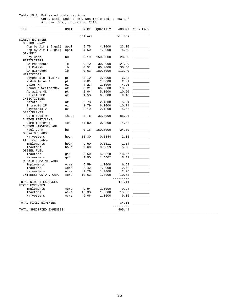#### Table 15.A Estimated costs per Acre Corn, Stale Sedbed, RR, Non-Irrigated, 8-Row 38" Alluvial Soil, Louisiana, 2012.

| <b>ITEM</b>                | UNIT                       | PRICE   | QUANTITY | AMOUNT    | YOUR FARM |
|----------------------------|----------------------------|---------|----------|-----------|-----------|
|                            |                            | dollars |          | dollars   |           |
| DIRECT EXPENSES            |                            |         |          |           |           |
| CUSTOM SPRAY               |                            |         |          |           |           |
| App by Air ( 5 gal)        | appl                       | 5.75    | 4.0000   | 23.00     |           |
| App by Air (3 gal)         | appl                       | 4.50    | 1.0000   | 4.50      |           |
| GIN/DRY                    |                            |         |          |           |           |
| Dry Corn                   | bu                         | 0.19    | 150.0000 | 28.50     |           |
| FERTILIZERS                |                            |         |          |           |           |
| LA Phosphate               | lb                         | 0.70    | 30.0000  | 21.00     |           |
| LA Potash                  | lb                         | 0.51    | 60.0000  | 30.60     |           |
| LA Nitrogen                | lb                         | 0.63    | 180.0000 | 113.40    |           |
| HERBICIDES                 |                            |         |          |           |           |
| Glyphosate Plus 4L         | pt                         | 3.19    | 2.0000   | 6.38      |           |
| $2, 4-D$ Amine 4           | pt                         | 2.01    | 1.0000   | 2.01      |           |
| Valor WP                   | $\circ z$                  | 4.23    | 1.0000   | 4.23      |           |
| Roundup WeatherMax         | $\mathtt{\circ}\mathtt{z}$ | 0.21    | 66.0000  | 13.86     |           |
| Atrazine 4L                | pt                         | 2.04    | 5.0000   | 10.20     |           |
|                            |                            |         |          |           |           |
| Select 2EC<br>INSECTICIDES | ΟZ                         | 1.53    | 6.0000   | 9.18      |           |
|                            |                            |         |          |           |           |
| Karate Z                   | $\mathtt{\circ}\mathtt{z}$ | 2.73    | 2.1300   | 5.81      |           |
| Intrepid 2F                | OZ                         | 1.79    | 6.0000   | 10.74     |           |
| Baythroid 2                | OZ                         | 2.19    | 2.1300   | 4.66      |           |
| SEED/PLANTS                |                            |         |          |           |           |
| Corn Seed RR               | thous                      | 2.78    | 32.0000  | 88.96     |           |
| <b>CUSTOM FERT/LIME</b>    |                            |         |          |           |           |
| Lime (Spread)              | ton                        | 44.00   | 0.3300   | 14.52     |           |
| CUSTOM HARVEST/HAUL        |                            |         |          |           |           |
| Haul Corn                  | bu                         | 0.16    | 150.0000 | 24.00     |           |
| OPERATOR LABOR             |                            |         |          |           |           |
| Harvesters                 | hour                       | 15.30   | 0.1344   | 2.06      |           |
| LA Hired Labor             |                            |         |          |           |           |
| Implements                 | hour                       | 9.60    | 0.1611   | 1.54      |           |
| Tractors                   | hour                       | 9.60    | 0.5819   | 5.58      |           |
| DIESEL FUEL                |                            |         |          |           |           |
| Tractors                   | gal                        | 3.50    | 5.3318   | 18.67     |           |
| Harvesters                 | gal                        | 3.50    | 1.6602   | 5.81      |           |
| REPAIR & MAINTENANCE       |                            |         |          |           |           |
| Implements                 | Acre                       | 6.59    | 1.0000   | 6.59      |           |
| Tractors                   | Acre                       | 2.42    | 1.0000   | 2.42      |           |
| Harvesters                 | Acre                       | 2.26    | 1.0000   | 2.26      |           |
| INTEREST ON OP. CAP.       | Acre                       | 10.63   | 1.0000   | 10.63     |           |
|                            |                            |         |          | $- - - -$ |           |
| TOTAL DIRECT EXPENSES      |                            |         |          | 471.11    |           |
| FIXED EXPENSES             |                            |         |          |           |           |
| Implements                 | Acre                       | 9.94    | 1.0000   | 9.94      |           |
| Tractors                   | Acre                       | 15.33   | 1.0000   | 15.33     |           |
| Harvesters                 | Acre                       | 9.06    | 1.0000   | 9.06      |           |
|                            |                            |         |          | ------    |           |
| TOTAL FIXED EXPENSES       |                            |         |          | 34.33     |           |
|                            |                            |         |          | -------   |           |
|                            |                            |         |          |           |           |
| TOTAL SPECIFIED EXPENSES   |                            |         |          | 505.44    |           |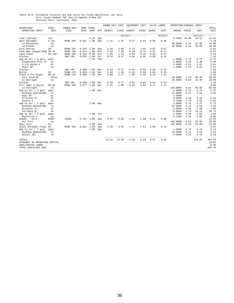# Table 15.B Estimated resource use and costs for field operations, per Acre<br>Corn, Stale Sedbed, RR, Non-Irrigated, 8-Row 38"<br>Alluvial Soil, Louisiana, 2012.

|                                           |                |                    |              |                           |     | POWER UNIT COST |       | EQUIPMENT COST                 |       |       | ALLOC LABOR | OPERATING/DURABLE INPUT |              |                   |               |
|-------------------------------------------|----------------|--------------------|--------------|---------------------------|-----|-----------------|-------|--------------------------------|-------|-------|-------------|-------------------------|--------------|-------------------|---------------|
| OPERATION/<br>OPERATING INPUT             | SIZE/<br>UNIT  | POWER UNIT<br>SIZE | <b>RATE</b>  | PERF TIMES<br><b>OVER</b> | MTH | DIRECT          | FIXED | DIRECT                         | FIXED | HOURS | COST        | AMOUNT PRICE            |              | COST              | TOTAL<br>COST |
|                                           |                |                    |              |                           |     |                 |       | ------------dollars----------- |       |       | dollars     |                         |              | $-----dollars---$ | ------        |
| Lime (Spread)                             | ton            |                    |              | 0.33                      | Sep |                 |       |                                |       |       |             | 0.3300                  | 44.00        | 14.52             | 14.52         |
| Spin Spreader                             | 5 ton          | MFWD 190           | 0.042 1.00   |                           | Sep | 1.61            | 1.07  | 0.27                           | 0.55  | 0.08  | 0.80        |                         |              |                   | 4.30          |
| LA Phosphate                              | lb             |                    |              |                           |     |                 |       |                                |       |       |             | 30,0000                 | 0.70         | 21.00             | 21.00         |
| LA Potash                                 | 1 <sub>b</sub> |                    |              |                           |     |                 |       |                                |       |       |             | 60.0000                 | 0.51         | 30.60             | 30.60         |
| Disk Harrow                               | 28'            | MFWD 225           | 0.070        | 1.00                      | Sep | 3.26            | 2.68  | 0.76                           | 1.64  | 0.07  | 0.67        |                         |              |                   | 9.01          |
| Disk Bed (Hipper)Rdg 8R-38                |                | MFWD 190           | 0.074        | 1.00                      | Oct | 2.84            | 1.89  | 0.28                           | 0.75  | 0.07  | 0.71        |                         |              |                   | 6.47          |
| Land Plane                                | 40'x10'        | MFWD 190           | 0.242        | 0.20                      | Oct | 1.85            | 1.24  | 0.06                           | 0.16  | 0.04  | 0.47        |                         |              |                   | 3.78          |
| Ditcher                                   |                | 2WD 130            | 0.020        | 1.00                      | Oct | 0.53            | 0.37  | 0.04                           | 0.05  | 0.02  | 0.19        |                         |              |                   | 1.18          |
| App by Air ( 5 gal)                       | appl           |                    |              | 1.00                      | Feb |                 |       |                                |       |       |             | 1.0000                  | 5.75         | 5.75              | 5.75          |
| Glyphosate Plus 4L                        | pt             |                    |              |                           |     |                 |       |                                |       |       |             | 2.0000                  | 3.19         | 6.38              | 6.38          |
| $2, 4-D$ Amine $4$                        | pt             |                    |              |                           |     |                 |       |                                |       |       |             | 1.0000                  | 2.01         | 2.01              | 2.01          |
| Valor WP                                  | OZ             |                    |              |                           |     |                 |       |                                |       |       |             | 1.0000                  | 4.23         | 4.23              | 4.23          |
| Ditcher                                   |                | 2WD 130            | 0.020        | 1.00                      | Mar | 0.53            | 0.37  | 0.04                           | 0.05  | 0.02  | 0.19        |                         |              |                   | 1.18          |
| Roller                                    | 32'            | MFWD 170           | 0.046        | 1.00                      | Mar | 1.63            | 1.26  | 0.10                           | 0.56  | 0.04  | 0.45        |                         |              |                   | 4.00          |
| Plant & Pre Rigid                         | $8R - 38$      | MFWD 170           | 0.080        | 1.00                      | Mar | 2.80            | 2.17  | 1.00                           | 1.95  | 0.16  | 1.54        |                         |              |                   | 9.46          |
| Corn Seed RR                              | thous          |                    |              |                           |     |                 |       |                                |       |       |             | 32.0000                 | 2.78         | 88.96             | 88.96         |
| LA Nitrogen                               | 1 <sub>b</sub> |                    |              |                           |     |                 |       |                                |       |       |             | 30.0000                 | 0.63         | 18.90             | 18.90         |
| Ditcher                                   |                | 2WD 130            | 0.020        | 1.00                      | Mar | 0.53            | 0.37  | 0.04                           | 0.05  | 0.02  | 0.19        |                         |              |                   | 1.18          |
| Fert Appl (Liquid)                        | $8R - 38$      | MFWD 190           | 0.077        | 1.00                      | Apr | 2.97            | 1.98  | 0.90                           | 1.03  | 0.11  | 1.12        |                         |              |                   | 8.00          |
| LA Nitrogen                               | lb             |                    |              |                           |     |                 |       |                                |       |       |             | 150.0000                | 0.63         | 94.50             | 94.50         |
| App by Air ( 5 gal)                       | appl           |                    |              | 1.00 Apr                  |     |                 |       |                                |       |       |             | 1.0000<br>22,0000       | 5.75<br>0.21 | 5.75<br>4.62      | 5.75<br>4.62  |
| Roundup WeatherMax<br>Dual 8E             | OZ             |                    |              |                           |     |                 |       |                                |       |       |             |                         |              |                   |               |
|                                           | pt             |                    |              |                           |     |                 |       |                                |       |       |             | 1,0000                  |              |                   |               |
| Atrazine 4L<br>Karate Z                   | pt             |                    |              |                           |     |                 |       |                                |       |       |             | 3.0000<br>2.1300        | 2.04<br>2.73 | 6.12<br>5.81      | 6.12<br>5.81  |
|                                           | OZ             |                    |              | 1.00                      |     |                 |       |                                |       |       |             | 1,0000                  | 5.75         | 5.75              | 5.75          |
| App by Air ( 5 gal)<br>Roundup WeatherMax | appl<br>OZ     |                    |              |                           | May |                 |       |                                |       |       |             | 22.0000                 | 0.21         | 4.62              | 4.62          |
| Atrazine 4L                               | pt             |                    |              |                           |     |                 |       |                                |       |       |             | 2.0000                  | 2.04         | 4.08              | 4.08          |
| Intrepid 2F                               | OZ             |                    |              |                           |     |                 |       |                                |       |       |             | 6.0000                  | 1.79         | 10.74             | 10.74         |
| App by Air ( 3 gal)                       | appl           |                    |              | 1.00                      | Jun |                 |       |                                |       |       |             | 1.0000                  | 4.50         | 4.50              | 4.50          |
| Baythroid 2                               | OZ             |                    |              |                           |     |                 |       |                                |       |       |             | 2.1300                  | 2.19         | 4.66              | 4.66          |
| Header - Corn                             | 6R38"          | 240hp              | $0.134$ 1.00 |                           | Aug | 8.07            | 9.06  | 1.36                           | 2.08  | 0.13  | 2.06        |                         |              |                   | 22.63         |
| Dry Corn                                  | bu             |                    |              |                           |     |                 |       |                                |       |       |             | 150.0000                | 0.19         | 28.50             | 28.50         |
| Haul Corn                                 | bu             |                    |              | 1.00                      | Aug |                 |       |                                |       |       |             | 150.0000                | 0.16         | 24.00             | 24.00         |
| Stalk Shredder-Flail 20'                  |                | MFWD 150           | 0.082 1.00   |                           | Sep | 2.54            | 1.93  | 1.74                           | 1.07  | 0.08  | 0.79        |                         |              |                   | 8.07          |
| App by Air ( 5 gal)                       | appl           |                    |              | 1.00                      | Sep |                 |       |                                |       |       |             | 1,0000                  | 5.75         | 5.75              | 5.75          |
| Roundup WeatherMax                        | OZ             |                    |              |                           |     |                 |       |                                |       |       |             | 22.0000                 | 0.21         | 4.62              | 4.62          |
| Select 2EC                                | OZ             |                    |              |                           |     |                 |       |                                |       |       |             | 6.0000                  | 1.53         | 9.18              | 9.18          |
| TOTALS                                    |                |                    |              |                           |     | 29.16           | 24.39 | 6.59                           | 9.94  | 0.87  | 9.18        |                         |              | -------<br>415.55 | 494.81        |
| INTEREST ON OPERATING CAPITAL             |                |                    |              |                           |     |                 |       |                                |       |       |             |                         |              |                   | 10.63         |
| UNALLOCATED LABOR                         |                |                    |              |                           |     |                 |       |                                |       |       |             |                         |              |                   | 0.00          |
| TOTAL SPECIFIED COST                      |                |                    |              |                           |     |                 |       |                                |       |       |             |                         |              |                   | 505.44        |
|                                           |                |                    |              |                           |     |                 |       |                                |       |       |             |                         |              |                   |               |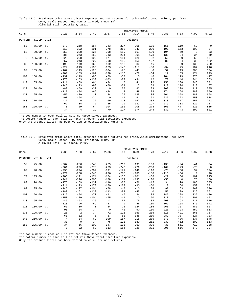Table 15.C Breakeven price above direct expenses and net returns for price/yield combinations, per Acre Corn, Stale Sedbed, RR, Non-Irrigated, 8-Row 38" Alluvial Soil, Louisiana, 2012.

|         |        |             |                |          |          |          |              | -BREAKEVEN PRICE |          |             |          |          |                |
|---------|--------|-------------|----------------|----------|----------|----------|--------------|------------------|----------|-------------|----------|----------|----------------|
| Corn    |        |             | 2.21           | 2.34     | 2.49     | 2.67     | 2.88         | 3.14             | 3.45     | 3.83        | 4.33     | 4.99     | 5.92           |
| PERCENT | YIELD  | <b>UNIT</b> |                |          |          |          |              | -----dollars-    |          |             |          |          |                |
| 50      | 75.00  | bu          | $-278$         | $-268$   | $-257$   | $-243$   | $-227$       | $-208$           | $-185$   | $-156$      | $-119$   | $-69$    | $\overline{0}$ |
|         |        |             | $-312$         | $-302$   | $-291$   | $-278$   | $-262$       | $-243$           | $-220$   | $-191$      | $-153$   | $-103$   | $-34$          |
| 60      | 90.00  | bu          | $-250$         | $-238$   | $-225$   | $-208$   | $-189$       | $-167$           | $-139$   | $-104$      | $-59$    | $\Omega$ | 83             |
|         |        |             | $-285$         | $-273$   | $-259$   | $-243$   | $-224$       | $-201$           | $-173$   | $-138$      | $-94$    | $-34$    | 49             |
| 70      | 105.00 | bu          | $-222$         | $-208$   | $-192$   | $-174$   | $-151$       | $-125$           | $-92$    | $-52$       | $\Omega$ | 69       | 167            |
|         |        |             | $-257$         | $-243$   | $-227$   | $-208$   | $-186$       | $-159$           | $-127$   | $-86$       | $-34$    | 35       | 132            |
| 80      | 120.00 | bu          | $-195$         | $-179$   | $-160$   | $-139$   | $-113$       | $-83$            | $-46$    | $\mathbf 0$ | 59       | 139      | 250            |
|         |        |             | $-229$         | $-213$   | $-195$   | $-173$   | $-148$       | $-117$           | $-80$    | $-34$       | 25       | 104      | 216            |
| 90      | 135.00 | bu          | $-167$         | $-149$   | $-128$   | $-104$   | $-75$        | $-41$            | $\Omega$ | 52          | 119      | 208      | 334            |
|         |        |             | $-201$         | $-183$   | $-162$   | $-138$   | $-110$       | $-76$            | $-34$    | 17          | 85       | 174      | 299            |
| 100     | 150.00 | bu          | $-139$         | $-119$   | $-96$    | $-69$    | $-37$        | $\mathbf 0$      | 46       | 104         | 179      | 278      | 417            |
|         |        |             | $-173$         | $-153$   | $-130$   | $-103$   | $-72$        | $-34$            | 12       | 70          | 144      | 244      | 383            |
| 110     | 165.00 | bu          | $-111$         | $-89$    | $-64$    | $-34$    | $\mathbf{0}$ | 41               | 92       | 156         | 238      | 348      | 501            |
|         |        |             | $-145$         | $-123$   | $-98$    | $-69$    | $-34$        | 7                | 58       | 122         | 204      | 313      | 467            |
| 120     | 180.00 | bu          | $-83$          | $-59$    | $-32$    | $\Omega$ | 37           | 83               | 139      | 208         | 298      | 417      | 585            |
|         |        |             | $-117$         | $-94$    | $-66$    | $-34$    | 3            | 49               | 104      | 174         | 264      | 383      | 550            |
| 130     | 195.00 | bu          | $-55$          | $-29$    | $\Omega$ | 34       | 75           | 125              | 185      | 261         | 358      | 487      | 668            |
|         |        |             | $-90$          | $-64$    | $-34$    | $\Omega$ | 41           | 91               | 151      | 226         | 323      | 453      | 634            |
| 140     | 210.00 | bu          | $-27$          | $\Omega$ | 32       | 69       | 113          | 167              | 232      | 313         | 417      | 557      | 752            |
|         |        |             | $-62$          | $-34$    | $-2$     | 35       | 79           | 132              | 197      | 279         | 383      | 522      | 717            |
| 150     | 225.00 | bu          | $\overline{0}$ | 29       | 64       | 104      | 151          | 208              | 278      | 365         | 477      | 626      | 835            |
|         |        |             | $-34$          | $-4$     | 29       | 70       | 117          | 174              | 244      | 331         | 443      | 592      | 801            |

\_\_\_\_\_\_\_\_\_\_\_\_\_\_\_\_\_\_\_\_\_\_\_\_\_\_\_\_\_\_\_\_\_\_\_\_\_\_\_\_\_\_\_\_\_\_\_\_\_\_\_\_\_\_\_\_\_\_\_\_\_\_\_\_\_\_\_\_\_\_\_\_\_\_\_\_\_\_\_\_\_\_\_\_\_\_\_\_\_\_\_\_\_\_\_\_\_\_\_\_\_\_\_\_\_\_\_\_\_\_\_\_\_\_\_\_\_\_\_\_ The top number in each cell is Returns Above Direct Expenses.

The bottom number in each cell is Returns Above Total Specified Expenses.

Only the product listed has been varied to calculate net returns.

Table 15.D Breakeven price above total expenses and net returns for price/yield combinations, per Acre Corn, Stale Sedbed, RR, Non-Irrigated, 8-Row 38" Alluvial Soil, Louisiana, 2012.

|         |        |      |                |          |                |          |              | -BREAKEVEN PRICE-         |             |             |          |             |              |
|---------|--------|------|----------------|----------|----------------|----------|--------------|---------------------------|-------------|-------------|----------|-------------|--------------|
| Corn    |        |      | 2.36           | 2.50     | 2.67           | 2.86     | 3.09         | 3.36                      | 3.70        | 4.12        | 4.66     | 5.37        | 6.38         |
| PERCENT | YIELD  | UNIT |                |          |                |          |              | --------dollars---------- |             |             |          |             |              |
| 50      | 75.00  | bu   | $-267$         | $-256$   | $-243$         | $-229$   | $-212$       | $-191$                    | $-166$      | $-135$      | $-94$    | $-41$       | 34           |
|         |        |      | $-301$         | $-290$   | $-278$         | $-263$   | $-246$       | $-226$                    | $-200$      | $-169$      | $-129$   | $-75$       | $\mathbf{0}$ |
| 60      | 90.00  | bu   | $-236$         | $-224$   | $-209$         | $-191$   | $-171$       | $-146$                    | $-116$      | $-78$       | $-30$    | 34          | 124          |
|         |        |      | $-271$         | $-258$   | $-243$         | $-226$   | $-205$       | $-180$                    | $-150$      | $-113$      | $-64$    | $\mathbf 0$ | 90           |
| 70      | 105.00 | bu   | $-206$         | $-191$   | $-174$         | $-154$   | $-130$       | $-101$                    | $-66$       | $-22$       | 34       | 109         | 215          |
|         |        |      | $-241$         | $-226$   | $-208$         | $-188$   | $-164$       | $-135$                    | $-100$      | $-56$       | $\Omega$ | 75          | 180          |
| 80      | 120.00 | bu   | $-176$         | $-159$   | $-139$         | $-116$   | $-88$        | $-56$                     | $-15$       | 34          | 98       | 185         | 305          |
|         |        |      | $-211$         | $-193$   | $-173$         | $-150$   | $-123$       | $-90$                     | $-50$       | $\mathbf 0$ | 64       | 150         | 271          |
| 90      | 135.00 | bu   | $-146$         | $-127$   | $-104$         | $-78$    | $-47$        | $-10$                     | 34          | 90          | 163      | 260         | 396          |
|         |        |      | $-180$         | $-161$   | $-139$         | $-113$   | $-82$        | $-45$                     | $\mathbf 0$ | 56          | 129      | 226         | 361          |
| 100     | 150.00 | bu   | $-116$         | $-94$    | $-70$          | $-41$    | $-6$         | 34                        | 84          | 147         | 228      | 335         | 486          |
|         |        |      | $-150$         | $-129$   | $-104$         | $-75$    | $-41$        | $\circ$                   | 50          | 113         | 193      | 301         | 452          |
| 110     | 165.00 | bu   | $-86$          | $-62$    | $-35$          | $-3$     | 34           | 79                        | 134         | 203         | 292      | 411         | 576          |
|         |        |      | $-120$         | $-96$    | $-69$          | $-37$    | $\mathbf{0}$ | 45                        | 100         | 169         | 258      | 376         | 542          |
| 120     | 180.00 | bu   | $-56$          | $-30$    | $-0$           | 34       | 75           | 124                       | 185         | 260         | 357      | 486         | 667          |
|         |        |      | $-90$          | $-64$    | $-34$          | $\Omega$ | 41           | 90                        | 150         | 226         | 323      | 452         | 633          |
| 130     | 195.00 | bu   | $-25$          | 2        | 34             | 72       | 116          | 169                       | 235         | 316         | 421      | 561         | 757          |
|         |        |      | $-60$          | $-32$    | $\overline{0}$ | 37       | 82           | 135                       | 200         | 282         | 387      | 527         | 723          |
| 140     | 210.00 | bu   | $\overline{4}$ | 34       | 69             | 109      | 157          | 215                       | 285         | 373         | 486      | 637         | 848          |
|         |        |      | $-30$          | $\Omega$ | 34             | 75       | 123          | 180                       | 251         | 339         | 452      | 602         | 813          |
| 150     | 225.00 | bu   | 34             | 66       | 103            | 147      | 198          | 260                       | 335         | 430         | 551      | 712         | 938          |
|         |        |      | $\mathbf 0$    | 32       | 69             | 113      | 164          | 226                       | 301         | 395         | 516      | 678         | 904          |

The top number in each cell is Returns Above Direct Expenses.

The bottom number in each cell is Returns Above Total Specified Expenses.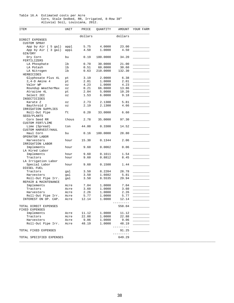#### Table 16.A Estimated costs per Acre Corn, Stale Sedbed, RR, Irrigated, 8-Row 38" Alluvial Soil, Louisiana, 2012.

| ITEM                     | UNIT                       | PRICE   | QUANTITY | AMOUNT     | YOUR FARM |
|--------------------------|----------------------------|---------|----------|------------|-----------|
|                          |                            | dollars |          | dollars    |           |
| DIRECT EXPENSES          |                            |         |          |            |           |
|                          |                            |         |          |            |           |
| <b>CUSTOM SPRAY</b>      |                            |         |          |            |           |
| App by Air ( 5 gal)      | appl                       | 5.75    | 4.0000   | 23.00      |           |
| App by Air (3 gal)       | appl                       | 4.50    | 1.0000   | 4.50       |           |
| GIN/DRY                  |                            |         |          |            |           |
| Dry Corn                 | bu                         | 0.19    | 180.0000 | 34.20      |           |
| FERTILIZERS              |                            |         |          |            |           |
| LA Phosphate             | lb                         | 0.70    | 30.0000  | 21.00      |           |
| LA Potash                | lb                         | 0.51    | 60.0000  | 30.60      |           |
| LA Nitrogen              | lb                         | 0.63    | 210.0000 | 132.30     |           |
| HERBICIDES               |                            |         |          |            |           |
| Glyphosate Plus 4L       | pt                         | 3.19    | 2.0000   | 6.38       |           |
| $2, 4-D$ Amine 4         | pt                         | 2.01    | 1.0000   | 2.01       |           |
| Valor WP                 | $\mathtt{\circ}\mathtt{z}$ | 4.23    | 1.0000   | 4.23       |           |
| Roundup WeatherMax       | $\circ z$                  | 0.21    | 66.0000  | 13.86      |           |
|                          |                            |         |          |            |           |
| Atrazine 4L              | pt                         | 2.04    | 5.0000   | 10.20      |           |
| Select 2EC               | $\mathtt{\circ}\mathtt{z}$ | 1.53    | 6.0000   | 9.18       |           |
| INSECTICIDES             |                            |         |          |            |           |
| Karate Z                 | ΟZ                         | 2.73    | 2.1300   | 5.81       |           |
| Baythroid 2              | ΟZ                         | 2.19    | 2.1300   | 4.66       |           |
| IRRIGATION SUPPLIES      |                            |         |          |            |           |
| Roll-Out Pipe            | ft                         | 0.20    | 33.0000  | 6.60       |           |
| SEED/PLANTS              |                            |         |          |            |           |
| Corn Seed RR             | thous                      | 2.78    | 35.0000  | 97.30      |           |
| <b>CUSTOM FERT/LIME</b>  |                            |         |          |            |           |
| Lime (Spread)            | ton                        | 44.00   | 0.3300   | 14.52      |           |
|                          |                            |         |          |            |           |
| CUSTOM HARVEST/HAUL      |                            |         |          |            |           |
| Haul Corn                | bu                         | 0.16    | 180.0000 | 28.80      |           |
| OPERATOR LABOR           |                            |         |          |            |           |
| Harvesters               | hour                       | 15.30   | 0.1344   | 2.06       |           |
| IRRIGATION LABOR         |                            |         |          |            |           |
| Implements               | hour                       | 9.60    | 0.0062   | 0.06       |           |
| LA Hired Labor           |                            |         |          |            |           |
| Implements               | hour                       | 9.60    | 0.1611   | 1.54       |           |
| Tractors                 | hour                       | 9.60    | 0.8812   | 8.45       |           |
| LA Irrigation Labor      |                            |         |          |            |           |
| Special Labor            | hour                       | 9.60    | 0.1500   | 1.44       |           |
| DIESEL FUEL              |                            |         |          |            |           |
|                          |                            |         |          |            |           |
| Tractors                 | gal                        | 3.50    | 8.2204   | 28.78      |           |
| Harvesters               | gal                        | 3.50    | 1.6602   | 5.81       |           |
| Roll-Out Pipe Irr.       | gal                        | 3.50    | 8.5535   | 29.94      |           |
| REPAIR & MAINTENANCE     |                            |         |          |            |           |
| Implements               | Acre                       | 7.04    | 1.0000   | 7.04       |           |
| Tractors                 | Acre                       | 3.60    | 1.0000   | 3.60       |           |
| Harvesters               | Acre                       | 2.26    | 1,0000   | 2.26       |           |
| Roll-Out Pipe Irr.       | Acre                       | 5.77    | 1.0000   | 5.77       |           |
| INTEREST ON OP. CAP.     | Acre                       | 12.14   | 1.0000   | 12.14      |           |
|                          |                            |         |          | ---------- |           |
| TOTAL DIRECT EXPENSES    |                            |         |          | 558.04     |           |
|                          |                            |         |          |            |           |
| FIXED EXPENSES           |                            |         |          |            |           |
| Implements               | Acre                       | 11.12   | 1.0000   | 11.12      |           |
| Tractors                 | Acre                       | 22.88   | 1.0000   | 22.88      |           |
| Harvesters               | Acre                       | 9.06    | 1.0000   | 9.06       |           |
| Roll-Out Pipe Irr.       | Acre                       | 48.19   | 1.0000   | 48.19      |           |
|                          |                            |         |          | ------     |           |
| TOTAL FIXED EXPENSES     |                            |         |          | 91.25      |           |
|                          |                            |         |          | -------    |           |
| TOTAL SPECIFIED EXPENSES |                            |         |          | 649.29     |           |
|                          |                            |         |          |            |           |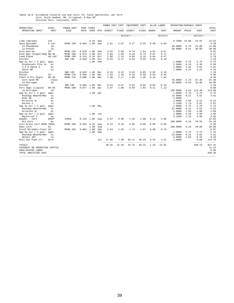## Table 16.B Estimated resource use and costs for field operations, per Acre<br>Corn, Stale Sedbed, RR, Irrigated, 8-Row 38"<br>Alluvial Soil, Louisiana, 2012.

|                                           |                         |                    |       |                    |     | POWER UNIT COST |       | EQUIPMENT COST                 |       |       | ALLOC LABOR       | OPERATING/DURABLE INPUT |       |                           |                     |
|-------------------------------------------|-------------------------|--------------------|-------|--------------------|-----|-----------------|-------|--------------------------------|-------|-------|-------------------|-------------------------|-------|---------------------------|---------------------|
| OPERATION/<br>OPERATING INPUT             | SIZE/<br>UNIT           | POWER UNIT<br>SIZE | RATE  | PERF TIMES<br>OVER | MTH | DIRECT          | FIXED | DIRECT                         | FIXED | HOURS | COST              | AMOUNT PRICE            |       | COST                      | TOTAL<br>COST       |
|                                           |                         |                    |       |                    |     |                 |       | ------------dollars----------- |       |       | dollars           |                         |       | ---------dollars--------- |                     |
| Lime (Spread)                             | ton                     |                    |       | 0.33               | Sep |                 |       |                                |       |       |                   | 0.3300                  | 44.00 | 14.52                     | 14.52               |
| Spin Spreader                             | 5 ton                   | MFWD 190           | 0.042 | 1.00               | Sep | 1.61            | 1.07  | 0.27                           | 0.55  | 0.08  | 0.80              |                         |       |                           | 4.30                |
| LA Phosphate                              | 1 <sub>b</sub>          |                    |       |                    |     |                 |       |                                |       |       |                   | 30.0000                 | 0.70  | 21.00                     | 21.00               |
| LA Potash                                 | 1 <sub>b</sub>          |                    |       |                    |     |                 |       |                                |       |       |                   | 60.0000                 | 0.51  | 30.60                     | 30.60               |
| Disk Harrow                               | 28'                     | MFWD 225           | 0.070 | 1.00               | Sep | 3.26            | 2.68  | 0.76                           | 1.64  | 0.07  | 0.67              |                         |       |                           | 9.01                |
| Disk Bed (Hipper)Rdg 8R-38                |                         | MFWD 190           | 0.074 | 1.00               | Oct | 2.84            | 1.89  | 0.28                           | 0.75  | 0.07  | 0.71              |                         |       |                           | 6.47                |
| Land Plane                                | $40'$ x $10'$           | MFWD 190           | 0.242 | 0.20               | Oct | 1.85            | 1.24  | 0.06                           | 0.16  | 0.04  | 0.47              |                         |       |                           | 3.78                |
| Ditcher                                   |                         | 2WD 130            | 0.020 | 1.00               | Oct | 0.53            | 0.37  | 0.04                           | 0.05  | 0.02  | 0.19              |                         |       |                           | 1.18                |
| App by Air ( 5 gal)                       | appl                    |                    |       | 1.00               | Feb |                 |       |                                |       |       |                   | 1,0000                  | 5.75  | 5.75                      | 5.75                |
| Glyphosate Plus 4L                        | pt                      |                    |       |                    |     |                 |       |                                |       |       |                   | 2,0000                  | 3.19  | 6.38                      | 6.38                |
| $2, 4-D$ Amine $4$                        | pt                      |                    |       |                    |     |                 |       |                                |       |       |                   | 1.0000                  | 2.01  | 2.01                      | 2.01                |
| Valor WP                                  | OZ                      |                    |       |                    |     |                 |       |                                |       |       |                   | 1.0000                  | 4.23  | 4.23                      | 4.23                |
| Ditcher                                   |                         | 2WD 130            | 0.020 | 1.00               | Mar | 0.53            | 0.37  | 0.04                           | 0.05  | 0.02  | 0.19              |                         |       |                           | 1.18                |
| Roller                                    | 32'                     | MFWD 170           | 0.046 | 1.00               | Mar | 1.63            | 1.26  | 0.10                           | 0.56  | 0.04  | 0.45              |                         |       |                           | 4.00                |
| Plant & Pre Rigid                         | $8R - 38$               | MFWD 170           | 0.080 | 1.00               | Mar | 2.80            | 2.17  | 1.00                           | 1.95  | 0.16  | 1.54              |                         | 2.78  | 97.30                     | 9.46<br>97.30       |
| Corn Seed RR                              | thous<br>1 <sub>b</sub> |                    |       |                    |     |                 |       |                                |       |       |                   | 35.0000<br>30,0000      | 0.63  | 18.90                     | 18.90               |
| LA Nitrogen<br>Ditcher                    |                         | 2WD 130            | 0.020 | 1.00               | Mar | 0.53            | 0.37  | 0.04                           | 0.05  | 0.02  | 0.19              |                         |       |                           | 1.18                |
| Fert Appl (Liquid)                        | $8R - 38$               | MFWD 190           | 0.077 | 1.00               | Apr | 2.97            | 1.98  | 0.90                           | 1.03  | 0.11  | 1.12              |                         |       |                           | 8.00                |
| LA Nitrogen                               | 1 <sub>b</sub>          |                    |       |                    |     |                 |       |                                |       |       |                   | 180.0000                | 0.63  | 113.40                    | 113.40              |
| App by Air ( 5 gal)                       | appl                    |                    |       | 1.00               | Apr |                 |       |                                |       |       |                   | 1,0000                  | 5.75  | 5.75                      | 5.75                |
| Roundup WeatherMax                        | OZ                      |                    |       |                    |     |                 |       |                                |       |       |                   | 22.0000                 | 0.21  | 4.62                      | 4.62                |
| Dual 8E                                   | pt                      |                    |       |                    |     |                 |       |                                |       |       |                   | 1,0000                  |       |                           |                     |
| Atrazine 4L                               | pt                      |                    |       |                    |     |                 |       |                                |       |       |                   | 3.0000                  | 2.04  | 6.12                      | 6.12                |
| Karate Z                                  | OZ                      |                    |       |                    |     |                 |       |                                |       |       |                   | 2.1300                  | 2.73  | 5.81                      | 5.81                |
| App by Air ( 5 gal)                       | appl                    |                    |       | 1.00               | May |                 |       |                                |       |       |                   | 1.0000                  | 5.75  | 5.75                      | 5.75                |
| Roundup WeatherMax                        | OZ                      |                    |       |                    |     |                 |       |                                |       |       |                   | 22.0000                 | 0.21  | 4.62                      | 4.62                |
| Atrazine 4L                               | pt                      |                    |       |                    |     |                 |       |                                |       |       |                   | 2,0000                  | 2.04  | 4.08                      | 4.08                |
| App by Air ( 3 gal)                       | appl                    |                    |       | 1.00               | Jun |                 |       |                                |       |       |                   | 1.0000                  | 4.50  | 4.50                      | 4.50                |
| Baythroid 2                               | OZ                      |                    |       |                    |     |                 |       |                                |       |       |                   | 2.1300                  | 2.19  | 4.66                      | 4.66                |
| Header - Corn                             | 6R38"                   | 240hp              | 0.134 | 1.00               | Aug | 8.07            | 9.06  | 1.36                           | 2.08  | 0.13  | 2.06              |                         |       |                           | 22.63               |
| Dry Corn                                  | bu                      |                    |       |                    |     |                 |       |                                |       |       |                   | 180.0000                | 0.19  | 34.20                     | 34.20               |
| Corn Grain Cart 8R40 700bu                |                         | MFWD 190           | 0.025 | 0.25               | Aug | 0.23            | 0.16  | 0.05                           | 0.08  | 0.00  | 0.06              |                         |       |                           | 0.58                |
| Haul Corn                                 | bu                      |                    |       | 1.00               | Aug |                 |       |                                |       |       |                   | 180,0000                | 0.16  | 28.80                     | 28.80               |
| Stalk Shredder-Flail 20'                  |                         | MFWD 150           | 0.082 | 1.00               | Sep | 2.54            | 1.93  | 1.74                           | 1.07  | 0.08  | 0.79              |                         |       |                           | 8.07                |
| App by Air ( 5 gal)                       | appl                    |                    |       | 1.00               | Sep |                 |       |                                |       |       |                   | 1.0000                  | 5.75  | 5.75                      | 5.75                |
| Roundup WeatherMax                        | OZ                      |                    |       |                    |     |                 |       |                                |       |       |                   | 22.0000                 | 0.21  | 4.62                      | 4.62                |
| Select 2EC                                | OZ                      |                    |       |                    |     |                 |       |                                |       |       |                   | 6.0000                  | 1.53  | 9.18                      | 9.18                |
| Roll-Out Pipe Irr.                        | Acre                    |                    |       |                    | Jul | 11.06           | 7.39  | 36.11                          | 49.29 | 0.44  | 4.31<br>$- - - -$ | 1.0000                  |       | 6.60<br>-------           | 114.76<br>$- - - -$ |
| TOTALS                                    |                         |                    |       |                    |     | 40.45           | 31.94 | 42.75                          | 59.31 | 1.33  | 13.55             |                         |       | 449.15                    | 637.15              |
| INTEREST ON OPERATING CAPITAL             |                         |                    |       |                    |     |                 |       |                                |       |       |                   |                         |       |                           | 12.14<br>0.00       |
| UNALLOCATED LABOR<br>TOTAL SPECIFIED COST |                         |                    |       |                    |     |                 |       |                                |       |       |                   |                         |       |                           | 649.29              |
|                                           |                         |                    |       |                    |     |                 |       |                                |       |       |                   |                         |       |                           |                     |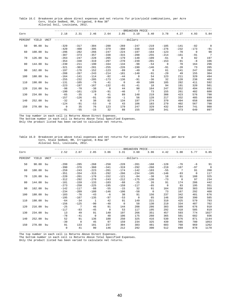Table 16.C Breakeven price above direct expenses and net returns for price/yield combinations, per Acre Corn, Stale Sedbed, RR, Irrigated, 8-Row 38" Alluvial Soil, Louisiana, 2012.

|         |        |      |                |                |          |          |                | -BREAKEVEN PRICE- |          |             |        |             |                |
|---------|--------|------|----------------|----------------|----------|----------|----------------|-------------------|----------|-------------|--------|-------------|----------------|
| Corn    |        |      | 2.18           | 2.31           | 2.46     | 2.64     | 2.85           | 3.10              | 3.40     | 3.78        | 4.27   | 4.93        | 5.84           |
| PERCENT | YIELD  | UNIT |                |                |          |          | $- - - - - -$  | -dollars-         |          |             |        |             |                |
| 50      | 90.00  | bu   | $-329$         | $-317$         | $-304$   | $-288$   | $-269$         | $-247$            | $-219$   | $-185$      | $-141$ | $-82$       | $\overline{0}$ |
|         |        |      | $-420$         | $-408$         | $-395$   | $-379$   | $-360$         | $-338$            | $-310$   | $-276$      | $-232$ | $-173$      | $-91$          |
| 60      | 108.00 | bu   | $-296$         | $-282$         | $-266$   | $-247$   | $-224$         | $-197$            | $-164$   | $-123$      | $-70$  | $\mathbf 0$ | 98             |
|         |        |      | $-387$         | $-373$         | $-357$   | $-338$   | $-315$         | $-288$            | $-255$   | $-214$      | $-161$ | $-91$       | $\overline{7}$ |
| 70      | 126.00 | bu   | $-263$         | $-247$         | $-228$   | $-205$   | $-179$         | $-148$            | $-109$   | $-61$       | $\cap$ | 82          | 197            |
|         |        |      | $-354$         | $-338$         | $-319$   | $-297$   | $-270$         | $-239$            | $-201$   | $-153$      | $-91$  | $-8$        | 106            |
| 80      | 144.00 | bu   | $-230$         | $-211$         | $-190$   | $-164$   | $-134$         | $-98$             | $-54$    | $\mathbf 0$ | 70     | 164         | 296            |
|         |        |      | $-321$         | $-303$         | $-281$   | $-255$   | $-226$         | $-190$            | $-146$   | $-91$       | $-20$  | 73          | 205            |
| 90      | 162.00 | bu   | $-197$         | $-176$         | $-152$   | $-123$   | $-89$          | $-49$             | $\Omega$ | 61          | 141    | 247         | 395            |
|         |        |      | $-288$         | $-267$         | $-243$   | $-214$   | $-181$         | $-140$            | $-91$    | $-29$       | 49     | 155         | 304            |
| 100     | 180.00 | bu   | $-164$         | $-141$         | $-114$   | $-82$    | $-44$          | $\mathbf 0$       | 54       | 123         | 211    | 329         | 494            |
|         |        |      | $-255$         | $-232$         | $-205$   | $-173$   | $-136$         | $-91$             | $-36$    | 32          | 120    | 238         | 402            |
| 110     | 198.00 | bu   | $-131$         | $-105$         | $-76$    | $-41$    | $\overline{0}$ | 49                | 109      | 185         | 282    | 411         | 592            |
|         |        |      | $-223$         | $-197$         | $-167$   | $-132$   | $-91$          | $-41$             | 18       | 94          | 191    | 320         | 501            |
| 120     | 216.00 | bu   | $-98$          | $-70$          | $-38$    | $\Omega$ | 44             | 98                | 164      | 247         | 352    | 494         | 691            |
|         |        |      | $-190$         | $-161$         | $-129$   | $-91$    | $-46$          | 7                 | 73       | 155         | 261    | 402         | 600            |
| 130     | 234.00 | bu   | $-65$          | $-35$          | $\Omega$ | 41       | 89             | 148               | 219      | 308         | 423    | 576         | 790            |
|         |        |      | $-157$         | $-126$         | $-91$    | $-50$    | $-1$           | 56                | 128      | 217         | 332    | 485         | 699            |
| 140     | 252.00 | bu   | $-32$          | $\overline{0}$ | 38       | 82       | 134            | 197               | 274      | 370         | 494    | 658         | 889            |
|         |        |      | $-124$         | $-91$          | $-53$    | $-8$     | 43             | 106               | 183      | 279         | 402    | 567         | 798            |
| 150     | 270.00 | bu   | $\overline{0}$ | 35             | 76       | 123      | 179            | 247               | 329      | 432         | 564    | 741         | 988            |
|         |        |      | $-91$          | $-55$          | $-15$    | 32       | 88             | 155               | 238      | 341         | 473    | 649         | 897            |

\_\_\_\_\_\_\_\_\_\_\_\_\_\_\_\_\_\_\_\_\_\_\_\_\_\_\_\_\_\_\_\_\_\_\_\_\_\_\_\_\_\_\_\_\_\_\_\_\_\_\_\_\_\_\_\_\_\_\_\_\_\_\_\_\_\_\_\_\_\_\_\_\_\_\_\_\_\_\_\_\_\_\_\_\_\_\_\_\_\_\_\_\_\_\_\_\_\_\_\_\_\_\_\_\_\_\_\_\_\_\_\_\_\_\_\_\_\_\_\_ The top number in each cell is Returns Above Direct Expenses.

The bottom number in each cell is Returns Above Total Specified Expenses.

Only the product listed has been varied to calculate net returns.

Table 16.D Breakeven price above total expenses and net returns for price/yield combinations, per Acre Corn, Stale Sedbed, RR, Irrigated, 8-Row 38" Alluvial Soil, Louisiana, 2012.

|         |        |      |             |                 |              |          |              | -BREAKEVEN PRICE-              |             |          |          |       |                |
|---------|--------|------|-------------|-----------------|--------------|----------|--------------|--------------------------------|-------------|----------|----------|-------|----------------|
| Corn    |        |      | 2.52        | 2.67            | 2.85         | 3.06     | 3.31         | 3.60                           | 3.96        | 4.42     | 5.00     | 5.77  | 6.85           |
| PERCENT | YIELD  | UNIT |             |                 |              |          |              | -------------dollars---------- |             |          |          |       |                |
| 50      | 90.00  | bu   | $-299$      | $-285$          | $-268$       | $-250$   | $-228$       | $-201$                         | $-168$      | $-128$   | $-76$    | -6    | 91             |
|         |        |      | $-390$      | $-376$          | $-360$       | $-341$   | $-319$       | $-292$                         | $-260$      | $-219$   | $-167$   | $-97$ | $\overline{0}$ |
| 60      | 108.00 | bu   | $-259$      | $-243$          | $-223$       | $-201$   | $-174$       | $-142$                         | $-103$      | $-55$    | 7        | 91    | 208            |
|         |        |      | $-351$      | $-334$          | $-315$       | $-292$   | $-266$       | $-234$                         | $-195$      | $-146$   | $-83$    | 0     | 117            |
| 70      | 126.00 | bu   | $-220$      | $-201$          | $-178$       | $-152$   | $-121$       | $-84$                          | $-38$       | 18       | 91       | 188   | 325            |
|         |        |      | $-312$      | $-292$          | $-270$       | $-243$   | $-212$       | $-175$                         | $-130$      | $-73$    | $\Omega$ | 97    | 234            |
| 80      | 144.00 | bu   | $-181$      | $-159$          | $-133$       | $-103$   | $-68$        | $-25$                          | 26          | 91       | 174      | 286   | 442            |
|         |        |      | $-273$      | $-250$          | $-225$       | $-195$   | $-159$       | $-117$                         | $-65$       | $\Omega$ | 83       | 195   | 351            |
| 90      | 162.00 | bu   | $-142$      | $-117$          | $-88$        | $-55$    | $-15$        | 32                             | 91          | 164      | 258      | 383   | 559            |
|         |        |      | $-234$      | $-209$          | $-180$       | $-146$   | $-106$       | $-58$                          | $\mathbf 0$ | 73       | 167      | 292   | 468            |
| 100     | 180.00 | bu   | $-103$      | $-76$           | $-43$        | $-6$     | 38           | 91                             | 156         | 237      | 342      | 481   | 676            |
|         |        |      | $-195$      | $-167$          | $-135$       | $-97$    | $-53$        | $\mathbf 0$                    | 65          | 146      | 250      | 390   | 585            |
| 110     | 198.00 | bu   | $-64$       | $-34$           | $\mathbf{1}$ | 42       | 91           | 149                            | 221         | 310      | 425      | 579   | 793            |
|         |        |      | $-156$      | $-125$          | $-90$        | $-48$    | $\mathbf{0}$ | 58                             | 130         | 219      | 334      | 487   | 702            |
| 120     | 216.00 | bu   | $-25$       | $7\phantom{.0}$ | 46           | 91       | 144          | 208                            | 286         | 383      | 509      | 676   | 910            |
|         |        |      | $-117$      | $-83$           | $-45$        | $\Omega$ | 53           | 117                            | 195         | 292      | 418      | 585   | 819            |
| 130     | 234.00 | bu   | 13          | 49              | 91           | 140      | 197          | 266                            | 351         | 457      | 593      | 774   | 1027           |
|         |        |      | $-78$       | $-41$           | $\mathbf 0$  | 48       | 106          | 175                            | 260         | 365      | 501      | 682   | 936            |
| 140     | 252.00 | bu   | 52          | 91              | 136          | 188      | 250          | 325                            | 416         | 530      | 676      | 871   | 1144           |
|         |        |      | $-39$       | $\mathbf{0}$    | 45           | 97       | 159          | 234                            | 325         | 439      | 585      | 780   | 1053           |
| 150     | 270.00 | bu   | 91          | 133             | 181          | 237      | 304          | 383                            | 481         | 603      | 760      | 969   | 1262           |
|         |        |      | $\mathbf 0$ | 41              | 90           | 146      | 212          | 292                            | 390         | 512      | 669      | 878   | 1170           |

The top number in each cell is Returns Above Direct Expenses.

The bottom number in each cell is Returns Above Total Specified Expenses.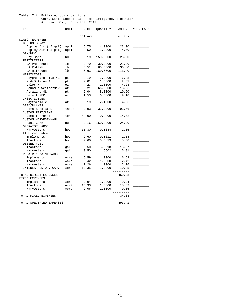#### Table 17.A Estimated costs per Acre

 Corn, Stale Sedbed, BtRR, Non-Irrigated, 8-Row 38" Alluvial Soil, Louisiana, 2012.

| ITEM                                 | UNIT                       | PRICE   | QUANTITY | AMOUNT              | YOUR FARM |
|--------------------------------------|----------------------------|---------|----------|---------------------|-----------|
|                                      |                            | dollars |          | dollars             |           |
| DIRECT EXPENSES                      |                            |         |          |                     |           |
| <b>CUSTOM SPRAY</b>                  |                            |         |          |                     |           |
| App by Air ( 5 gal)                  | appl                       | 5.75    | 4.0000   | 23.00               |           |
| App by Air ( 3 gal)                  | appl                       | 4.50    | 1.0000   | 4.50                |           |
| GIN/DRY                              |                            |         |          |                     |           |
| Dry Corn                             | bu                         | 0.19    | 150.0000 | 28.50               |           |
| FERTILIZERS                          |                            |         |          |                     |           |
| LA Phosphate                         | lb                         | 0.70    | 30.0000  | 21.00               |           |
| LA Potash                            | lb                         | 0.51    | 60.0000  | 30.60               |           |
| LA Nitrogen                          | lb                         | 0.63    | 180.0000 | 113.40              |           |
| HERBICIDES                           |                            |         |          |                     |           |
| Glyphosate Plus 4L                   | pt                         | 3.19    | 2.0000   | 6.38                |           |
| $2, 4-D$ Amine 4                     | pt                         | 2.01    | 1.0000   | 2.01                |           |
| Valor WP                             | OZ                         | 4.23    | 1.0000   | 4.23                |           |
| Roundup WeatherMax                   | OZ                         | 0.21    | 66.0000  | 13.86               |           |
| Atrazine 4L                          | pt                         | 2.04    | 5.0000   | 10.20               |           |
| Select 2EC                           | OZ                         | 1.53    | 6.0000   | 9.18                |           |
| INSECTICIDES                         |                            |         |          |                     |           |
| Baythroid 2<br>SEED/PLANTS           | $\mathtt{\circ}\mathtt{z}$ | 2.19    | 2.1300   | 4.66                |           |
| Corn Seed BtRR<br>CUSTOM FERT/LIME   | thous                      | 2.93    | 32.0000  | 93.76               |           |
| Lime (Spread)<br>CUSTOM HARVEST/HAUL | ton                        | 44.00   | 0.3300   | 14.52               |           |
| Haul Corn                            | bu                         | 0.16    | 150.0000 | 24.00               |           |
| OPERATOR LABOR                       |                            |         |          |                     |           |
| Harvesters                           | hour                       | 15.30   | 0.1344   | 2.06                |           |
| LA Hired Labor                       |                            |         |          |                     |           |
| Implements                           | hour                       | 9.60    | 0.1611   | 1.54                |           |
| Tractors                             | hour                       | 9.60    | 0.5819   | 5.58                |           |
| DIESEL FUEL                          |                            |         |          |                     |           |
| Tractors                             | gal                        | 3.50    | 5.3318   | 18.67               |           |
| Harvesters                           | gal                        | 3.50    | 1.6602   | 5.81                |           |
| REPAIR & MAINTENANCE                 |                            |         |          |                     |           |
| Implements                           | Acre                       | 6.59    | 1.0000   | 6.59                |           |
| Tractors                             | Acre                       | 2.42    | 1.0000   | 2.42                |           |
| Harvesters                           | Acre                       | 2.26    | 1.0000   | 2.26                |           |
| INTEREST ON OP. CAP.                 | Acre                       | 10.35   | 1.0000   | 10.35<br>---------- |           |
| TOTAL DIRECT EXPENSES                |                            |         |          | 459.08              |           |
| FIXED EXPENSES                       |                            |         |          |                     |           |
|                                      |                            |         |          | 9.94                |           |
| Implements                           | Acre                       | 9.94    | 1.0000   |                     |           |
| Tractors                             | Acre                       | 15.33   | 1.0000   | 15.33               |           |
| Harvesters                           | Acre                       | 9.06    | 1.0000   | 9.06<br>_________   |           |
| TOTAL FIXED EXPENSES                 |                            |         |          | 34.33<br>-------    |           |
| TOTAL SPECIFIED EXPENSES             |                            |         |          | 493.41              |           |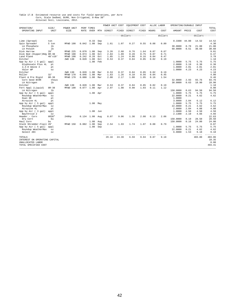# Table 17.B Estimated resource use and costs for field operations, per Acre<br>Corn, Stale Sedbed, BtRR, Non-Irrigated, 8-Row 38"<br>Alluvial Soil, Louisiana, 2012.

|                               |                |                    |              |                    |     | POWER UNIT COST |       | EQUIPMENT COST                 |       |       | ALLOC LABOR | OPERATING/DURABLE INPUT |       |                           |                   |
|-------------------------------|----------------|--------------------|--------------|--------------------|-----|-----------------|-------|--------------------------------|-------|-------|-------------|-------------------------|-------|---------------------------|-------------------|
| OPERATION/<br>OPERATING INPUT | SIZE/<br>UNIT  | POWER UNIT<br>SIZE | <b>RATE</b>  | PERF TIMES<br>OVER | MTH | DIRECT          | FIXED | DIRECT                         | FIXED | HOURS | COST        | AMOUNT                  | PRICE | COST                      | TOTAL<br>COST     |
|                               |                |                    |              |                    |     |                 |       | ------------dollars----------- |       |       | dollars     |                         |       | ---------dollars--------- |                   |
| Lime (Spread)                 | ton            |                    |              | 0.33               | Sep |                 |       |                                |       |       |             | 0.3300                  | 44.00 | 14.52                     | 14.52             |
| Spin Spreader                 | 5 ton          | MFWD 190           | $0.042$ 1.00 |                    | Sep | 1.61            | 1.07  | 0.27                           | 0.55  | 0.08  | 0.80        |                         |       |                           | 4.30              |
| LA Phosphate                  | 1 <sub>b</sub> |                    |              |                    |     |                 |       |                                |       |       |             | 30,0000                 | 0.70  | 21.00                     | 21.00             |
| LA Potash                     | 1 <sub>b</sub> |                    |              |                    |     |                 |       |                                |       |       |             | 60.0000                 | 0.51  | 30.60                     | 30.60             |
| Disk Harrow                   | 28'            | MFWD 225           | 0.070        | 1.00               | Sep | 3.26            | 2.68  | 0.76                           | 1.64  | 0.07  | 0.67        |                         |       |                           | 9.01              |
| Disk Bed (Hipper)Rdg 8R-38    |                | MFWD 190           | 0.074        | 1.00               | Oct | 2.84            | 1.89  | 0.28                           | 0.75  | 0.07  | 0.71        |                         |       |                           | 6.47              |
| Land Plane                    | $40'$ x $10'$  | MFWD 190           | 0.242        | 0.20               | Oct | 1.85            | 1.24  | 0.06                           | 0.16  | 0.04  | 0.47        |                         |       |                           | 3.78              |
| Ditcher                       |                | 2WD 130            | 0.020        | 1.00               | Oct | 0.53            | 0.37  | 0.04                           | 0.05  | 0.02  | 0.19        |                         |       |                           | 1.18              |
| App by Air ( 5 gal)           | appl           |                    |              | 1.00               | Feb |                 |       |                                |       |       |             | 1.0000                  | 5.75  | 5.75                      | 5.75              |
| Glyphosate Plus 4L            | pt             |                    |              |                    |     |                 |       |                                |       |       |             | 2.0000                  | 3.19  | 6.38                      | 6.38              |
| $2, 4-D$ Amine $4$            | pt             |                    |              |                    |     |                 |       |                                |       |       |             | 1.0000                  | 2.01  | 2.01                      | 2.01              |
| Valor WP                      | OZ             |                    |              |                    |     |                 |       |                                |       |       |             | 1,0000                  | 4.23  | 4.23                      | 4.23              |
| Ditcher                       |                | 2WD 130            | 0.020        | 1.00               | Mar | 0.53            | 0.37  | 0.04                           | 0.05  | 0.02  | 0.19        |                         |       |                           | 1.18              |
| Roller                        | 32'            | MFWD 170           | 0.046        | 1.00               | Mar | 1.63            | 1.26  | 0.10                           | 0.56  | 0.04  | 0.45        |                         |       |                           | 4.00              |
| Plant & Pre Rigid             | $8R - 38$      | MFWD 170           | 0.080        | 1.00               | Mar | 2.80            | 2.17  | 1.00                           | 1.95  | 0.16  | 1.54        |                         |       |                           | 9.46              |
| Corn Seed BtRR                | thous          |                    |              |                    |     |                 |       |                                |       |       |             | 32.0000                 | 2.93  | 93.76                     | 93.76             |
| LA Nitrogen                   | 1 <sub>b</sub> |                    |              |                    |     |                 |       |                                |       |       |             | 30.0000                 | 0.63  | 18.90                     | 18.90             |
| Ditcher                       |                | 2WD 130            | 0.020        | 1.00               | Mar | 0.53            | 0.37  | 0.04                           | 0.05  | 0.02  | 0.19        |                         |       |                           | 1.18              |
| Fert Appl (Liquid)            | $8R - 38$      | MFWD 190           | 0.077        | 1.00               | Apr | 2.97            | 1.98  | 0.90                           | 1.03  | 0.11  | 1.12        |                         |       |                           | 8.00              |
| LA Nitrogen                   | 1 <sub>b</sub> |                    |              |                    |     |                 |       |                                |       |       |             | 150,0000                | 0.63  | 94.50                     | 94.50             |
| App by Air ( 5 gal)           | appl           |                    |              | 1.00 Apr           |     |                 |       |                                |       |       |             | 1.0000                  | 5.75  | 5.75                      | 5.75              |
| Roundup WeatherMax            | $\circ z$      |                    |              |                    |     |                 |       |                                |       |       |             | 22.0000                 | 0.21  | 4.62                      | 4.62              |
| Dual 8E                       | pt             |                    |              |                    |     |                 |       |                                |       |       |             | 1,0000                  |       |                           |                   |
| Atrazine 4L                   | pt             |                    |              |                    |     |                 |       |                                |       |       |             | 3.0000                  | 2.04  | 6.12                      | 6.12              |
| App by Air ( 5 gal)           | appl           |                    |              | 1.00 May           |     |                 |       |                                |       |       |             | 1,0000                  | 5.75  | 5.75                      | 5.75              |
| Roundup WeatherMax            | $\circ z$      |                    |              |                    |     |                 |       |                                |       |       |             | 22.0000                 | 0.21  | 4.62                      | 4.62              |
| Atrazine 4L                   | pt             |                    |              |                    |     |                 |       |                                |       |       |             | 2.0000                  | 2.04  | 4.08                      | 4.08              |
| App by Air ( 3 gal)           | appl           |                    |              | 1.00               | Jun |                 |       |                                |       |       |             | 1.0000                  | 4.50  | 4.50                      | 4.50              |
| Baythroid 2                   | $\circ z$      |                    |              |                    |     |                 |       |                                |       |       |             | 2.1300                  | 2.19  | 4.66                      | 4.66              |
| Header - Corn                 | 6R38"          | 240hp              | $0.134$ 1.00 |                    | Aug | 8.07            | 9.06  | 1.36                           | 2.08  | 0.13  | 2.06        |                         |       |                           | 22.63             |
| Dry Corn                      | bu             |                    |              |                    |     |                 |       |                                |       |       |             | 150.0000                | 0.19  | 28.50                     | 28.50             |
| Haul Corn                     | bu             |                    |              | 1.00               | Aug |                 |       |                                |       |       |             | 150.0000                | 0.16  | 24.00                     | 24.00             |
| Stalk Shredder-Flail 20'      |                | MFWD 150           | 0.082 1.00   |                    | Sep | 2.54            | 1.93  | 1.74                           | 1.07  | 0.08  | 0.79        |                         |       |                           | 8.07              |
| App by Air (5 gal)            | appl           |                    |              | 1.00               | Sep |                 |       |                                |       |       |             | 1.0000                  | 5.75  | 5.75                      | 5.75              |
| Roundup WeatherMax            | $\circ z$      |                    |              |                    |     |                 |       |                                |       |       |             | 22.0000                 | 0.21  | 4.62                      | 4.62              |
| Select 2EC                    | 0Z             |                    |              |                    |     |                 |       |                                |       |       |             | 6.0000                  | 1.53  | 9.18<br>-------           | 9.18<br>$- - - -$ |
| TOTALS                        |                |                    |              |                    |     | 29.16           | 24.39 | 6.59                           | 9.94  | 0.87  | 9.18        |                         |       | 403.80                    | 483.06            |
| INTEREST ON OPERATING CAPITAL |                |                    |              |                    |     |                 |       |                                |       |       |             |                         |       |                           | 10.35             |
| UNALLOCATED LABOR             |                |                    |              |                    |     |                 |       |                                |       |       |             |                         |       |                           | 0.00              |
| TOTAL SPECIFIED COST          |                |                    |              |                    |     |                 |       |                                |       |       |             |                         |       |                           | 493.41            |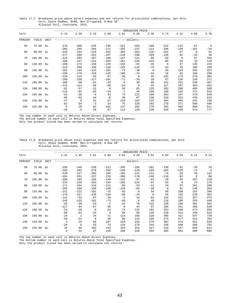Table 17.C Breakeven price above direct expenses and net returns for price/yield combinations, per Acre Corn, Stale Sedbed, BtRR, Non-Irrigated, 8-Row 38" Alluvial Soil, Louisiana, 2012.

|         |        |             |                |          |              |          |              | -BREAKEVEN PRICE |          |             |          |          |                |
|---------|--------|-------------|----------------|----------|--------------|----------|--------------|------------------|----------|-------------|----------|----------|----------------|
| Corn    |        |             | 2.15           | 2.28     | 2.43         | 2.60     | 2.81         | 3.06             | 3.36     | 3.73        | 4.22     | 4.86     | 5.76           |
| PERCENT | YIELD  | <b>UNIT</b> |                |          |              |          |              | -----dollars-    |          |             |          |          |                |
| 50      | 75.00  | bu          | $-270$         | $-260$   | $-249$       | $-236$   | $-221$       | $-202$           | $-180$   | $-152$      | $-115$   | $-67$    | $\overline{0}$ |
|         |        |             | $-304$         | $-295$   | $-284$       | $-271$   | $-255$       | $-237$           | $-214$   | $-186$      | $-150$   | $-101$   | $-34$          |
| 60      | 90.00  | bu          | $-243$         | $-231$   | $-218$       | $-202$   | $-184$       | $-162$           | $-135$   | $-101$      | $-57$    | $\Omega$ | 81             |
|         |        |             | $-277$         | $-266$   | $-252$       | $-237$   | $-218$       | $-196$           | $-169$   | $-135$      | $-92$    | $-34$    | 46             |
| 70      | 105.00 | bu          | $-216$         | $-202$   | $-187$       | $-169$   | $-147$       | $-121$           | $-90$    | $-50$       | $\Omega$ | 67       | 162            |
|         |        |             | $-250$         | $-237$   | $-221$       | $-203$   | $-181$       | $-156$           | $-124$   | $-85$       | $-34$    | 33       | 128            |
| 80      | 120.00 | bu          | $-189$         | $-173$   | $-156$       | $-135$   | $-110$       | $-81$            | $-45$    | $\mathbf 0$ | 57       | 135      | 243            |
|         |        |             | $-223$         | $-208$   | $-190$       | $-169$   | $-145$       | $-115$           | $-79$    | $-34$       | 23       | 100      | 209            |
| 90      | 135.00 | bu          | $-162$         | $-144$   | $-124$       | $-101$   | $-73$        | $-40$            | $\Omega$ | 50          | 115      | 202      | 324            |
|         |        |             | $-196$         | $-179$   | $-159$       | $-135$   | $-108$       | $-74$            | $-34$    | 16          | 81       | 168      | 290            |
| 100     | 150.00 | bu          | $-135$         | $-115$   | $-93$        | $-67$    | $-36$        | $\mathbf 0$      | 45       | 101         | 173      | 270      | 405            |
|         |        |             | $-169$         | $-150$   | $-127$       | $-101$   | $-71$        | $-34$            | 10       | 67          | 139      | 236      | 371            |
| 110     | 165.00 | bu          | $-108$         | $-86$    | $-62$        | $-33$    | $\mathbf{0}$ | 40               | 90       | 152         | 231      | 338      | 487            |
|         |        |             | $-142$         | $-121$   | $-96$        | $-68$    | $-34$        | 6                | 55       | 117         | 197      | 303      | 452            |
| 120     | 180.00 | bu          | $-81$          | $-57$    | $-31$        | $\Omega$ | 36           | 81               | 135      | 202         | 289      | 405      | 568            |
|         |        |             | $-115$         | $-92$    | $-65$        | $-34$    | 2            | 46               | 100      | 168         | 255      | 371      | 533            |
| 130     | 195.00 | bu          | $-54$          | $-28$    | $\mathbf{0}$ | 33       | 73           | 121              | 180      | 253         | 347      | 473      | 649            |
|         |        |             | $-88$          | $-63$    | $-34$        | $-0$     | 39           | 87               | 146      | 219         | 313      | 439      | 615            |
| 140     | 210.00 | bu          | $-27$          | $\Omega$ | 31           | 67       | 110          | 162              | 225      | 304         | 405      | 541      | 730            |
|         |        |             | $-61$          | $-34$    | $-3$         | 33       | 76           | 128              | 191      | 270         | 371      | 506      | 696            |
| 150     | 225.00 | bu          | $\overline{0}$ | 28       | 62           | 101      | 147          | 202              | 270      | 355         | 463      | 608      | 811            |
|         |        |             | $-34$          | $-5$     | 28           | 67       | 113          | 168              | 236      | 320         | 429      | 574      | 777            |

\_\_\_\_\_\_\_\_\_\_\_\_\_\_\_\_\_\_\_\_\_\_\_\_\_\_\_\_\_\_\_\_\_\_\_\_\_\_\_\_\_\_\_\_\_\_\_\_\_\_\_\_\_\_\_\_\_\_\_\_\_\_\_\_\_\_\_\_\_\_\_\_\_\_\_\_\_\_\_\_\_\_\_\_\_\_\_\_\_\_\_\_\_\_\_\_\_\_\_\_\_\_\_\_\_\_\_\_\_\_\_\_\_\_\_\_\_\_\_\_ The top number in each cell is Returns Above Direct Expenses.

The bottom number in each cell is Returns Above Total Specified Expenses.

Only the product listed has been varied to calculate net returns.

#### Table 17.D Breakeven price above total expenses and net returns for price/yield combinations, per Acre Corn, Stale Sedbed, BtRR, Non-Irrigated, 8-Row 38" Alluvial Soil, Louisiana, 2012.

|         |           |             |                |          |                |             |          | -BREAKEVEN PRICE         |              |             |          |             |                |
|---------|-----------|-------------|----------------|----------|----------------|-------------|----------|--------------------------|--------------|-------------|----------|-------------|----------------|
| Corn    |           |             | 2.31           | 2.45     | 2.61           | 2.80        | 3.02     | 3.28                     | 3.61         | 4.02        | 4.54     | 5.24        | 6.22           |
| PERCENT | YIELD     | <b>UNIT</b> |                |          |                |             |          | -------dollars---------- |              |             |          |             |                |
| 50      | 75.00     | bu          | $-259$         | $-248$   | $-236$         | $-222$      | $-205$   | $-185$                   | $-161$       | $-130$      | $-91$    | $-39$       | 34             |
|         |           |             | $-293$         | $-282$   | $-270$         | $-256$      | $-240$   | $-220$                   | $-195$       | $-165$      | $-125$   | $-73$       | $\overline{0}$ |
| 60      | 90.00     | bu          | $-229$         | $-217$   | $-202$         | $-185$      | $-165$   | $-141$                   | $-112$       | $-75$       | $-28$    | 34          | 122            |
|         |           |             | $-264$         | $-251$   | $-237$         | $-220$      | $-200$   | $-176$                   | $-146$       | $-110$      | $-62$    | $\mathbf 0$ | 88             |
| 70      | 105.00    | bu          | $-200$         | $-185$   | $-168$         | $-149$      | $-125$   | $-97$                    | $-63$        | $-20$       | 34       | 107         | 210            |
|         |           |             | $-234$         | $-220$   | $-203$         | $-183$      | $-160$   | $-132$                   | $-97$        | $-55$       | $\Omega$ | 73          | 176            |
| 80      | 120.00 bu |             | $-171$         | $-154$   | $-134$         | $-112$      | $-85$    | $-53$                    | $-14$        | 34          | 97       | 181         | 298            |
|         |           |             | $-205$         | $-188$   | $-169$         | $-146$      | $-120$   | $-88$                    | $-48$        | $\mathbf 0$ | 62       | 146         | 264            |
| 90      | 135.00 bu |             | $-141$         | $-122$   | $-101$         | $-75$       | $-45$    | $-9$                     | 34           | 89          | 160      | 254         | 386            |
|         |           |             | $-176$         | $-157$   | $-135$         | $-110$      | $-80$    | $-44$                    | $\mathbf{0}$ | 55          | 125      | 220         | 352            |
| 100     | 150.00    | bu          | $-112$         | $-91$    | $-67$          | $-39$       | $-5$     | 34                       | 83           | 144         | 222      | 327         | 474            |
|         |           |             | $-146$         | $-125$   | $-101$         | $-73$       | $-40$    | $\mathbf 0$              | 48           | 110         | 188      | 293         | 440            |
| 110     | 165.00    | bu          | $-83$          | $-59$    | $-33$          | $-2$        | 34       | 78                       | 132          | 199         | 285      | 401         | 562            |
|         |           |             | $-117$         | $-94$    | $-67$          | $-36$       | $\Omega$ | 44                       | 97           | 165         | 251      | 366         | 528            |
| 120     | 180.00    | bu          | $-53$          | $-28$    | $\overline{0}$ | 34          | 74       | 122                      | 181          | 254         | 348      | 474         | 650            |
|         |           |             | $-88$          | $-62$    | $-33$          | $\mathbf 0$ | 40       | 88                       | 146          | 220         | 314      | 440         | 616            |
| 130     | 195.00 bu |             | $-24$          | 2        | 34             | 71          | 114      | 166                      | 229          | 309         | 411      | 547         | 738            |
|         |           |             | $-58$          | $-31$    | $\mathbf 0$    | 36          | 80       | 132                      | 195          | 275         | 377      | 513         | 704            |
| 140     | 210.00 bu |             | $\overline{4}$ | 34       | 68             | 107         | 154      | 210                      | 278          | 364         | 474      | 621         | 826            |
|         |           |             | $-29$          | $\Omega$ | 33             | 73          | 120      | 176                      | 244          | 330         | 440      | 586         | 792            |
| 150     | 225.00    | bu          | 34             | 65       | 102            | 144         | 194      | 254                      | 327          | 419         | 537      | 694         | 914            |
|         |           |             | 0              | 31       | 67             | 110         | 160      | 220                      | 293          | 385         | 503      | 660         | 880            |

The top number in each cell is Returns Above Direct Expenses.

The bottom number in each cell is Returns Above Total Specified Expenses.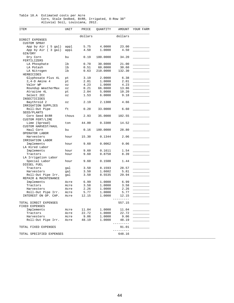#### Table 18.A Estimated costs per Acre Corn, Stale Sedbed, BtRR, Irrigated, 8-Row 38" Alluvial Soil, Louisiana, 2012.

| ITEM                     | UNIT                       | PRICE   | QUANTITY | AMOUNT    | YOUR FARM                                                                                                                                                                                                                            |
|--------------------------|----------------------------|---------|----------|-----------|--------------------------------------------------------------------------------------------------------------------------------------------------------------------------------------------------------------------------------------|
|                          |                            | dollars |          | dollars   |                                                                                                                                                                                                                                      |
| DIRECT EXPENSES          |                            |         |          |           |                                                                                                                                                                                                                                      |
| <b>CUSTOM SPRAY</b>      |                            |         |          |           |                                                                                                                                                                                                                                      |
| App by Air ( 5 gal)      | appl                       | 5.75    | 4.0000   | 23.00     |                                                                                                                                                                                                                                      |
| App by Air (3 gal)       | appl                       | 4.50    | 1.0000   | 4.50      |                                                                                                                                                                                                                                      |
| GIN/DRY                  |                            |         |          |           |                                                                                                                                                                                                                                      |
| Dry Corn                 | bu                         | 0.19    | 180.0000 | 34.20     |                                                                                                                                                                                                                                      |
| FERTILIZERS              |                            |         |          |           |                                                                                                                                                                                                                                      |
|                          | lb                         |         |          | 21.00     |                                                                                                                                                                                                                                      |
| LA Phosphate             |                            | 0.70    | 30.0000  |           |                                                                                                                                                                                                                                      |
| LA Potash                | lb                         | 0.51    | 60.0000  | 30.60     |                                                                                                                                                                                                                                      |
| LA Nitrogen              | lb                         | 0.63    | 210.0000 | 132.30    |                                                                                                                                                                                                                                      |
| HERBICIDES               |                            |         |          |           |                                                                                                                                                                                                                                      |
| Glyphosate Plus 4L       | pt                         | 3.19    | 2.0000   | 6.38      |                                                                                                                                                                                                                                      |
| $2, 4-D$ Amine 4         | pt                         | 2.01    | 1.0000   | 2.01      |                                                                                                                                                                                                                                      |
| Valor WP                 | $\mathtt{\circ}\mathtt{z}$ | 4.23    | 1.0000   | 4.23      |                                                                                                                                                                                                                                      |
| Roundup WeatherMax       | $\mathtt{\circ}\mathtt{z}$ | 0.21    | 66.0000  | 13.86     |                                                                                                                                                                                                                                      |
| Atrazine 4L              | pt                         | 2.04    | 5.0000   | 10.20     |                                                                                                                                                                                                                                      |
| Select 2EC               | $\mathtt{\circ}\mathtt{z}$ | 1.53    | 6.0000   | 9.18      |                                                                                                                                                                                                                                      |
| INSECTICIDES             |                            |         |          |           |                                                                                                                                                                                                                                      |
| Baythroid 2              | $\circ z$                  | 2.19    | 2.1300   | 4.66      |                                                                                                                                                                                                                                      |
| IRRIGATION SUPPLIES      |                            |         |          |           |                                                                                                                                                                                                                                      |
|                          |                            |         |          |           |                                                                                                                                                                                                                                      |
| Roll-Out Pipe            | ft                         | 0.20    | 33.0000  | 6.60      |                                                                                                                                                                                                                                      |
| SEED/PLANTS              |                            |         |          |           |                                                                                                                                                                                                                                      |
| Corn Seed BtRR           | thous                      | 2.93    | 35.0000  | 102.55    |                                                                                                                                                                                                                                      |
| CUSTOM FERT/LIME         |                            |         |          |           |                                                                                                                                                                                                                                      |
| Lime (Spread)            | ton                        | 44.00   | 0.3300   | 14.52     |                                                                                                                                                                                                                                      |
| CUSTOM HARVEST/HAUL      |                            |         |          |           |                                                                                                                                                                                                                                      |
| Haul Corn                | bu                         | 0.16    | 180.0000 | 28.80     |                                                                                                                                                                                                                                      |
| OPERATOR LABOR           |                            |         |          |           |                                                                                                                                                                                                                                      |
| Harvesters               | hour                       | 15.30   | 0.1344   | 2.06      |                                                                                                                                                                                                                                      |
| IRRIGATION LABOR         |                            |         |          |           |                                                                                                                                                                                                                                      |
| Implements               | hour                       | 9.60    | 0.0062   | 0.06      |                                                                                                                                                                                                                                      |
| LA Hired Labor           |                            |         |          |           |                                                                                                                                                                                                                                      |
| Implements               | hour                       | 9.60    | 0.1611   | 1.54      |                                                                                                                                                                                                                                      |
|                          |                            | 9.60    | 0.8750   | 8.39      |                                                                                                                                                                                                                                      |
| Tractors                 | hour                       |         |          |           |                                                                                                                                                                                                                                      |
| LA Irrigation Labor      |                            |         |          |           |                                                                                                                                                                                                                                      |
| Special Labor            | hour                       | 9.60    | 0.1500   | 1.44      |                                                                                                                                                                                                                                      |
| DIESEL FUEL              |                            |         |          |           |                                                                                                                                                                                                                                      |
| Tractors                 | gal                        | 3.50    | 8.1593   | 28.57     |                                                                                                                                                                                                                                      |
| Harvesters               | gal                        | 3.50    | 1.6602   | 5.81      |                                                                                                                                                                                                                                      |
| Roll-Out Pipe Irr.       | gal                        | 3.50    | 8.5535   | 29.94     |                                                                                                                                                                                                                                      |
| REPAIR & MAINTENANCE     |                            |         |          |           |                                                                                                                                                                                                                                      |
| Implements               | Acre                       | 6.99    | 1.0000   | 6.99      |                                                                                                                                                                                                                                      |
| Tractors                 | Acre                       | 3.58    | 1.0000   | 3.58      |                                                                                                                                                                                                                                      |
|                          |                            |         |          |           |                                                                                                                                                                                                                                      |
| Harvesters               | Acre                       | 2.26    | 1.0000   | 2.26      |                                                                                                                                                                                                                                      |
| Roll-Out Pipe Irr.       | Acre                       | 5.77    | 1.0000   | 5.77      |                                                                                                                                                                                                                                      |
| INTEREST ON OP. CAP.     | Acre                       | 12.15   | 1,0000   | 12.15     |                                                                                                                                                                                                                                      |
|                          |                            |         |          | --------- |                                                                                                                                                                                                                                      |
| TOTAL DIRECT EXPENSES    |                            |         |          | 557.15    |                                                                                                                                                                                                                                      |
| FIXED EXPENSES           |                            |         |          |           |                                                                                                                                                                                                                                      |
| Implements               | Acre                       | 11.04   | 1.0000   | 11.04     |                                                                                                                                                                                                                                      |
| Tractors                 | Acre                       | 22.72   | 1.0000   | 22.72     | <u>and the company of the company of the company of the company of the company of the company of the company of the company of the company of the company of the company of the company of the company of the company of the com</u> |
| Harvesters               | Acre                       | 9.06    | 1.0000   | 9.06      | $\overline{\phantom{a}}$                                                                                                                                                                                                             |
| Roll-Out Pipe Irr.       | Acre                       | 48.19   | 1.0000   | 48.19     |                                                                                                                                                                                                                                      |
|                          |                            |         |          | --------- |                                                                                                                                                                                                                                      |
|                          |                            |         |          |           |                                                                                                                                                                                                                                      |
| TOTAL FIXED EXPENSES     |                            |         |          | 91.01     |                                                                                                                                                                                                                                      |
|                          |                            |         |          | --------  |                                                                                                                                                                                                                                      |
| TOTAL SPECIFIED EXPENSES |                            |         |          | 648.16    |                                                                                                                                                                                                                                      |
|                          |                            |         |          |           |                                                                                                                                                                                                                                      |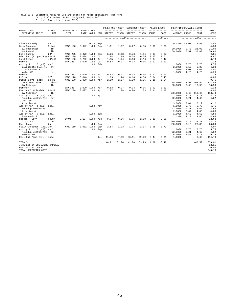## Table 18.B Estimated resource use and costs for field operations, per Acre<br>Corn, Stale Sedbed, BtRR, Irrigated, 8-Row 38"<br>Alluvial Soil, Louisiana, 2012.

|                               |                         |                    |       |                    |     | POWER UNIT COST |       | EQUIPMENT COST                 |       |       | ALLOC LABOR | OPERATING/DURABLE INPUT |              |                           |                 |
|-------------------------------|-------------------------|--------------------|-------|--------------------|-----|-----------------|-------|--------------------------------|-------|-------|-------------|-------------------------|--------------|---------------------------|-----------------|
| OPERATION/<br>OPERATING INPUT | SIZE/<br>UNIT           | POWER UNIT<br>SIZE | RATE  | PERF TIMES<br>OVER | MTH | DIRECT          | FIXED | DIRECT                         | FIXED | HOURS | COST        | AMOUNT PRICE            |              | COST                      | TOTAL<br>COST   |
|                               |                         |                    |       |                    |     |                 |       | ------------dollars----------- |       |       | dollars     |                         |              | ---------dollars--------- |                 |
| Lime (Spread)                 | ton                     |                    |       | 0.33               | Sep |                 |       |                                |       |       |             | 0.3300                  | 44.00        | 14.52                     | 14.52           |
| Spin Spreader                 | 5 ton                   | MFWD 190           | 0.042 | 1.00               | Sep | 1.61            | 1.07  | 0.27                           | 0.55  | 0.08  | 0.80        |                         |              |                           | 4.30            |
| LA Phosphate                  | 1 <sub>b</sub>          |                    |       |                    |     |                 |       |                                |       |       |             | 30.0000                 | 0.70         | 21.00                     | 21.00           |
| LA Potash                     | 1 <sub>b</sub>          |                    |       |                    |     |                 |       |                                |       |       |             | 60.0000                 | 0.51         | 30.60                     | 30.60           |
| Disk Harrow                   | 28'                     | MFWD 225           | 0.070 | 1.00               | Sep | 3.26            | 2.68  | 0.76                           | 1.64  | 0.07  | 0.67        |                         |              |                           | 9.01            |
| Disk Bed (Hipper)Rdg 8R-38    |                         | MFWD 190           | 0.074 | 1.00               | Oct | 2.84            | 1.89  | 0.28                           | 0.75  | 0.07  | 0.71        |                         |              |                           | 6.47            |
| Land Plane                    | $40'$ x $10'$           | MFWD 190           | 0.242 | 0.20               | Oct | 1.85            | 1.24  | 0.06                           | 0.16  | 0.04  | 0.47        |                         |              |                           | 3.78            |
| Ditcher                       |                         | 2WD 130            | 0.020 | 1.00               | Oct | 0.53            | 0.37  | 0.04                           | 0.05  | 0.02  | 0.19        |                         |              |                           | 1.18            |
| App by Air ( 5 gal)           | appl                    |                    |       | 1.00               | Feb |                 |       |                                |       |       |             | 1,0000                  | 5.75         | 5.75                      | 5.75            |
| Glyphosate Plus 4L            | pt                      |                    |       |                    |     |                 |       |                                |       |       |             | 2,0000                  | 3.19         | 6.38                      | 6.38            |
| $2, 4-D$ Amine $4$            | pt                      |                    |       |                    |     |                 |       |                                |       |       |             | 1,0000                  | 2.01         | 2.01                      | 2.01            |
| Valor WP                      | OZ                      |                    |       |                    |     |                 |       |                                |       |       |             | 1.0000                  | 4.23         | 4.23                      | 4.23            |
| Ditcher                       |                         | 2WD 130            | 0.020 | 1.00               | Mar | 0.53            | 0.37  | 0.04                           | 0.05  | 0.02  | 0.19        |                         |              |                           | 1.18            |
| Roller                        | 32'                     | MFWD 170           | 0.046 | 1.00               | Mar | 1.63            | 1.26  | 0.10                           | 0.56  | 0.04  | 0.45        |                         |              |                           | 4.00            |
| Plant & Pre Rigid             | $8R - 38$               | MFWD 170           | 0.080 | 1.00               | Mar | 2.80            | 2.17  | 1.00                           | 1.95  | 0.16  | 1.54        |                         |              |                           | 9.46            |
| Corn Seed BtRR<br>LA Nitrogen | thous<br>1 <sub>b</sub> |                    |       |                    |     |                 |       |                                |       |       |             | 35.0000<br>30.0000      | 2.93<br>0.63 | 102.55<br>18.90           | 102.55<br>18.90 |
| Ditcher                       |                         | 2WD 130            | 0.020 | 1.00               | Mar | 0.53            | 0.37  | 0.04                           | 0.05  | 0.02  | 0.19        |                         |              |                           | 1.18            |
| Fert Appl (Liquid)            | $8R - 38$               | MFWD 190           | 0.077 | 1.00               | Apr | 2.97            | 1.98  | 0.90                           | 1.03  | 0.11  | 1.12        |                         |              |                           | 8.00            |
| LA Nitrogen                   | 1 <sub>b</sub>          |                    |       |                    |     |                 |       |                                |       |       |             | 180,0000                | 0.63         | 113.40                    | 113.40          |
| App by Air ( 5 gal)           | appl                    |                    |       | 1.00 Apr           |     |                 |       |                                |       |       |             | 1,0000                  | 5.75         | 5.75                      | 5.75            |
| Roundup WeatherMax            | OZ                      |                    |       |                    |     |                 |       |                                |       |       |             | 22.0000                 | 0.21         | 4.62                      | 4.62            |
| Dual 8E                       | pt                      |                    |       |                    |     |                 |       |                                |       |       |             | 1,0000                  |              |                           |                 |
| Atrazine 4L                   | pt                      |                    |       |                    |     |                 |       |                                |       |       |             | 3,0000                  | 2.04         | 6.12                      | 6.12            |
| App by Air ( 5 gal)           | appl                    |                    |       | 1.00               | May |                 |       |                                |       |       |             | 1,0000                  | 5.75         | 5.75                      | 5.75            |
| Roundup WeatherMax            | OZ                      |                    |       |                    |     |                 |       |                                |       |       |             | 22.0000                 | 0.21         | 4.62                      | 4.62            |
| Atrazine 4L                   | pt                      |                    |       |                    |     |                 |       |                                |       |       |             | 2.0000                  | 2.04         | 4.08                      | 4.08            |
| App by Air ( 3 gal)           | appl                    |                    |       | 1.00               | Jun |                 |       |                                |       |       |             | 1.0000                  | 4.50         | 4.50                      | 4.50            |
| Baythroid 2                   | OZ                      |                    |       |                    |     |                 |       |                                |       |       |             | 2.1300                  | 2.19         | 4.66                      | 4.66            |
| Header - Corn                 | 6R38"                   | 240hp              | 0.134 | 1.00               | Aug | 8.07            | 9.06  | 1.36                           | 2.08  | 0.13  | 2.06        |                         |              |                           | 22.63           |
| Dry Corn                      | bu                      |                    |       |                    |     |                 |       |                                |       |       |             | 180.0000                | 0.19         | 34.20                     | 34.20           |
| Haul Corn                     | bu                      |                    |       | 1.00               | Aug |                 |       |                                |       |       |             | 180.0000                | 0.16         | 28.80                     | 28.80           |
| Stalk Shredder-Flail 20'      |                         | MFWD 150           | 0.082 | 1.00               | Sep | 2.54            | 1.93  | 1.74                           | 1.07  | 0.08  | 0.79        |                         |              |                           | 8.07            |
| App by Air ( 5 gal)           | appl                    |                    |       | 1.00               | Sep |                 |       |                                |       |       |             | 1.0000                  | 5.75         | 5.75                      | 5.75            |
| Roundup WeatherMax            | OZ                      |                    |       |                    |     |                 |       |                                |       |       |             | 22.0000                 | 0.21         | 4.62                      | 4.62            |
| Select 2EC                    | OZ                      |                    |       |                    |     |                 |       |                                |       |       |             | 6.0000                  | 1.53         | 9.18                      | 9.18            |
| Roll-Out Pipe Irr.            | Acre                    |                    |       |                    | Jul | 11.06           | 7.39  | 36.11                          | 49.29 | 0.44  | 4.31        | 1.0000                  |              | 6.60                      | 114.76          |
|                               |                         |                    |       |                    |     |                 |       |                                |       |       |             |                         |              | -------                   | $---$           |
| TOTALS                        |                         |                    |       |                    |     | 40.22           | 31.78 | 42.70                          | 59.23 | 1.32  | 13.49       |                         |              | 448.59                    | 636.01          |
| INTEREST ON OPERATING CAPITAL |                         |                    |       |                    |     |                 |       |                                |       |       |             |                         |              |                           | 12.15           |
| UNALLOCATED LABOR             |                         |                    |       |                    |     |                 |       |                                |       |       |             |                         |              |                           | 0.00            |
| TOTAL SPECIFIED COST          |                         |                    |       |                    |     |                 |       |                                |       |       |             |                         |              |                           | 648.16          |
|                               |                         |                    |       |                    |     |                 |       |                                |       |       |             |                         |              |                           |                 |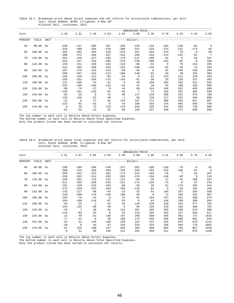Table 18.C Breakeven price above direct expenses and net returns for price/yield combinations, per Acre Corn, Stale Sedbed, BtRR, Irrigated, 8-Row 38" Alluvial Soil, Louisiana, 2012.

|         |        |      |                |                |          |          |                | -BREAKEVEN PRICE |          |             |          |          |                 |
|---------|--------|------|----------------|----------------|----------|----------|----------------|------------------|----------|-------------|----------|----------|-----------------|
| Corn    |        |      | 2.18           | 2.31           | 2.46     | 2.63     | 2.84           | 3.09             | 3.39     | 3.78        | 4.26     | 4.92     | 5.83            |
| PERCENT | YIELD  | UNIT |                |                |          |          | ------dollars- |                  |          |             |          |          |                 |
| 50      | 90.00  | bu   | $-328$         | $-317$         | $-303$   | $-287$   | $-269$         | $-246$           | $-219$   | $-184$      | $-140$   | $-82$    | $\overline{0}$  |
|         |        |      | $-419$         | $-408$         | $-394$   | $-378$   | $-360$         | $-337$           | $-310$   | $-275$      | $-231$   | $-173$   | $-91$           |
| 60      | 108.00 | bu   | $-295$         | $-281$         | $-265$   | $-246$   | $-224$         | $-197$           | $-164$   | $-123$      | $-70$    | $\Omega$ | 98              |
|         |        |      | $-386$         | $-372$         | $-356$   | $-337$   | $-315$         | $-288$           | $-255$   | $-214$      | $-161$   | $-91$    | $7\phantom{.0}$ |
| 70      | 126.00 | bu   | $-263$         | $-246$         | $-227$   | $-205$   | $-179$         | $-147$           | $-109$   | $-61$       | $\Omega$ | 82       | 197             |
|         |        |      | $-354$         | $-337$         | $-318$   | $-296$   | $-270$         | $-238$           | $-200$   | $-152$      | $-91$    | $-8$     | 106             |
| 80      | 144.00 | bu   | $-230$         | $-211$         | $-189$   | $-164$   | $-134$         | $-98$            | $-54$    | $\mathbf 0$ | 70       | 164      | 295             |
|         |        |      | $-321$         | $-302$         | $-280$   | $-255$   | $-225$         | $-189$           | $-145$   | $-91$       | $-20$    | 73       | 204             |
| 90      | 162.00 | bu   | $-197$         | $-176$         | $-151$   | $-123$   | $-89$          | $-49$            | $\Omega$ | 61          | 140      | 246      | 394             |
|         |        |      | $-288$         | $-267$         | $-242$   | $-214$   | $-180$         | $-140$           | $-91$    | $-29$       | 49       | 155      | 303             |
| 100     | 180.00 | bu   | $-164$         | $-140$         | $-113$   | $-82$    | $-44$          | $\mathbf 0$      | 54       | 123         | 211      | 328      | 493             |
|         |        |      | $-255$         | $-231$         | $-204$   | $-173$   | $-135$         | $-91$            | $-36$    | 32          | 120      | 237      | 402             |
| 110     | 198.00 | bu   | $-131$         | $-105$         | $-75$    | $-41$    | $\mathbf{0}$   | 49               | 109      | 184         | 281      | 411      | 591             |
|         |        |      | $-222$         | $-196$         | $-166$   | $-132$   | $-91$          | $-41$            | 18       | 93          | 190      | 320      | 500             |
| 120     | 216.00 | bu   | $-98$          | $-70$          | $-37$    | $\Omega$ | 44             | 98               | 164      | 246         | 352      | 493      | 690             |
|         |        |      | $-189$         | $-161$         | $-128$   | $-91$    | $-46$          | 7                | 73       | 155         | 261      | 402      | 599             |
| 130     | 234.00 | bu   | $-65$          | $-35$          | $\Omega$ | 41       | 89             | 147              | 219      | 308         | 422      | 575      | 789             |
|         |        |      | $-156$         | $-126$         | $-91$    | $-49$    | $-1$           | 56               | 128      | 217         | 331      | 484      | 698             |
| 140     | 252.00 | bu   | $-32$          | $\overline{0}$ | 37       | 82       | 134            | 197              | 274      | 369         | 493      | 657      | 887             |
|         |        |      | $-123$         | $-91$          | $-53$    | $-8$     | 43             | 106              | 183      | 278         | 402      | 566      | 796             |
| 150     | 270.00 | bu   | $\overline{0}$ | 35             | 75       | 123      | 179            | 246              | 328      | 431         | 563      | 739      | 986             |
|         |        |      | $-91$          | $-55$          | $-15$    | 32       | 88             | 155              | 237      | 340         | 472      | 648      | 895             |

\_\_\_\_\_\_\_\_\_\_\_\_\_\_\_\_\_\_\_\_\_\_\_\_\_\_\_\_\_\_\_\_\_\_\_\_\_\_\_\_\_\_\_\_\_\_\_\_\_\_\_\_\_\_\_\_\_\_\_\_\_\_\_\_\_\_\_\_\_\_\_\_\_\_\_\_\_\_\_\_\_\_\_\_\_\_\_\_\_\_\_\_\_\_\_\_\_\_\_\_\_\_\_\_\_\_\_\_\_\_\_\_\_\_\_\_\_\_\_\_ The top number in each cell is Returns Above Direct Expenses.

The bottom number in each cell is Returns Above Total Specified Expenses.

Only the product listed has been varied to calculate net returns.

#### Table 18.D Breakeven price above total expenses and net returns for price/yield combinations, per Acre Corn, Stale Sedbed, BtRR, Irrigated, 8-Row 38" Alluvial Soil, Louisiana, 2012.

|         |           |             |        |                 |                |          |          | -BREAKEVEN PRICE         |              |          |          |       |                |
|---------|-----------|-------------|--------|-----------------|----------------|----------|----------|--------------------------|--------------|----------|----------|-------|----------------|
| Corn    |           |             | 2.51   | 2.67            | 2.85           | 3.05     | 3.30     | 3.60                     | 3.96         | 4.41     | 4.99     | 5.76  | 6.84           |
| PERCENT | YIELD     | <b>UNIT</b> |        |                 |                |          |          | -------dollars---------- |              |          |          |       |                |
| 50      | 90.00     | bu          | $-298$ | $-284$          | $-268$         | $-249$   | $-227$   | $-201$                   | $-168$       | $-128$   | $-75$    | -6    | 91             |
|         |           |             | $-389$ | $-375$          | $-359$         | $-340$   | $-318$   | $-292$                   | $-259$       | $-219$   | $-166$   | $-97$ | $\overline{0}$ |
| 60      | 108.00    | bu          | $-259$ | $-242$          | $-223$         | $-201$   | $-174$   | $-142$                   | $-103$       | $-55$    | 7        | 91    | 207            |
|         |           |             | $-350$ | $-333$          | $-314$         | $-292$   | $-265$   | $-233$                   | $-194$       | $-146$   | $-83$    | 0     | 116            |
| 70      | 126.00    | bu          | $-220$ | $-201$          | $-178$         | $-152$   | $-121$   | $-84$                    | $-38$        | 17       | 91       | 188   | 324            |
|         |           |             | $-311$ | $-292$          | $-269$         | $-243$   | $-212$   | $-175$                   | $-129$       | $-73$    | $\Omega$ | 97    | 233            |
| 80      | 144.00 bu |             | $-181$ | $-159$          | $-133$         | $-103$   | $-68$    | $-25$                    | 26           | 91       | 174      | 285   | 441            |
|         |           |             | $-272$ | $-250$          | $-224$         | $-194$   | $-159$   | $-116$                   | $-64$        | $\Omega$ | 83       | 194   | 350            |
| 90      | 162.00 bu |             | $-142$ | $-117$          | $-88$          | $-55$    | $-15$    | 32                       | 91           | 164      | 257      | 383   | 558            |
|         |           |             | $-233$ | $-208$          | $-179$         | $-146$   | $-106$   | $-58$                    | $\mathbf{0}$ | 73       | 166      | 292   | 467            |
| 100     | 180.00    | bu          | $-103$ | $-75$           | $-43$          | $-6$     | 37       | 91                       | 155          | 237      | 341      | 480   | 675            |
|         |           |             | $-194$ | $-166$          | $-134$         | $-97$    | $-53$    | $\mathbf 0$              | 64           | 146      | 250      | 389   | 584            |
| 110     | 198.00    | bu          | $-64$  | $-34$           | $\mathbf{1}$   | 42       | 91       | 149                      | 220          | 310      | 424      | 577   | 792            |
|         |           |             | $-155$ | $-125$          | $-89$          | $-48$    | $\Omega$ | 58                       | 129          | 219      | 333      | 486   | 701            |
| 120     | 216.00    | bu          | $-25$  | $7\phantom{.0}$ | 46             | 91       | 144      | 207                      | 285          | 383      | 508      | 675   | 908            |
|         |           |             | $-116$ | $-83$           | $-44$          | $\Omega$ | 53       | 116                      | 194          | 292      | 417      | 584   | 817            |
| 130     | 234.00    | bu          | 13     | 49              | 91             | 139      | 197      | 266                      | 350          | 456      | 591      | 772   | 1025           |
|         |           |             | $-77$  | $-41$           | $\overline{0}$ | 48       | 106      | 175                      | 259          | 365      | 500      | 681   | 934            |
| 140     | 252.00 bu |             | 52     | 91              | 135            | 188      | 250      | 324                      | 415          | 529      | 675      | 870   | 1142           |
|         |           |             | $-38$  | $\circ$         | 44             | 97       | 159      | 233                      | 324          | 438      | 584      | 779   | 1051           |
| 150     | 270.00 bu |             | 91     | 132             | 180            | 237      | 303      | 383                      | 480          | 602      | 758      | 967   | 1259           |
|         |           |             | 0      | 41              | 89             | 146      | 212      | 292                      | 389          | 511      | 667      | 876   | 1168           |

The top number in each cell is Returns Above Direct Expenses.

The bottom number in each cell is Returns Above Total Specified Expenses.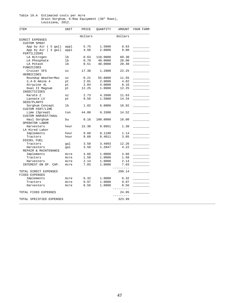#### Table 19.A Estimated costs per Acre Grain Sorghum, 8-Row Equipment (38" Rows), Louisiana, 2012.

| ITEM                     | UNIT                       | PRICE   | QUANTITY | AMOUNT            | YOUR FARM |
|--------------------------|----------------------------|---------|----------|-------------------|-----------|
|                          |                            | dollars |          | dollars           |           |
| DIRECT EXPENSES          |                            |         |          |                   |           |
| <b>CUSTOM SPRAY</b>      |                            |         |          |                   |           |
| App by Air ( 5 gal)      | appl                       | 5.75    | 1.5000   | 8.63              |           |
| App by Air (3 gal)       | appl                       | 4.50    | 2.0000   | 9.00              |           |
| FERTILIZERS              |                            |         |          |                   |           |
| LA Nitrogen              | lb                         | 0.63    | 110.0000 | 69.30             |           |
| LA Phosphate             | lb                         | 0.70    | 40.0000  | 28.00             |           |
| LA Potash                | 1b                         | 0.51    | 40.0000  | 20.40             |           |
| FUNGICIDES               |                            |         |          |                   |           |
| Cruiser 5FS              | $\mathtt{\circ}\mathtt{z}$ | 17.38   | 1.2800   | 22.25             |           |
| HERBICIDES               |                            |         |          |                   |           |
| Roundup WeatherMax       | $\circ z$                  | 0.21    | 55.0000  | 11.55             |           |
| $2, 4-D$ Amine 4         | pt                         | 2.01    | 2.0000   | 4.02              |           |
| Atrazine 4L              | pt                         | 2.04    | 4.0000   | 8.16              |           |
| Dual II Magnum           | pt                         | 12.25   | 1.0000   | 12.25             |           |
| INSECTICIDES             |                            |         |          |                   |           |
| Karate Z                 | OZ                         | 2.73    | 4.2600   | 11.63             |           |
| Lannate LV               | pt                         | 9.56    | 1.5000   | 14.34             |           |
| SEED/PLANTS              |                            |         |          |                   |           |
| Sorghum Concept          | lb                         | 1.82    | 6.0000   | 10.92             |           |
| <b>CUSTOM FERT/LIME</b>  |                            |         |          |                   |           |
| Lime (Spread)            | ton                        | 44.00   | 0.3300   | 14.52             |           |
| CUSTOM HARVEST/HAUL      |                            |         |          |                   |           |
| Haul Sorghum             | bu                         | 0.16    | 100.0000 | 16.00             |           |
| OPERATOR LABOR           |                            |         |          |                   |           |
| Harvesters               | hour                       | 15.30   | 0.0851   | 1.30              |           |
| LA Hired Labor           |                            |         |          |                   |           |
| Implements               | hour                       | 9.60    | 0.1190   | 1.14              |           |
| Tractors                 | hour                       | 9.60    | 0.4011   | 3.85              |           |
| DIESEL FUEL              |                            |         |          |                   |           |
| Tractors                 |                            | 3.50    | 3.4993   | 12.26             |           |
| Harvesters               | gal<br>gal                 | 3.50    | 1.2047   | 4.22              |           |
| REPAIR & MAINTENANCE     |                            |         |          |                   |           |
| Implements               | Acre                       | 4.66    | 1.0000   | 4.66              |           |
| Tractors                 | Acre                       | 1.58    | 1.0000   | 1.58              |           |
| Harvesters               | Acre                       | 2.14    | 1.0000   | 2.14              |           |
| INTEREST ON OP. CAP.     | Acre                       | 7.03    | 1.0000   | 7.03              |           |
|                          |                            |         |          | -----             |           |
| TOTAL DIRECT EXPENSES    |                            |         |          | 299.14            |           |
| FIXED EXPENSES           |                            |         |          |                   |           |
| Implements               | Acre                       | 6.32    | 1.0000   | 6.32              |           |
| Tractors                 | Acre                       | 9.97    | 1.0000   | 9.97              |           |
| Harvesters               |                            | 8.56    | 1.0000   | 8.56              |           |
|                          | Acre                       |         |          | --------          |           |
| TOTAL FIXED EXPENSES     |                            |         |          | 24.85<br>-------- |           |
| TOTAL SPECIFIED EXPENSES |                            |         |          | 323.99            |           |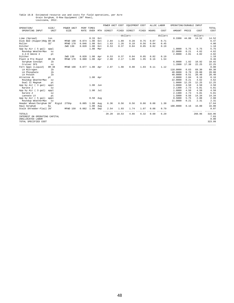Table 19.B Estimated resource use and costs for field operations, per Acre<br>Grain Sorghum, 8-Row Equipment (38" Rows),<br>Louisiana, 2012.

|                                           |                |                    |                  |                           |     | POWER UNIT COST |       | EQUIPMENT COST                 |       |       | ALLOC LABOR         | OPERATING/DURABLE INPUT |          |           |                     |
|-------------------------------------------|----------------|--------------------|------------------|---------------------------|-----|-----------------|-------|--------------------------------|-------|-------|---------------------|-------------------------|----------|-----------|---------------------|
| OPERATION/<br>OPERATING INPUT             | SIZE/<br>UNIT  | POWER UNIT<br>SIZE | <b>RATE</b>      | PERF TIMES<br><b>OVER</b> | MTH | DIRECT          | FIXED | DIRECT                         | FIXED | HOURS | COST                | AMOUNT                  | PRICE    | COST      | TOTAL<br>COST       |
|                                           |                |                    |                  |                           |     |                 |       | ------------dollars----------- |       |       | dollars             |                         | -------- | -dollars- | -----               |
| Lime (Spread)                             | ton            |                    |                  | 0.33                      | Oct |                 |       |                                |       |       |                     | $0.3300$ 44.00          |          | 14.52     | 14.52               |
| Disk Bed (Hipper)Rdg 8R-38                |                | MFWD 190           | 0.074            | 1.00                      | Oct | 2.84            | 1.89  | 0.28                           | 0.75  | 0.07  | 0.71                |                         |          |           | 6.47                |
| Roller                                    | 32'            | MFWD 170           | 0.046            | 1.00                      | Oct | 1.63            | 1.26  | 0.10                           | 0.56  | 0.04  | 0.45                |                         |          |           | 4.00                |
| Ditcher                                   |                | 2WD 130            | 0.020            | 1.00                      | Oct | 0.53            | 0.37  | 0.04                           | 0.05  | 0.02  | 0.19                |                         |          |           | 1.18                |
| App by Air ( 5 gal)                       | appl           |                    |                  | 1.00                      | Mar |                 |       |                                |       |       |                     | 1.0000                  | 5.75     | 5.75      | 5.75                |
| Roundup WeatherMax                        | OZ             |                    |                  |                           |     |                 |       |                                |       |       |                     | 22.0000                 | 0.21     | 4.62      | 4.62                |
| $2, 4-D$ Amine $4$                        | pt             |                    |                  |                           |     |                 |       |                                |       |       |                     | 2.0000                  | 2.01     | 4.02      | 4.02                |
| Ditcher                                   |                | 2WD 130            | 0.020            | 1.00                      | Apr | 0.53            | 0.37  | 0.04                           | 0.05  | 0.02  | 0.19                |                         |          |           | 1.18                |
| Plant & Pre Rigid                         | $8R - 38$      | MFWD 170           | 0.080            | 1.00                      | Apr | 2.80            | 2.17  | 1.00                           | 1.95  | 0.16  | 1.54                |                         |          |           | 9.46                |
| Sorghum Concept                           | 1 <sub>b</sub> |                    |                  |                           |     |                 |       |                                |       |       |                     | 6.0000                  | 1.82     | 10.92     | 10.92               |
| Cruiser 5FS                               | OZ             |                    |                  |                           |     |                 |       |                                |       |       |                     | 1.2800                  | 17.38    | 22.25     | 22.25               |
| Fert Appl (Liquid)                        | $8R - 38$      | MFWD 190           | $0.077$ 1.00 Apr |                           |     | 2.97            | 1.98  | 0.90                           | 1.03  | 0.11  | 1.12                |                         |          |           | 8.00                |
| LA Nitrogen                               | 1 <sub>b</sub> |                    |                  |                           |     |                 |       |                                |       |       |                     | 110.0000                | 0.63     | 69.30     | 69.30               |
| LA Phosphate                              | lb             |                    |                  |                           |     |                 |       |                                |       |       |                     | 40.0000                 | 0.70     | 28.00     | 28.00               |
| LA Potash                                 | 1b             |                    |                  |                           |     |                 |       |                                |       |       |                     | 40.0000                 | 0.51     | 20.40     | 20.40               |
| Atrazine 4L                               | pt             |                    |                  | 1.00 Apr                  |     |                 |       |                                |       |       |                     | 4.0000                  | 2.04     | 8.16      | 8.16                |
| Roundup WeatherMax                        | OZ             |                    |                  |                           |     |                 |       |                                |       |       |                     | 22.0000                 | 0.21     | 4.62      | 4.62                |
| Dual II Magnum                            | pt             |                    |                  |                           |     |                 |       |                                |       |       |                     | 1,0000                  | 12.25    | 12.25     | 12.25               |
| App by Air ( 3 gal)                       | appl           |                    |                  | $1.00$ Jun                |     |                 |       |                                |       |       |                     | 1.0000                  | 4.50     | 4.50      | 4.50                |
| Karate Z                                  | OZ             |                    |                  |                           |     |                 |       |                                |       |       |                     | 2.1300                  | 2.73     | 5.81      | 5.81                |
| App by Air ( 3 gal)                       | appl           |                    |                  | $1.00$ Jul                |     |                 |       |                                |       |       |                     | 1.0000                  | 4.50     | 4.50      | 4.50                |
| Karate Z                                  | OZ             |                    |                  |                           |     |                 |       |                                |       |       |                     | 2.1300                  | 2.73     | 5.81      | 5.81                |
| Lannate LV                                | pt             |                    |                  |                           |     |                 |       |                                |       |       |                     | 1.5000                  | 9.56     | 14.34     | 14.34               |
| App by Air ( 5 gal)                       | appl           |                    |                  | $0.50$ Aug                |     |                 |       |                                |       |       |                     | 0.5000                  | 5.75     | 2.88      | 2.88                |
| Roundup WeatherMax                        | OZ             |                    |                  |                           |     |                 |       |                                |       |       |                     | 11.0000                 | 0.21     | 2.31      | 2.31                |
| Header Wheat/Sorghum 30'                  | Rigid          | 275hp              | 0.085            | 1.00                      | Aug | 6.36            | 8.56  | 0.56                           | 0.86  | 0.08  | 1.30                |                         |          |           | 17.64               |
| Haul Sorghum                              | bu             |                    |                  | 1.00                      | Aug |                 |       |                                |       |       |                     | 100.0000                | 0.16     | 16.00     | 16.00               |
| Stalk Shredder-Flail 20'                  |                | MFWD 150           | 0.082            | 1.00                      | Sep | 2.54            | 1.93  | 1.74                           | 1.07  | 0.08  | 0.79<br>$- - - - -$ |                         |          | ------    | 8.07<br>$- - - - -$ |
| TOTALS<br>INTEREST ON OPERATING CAPITAL   |                |                    |                  |                           |     | 20.20           | 18.53 | 4.66                           | 6.32  | 0.60  | 6.29                |                         |          | 260.96    | 316.96<br>7.03      |
| UNALLOCATED LABOR<br>TOTAL SPECIFIED COST |                |                    |                  |                           |     |                 |       |                                |       |       |                     |                         |          |           | 0.00<br>323.99      |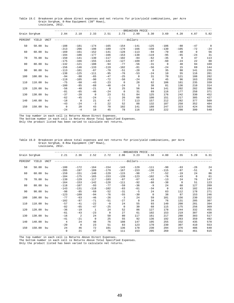| Table 19.C Breakeven price above direct expenses and net returns for price/yield combinations, per Acre |  |  |  |  |  |
|---------------------------------------------------------------------------------------------------------|--|--|--|--|--|
| Grain Sorghum, 8-Row Equipment (38" Rows),                                                              |  |  |  |  |  |
| Louisiana, 2012.                                                                                        |  |  |  |  |  |

|               |        |             |                |          |             |          |             | -BREAKEVEN PRICE |          |             |          |       |                |
|---------------|--------|-------------|----------------|----------|-------------|----------|-------------|------------------|----------|-------------|----------|-------|----------------|
| Grain Sorghum |        |             | 2.04           | 2.18     | 2.33        | 2.51     | 2.73        | 2.99             | 3.30     | 3.69        | 4.20     | 4.87  | 5.82           |
| PERCENT       | YIELD  | <b>UNIT</b> |                |          |             |          |             | -dollars-        |          |             |          |       |                |
| 50            | 50.00  | bu          | $-188$         | $-181$   | $-174$      | $-165$   | $-154$      | $-141$           | $-125$   | $-106$      | $-80$    | $-47$ | $\overline{0}$ |
|               |        |             | $-213$         | $-206$   | $-198$      | $-189$   | $-179$      | $-166$           | $-150$   | $-130$      | $-105$   | $-72$ | $-24$          |
| 60            | 60.00  | bu          | $-169$         | $-161$   | $-152$      | $-141$   | $-128$      | $-113$           | $-94$    | $-70$       | $-40$    | 0     | 56             |
|               |        |             | $-194$         | $-186$   | $-177$      | $-166$   | $-153$      | $-138$           | $-119$   | $-95$       | $-65$    | $-24$ | 31             |
| 70            | 70.00  | bu          | $-150$         | $-141$   | $-130$      | $-117$   | $-102$      | $-84$            | $-62$    | $-35$       | $\Omega$ | 47    | 113            |
|               |        |             | $-175$         | $-166$   | $-155$      | $-142$   | $-127$      | $-109$           | $-87$    | $-60$       | $-24$    | 22    | 88             |
| 80            | 80.00  | bu          | $-132$         | $-121$   | $-108$      | $-94$    | $-77$       | $-56$            | $-31$    | $\mathbf 0$ | 40       | 94    | 169            |
|               |        |             | $-156$         | $-146$   | $-133$      | $-119$   | $-102$      | $-81$            | $-56$    | $-24$       | 15       | 69    | 144            |
| 90            | 90.00  | bu          | $-113$         | $-101$   | $-87$       | $-70$    | $-51$       | $-28$            | $\Omega$ | 35          | 80       | 141   | 226            |
|               |        |             | $-138$         | $-125$   | $-111$      | $-95$    | $-76$       | $-53$            | $-24$    | 10          | 55       | 116   | 201            |
| 100           | 100.00 | bu          | $-94$          | $-80$    | $-65$       | $-47$    | $-25$       | $\circ$          | 31       | 70          | 121      | 188   | 282            |
|               |        |             | $-119$         | $-105$   | $-90$       | $-72$    | $-50$       | $-24$            | 6        | 45          | 96       | 163   | 258            |
| 110           | 110.00 | bu          | $-75$          | $-60$    | $-43$       | $-23$    | $\mathbf 0$ | 28               | 62       | 106         | 161      | 235   | 339            |
|               |        |             | $-100$         | $-85$    | $-68$       | $-48$    | $-24$       | 3                | 38       | 81          | 136      | 210   | 314            |
| 120           | 120.00 | bu          | $-56$          | $-40$    | $-21$       | $\Omega$ | 25          | 56               | 94       | 141         | 202      | 282   | 396            |
|               |        |             | $-81$          | $-65$    | $-46$       | $-24$    | $\mathbf 0$ | 31               | 69       | 116         | 177      | 258   | 371            |
| 130           | 130.00 | bu          | $-37$          | $-20$    | $\mathbf 0$ | 23       | 51          | 84               | 125      | 176         | 242      | 330   | 452            |
|               |        |             | $-62$          | $-45$    | $-24$       | $-1$     | 26          | 60               | 100      | 151         | 217      | 305   | 427            |
| 140           | 140.00 | bu          | $-18$          | $\Omega$ | 21          | 47       | 77          | 113              | 157      | 212         | 282      | 377   | 509            |
|               |        |             | $-43$          | $-24$    | $-3$        | 22       | 52          | 88               | 132      | 187         | 258      | 352   | 484            |
| 150           | 150.00 | bu          | $\overline{0}$ | 20       | 43          | 70       | 102         | 141              | 188      | 247         | 323      | 424   | 565            |
|               |        |             | $-24$          | $-4$     | 18          | 45       | 78          | 116              | 163      | 222         | 298      | 399   | 540            |

\_\_\_\_\_\_\_\_\_\_\_\_\_\_\_\_\_\_\_\_\_\_\_\_\_\_\_\_\_\_\_\_\_\_\_\_\_\_\_\_\_\_\_\_\_\_\_\_\_\_\_\_\_\_\_\_\_\_\_\_\_\_\_\_\_\_\_\_\_\_\_\_\_\_\_\_\_\_\_\_\_\_\_\_\_\_\_\_\_\_\_\_\_\_\_\_\_\_\_\_\_\_\_\_\_\_\_\_\_\_\_\_\_\_\_\_\_\_\_\_ The top number in each cell is Returns Above Direct Expenses.

The bottom number in each cell is Returns Above Total Specified Expenses.

Only the product listed has been varied to calculate net returns.

### Table 19.D Breakeven price above total expenses and net returns for price/yield combinations, per Acre Grain Sorghum, 8-Row Equipment (38" Rows), Louisiana, 2012.

|               |           |             |                |          |              |          |          | -BREAKEVEN PRICE         |              |             |          |             |          |
|---------------|-----------|-------------|----------------|----------|--------------|----------|----------|--------------------------|--------------|-------------|----------|-------------|----------|
| Grain Sorghum |           |             | 2.21           | 2.36     | 2.52         | 2.72     | 2.96     | 3.23                     | 3.58         | 4.00        | 4.55     | 5.29        | 6.31     |
| PERCENT       | YIELD     | <b>UNIT</b> |                |          |              |          |          | --------dollars--------- |              |             |          |             |          |
| 50            | 50.00     | bu          | $-180$         | $-172$   | $-164$       | $-154$   | $-143$   | $-129$                   | $-111$       | $-90$       | $-63$    | $-26$       | 24       |
|               |           |             | $-205$         | $-197$   | $-189$       | $-179$   | $-167$   | $-153$                   | $-136$       | $-115$      | $-87$    | $-51$       | $\Omega$ |
| 60            | 60.00     | bu          | $-159$         | $-151$   | $-140$       | $-129$   | $-115$   | $-98$                    | $-77$        | $-52$       | $-19$    | 24          | 86       |
|               |           |             | $-184$         | $-175$   | $-165$       | $-153$   | $-139$   | $-123$                   | $-102$       | $-76$       | $-43$    | $\mathbf 0$ | 61       |
| 70            | 70.00     | bu          | $-139$         | $-129$   | $-117$       | $-103$   | $-87$    | $-67$                    | $-43$        | $-13$       | 24       | 76          | 147      |
|               |           |             | $-164$         | $-153$   | $-142$       | $-128$   | $-111$   | $-92$                    | $-68$        | $-38$       | $\Omega$ | 51          | 123      |
| 80            | 80.00 bu  |             | $-118$         | $-107$   | $-93$        | $-77$    | $-59$    | $-36$                    | $-9$         | 24          | 68       | 127         | 209      |
|               |           |             | $-143$         | $-131$   | $-118$       | $-102$   | $-83$    | $-61$                    | $-34$        | $\mathbf 0$ | 43       | 102         | 184      |
| 90            | 90.00     | bu          | $-98$          | $-85$    | $-69$        | $-52$    | $-31$    | $-5$                     | 24           | 63          | 112      | 178         | 271      |
|               |           |             | $-123$         | $-109$   | $-94$        | $-76$    | $-55$    | $-30$                    | $\mathbf{0}$ | 38          | 87       | 153         | 246      |
| 100           | 100.00    | bu          | $-77$          | $-63$    | $-46$        | $-26$    | $-3$     | 24                       | 59           | 101         | 156      | 230         | 332      |
|               |           |             | $-102$         | $-87$    | $-71$        | $-51$    | $-27$    | $\Omega$                 | 34           | 76          | 131      | 205         | 307      |
| 110           | 110.00    | bu          | $-57$          | $-41$    | $-22$        | $-0$     | 24       | 55                       | 93           | 140         | 200      | 281         | 394      |
|               |           |             | $-82$          | $-65$    | $-47$        | $-25$    | $\Omega$ | 30                       | 68           | 115         | 175      | 256         | 369      |
| 120           | 120.00    | bu          | $-36$          | $-19$    | $\mathbf{1}$ | 24       | 52       | 86                       | 127          | 178         | 244      | 332         | 455      |
|               |           |             | $-61$          | $-43$    | $-23$        | $\Omega$ | 27       | 61                       | 102          | 153         | 219      | 307         | 430      |
| 130           | 130.00    | bu          | $-16$          | 2        | 24           | 50       | 80       | 117                      | 161          | 217         | 288      | 383         | 517      |
|               |           |             | $-41$          | $-21$    | $\mathbf 0$  | 25       | 55       | 92                       | 136          | 192         | 263      | 359         | 492      |
| 140           | 140.00 bu |             | $\overline{4}$ | 24       | 48           | 76       | 108      | 147                      | 195          | 255         | 332      | 435         | 578      |
|               |           |             | $-20$          | $\Omega$ | 23           | 51       | 83       | 123                      | 170          | 230         | 307      | 410         | 553      |
| 150           | 150.00    | bu          | 24             | 46       | 72           | 101      | 136      | 178                      | 230          | 294         | 376      | 486         | 640      |
|               |           |             | 0              | 21       | 47           | 76       | 111      | 153                      | 205          | 269         | 351      | 461         | 615      |

The top number in each cell is Returns Above Direct Expenses.

The bottom number in each cell is Returns Above Total Specified Expenses. Only the product listed has been varied to calculate net returns.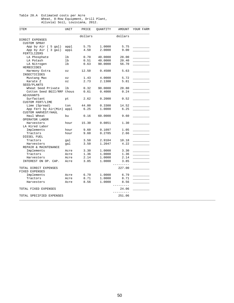#### Table 20.A Estimated costs per Acre Wheat, 8-Row Equipment, Drill Plant, Alluvial Soil, Louisiana, 2012.

| ITEM                       | UNIT                       | PRICE   | QUANTITY | AMOUNT                   | YOUR FARM |
|----------------------------|----------------------------|---------|----------|--------------------------|-----------|
|                            |                            | dollars |          | dollars                  |           |
| DIRECT EXPENSES            |                            |         |          |                          |           |
| <b>CUSTOM SPRAY</b>        |                            |         |          |                          |           |
| App by Air ( 5 gal)        | appl                       | 5.75    | 1,0000   | 5.75                     |           |
| App by Air (3 gal)         | appl                       | 4.50    | 2.0000   | 9.00                     |           |
| FERTILIZERS                |                            |         |          |                          |           |
| LA Phosphate               | lb                         | 0.70    | 40.0000  | 28.00                    |           |
| LA Potash                  | lb                         | 0.51    | 40.0000  | 20.40                    |           |
| LA Nitrogen                | lb                         | 0.63    | 90.0000  | 56.70                    |           |
| HERBICIDES                 |                            |         |          |                          |           |
| Harmony Extra              | $\mathtt{\circ}\mathtt{z}$ | 12.50   | 0.4500   | 5.63                     |           |
| INSECTICIDES               |                            |         |          |                          |           |
| Mustang Max                | $\mathtt{\circ}\mathtt{z}$ | 1.43    | 4.0000   | 5.72                     |           |
| Karate Z                   | 0Z                         | 2.73    | 2.1300   | 5.81                     |           |
| SEED/PLANTS                |                            |         |          |                          |           |
| Wheat Seed Private         | lb                         | 0.32    | 90.0000  | 28.80                    |           |
| Cotton Seed BGII/RRF thous |                            | 0.61    | 0.4000   | 0.24                     |           |
| ADJUVANTS                  |                            |         |          |                          |           |
| Surfactant                 | pt                         | 2.62    | 0.2000   | 0.52                     |           |
| <b>CUSTOM FERT/LIME</b>    |                            |         |          |                          |           |
| Lime (Spread)              | ton                        | 44.00   | 0.3300   | 14.52                    |           |
| App Fert by Air(Min) appl  |                            | 6.25    | 1,0000   | 6.25                     |           |
| CUSTOM HARVEST/HAUL        |                            |         |          |                          |           |
| Haul Wheat                 | bu                         | 0.16    | 60.0000  | 9.60                     |           |
| OPERATOR LABOR             |                            |         |          |                          |           |
| Harvesters                 | hour                       | 15.30   | 0.0851   | 1.30                     |           |
| LA Hired Labor             |                            |         |          |                          |           |
| Implements                 | hour                       | 9.60    | 0.1097   | 1.05                     |           |
| Tractors                   | hour                       | 9.60    | 0.2785   | 2.66                     |           |
| DIESEL FUEL                |                            |         |          |                          |           |
| Tractors                   | qal                        | 3.50    | 2.9104   | 10.18                    |           |
| Harvesters                 | gal                        | 3.50    | 1.2047   | 4.22                     |           |
| REPAIR & MAINTENANCE       |                            |         |          |                          |           |
| Implements                 | Acre                       | 3.30    | 1.0000   | 3.30                     |           |
| Tractors                   | Acre                       | 1.36    | 1.0000   | 1.36                     |           |
|                            |                            | 2.14    |          |                          |           |
| Harvesters                 | Acre                       |         | 1.0000   | 2.14                     |           |
| INTEREST ON OP. CAP.       | Acre                       | 3.85    | 1.0000   | 3.85<br>-----            |           |
| TOTAL DIRECT EXPENSES      |                            |         |          | 227.00                   |           |
| FIXED EXPENSES             |                            |         |          |                          |           |
| Implements                 | Acre                       | 6.79    | 1.0000   | 6.79                     |           |
| Tractors                   | Acre                       | 8.71    | 1.0000   | 8.71                     |           |
| Harvesters                 | Acre                       | 8.56    | 1.0000   | 8.56                     |           |
|                            |                            |         |          | --------                 |           |
| TOTAL FIXED EXPENSES       |                            |         |          | 24.06<br>$- - - - - - -$ |           |
| TOTAL SPECIFIED EXPENSES   |                            |         |          | 251.06                   |           |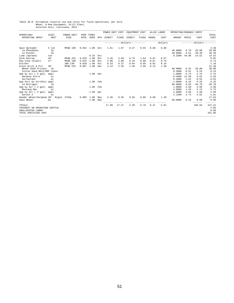# Table 20.B Estimated resource use and costs for field operations, per Acre<br>Wheat, 8-Row Equipment, Drill Plant,<br>Alluvial Soil, Louisiana, 2012.

|                               |                |                    |             |                           |     | POWER UNIT COST |       | EQUIPMENT COST                 |       |       | ALLOC LABOR | OPERATING/DURABLE INPUT |       |                  |               |
|-------------------------------|----------------|--------------------|-------------|---------------------------|-----|-----------------|-------|--------------------------------|-------|-------|-------------|-------------------------|-------|------------------|---------------|
| OPERATION/<br>OPERATING INPUT | SIZE/<br>UNIT  | POWER UNIT<br>SIZE | <b>RATE</b> | PERF TIMES<br><b>OVER</b> | MTH | DIRECT          | FIXED | DIRECT                         | FIXED | HOURS | COST        | AMOUNT                  | PRICE | COST             | TOTAL<br>COST |
|                               |                |                    |             |                           |     |                 |       | ------------dollars----------- |       |       | dollars     |                         |       | $------d$ ollars | $- - - - -$   |
| Spin Spreader                 | 5 ton          | MFWD 190           |             | $0.042$ 1.00 Oct          |     | 1.61            | 1.07  | 0.27                           | 0.55  | 0.08  | 0.80        |                         |       |                  | 4.30          |
| LA Phosphate                  | 1 <sub>b</sub> |                    |             |                           |     |                 |       |                                |       |       |             | 40.0000                 | 0.70  | 28.00            | 28.00         |
| LA Potash                     | 1 <sub>b</sub> |                    |             |                           |     |                 |       |                                |       |       |             | 40.0000                 | 0.51  | 20.40            | 20.40         |
| Lime (Spread)                 | ton            |                    |             | 0.33                      | Oct |                 |       |                                |       |       |             | 0.3300                  | 44.00 | 14.52            | 14.52         |
| Disk Harrow                   | 28'            | MFWD 225           | 0.070       | 1.00                      | Oct | 3.26            | 2.68  | 0.76                           | 1.64  | 0.07  | 0.67        |                         |       |                  | 9.01          |
| Row Cond (Plant)              | 27'            | MFWD 190           | 0.078       | 1.00                      | Oct | 3.00            | 2.00  | 0.19                           | 0.80  | 0.07  | 0.75        |                         |       |                  | 6.74          |
| Ditcher                       |                | 2WD 130            | 0.020       | 1.00                      | Oct | 0.53            | 0.37  | 0.04                           | 0.05  | 0.02  | 0.19        |                         |       |                  | 1.18          |
| Grain Drill & Pre             | 30'            | MFWD 225           | 0.067       | 1.00                      | Dec | 3.14            | 2.59  | 1.48                           | 2.89  | 0.13  | 1.30        |                         |       |                  | 11.40         |
| Wheat Seed Private            | 1 <sub>b</sub> |                    |             |                           |     |                 |       |                                |       |       |             | 90,0000                 | 0.32  | 28.80            | 28.80         |
| Cotton Seed BGII/RRF thous    |                |                    |             |                           |     |                 |       |                                |       |       |             | 0.4000                  | 0.61  | 0.24             | 0.24          |
| App by Air ( 5 gal)           | appl           |                    |             | 1.00 Dec                  |     |                 |       |                                |       |       |             | 1,0000                  | 5.75  | 5.75             | 5.75          |
| Harmony Extra                 | OZ             |                    |             |                           |     |                 |       |                                |       |       |             | 0.4500                  | 12.50 | 5.63             | 5.63          |
| Surfactant                    | pt             |                    |             |                           |     |                 |       |                                |       |       |             | 0.2000                  | 2.62  | 0.52             | 0.52          |
| App Fert by Air(Min) appl     |                |                    |             | 1.00 Feb                  |     |                 |       |                                |       |       |             | 1,0000                  | 6.25  | 6.25             | 6.25          |
| LA Nitrogen                   | 1 <sub>b</sub> |                    |             |                           |     |                 |       |                                |       |       |             | 90.0000                 | 0.63  | 56.70            | 56.70         |
| App by Air ( 3 gal)           | appl           |                    |             | 1.00 Feb                  |     |                 |       |                                |       |       |             | 1,0000                  | 4.50  | 4.50             | 4.50          |
| Mustang Max                   | OZ             |                    |             |                           |     |                 |       |                                |       |       |             | 4.0000                  | 1.43  | 5.72             | 5.72          |
| App by Air ( 3 gal)           | appl           |                    |             | 1.00 Apr                  |     |                 |       |                                |       |       |             | 1,0000                  | 4.50  | 4.50             | 4.50          |
| Karate Z                      | OZ             |                    |             |                           |     |                 |       |                                |       |       |             | 2.1300                  | 2.73  | 5.81             | 5.81          |
| Header Wheat/Sorghum 30'      |                | Rigid<br>275hp     | 0.085       | 1.00                      | May | 6.36            | 8.56  | 0.56                           | 0.86  | 0.08  | 1.30        |                         |       |                  | 17.64         |
| Haul Wheat                    | bu             |                    |             | 1.00                      | May |                 |       |                                |       |       |             | 60.0000                 | 0.16  | 9.60             | 9.60          |
| TOTALS                        |                |                    |             |                           |     | 17.90           | 17.27 | 3.30                           | 6.79  | 0.47  | 5.01        |                         |       | 196.94           | 247.21        |
| INTEREST ON OPERATING CAPITAL |                |                    |             |                           |     |                 |       |                                |       |       |             |                         |       |                  | 3.85          |
| UNALLOCATED LABOR             |                |                    |             |                           |     |                 |       |                                |       |       |             |                         |       |                  | 0.00          |
| TOTAL SPECIFIED COST          |                |                    |             |                           |     |                 |       |                                |       |       |             |                         |       |                  | 251.06        |
|                               |                |                    |             |                           |     |                 |       |                                |       |       |             |                         |       |                  |               |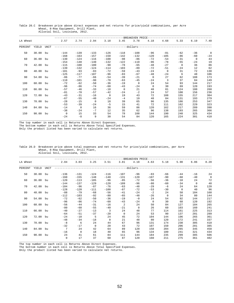|          |          |      | Alluvial Soil, Louisiana, 2012. |        |              |              |                |                   |              |            |          |              |                |
|----------|----------|------|---------------------------------|--------|--------------|--------------|----------------|-------------------|--------------|------------|----------|--------------|----------------|
|          |          |      |                                 |        |              |              |                | -BREAKEVEN PRICE- |              |            |          |              |                |
| LA Wheat |          |      | 2.57                            | 2.74   | 2.94         | 3.18         | 3.45           | 3.78              | 4.18         | 4.68       | 5.33     | 6.19         | 7.40           |
| PERCENT  | YIELD    | UNIT |                                 |        |              | ------------ |                | -dollars--        |              |            |          |              |                |
| 50       | 30.00 bu |      | $-144$                          | $-139$ | $-133$       | $-126$       | $-118$         | $-108$            | $-96$        | $-81$      | $-62$    | $-36$        | $\overline{0}$ |
|          |          |      | $-168$                          | $-163$ | $-157$       | $-150$       | $-142$         | $-132$            | $-120$       | $-105$     | $-86$    | $-60$        | $-24$          |
| 60       | 36.00    | bu   | $-130$                          | $-124$ | $-116$       | $-108$       | $-98$          | $-86$             | $-72$        | $-54$      | $-31$    | $\mathbf{0}$ | 43             |
|          |          |      | $-154$                          | $-148$ | $-140$       | $-132$       | $-122$         | $-110$            | $-96$        | $-78$      | $-55$    | $-24$        | 19             |
| 70       | 42.00    | bu   | $-115$                          | $-108$ | $-100$       | $-90$        | $-78$          | $-65$             | $-48$        | $-27$      | $\Omega$ | 36           | 86             |
|          |          |      | $-139$                          | $-132$ | $-124$       | $-114$       | $-103$         | $-89$             | $-72$        | $-51$      | $-24$    | 12           | 62             |
| 80       | 48.00    | bu   | $-101$                          | $-93$  | $-83$        | $-72$        | $-59$          | $-43$             | $-24$        | $^{\circ}$ | 31       | 72           | 130            |
|          |          |      | $-125$                          | $-117$ | $-107$       | $-96$        | $-83$          | $-67$             | $-48$        | $-24$      | 6        | 48           | 106            |
| 90       | 54.00    | bu   | $-86$                           | $-77$  | $-66$        | $-54$        | $-39$          | $-21$             | $\mathbf{0}$ | 27         | 62       | 108          | 173            |
|          |          |      | $-110$                          | $-101$ | $-90$        | $-78$        | $-63$          | $-45$             | $-24$        | 3          | 37       | 84           | 149            |
| 100      | 60.00    | bu   | $-72$                           | $-62$  | $-50$        | $-36$        | $-19$          | $\mathbf 0$       | 24           | 54         | 93       | 144          | 217            |
|          |          |      | $-96$                           | $-86$  | $-74$        | $-60$        | $-43$          | $-24$             | $\mathbf 0$  | 30         | 69       | 120          | 193            |
| 110      | 66.00    | bu   | $-57$                           | $-46$  | $-33$        | $-18$        | $\overline{0}$ | 21                | 48           | 81         | 124      | 180          | 260            |
|          |          |      | $-81$                           | $-70$  | $-57$        | $-42$        | $-24$          | $-2$              | 24           | 57         | 100      | 156          | 236            |
| 120      | 72.00    | bu   | $-43$                           | $-31$  | $-16$        | $\mathbf 0$  | 19             | 43                | 72           | 108        | 155      | 217          | 304            |
|          |          |      | $-67$                           | $-55$  | $-40$        | $-24$        | $-4$           | 19                | 48           | 84         | 131      | 193          | 279            |
| 130      | 78.00    | bu   | $-28$                           | $-15$  | $\mathbf{0}$ | 18           | 39             | 65                | 96           | 135        | 186      | 253          | 347            |
|          |          |      | $-53$                           | $-39$  | $-24$        | $-5$         | 15             | 41                | 72           | 111        | 162      | 229          | 323            |

 140 84.00 bu -14 0 16 36 59 86 120 162 217 289 390 -38 -24 -7 12 35 62 96 138 193 265 366 150 90.00 bu 0 15 33 54 78 108 144 190 248 325 434 -24 -8 9 30 54 84 120 165 224 301 410

### Table 20.C Breakeven price above direct expenses and net returns for price/yield combinations, per Acre Wheat, 8-Row Equipment, Drill Plant,

\_\_\_\_\_\_\_\_\_\_\_\_\_\_\_\_\_\_\_\_\_\_\_\_\_\_\_\_\_\_\_\_\_\_\_\_\_\_\_\_\_\_\_\_\_\_\_\_\_\_\_\_\_\_\_\_\_\_\_\_\_\_\_\_\_\_\_\_\_\_\_\_\_\_\_\_\_\_\_\_\_\_\_\_\_\_\_\_\_\_\_\_\_\_\_\_\_\_\_\_\_\_\_\_\_\_\_\_\_\_\_\_\_\_\_\_\_\_\_\_ The top number in each cell is Returns Above Direct Expenses. The bottom number in each cell is Returns Above Total Specified Expenses.

Only the product listed has been varied to calculate net returns.

### Table 20.D Breakeven price above total expenses and net returns for price/yield combinations, per Acre Wheat, 8-Row Equipment, Drill Plant, Alluvial Soil, Louisiana, 2012.

|          |          |             |                 |              |          |          |                 | -BREAKEVEN PRICE |          |             |          |             |                |
|----------|----------|-------------|-----------------|--------------|----------|----------|-----------------|------------------|----------|-------------|----------|-------------|----------------|
| LA Wheat |          |             | 2.84            | 3.03         | 3.25     | 3.51     | 3.81            | 4.18             | 4.63     | 5.18        | 5.90     | 6.86        | 8.20           |
| PERCENT  | YIELD    | <b>UNIT</b> |                 |              |          |          | -------dollars- |                  |          |             |          |             |                |
| 50       | 30.00    | bu          | $-136$          | $-131$       | $-124$   | $-116$   | $-107$          | $-96$            | $-83$    | $-66$       | $-44$    | $-16$       | 24             |
|          |          |             | $-160$          | $-155$       | $-148$   | $-140$   | $-131$          | $-120$           | $-107$   | $-90$       | $-68$    | $-40$       | $\overline{0}$ |
| 60       | 36.00    | bu          | $-120$          | $-113$       | $-105$   | $-96$    | $-85$           | $-72$            | $-56$    | $-36$       | $-10$    | 24          | 72             |
|          |          |             | $-144$          | $-137$       | $-129$   | $-120$   | $-109$          | $-96$            | $-80$    | $-60$       | $-34$    | $\mathbf 0$ | 48             |
| 70       | 42.00    | bu          | $-104$          | $-96$        | $-87$    | $-76$    | $-63$           | $-48$            | $-29$    | $-6$        | 24       | 64          | 120            |
|          |          |             | $-128$          | $-120$       | $-111$   | $-100$   | $-87$           | $-72$            | $-53$    | $-30$       | $\Omega$ | 40          | 96             |
| 80       | 48.00    | bu          | $-88$           | $-79$        | $-68$    | $-56$    | $-41$           | $-24$            | $-2$     | 24          | 58       | 104         | 168            |
|          |          |             | $-112$          | $-103$       | $-92$    | $-80$    | $-65$           | $-48$            | $-26$    | $\mathbf 0$ | 34       | 80          | 144            |
| 90       | 54.00    | bu          | $-72$           | $-62$        | $-50$    | $-36$    | $-19$           | $-0$             | 24       | 54          | 92       | 144         | 217            |
|          |          |             | $-96$           | $-86$        | $-74$    | $-60$    | $-43$           | $-24$            | $\Omega$ | 30          | 68       | 120         | 192            |
| 100      | 60.00    | bu          | $-56$           | $-44$        | $-31$    | $-16$    | $\overline{a}$  | 24               | 50       | 84          | 127      | 184         | 265            |
|          |          |             | $-80$           | $-68$        | $-55$    | $-40$    | $-21$           | $\mathbf 0$      | 26       | 60          | 103      | 160         | 241            |
| 110      | 66.00 bu |             | $-40$           | $-27$        | $-13$    | 3        | 24              | 48               | 77       | 114         | 161      | 225         | 313            |
|          |          |             | $-64$           | $-51$        | $-37$    | $-20$    | 0               | 24               | 53       | 90          | 137      | 201         | 289            |
| 120      | 72.00    | bu          | $-24$           | $-10$        | 5        | 24       | 45              | 72               | 104      | 144         | 196      | 265         | 361            |
|          |          |             | $-48$           | $-34$        | $-18$    | $\Omega$ | 21              | 48               | 80       | 120         | 172      | 241         | 337            |
| 130      | 78.00    | bu          | $-8$            | 6            | 24       | 44       | 67              | 96               | 131      | 174         | 230      | 305         | 410            |
|          |          |             | $-32$           | $-17$        | $\Omega$ | 20       | 43              | 72               | 107      | 150         | 206      | 281         | 385            |
| 140      | 84.00 bu |             | $7\phantom{.0}$ | 24           | 42       | 64       | 89              | 120              | 158      | 204         | 265      | 345         | 458            |
|          |          |             | $-16$           | $\mathbf{0}$ | 18       | 40       | 65              | 96               | 134      | 180         | 241      | 321         | 434            |
| 150      | 90.00    | bu          | 24              | 41           | 61       | 84       | 111             | 144              | 184      | 235         | 299      | 385         | 506            |
|          |          |             | $\mathbf 0$     | 17           | 37       | 60       | 87              | 120              | 160      | 211         | 275      | 361         | 482            |

\_\_\_\_\_\_\_\_\_\_\_\_\_\_\_\_\_\_\_\_\_\_\_\_\_\_\_\_\_\_\_\_\_\_\_\_\_\_\_\_\_\_\_\_\_\_\_\_\_\_\_\_\_\_\_\_\_\_\_\_\_\_\_\_\_\_\_\_\_\_\_\_\_\_\_\_\_\_\_\_\_\_\_\_\_\_\_\_\_\_\_\_\_\_\_\_\_\_\_\_\_\_\_\_\_\_\_\_\_\_\_\_\_\_\_\_\_\_\_\_ The top number in each cell is Returns Above Direct Expenses. The bottom number in each cell is Returns Above Total Specified Expenses.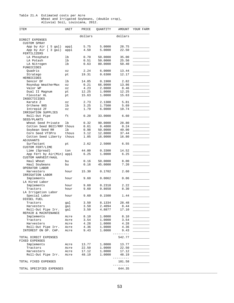#### Table 21.A Estimated costs per Acre Wheat and Irrigated Soybeans, (double crop), Alluvial Soil, Louisiana, 2012.

| ITEM                                       | UNIT                       | PRICE   | QUANTITY | AMOUNT              | YOUR FARM                |
|--------------------------------------------|----------------------------|---------|----------|---------------------|--------------------------|
|                                            |                            | dollars |          | dollars             |                          |
| DIRECT EXPENSES                            |                            |         |          |                     |                          |
| <b>CUSTOM SPRAY</b>                        |                            |         |          |                     |                          |
| App by Air ( 5 gal)                        | appl                       | 5.75    | 5.0000   | 28.75               |                          |
| App by Air (3 gal)<br>FERTILIZERS          | appl                       | 4.50    | 5.0000   | 22.50               |                          |
| LA Phosphate                               | lb                         | 0.70    | 50.0000  | 35.00               |                          |
| LA Potash                                  | lb                         | 0.51    | 50.0000  | 25.50               |                          |
| LA Nitrogen<br>FUNGICIDES                  | lb                         | 0.63    | 80.0000  | 50.40               |                          |
| Quadris                                    | OZ                         | 2.24    | 6.0000   | 13.44               |                          |
| Stratego<br>HERBICIDES                     | pt                         | 19.31   | 0.6300   | 12.17               |                          |
| Sencor DF                                  | lb                         | 14.85   | 0.1900   | 2.82                |                          |
| Roundup WeatherMax                         | $\mathtt{\circ}\mathtt{z}$ | 0.21    | 66.0000  | 13.86               |                          |
| Valor WP                                   | $\mathtt{\circ}\mathtt{z}$ | 4.23    | 2.0000   | 8.46                |                          |
| Dual II Magnum                             | pt                         | 12.25   | 1.0000   | 12.25               |                          |
| Flexstar HL<br>INSECTICIDES                | pt                         | 15.63   | 1.0000   | 15.63               |                          |
| Karate Z                                   | $\circ z$                  | 2.73    | 2.1300   | 5.81                |                          |
| Orthene 90S                                | lb                         | 3.25    | 1.7500   | 5.69                |                          |
| Intrepid 2F<br>IRRIGATION SUPPLIES         | $\circ z$                  | 1.79    | 6.0000   | 10.74               |                          |
| Roll-Out Pipe<br>SEED/PLANTS               | ft                         | 0.20    | 33.0000  | 6.60                |                          |
| Wheat Seed Private                         | lb                         | 0.32    | 90.0000  | 28.80               |                          |
| Cotton Seed BGII/RRF thous                 |                            | 0.61    | 0.4000   | 0.24                |                          |
| Soybean Seed RR                            | lb                         | 0.98    | 50.0000  | 49.00               |                          |
| Corn Seed VT3Pro                           | thous                      | 3.12    | 12.0000  | 37.44               |                          |
| Cotton Seed Liberty<br>ADJUVANTS           | thous                      | 1.05    | 16.0000  | 16.80               |                          |
| Surfactant                                 | pt                         | 2.62    | 2.5000   | 6.55                |                          |
| <b>CUSTOM FERT/LIME</b><br>Lime (Spread)   | ton                        | 44.00   | 0.3300   | 14.52               |                          |
| App Fert by Air(Min) appl                  |                            | 6.25    | 1.0000   | 6.25                |                          |
| CUSTOM HARVEST/HAUL                        |                            |         |          |                     |                          |
| Haul Wheat                                 | bu                         | 0.16    | 50.0000  | 8.00                |                          |
| Haul Soybeans<br>OPERATOR LABOR            | bu                         | 0.16    | 45.0000  | 7.20                |                          |
| Harvesters<br>IRRIGATION LABOR             | hour                       | 15.30   | 0.1702   | 2.60                |                          |
| Implements<br>LA Hired Labor               | hour                       | 9.60    | 0.0062   | 0.06                |                          |
| Implements                                 | hour                       | 9.60    | 0.2318   | 2.22                |                          |
| Tractors                                   | hour                       | 9.60    | 0.8658   | 8.30                |                          |
| LA Irrigation Labor                        |                            |         |          |                     |                          |
| Special Labor<br>DIESEL FUEL               | hour                       | 9.60    | 0.1500   | 1.44                |                          |
| Tractors                                   | gal                        | 3.50    | 8.1334   | 28.48               |                          |
| Harvesters                                 | gal                        | 3.50    | 2.4094   | 8.44                |                          |
| Roll-Out Pipe Irr.<br>REPAIR & MAINTENANCE | gal                        | 3.50    | 4.8877   | 17.10               |                          |
| Implements                                 | Acre                       | 8.10    | 1.0000   | 8.10                |                          |
| Tractors                                   | Acre                       | 3.54    | 1.0000   |                     |                          |
| Harvesters                                 | Acre                       | 4.28    | 1.0000   | 4.28                |                          |
| Roll-Out Pipe Irr.                         | Acre                       | 4.36    | 1,0000   | 4.36                | $\overline{\phantom{a}}$ |
| INTEREST ON OP. CAP.                       | Acre                       | 9.43    | 1.0000   | 9.43                |                          |
| TOTAL DIRECT EXPENSES<br>FIXED EXPENSES    |                            |         |          | ---------<br>542.77 |                          |
| Implements                                 | Acre                       | 13.77   | 1.0000   | 13.77               |                          |
| Tractors                                   | Acre                       | 22.50   | 1.0000   | 22.50               |                          |
| Harvesters                                 | Acre                       | 17.12   | 1.0000   | 17.12               |                          |
| Roll-Out Pipe Irr.                         | Acre                       | 48.19   | 1.0000   | 48.19<br>---------  |                          |
| TOTAL FIXED EXPENSES                       |                            |         |          | 101.58<br>_________ |                          |
| TOTAL SPECIFIED EXPENSES                   |                            |         |          | 644.35              |                          |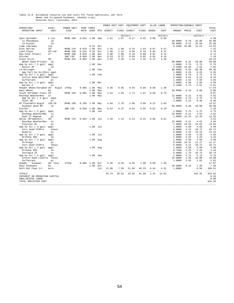## Table 21.B Estimated resource use and costs for field operations, per Acre<br>Wheat and Irrigated Soybeans, (double crop),<br>Alluvial Soil, Louisiana, 2012.

|                                          |                |                    |       |                    |     | POWER UNIT COST          |       | EQUIPMENT COST                 |       |                   | ALLOC LABOR       | OPERATING/DURABLE INPUT                  |               |                           |                    |
|------------------------------------------|----------------|--------------------|-------|--------------------|-----|--------------------------|-------|--------------------------------|-------|-------------------|-------------------|------------------------------------------|---------------|---------------------------|--------------------|
| OPERATION/<br>OPERATING INPUT            | SIZE/<br>UNIT  | POWER UNIT<br>SIZE | RATE  | PERF TIMES<br>OVER | MTH | --------------<br>DIRECT | FIXED | DIRECT                         | FIXED | --------<br>HOURS | $- - - -$<br>COST | ------------------------<br>AMOUNT PRICE |               | COST                      | TOTAL<br>COST      |
|                                          |                |                    |       |                    |     |                          |       | ------------dollars----------- |       |                   | dollars           |                                          |               | ---------dollars--------- |                    |
| Spin Spreader                            | 5 ton          | MFWD 190           | 0.042 | 1.00               | Sep | 1.61                     | 1.07  | 0.27                           | 0.55  | 0.08              | 0.80              |                                          |               |                           | 4.30               |
| LA Phosphate                             | 1 <sub>b</sub> |                    |       |                    |     |                          |       |                                |       |                   |                   | 50.0000                                  | 0.70          | 35.00                     | 35.00              |
| LA Potash                                | lb             |                    |       | 0.33               | Oct |                          |       |                                |       |                   |                   | 50.0000<br>0.3300                        | 0.51<br>44.00 | 25.50<br>14.52            | 25.50<br>14.52     |
| Lime (Spread)<br>Disk Harrow<br>28'      | ton            | MFWD 170           | 0.070 | 1.00               | Oct | 2.45                     | 1.89  | 0.76                           | 1.64  | 0.07              | 0.67              |                                          |               |                           | 7.41               |
| Land Plane                               | $40'$ x $10'$  | MFWD 190           | 0.242 | 0.20               | Oct | 1.85                     | 1.24  | 0.06                           | 0.16  | 0.04              | 0.47              |                                          |               |                           | 3.78               |
| Row Cond (Plant)<br>27'                  |                | MFWD 190           | 0.078 | 1.00               | Nov | 3.00                     | 2.00  | 0.19                           | 0.80  | 0.07              | 0.75              |                                          |               |                           | 6.74               |
| Ditcher                                  |                | 2WD 130            | 0.020 | 1.00               | Nov | 0.53                     | 0.37  | 0.04                           | 0.05  | 0.02              | 0.19              |                                          |               |                           | 1.18               |
| Grain Drill<br>30'                       |                | MFWD 225           | 0.062 | 1.00               | Nov | 2.93                     | 2.40  | 1.26                           | 2.45  | 0.12              | 1.20              |                                          |               |                           | 10.24              |
| Wheat Seed Private                       | lb             |                    |       |                    |     |                          |       |                                |       |                   |                   | 90.0000                                  | 0.32          | 28.80                     | 28.80              |
| App by Air ( 5 gal)                      | appl           |                    |       | 1.00               | Dec |                          |       |                                |       |                   |                   | 1.0000                                   | 5.75          | 5.75                      | 5.75               |
| Sencor DF                                | lb             |                    |       |                    |     |                          |       |                                |       |                   |                   | 0.1900                                   | 14.85         | 2.82                      | 2.82               |
| LA Nitrogen<br>lb                        |                |                    |       | 1.00               | Feb |                          |       |                                |       |                   |                   | 80.0000                                  | 0.63          | 50.40                     | 50.40              |
| App Fert by Air(Min) appl                |                |                    |       |                    |     |                          |       |                                |       |                   |                   | 1.0000                                   | 6.25          | 6.25                      | 6.25               |
| App by Air ( 5 gal) appl                 |                |                    |       | 1.00               | Feb |                          |       |                                |       |                   |                   | 1.0000                                   | 5.75          | 5.75                      | 5.75<br>0.24       |
| Cotton Seed BGII/RRF thous<br>Surfactant | pt             |                    |       |                    |     |                          |       |                                |       |                   |                   | 0.4000<br>1.5000                         | 0.61<br>2.62  | 0.24<br>3.93              | 3.93               |
| App by Air ( 3 gal) appl                 |                |                    |       | 1.00               | Mar |                          |       |                                |       |                   |                   | 1.0000                                   | 4.50          | 4.50                      | 4.50               |
| Karate Z                                 | OZ             |                    |       |                    |     |                          |       |                                |       |                   |                   | 2.1300                                   | 2.73          | 5.81                      | 5.81               |
| Header Wheat/Sorghum 30'                 | Rigid          | 275hp              | 0.085 | 1.00               | May | 6.36                     | 8.56  | 0.56                           | 0.86  | 0.08              | 1.30              |                                          |               |                           | 17.64              |
| Haul Wheat<br>bu                         |                |                    |       | 1.00               | May |                          |       |                                |       |                   |                   | 50.0000                                  | 0.16          | 8.00                      | 8.00               |
| Stalk Shredder-Flail 20                  |                | MFWD 150           | 0.082 | 1.00               | May | 2.54                     | 1.93  | 1.74                           | 1.07  | 0.08              | 0.79              |                                          |               |                           | 8.07               |
| Roundup WeatherMax<br>07                 |                |                    |       | 1.00               | May |                          |       |                                |       |                   |                   | 22.0000                                  | 0.21          | 4.62                      | 4.62               |
| App by Air ( 5 gal)                      | appl           |                    |       |                    |     |                          |       |                                |       |                   |                   | 1.0000                                   | 5.75          | 5.75                      | 5.75               |
| Valor WP                                 | OZ             |                    |       |                    |     |                          |       |                                |       |                   |                   | 2.0000                                   | 4.23          | 8.46                      | 8.46               |
| NT Plant&Pre-Rigid                       | $12R - 20$     | MFWD 190           | 0.105 | 1.00               | May | 4.04                     | 2.70  | 2.00                           | 3.89  | 0.21              | 2.04              |                                          |               |                           | 14.67              |
| Soybean Seed RR                          | 1 <sub>b</sub> |                    |       |                    |     |                          |       |                                |       |                   |                   | 50.0000                                  | 0.98          | 49.00                     | 49.00              |
| Ditcher                                  |                | 2WD 130            | 0.020 | 1.00               | May | 0.53                     | 0.37  | 0.04                           | 0.05  | 0.02              | 0.19              |                                          |               |                           | 1.18<br>5.75       |
| App by Air ( 5 gal)                      | appl<br>OZ     |                    |       | 1.00               | Jun |                          |       |                                |       |                   |                   | 1.0000<br>22.0000                        | 5.75<br>0.21  | 5.75<br>4.62              | 4.62               |
| Roundup WeatherMax<br>Dual II Magnum     | pt             |                    |       |                    |     |                          |       |                                |       |                   |                   | 1.0000                                   | 12.25         | 12.25                     | 12.25              |
| 40'<br>Spray (Broadcast)                 |                | MFWD 170           | 0.042 | 1.00               | Jul | 1.48                     | 1.14  | 0.13                           | 0.15  | 0.06              | 0.61              |                                          |               |                           | 3.51               |
| Roundup WeatherMax                       | OZ             |                    |       |                    |     |                          |       |                                |       |                   |                   | 22.0000                                  | 0.21          | 4.62                      | 4.62               |
| Flexstar HL                              | pt             |                    |       |                    |     |                          |       |                                |       |                   |                   | 1.0000                                   | 15.63         | 15.63                     | 15.63              |
| App by Air ( 3 gal)                      | appl           |                    |       | 1.00               | Jul |                          |       |                                |       |                   |                   | 1.0000                                   | 4.50          | 4.50                      | 4.50               |
| Corn Seed VT3Pro                         | thous          |                    |       |                    |     |                          |       |                                |       |                   |                   | 6.0000                                   | 3.12          | 18.72                     | 18.72              |
| Quadris                                  | OZ             |                    |       |                    |     |                          |       |                                |       |                   |                   | 6.0000                                   | 2.24          | 13.44                     | 13.44              |
| App by Air ( 3 gal)                      | appl           |                    |       | 1.00               | Jul |                          |       |                                |       |                   |                   | 1.0000                                   | 4.50          | 4.50                      | 4.50               |
| Orthene 90S                              | 1 <sub>b</sub> |                    |       |                    |     |                          |       |                                |       |                   |                   | 1.0000                                   | 3.25          | 3.25                      | 3.25               |
| App by Air ( 3 gal)                      | appl           |                    |       | 1.00               | Aug |                          |       |                                |       |                   |                   | 1.0000                                   | 4.50          | 4.50                      | 4.50               |
| Stratego                                 | pt             |                    |       |                    |     |                          |       |                                |       |                   |                   | 0.6300                                   | 19.31         | 12.17                     | 12.17              |
| Corn Seed VT3Pro                         | thous<br>appl  |                    |       |                    |     |                          |       |                                |       |                   |                   | 6.0000<br>1.0000                         | 3.12<br>4.50  | 18.72<br>4.50             | 18.72<br>4.50      |
| App by Air ( 3 gal)<br>Orthene 90S       | 1 <sub>b</sub> |                    |       | 1.00               | Aug |                          |       |                                |       |                   |                   | 0.7500                                   | 3.25          | 2.44                      | 2.44               |
| Intrepid 2F                              | OZ             |                    |       |                    |     |                          |       |                                |       |                   |                   | 6.0000                                   | 1.79          | 10.74                     | 10.74              |
| App by Air ( 5 gal)                      | appl           |                    |       | 1.00               | Sep |                          |       |                                |       |                   |                   | 1.0000                                   | 5.75          | 5.75                      | 5.75               |
| Cotton Seed Liberty                      | thous          |                    |       |                    |     |                          |       |                                |       |                   |                   | 16.0000                                  | 1.05          | 16.80                     | 16.80              |
| Surfactant                               | pt             |                    |       |                    |     |                          |       |                                |       |                   |                   | 1.0000                                   | 2.62          | 2.62                      | 2.62               |
| Header - Soybean                         | 30' Flex       | 275hp              | 0.085 | 1.00               | Oct | 6.36                     | 8.56  | 0.65                           | 1.00  | 0.08              | 1.30              |                                          |               |                           | 17.87              |
| Haul Soybeans<br>bu                      |                |                    |       | 1.00               | Oct |                          |       |                                |       |                   |                   | 45.0000                                  | 0.16          | 7.20                      | 7.20               |
| Roll-Out Pipe Irr.                       | Acre           |                    |       |                    | Jul | 11.06                    | 7.39  | 21.86                          | 49.29 | 0.44              | 4.31<br>$- - - -$ | 1.0000                                   |               | 6.60<br>-------           | 100.51<br>-------- |
| TOTALS                                   |                |                    |       |                    |     | 44.74                    | 39.62 | 29.56                          | 61.96 | 1.42              | 14.62             |                                          |               | 444.42                    | 634.92             |
| INTEREST ON OPERATING CAPITAL            |                |                    |       |                    |     |                          |       |                                |       |                   |                   |                                          |               |                           | 9.43               |
| UNALLOCATED LABOR                        |                |                    |       |                    |     |                          |       |                                |       |                   |                   |                                          |               |                           | 0.00               |
| TOTAL SPECIFIED COST                     |                |                    |       |                    |     |                          |       |                                |       |                   |                   |                                          |               |                           | 644.35             |
|                                          |                |                    |       |                    |     |                          |       |                                |       |                   |                   |                                          |               |                           |                    |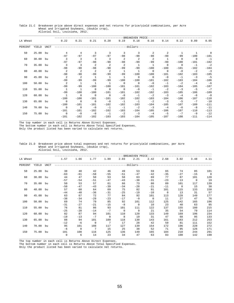|          |          |      |                         |                                  |                         |                         |                         | -----------BREAKEVEN PRICE------ |                |                         |                     |                          |                          |
|----------|----------|------|-------------------------|----------------------------------|-------------------------|-------------------------|-------------------------|----------------------------------|----------------|-------------------------|---------------------|--------------------------|--------------------------|
| LA Wheat |          |      | 0.22                    | 0.21                             | 0.21                    | 0.20                    | 0.19                    | 0.18                             | 0.16           | 0.14                    | 0.12                | 0.09                     | 0.05                     |
| PERCENT  | YIELD    | UNIT |                         |                                  |                         |                         |                         |                                  |                |                         |                     |                          |                          |
| 50       | 25.00 bu |      | $\overline{4}$          | $\overline{4}$                   | 3                       | $\overline{3}$          | $\overline{3}$          | $\overline{3}$                   | 2              | 2                       | $\overline{1}$      | <sup>1</sup>             | $\overline{\phantom{0}}$ |
|          |          |      | $-97$                   | $-97$                            | $-97$                   | $-97$                   | $-98$                   | $-98$                            | $-98$          | $-99$                   | $-99$               | $-100$                   | $-101$                   |
| 60       | 30.00 bu |      | $\overline{3}$<br>$-97$ | $\overline{\mathbf{3}}$<br>$-97$ | $\overline{3}$<br>$-98$ | $\overline{3}$<br>$-98$ | $\overline{2}$<br>$-98$ | $\overline{2}$<br>$-99$          | 2<br>$-99$     | $\overline{1}$<br>$-99$ | $\bigcap$<br>$-100$ | $\overline{0}$<br>$-101$ | $-1$<br>$-102$           |
| 70       | 35.00 bu |      | $\overline{3}$          | $\overline{3}$                   | $\overline{2}$          | $\overline{2}$          | $\overline{a}$          | $\overline{1}$                   | $\overline{1}$ | $\overline{0}$          | $\bigcap$           | $-1$                     | $-2$                     |
|          |          |      | $-98$                   | $-98$                            | $-98$                   | $-98$                   | $-99$                   | $-99$                            | $-100$         | $-100$                  | $-101$              | $-102$                   | $-104$                   |
| 80       | 40.00 bu |      | 2                       | $\overline{2}$                   | 2                       | $\overline{2}$          | $\mathbf{1}$            | $\overline{1}$                   | $\overline{0}$ | $\overline{0}$          | $-0$                | $-2$                     | $-3$                     |
|          |          |      | $-98$                   | $-98$                            | $-99$                   | $-99$                   | $-99$                   | $-100$                           | $-100$         | $-101$                  | $-102$              | $-103$                   | $-105$                   |
| 90       | 45.00 bu |      | $\overline{2}$          | $\overline{2}$                   | $\overline{1}$          | $\overline{1}$          | $\overline{1}$          | $\overline{0}$                   | $\overline{0}$ | $-0$                    | $-1$                | $-3$                     | $-5$                     |
|          |          |      | $-99$                   | $-99$                            | $-99$                   | $-99$                   | $-100$                  | $-100$                           | $-101$         | $-102$                  | $-103$              | $-104$                   | $-106$                   |
| 100      | 50.00 bu |      | 2                       | $\overline{1}$                   | $\overline{1}$          | $\overline{1}$          | $\bigcirc$              | $\Omega$                         | $-0$           | $-1$                    | $-2$                | $-4$                     | $-6$                     |
|          |          |      | $-99$                   | $-99$                            | $-100$                  | $-100$                  | $-101$                  | $-101$                           | $-102$         | $-103$                  | $-104$              | $-105$                   | $-107$                   |
| 110      | 55.00 bu |      | $\overline{1}$          | $\overline{1}$                   | $\overline{0}$          | $\overline{0}$          | $\overline{0}$          | $-0$                             | $-1$           | $-2$                    | $-3$                | $-5$                     | $-7$                     |
|          |          |      | $-99$                   | $-100$                           | $-100$                  | $-101$                  | $-101$                  | $-102$                           | $-102$         | $-103$                  | $-105$              | $-106$                   | $-109$                   |
| 120      | 60.00 bu |      | $\overline{1}$          | $\Omega$                         | $\overline{0}$          | $\overline{0}$          | $-0$                    | $-1$                             | $-2$           | $-3$                    | $-4$                | $-6$                     | $-8$                     |
|          |          |      | $-100$                  | $-100$                           | $-101$                  | $-101$                  | $-102$                  | $-102$                           | $-103$         | $-104$                  | $-106$              | $-107$                   | $-110$                   |
| 130      | 65.00 bu |      | $\Omega$                | $\bigcap$                        | $\bigcap$               | $-0$                    | $-1$                    | $-1$                             | $-2$           | $-3$                    | $-5$                | $-7$                     | $-10$                    |
|          |          |      | $-100$                  | $-101$                           | $-101$                  | $-102$                  | $-102$                  | $-103$                           | $-104$         | $-105$                  | $-107$              | $-109$                   | $-111$                   |
| 140      | 70.00 bu |      | $\Omega$                | $\overline{0}$                   | $-0$                    | $-1$                    | $-1$                    | $-2$                             | $-3$           | $-4$                    | $-6$                | $-8$                     | $-11$                    |
|          |          |      | $-101$                  | $-101$                           | $-102$                  | $-102$                  | $-103$                  | $-104$                           | $-105$         | $-106$                  | $-107$              | $-110$                   | $-113$                   |
| 150      | 75.00 bu |      | $\overline{0}$          | $-0$                             | $-0$                    | $-1$                    | $-2$                    | $-3$                             | $-4$           | $-5$                    | $-7$                | $-9$                     | $-12$                    |
|          |          |      | $-101$                  | $-102$                           | $-102$                  | $-103$                  | $-103$                  | $-104$                           | $-105$         | $-107$                  | $-108$              | $-111$                   | $-114$                   |

### Table 21.C Breakeven price above direct expenses and net returns for price/yield combinations, per Acre Wheat and Irrigated Soybeans, (double crop), Alluvial Soil, Louisiana, 2012.

\_\_\_\_\_\_\_\_\_\_\_\_\_\_\_\_\_\_\_\_\_\_\_\_\_\_\_\_\_\_\_\_\_\_\_\_\_\_\_\_\_\_\_\_\_\_\_\_\_\_\_\_\_\_\_\_\_\_\_\_\_\_\_\_\_\_\_\_\_\_\_\_\_\_\_\_\_\_\_\_\_\_\_\_\_\_\_\_\_\_\_\_\_\_\_\_\_\_\_\_\_\_\_\_\_\_\_\_\_\_\_\_\_\_\_\_\_\_\_\_ The top number in each cell is Returns Above Direct Expenses. The bottom number in each cell is Returns Above Total Specified Expenses.

Only the product listed has been varied to calculate net returns.

Table 21.D Breakeven price above total expenses and net returns for price/yield combinations, per Acre Wheat and Irrigated Soybeans, (double crop), Alluvial Soil, Louisiana, 2012.

|          |          |      |             |              |                 |          |          | -BREAKEVEN PRICE- |                |                |          |                |                |
|----------|----------|------|-------------|--------------|-----------------|----------|----------|-------------------|----------------|----------------|----------|----------------|----------------|
| LA Wheat |          |      | 1.57        | 1.66         | 1.77            | 1.89     | 2.03     | 2.21              | 2.42           | 2.68           | 3.02     | 3.48           | 4.11           |
| PERCENT  | YIELD    | UNIT |             |              |                 |          |          |                   |                |                |          |                |                |
| 50       | 25.00    | bu   | 38          | 40           | 42              | 46       | 49       | 53                | 59             | 65             | 74       | 85             | 101            |
|          |          |      | $-63$       | $-61$        | $-58$           | $-55$    | $-51$    | $-47$             | $-42$          | $-35$          | $-27$    | $-15$          | $\overline{0}$ |
| 60       | 30.00 bu |      | 44          | 47           | 50              | 53       | 58       | 63                | 69             | 77             | 87       | 101            | 120            |
|          |          |      | $-57$       | $-54$        | $-51$           | $-47$    | $-43$    | $-38$             | $-31$          | $-23$          | $-13$    | $\overline{0}$ | 19             |
| 70       | 35.00 bu |      | 50          | 53           | 57              | 61       | 66       | 73                | 80             | 89             | 101      | 117            | 139            |
|          |          |      | $-50$       | $-47$        | $-43$           | $-39$    | $-34$    | $-28$             | $-21$          | $-11$          | $\Omega$ | 15             | 38             |
| 80       | 40.00 bu |      | 57          | 60           | 64              | 69       | 75       | 82                | 91             | 101            | 115      | 133            | 158            |
|          |          |      | $-44$       | $-40$        | $-36$           | $-31$    | $-25$    | $-19$             | $-10$          | $\overline{0}$ | 13       | 31             | 57             |
| 90       | 45.00 bu |      | 63          | 67           | 72              | 77       | 84       | 92                | 101            | 113            | 128      | 149            | 177            |
|          |          |      | $-38$       | $-34$        | $-29$           | $-23$    | $-17$    | $-9$              | $\overline{0}$ | 11             | 27       | 47             | 76             |
| 100      | 50.00    | bu   | 69          | 74           | 79              | 85       | 92       | 101               | 112            | 125            | 142      | 165            | 196            |
|          |          |      | $-31$       | $-27$        | $-21$           | $-15$    | $-8$     | $\overline{0}$    | 10             | 23             | 40       | 63             | 95             |
| 110      | 55.00    | bu   | 76          | 81           | 86              | 93       | 101      | 111               | 122            | 137            | 155      | 180            | 215            |
|          |          |      | $-25$       | $-20$        | $-14$           | $-7$     | $\Omega$ | 9                 | 21             | 35             | 54       | 79             | 114            |
| 120      | 60.00 bu |      | 82          | 87           | 94              | 101      | 110      | 120               | 133            | 149            | 169      | 196            | 234            |
|          |          |      | $-19$       | $-13$        | $-7$            | $\Omega$ | 8        | 19                | 31             | 47             | 68       | 95             | 133            |
| 130      | 65.00 bu |      | 88          | 94           | 101             | 109      | 118      | 130               | 143            | 161            | 183      | 212            | 253            |
|          |          |      | $-12$       | $-6$         | $\Omega$        | 7        | 17       | 28                | 42             | 59             | 81       | 111            | 152            |
| 140      | 70.00 bu |      | 95          | 101          | 108             | 117      | 127      | 139               | 154            | 172            | 196      | 228            | 272            |
|          |          |      | $-6$        | $\mathbf{0}$ | $7\phantom{.0}$ | 15       | 25       | 38                | 52             | 71             | 95       | 126            | 171            |
| 150      | 75.00 bu |      | 101         | 108          | 116             | 125      | 136      | 149               | 165            | 184            | 210      | 244            | 291            |
|          |          |      | $\mathbf 0$ | 6            | 14              | 23       | 34       | 47                | 63             | 83             | 108      | 142            | 190            |

The top number in each cell is Returns Above Direct Expenses.

The bottom number in each cell is Returns Above Total Specified Expenses. Only the product listed has been varied to calculate net returns.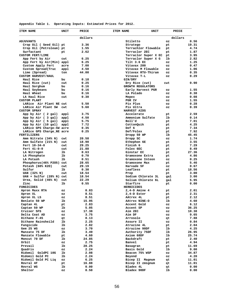| Appendix Table 1. Operating Inputs: Estimated Prices for 2012. |  |  |  |  |  |  |  |
|----------------------------------------------------------------|--|--|--|--|--|--|--|
|----------------------------------------------------------------|--|--|--|--|--|--|--|

| <b>ITEM NAME</b>                      | UNIT | PRICE   | <b>ITEM NAME</b>                     | UNIT |          | PRICE   |              |
|---------------------------------------|------|---------|--------------------------------------|------|----------|---------|--------------|
|                                       |      | dollars |                                      |      |          | dollars |              |
| <b>ADJUVANTS</b>                      |      |         | Stiletto                             |      | oz       |         | 0.56         |
| Crop Oil ( Seed Oil) pt               |      | 3.36    | Stratego                             |      | pt       |         | 19.31        |
| Crop Oil (Petroleum) pt               |      | 1.55    | Terrachlor Flowable<br>Terraclor 2EC |      | pt       |         | 4.74         |
| Surfactant<br><b>CUSTOM FERT/LIME</b> | pt   | 2.62    | Terraclor Super X EC                 |      | pt       |         | 1.87<br>3.95 |
| App Fert by Air                       | cwt  | 6.25    | Terraclor Super X G                  |      | pt<br>1b |         | 2.82         |
| App Fert by Air(Min) appl             |      | 6.25    | Tilt 3.6 EC                          |      | oz       |         | 1.25         |
| Custom Apply Fert                     | acre | 7.00    | Vitavax 200                          |      | oz       |         | 0.47         |
| Custom Spread (Truc                   | appl | 4.50    | Vitavax M Flowable                   |      | oz       |         | 1.06         |
| Lime (Spread)                         | ton  | 44.00   | Vitavax RTU-Thiram                   |      | oz       |         | 0.35         |
| <b>CUSTOM HARVEST/HAUL</b>            |      |         | Vitavax T-L                          |      | OZ.      |         | 0.29         |
| Haul Rice                             | bu   | 0.18    | <b>GIN/DRY</b>                       |      |          |         |              |
| Haul Rice (cwt)                       | cwt  | 0.25    | Dry Rice (cwt)                       |      | cwt      |         | 0.90         |
| Haul Sorghum                          | bu   | 0.16    | GROWTH REGULATORS                    |      |          |         |              |
| Haul Soybeans                         | bu   | 0.16    | Early Harvest PGR                    |      | oz       |         | 1.55         |
| Haul Wheat                            | bu   | 0.16    | LA Polado                            |      | OZ.      |         | 0.38         |
| LA Haul Rice                          | cwt  | 0.30    | Mepex                                |      | oz       |         | 0.08         |
| <b>CUSTOM PLANT</b>                   |      |         | PGR IV                               |      | oz       |         | 1.55         |
| LARice Air Plant NE cwt               |      | 5.50    | Pix Plus                             |      | oz       |         | 0.28         |
| LARice Air Plant SW                   | cwt  | 5.60    | Pix Ultra                            |      | oz       |         | 0.39         |
| <b>CUSTOM SPRAY</b>                   |      |         | HARVEST AIDS                         |      |          |         |              |
| App by Air ( 2 gal)                   | appl | 3.75    | Accelerate                           |      | pt       |         | 2.59         |
| App by Air (3 gal)                    | appl | 4.50    | Ammonium Sulfate                     |      | lb       |         | 0.14         |
| App by Air ( 5 gal)                   | appl | 5.75    | Boll'd                               |      | pt       |         | 7.01         |
| App by Air (10 gal)                   | appl | 7.72    | CottonQuik                           |      | pt       |         | 4.25         |
| LARice GPS Charge-SW acre             |      | 0.35    | Def 6                                |      | pt       |         | 7.34         |
| LARice GPS Charge NE acre             |      | 0.25    | Def/Folex                            |      | pt       |         | 7.92         |
| FERTILIZERS                           |      |         | Dropp 50 WP                          |      | 1b       |         | 45.45        |
| Amm Nitrate (34% N)                   | cwt  | 20.58   | Dropp SC                             |      | oz       |         | 1.74         |
| Amm Sulfate (21% N)                   | cwt  | 18.90   | Ethephon 6E                          |      | pt       |         | 3.55         |
| Fert 10-34-0                          | cwt  | 29.25   | Finish 6                             |      | pt       |         | 7.29         |
| Fert 41-0-0                           | cwt  | 21.88   | Folex 6EC                            |      | pt       |         | 8.49         |
| LA Nitrogen                           | 1b   | 0.63    | Ginstar EC                           |      | pt       |         | 27.36        |
| LA Phosphate                          | 1b   | 0.70    | Gramoxone Extra                      |      | pt       |         | 4.86         |
| LA Potash                             | 1b   | 0.51    | Gramoxone Inteon                     |      | oz       |         | 0.25         |
| Phosphorus (46% P205) cwt             |      | 28.65   | Gramoxone Max                        |      | pt       |         | 5.46         |
| Potash (60% K2O)                      | cwt  | 29.19   | Harvade 5F                           |      | oz       |         | 0.67         |
| Sulfur                                | 1b   | 0.30    | Leafless                             |      | pt       |         | 18.56        |
| UAN (32% N)                           | cwt  | 18.54   | Prep                                 |      | pt       |         | 3.00         |
| UAN + Sulfur (28% N) cwt              |      | 18.54   | Sodium Chlorate 3L                   |      | gal      |         | 3.00         |
| Urea, Solid (46% N)                   | cwt  | 22.29   | Solium Chlorate 6L                   |      | gal      |         | 5.95         |
| Zinc                                  | ıь   | 0.55    | Starfire                             |      | pt       |         | 0.00         |
| FUNGICIDES                            |      |         | <b>HERBICIDES</b>                    |      |          |         |              |
| Apron Maxx RTA                        | 0Z   | 0.83    | $2,4-D$ Amine 4                      |      | pt       |         | 2.01         |
| Apron XL                              | 0Z   | 8.51    | 2,4-D Ester                          |      | pt       |         | 2.31         |
| Apron XL LS                           | 0Z   | 8.51    | AAtrex 4L                            |      | pt       |         | 2.12         |
| Benlate 50 WP                         | lb   | 15.95   | AAtrex NINE-O                        |      | lb       |         | 4.60         |
| Captan 4L                             | pt   | 2.83    | Accent Gold                          |      | oz       |         | 6.12         |
| Captan 50 WP                          | lb   | 5.05    | Accent SP                            |      | oz       |         | 36.25        |
| Cruiser 5FS                           | oz   | 17.38   | Aim 2EC                              |      | oz       |         | 10.38        |
| Delta Coat AD                         | oz   | 3.75    | Aim DF                               |      | oz       |         | 9.65         |
| Dithane F-45                          | qt   | 8.13    | Arrosolo                             |      | qt       |         | 7.88         |
| Dithane Rainsheild                    | lb   | 2.25    | Assure II                            |      | oz       |         | 0.84         |
| Fungicide                             | lb   | 2.82    | Atrazine 4L                          |      | pt       |         | 2.04         |
| Gem 25 WG                             | ΟZ   | 3.70    | Atrazine 90DF                        |      | lb       |         | 4.25         |
| Manzate 75 DF                         | lb   | 3.49    | Authority 75DF                       |      | lb       |         | 26.95        |
| Manzate Flowable                      | pt   | 4.60    | Axiom 68DF                           |      | lb       |         | 25.74        |
| Moncut 70 DF                          | lb   | 24.85   | Backdraft                            |      | pt       |         | 2.40         |
| Orbit                                 | oz   | 2.75    | Banvel                               |      | pt       |         | 4.94         |
| Prevail                               | lb   | 28.25   | Basagran                             |      | pt       |         | 11.69        |
| Quadris                               | oz   | 2.24    | Basis Gold                           |      | lb       |         | 9.00         |
| Ridomil GoldPC 10G                    | lb   | 2.08    | Beacon 75% WSP                       |      | oz       |         | 34.87        |
| Ridomil Gold PC                       | lb   | 2.24    | Beyond                               |      | oz       |         | 4.20         |
| Ridomil Gold PC Liq                   | oz   | 6.25    | Bicep II Magnum                      |      | qt       |         | 11.01        |
| Rovral 4F                             | pt   | 16.88   | Bicep II zmsgnum                     |      | qt       |         | 11.01        |
| Rovral WG                             | lb   | 0.00    | Bladex 4L                            |      | qt       |         | 0.00         |
| Shelter                               | oz   | 8.50    | Bladex 90DF                          |      | lb       |         | 0.00         |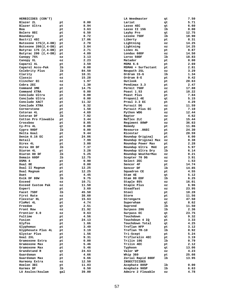| HERBICIDES (CON'T)                              |          |               | LA Weedmaster        | qt       | 7.50          |
|-------------------------------------------------|----------|---------------|----------------------|----------|---------------|
| Blazer 2L                                       | pt       | 0.00          | Lariat               | qt       | 5.71          |
| Blazer Ultra                                    | pt       | 8.94          | Lasso 4EC            | qt       | 6.60          |
| Boa                                             | pt       | 3.63          | Lasso II 15G         | lb       | 0.00          |
| Bolero 8EC                                      | pt       | 6.50          | Layby Pro            | qt       | 12.75         |
| Boundary                                        | pt       | 8.72          | Lexone 75DF          | lb       | 18.90         |
| Buctril 4EC                                     | pt       | 17.06         | Liberty<br>Lightning | pt       | 8.31<br>14.25 |
| Butoxone 175(2,4-DB)                            | pt       | 2.70<br>3.84  | Lightning            | 0Z       | 14.25         |
| Butoxone $200(2, 4-DB)$<br>Butyrac 175 (2,4-DB) | pt       | 2.71          | Linex 4L             | 0Z       | 8.87          |
|                                                 | pt       | 4.09          | Londax 60DF          | pt<br>OZ | 14.50         |
| Butyrac 200 (2,4-DB)                            | pt<br>oz | 3.13          | Lorox 50DF           | lb       | 18.83         |
| Canopy 75%<br>Canopy XL                         | oz       | 2.23          | Matador              | pt       | 0.00          |
| Caparol 4L                                      | pt       | 3.59          | MSMA 6.6             | pt       | 2.69          |
| Caparol Accu-Pak                                | 1b       | 0.00          | MSMA6 + Surfactant   | pt       | 2.81          |
| Celebrity Plus                                  | 1b       | 84.50         | Newpath 2SL          | 0Z       | 3.29          |
| Clarity                                         |          | 10.31         | Ordram 15-G          | lb       | 1.34          |
| Classic                                         | pt<br>ΟZ | 15.28         | Ordram 8-E           | pt       | 9.42          |
| Clincher EC                                     | ΟZ       | 1.97          | Outlook              | pt       | 20.63         |
| Cobra 2EC                                       | ΟZ       | 1.30          | Pendimax 3.3         | pt       | 2.47          |
| Command 3ME                                     | pt       | 14.75         | Permit 75DF          | oz       | 17.88         |
| Command XTRA                                    | pt       | 0.00          | Poast 1.53           | pt       | 10.22         |
| Conclude Ultra                                  | pt       | 0.00          | Poast Plus           | pt       | 7.84          |
| Conclude Ultra                                  |          | 0.00          | Propanil 4E          |          | 5.15          |
|                                                 | pt       |               | Prowl 3.3 EC         | qt       | 4.29          |
| Conclude XACT<br>Conclude XTRA                  | pt       | 11.32<br>8.32 | Pursuit DG           | pt       | 11.59         |
| Cornerstone                                     | pt       |               | Pursuit Plus EC      | 0Z       |               |
|                                                 | pt       | 1.50          |                      | pt       | 7.10          |
| Cotoran 4L                                      | pt       | 4.69          | Python WDG           | 0Z       | 12.44         |
| Cotoran DF                                      | 1b       | 7.92          | Raptor               | 0Z       | 4.62          |
| Cotton Pro Flowable                             | pt       | 3.44          | Reflex 2LC           | pt       | 15.44         |
| Crossbow                                        | pt       | 8.05          | Regiment 80WP        | 0Z       | 36.63         |
| Cy-Pro 4L                                       | qt       | 0.00          | Remedy               | pt       | 11.86         |
| Cypro 90DF                                      | 1b       | 0.00          | Resource .86EC       | pt       | 24.30         |
| Delta Goal                                      | pt       | 9.44          | Ricestar             | pt       | 20.59         |
| Denim 0.16 EC                                   | pt       | 24.06         | Roundup Original     | pt       | 6.00          |
| Detail                                          | pt       | 7.99          | Roundup Original Max | 0Z       | 0.38          |
| Direx 4L                                        | pt       | 3.00          | Roundup Power Max    | pt       | 2.28          |
| Direx 80 DF                                     | 1b       | 7.37          | Roundup Ultra MAX    | pt       | 5.97          |
| Diuron 4L                                       | pt       | 3.28          | Roundup Ultra Dry    | lb       | 6.14          |
| Diuron 80 DF                                    | lb       | 5.25          | Roundup WeatherMax   | OZ       | 0.21          |
| Domain 60DF                                     | 1b       | 12.75         | Scepter 70 DG        | oz       | 3.91          |
| DSMA 4                                          | pt       | 0.90          | Select 2EC           | ΟZ       | 1.53          |
| Dual 8E                                         | pt       | 0.00          | Sencor 4F            | pt       | 14.74         |
| Dual II Magnum                                  | pt       | 12.25         | Sencor DF            | lb       | 14.85         |
| Dual Magnum                                     | pt       | 12.25         | Squadron CE          | pt       | 4.55          |
| Duet                                            | pt       | 4.45          | Stam 4E              | qt       | 5.12          |
| Evik DF 80W                                     | 1b       | 9.75          | Stam 80 EDF          | lb       | 6.25          |
| Exceed                                          | ΟZ       | 10.71         | Staple 85%           | 0Z       | 16.01         |
| Exceed Custom Pak                               | ΟZ       | 11.50         | Staple Plus          | ΟZ       | 6.96          |
| Expert                                          | pt       | 3.69          | Steadfast            | ΟZ       | 23.95         |
| Facet 75DF                                      | lb       | 45.50         | Steel                | pt       | 10.28         |
| First Rate                                      | oz       | 38.60         | Storm                | pt       | 11.56         |
| Flexstar HL                                     | pt       | 15.63         | Strongarm            | oz       | 47.50         |
| FloMet 4L                                       | pt       | 4.74          | Superwham            | qt       | 8.62          |
| Freedom                                         | qt       | 2.51          | Suprend              | lb       | 11.50         |
| Front Row                                       | oz       | 21.92         | Surpass 20G          | lb       | 2.36          |
| Frontier 6.0                                    | oz       | 0.63          | Surpass EC           | qt       | 23.75         |
| Fultime                                         | pt       | 4.56          | Touchdown            | qt       | 9.32          |
| Fusion                                          | pt       | 24.13         | Touchdown 4 IQ       | pt       | 3.33          |
| Glyfos                                          | pt       | 1.66          | Touchdown Total      | qt       | 4.25          |
| Glyphomax                                       | pt       | 3.49          | Treflan HFP          | pt       | 3.12          |
| Glyphosate Plus 4L                              | pt       | 3.19          | Treflan TR-10        | lb       | 0.92          |
| Glystar Plus                                    | pt       | 1.56          | Tri-Scept            | pt       | 5.24          |
| Goal 2XL                                        | pt       | 9.31          | Trifluralin 4EC      | pt       | 3.19          |
| Gramoxone Extra                                 | pt       | 0.00          | Trilin 10G           | lb       | 0.79          |
| Gramoxone Max                                   | pt       | 5.46          | Trilin 4EC           | pt       | 2.12          |
| Gramoxone Max                                   | pt       | 5.46          | Typhoon              | qt       | 13.06         |
| Grandstand R                                    | qt       | 24.63         | Valor WP             | oz       | 4.23          |
| Guardsman                                       | pt       | 4.66          | Whip 360             | pt       | 25.08         |
| Guardsman Max                                   | pt       | 6.66          | Zorial Rapid 80DF    | lb       | 13.95         |
| Harmony Extra                                   | oz       | 12.50         | INSECTICIDES         |          |               |
| Hoelon 3EC                                      | pt       | 11.03         | Acephate 80SP        | lb       | 0.00          |
| Karmex DF                                       | lb       | 6.50          | Acephate 90SP        | lb       | 6.63          |
| LA Asulox/Asulam                                | gal      | 39.00         | Admire 2 Flowable    | oz       | 4.78          |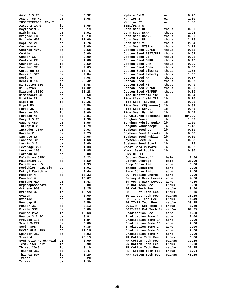| Ammo 2.5 EC                   | oz | 0.92  | Vydate C-LV          | oz     | 0.70   |
|-------------------------------|----|-------|----------------------|--------|--------|
| Asana .66 XL                  | ΟZ | 0.68  | Warrior Z            | 0Z     | 1.80   |
| INSECTICIDES (CON'T)          |    |       | Warrior ZT           | oz     | 1.88   |
| Aztec 2.1% G                  | lb | 2.65  | SEED/PLANTS          |        |        |
| Baythroid 2                   | ΟZ | 2.19  | Corn Seed Bt         | thous  | 0.00   |
| Bidrin 8L                     | ΟZ | 0.91  | Corn Seed BtRR       | thous  | 2.93   |
| Brigade EC                    | pt | 15.10 | Corn Seed Conv.      | thous  | 0.00   |
| Brigade WSB                   | lb | 21.00 | Corn Seed RR         | thous  | 2.78   |
| Capture 2EC                   | ΟZ | 1.76  | Corn Seed VT3        | thous  | 2.84   |
| Carbamate                     | ΟZ | 0.00  | Corn Seed VT3Pro     | thous  | 3.12   |
| Centric 40WG                  | ΟZ | 3.58  | Cotton Seed BG/RR    | thous  | 0.62   |
| Comite                        | pt | 6.00  | Cotton Seed BGII/RRF | thous  | 0.61   |
| Condor XL                     | pt | 0.00  | Cotton Seed Bt       | thoud  | 0.28   |
| Confirm 2F                    | ΟZ | 1.68  | Cotton Seed BtRR     | thous  | 0.46   |
| Counter 15G                   | 1b | 2.50  | Cotton Seed Bxn      | thous  | 0.00   |
| Counter CR                    | 1b | 2.65  | Cotton Seed Conv.    | thous  | 0.00   |
|                               |    |       |                      |        |        |
| Curacron 8E                   | pt | 10.78 | Cotton Seed Liberty  | thous  | 1.05   |
| Decis 1.5EC                   | ΟZ | 2.84  | Cotton Seed Liberty  | thous  | 1.05   |
| Declare                       | pt | 4.08  | Cotton Seed RR       | thous  | 0.57   |
| Denim 0.16EC                  | pt | 26.42 | Cotton Seed RR       | thous  | 0.57   |
| Di-Syston 15G                 | lb | 3.48  | Cotton Seed WS       | thous  | 0.49   |
| Di-Syston 8                   | pt | 14.32 | Cotton Seed WS/RR    | thous  | 0.00   |
| Diamond .83EC                 | pt | 16.28 | Cotton Seed WS/RRF   | thous  | 0.59   |
| Dimethoate 4E                 | pt | 5.50  | Rice Clearfield 161  | lb     | 0.94   |
| Dimilin 2L                    | oz | 1.76  | Rice Clearfield XL8  | lb     | 5.70   |
| Dipel DF                      | lb | 12.25 | Rice Seed (Levees)   | lb     | 0.36   |
| Dipel ES                      | pt | 4.56  | Rice Seed CF(Levees) | lb     | 0.89   |
| Force 3G                      | 1b | 4.85  | Rice Seed Conv.      | 1b     | 0.45   |
| Furadan 3G                    | lb | 0.00  | Rice Seed Hybrid     | lb     | 5.44   |
| Furadan 4F                    | pt | 9.81  | SC Cultured seedcane | acre   | 484.00 |
| Fury 1.5 EC                   | ΟZ | 1.30  | Sorghum Concept      | lb     | 1.82   |
| Gaucho 480                    | ΟZ | 8.56  | Sorghum Hybrid Sudax | lb     | 1.20   |
| Intrepid 2F                   | ΟZ | 1.79  | Sorghum NonConcept   | lb     | 1.18   |
| Intruder 70WP                 | ΟZ | 9.03  | Soybean Seed LL      | lb     | 0.89   |
| Karate Z                      | ΟZ | 2.73  | Soybean Seed Private | lb     | 0.38   |
| Lannate LV                    | pt | 9.56  | Soybean Seed Public  | 1b     | 0.00   |
| Lannate SP                    | ΟZ | 1.68  | Soybean Seed RR      | 1b     | 0.98   |
| Larvin 3.2                    | ΟZ | 0.60  | Soybean Seed Stack   | 1b     | 1.28   |
| Leverage 2.7                  | ΟZ | 1.33  | Wheat Seed Private   | 1b     | 0.32   |
| Lorsban 15G                   | lb | 1.85  | Wheat Seed Public    | 1b     | 0.00   |
| Lorsban 4E                    | pt | 5.00  | <b>SERVICE FEE</b>   |        |        |
| Malathion 57EC                | pt | 4.23  | Cotton Checkoff      | bale   | 2.56   |
| Malathion 8E                  |    | 5.50  | Cotton Storage       | bale   | 25.00  |
| Malathion ULV                 | pt | 4.93  |                      |        | 5.00   |
|                               | pt |       | Crop Consultant      | acre   | 7.00   |
| Mepichlor 4.2% Liq            | pt | 5.91  | Insect Scouting      | acre   |        |
| Methyl Parathion<br>Monitor 4 | pt | 4.44  | Rice Consultant      | acre   | 7.00   |
|                               | pt | 16.33 | SC Treating Charge   | acre   | 0.00   |
| Monitor 4                     | pt | 15.67 | Survey & Mark Levees | acre   | 4.50   |
| Mustang Max                   | oz | 1.43  | Survey & Mark Levees | acre   | 4.50   |
| Organophosphate               | ΟZ | 0.00  | BG Cot Tech Fee      | thous  | 0.28   |
| Orthene 90S                   | 1b | 3.25  | BG Cot Tech Fee      | cap/ac | 19.50  |
| Orthene 97                    | 1b | 10.59 | BG II Cot Tech Fee   | thous  | 0.76   |
| Ovasyn                        | pt | 0.00  | BG II Cot Tech Fee   | cap/ac | 35.25  |
| Ovicide                       | oz | 0.00  | BG II/RR Tech Fee    | thous  | 1.49   |
| Penncap M                     | pt | 4.59  | BG II/RR Tech Fee    | cap/ac | 39.25  |
| Phaser 3E                     | qt | 8.13  | BGII/RRF Cot Tech Fe | thous  | 1.49   |
| Pirate 3SC                    | oz | 0.00  | BGII/RRF Cot Tech Fe | cap/ac | 69.25  |
| Pounce 25WP                   | 1b | 10.63 | Eradication Fee      | acre   | 1.50   |
| Pounce 3.2 EC                 | ΟZ | 0.91  | Eradication Zone 1   | acre   | 2.00   |
| Provado 1.6F                  | oz | 1.94  | Eradication Zone 1A  | acre   | 2.00   |
| Scout X-TRA                   | oz | 0.00  | Eradication Zone 1B  | acre   | 2.00   |
| Sevin 80S                     | 1b | 7.35  | Eradication Zone 2   | acre   | 2.00   |
| Sevin XLR Plus                | qt | 11.13 | Eradication Zone 3   | acre   | 2.00   |
| Spintor 2SC                   | oz | 4.93  | Eradication Zone 4   | acre   | 2.00   |
| Steward                       | pt | 28.13 | RR Cotton Tech Fee   | thous  | 0.80   |
| Synthetic Pyrethroid          | OZ | 0.00  | RR Cotton Tech Fee   | cap/ac | 37.25  |
| Temik 15G Grit                | lb | 3.90  | RR Cotton Tech Fee   | thous  | 0.08   |
| Thimet 20-G                   | lb | 3.10  | RR Cotton Tech Fee   | cap/ac | 37.25  |
| Thionex 3EC                   | pt | 3.47  | RRF Cotton Tech Fee  | thous  | 1.04   |
| Thionex 50W                   | 1b | 8.20  | RRF Cotton Tech Fee  | cap/ac | 48.25  |
| Tracer                        | oz | 8.20  |                      |        |        |
| Trimax                        | ΟZ | 2.30  |                      |        |        |
|                               |    |       |                      |        |        |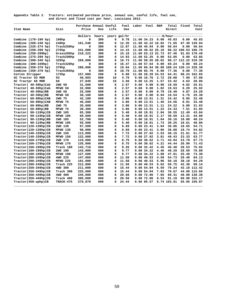| Appendix Table 2. Tractors: estimated purchase price, annual use, useful life, fuel use, |
|------------------------------------------------------------------------------------------|
| and direct and fixed cost per hour, Louisiana 2012.                                      |

|                                 |                   | Purchase Annual Useful |       | Life | Fuel         | Labor | Fuel              | <b>R&amp;M</b> |                                          | Total Fixed         | Total        |
|---------------------------------|-------------------|------------------------|-------|------|--------------|-------|-------------------|----------------|------------------------------------------|---------------------|--------------|
| Item Name                       | Size              | Price                  | Use   |      | Use          |       |                   |                | Direct                                   |                     | Cost         |
|                                 |                   | dollars                | hours |      | years gal/hr |       |                   |                | -----------------\$/hour---------------- |                     |              |
| Combine (170-199 hp)            | 190 <sub>hp</sub> | 0                      | 300   | 8    | 9.78         |       | 11.60 34.23       | 0.00           | 45.83                                    | 0.00                | 45.83        |
| Combine (200-249 hp)            | 240hp             | 161,548                | 300   | 8    | 12.35        |       | 11.60 43.22 16.82 |                | 71.65                                    |                     | 67.39 139.04 |
| Combine (225-274 hp)            | Track250hp        | 0                      | 300   | 8    | 12.87        |       | 11.60 45.04       | 0.00           | 56.64                                    | 0.00                | 56.64        |
| Combine (250-299 hp)            | 275hp             | 241,000                | 300   | 8    | 14.15        |       | 11.60 49.52 25.10 |                |                                          | 86.22 100.53 186.76 |              |
| Combine (250-299hp)             | Grass295hp        | 218,222                | 300   | 8    | 15.18        |       | 11.60 53.13 22.73 |                | 87.46                                    |                     | 91.03 178.49 |
| Combine (275-299 hp)            | Track290hp        | 0                      | 300   | 8    | 14.93        |       | 11.60 52.25       | 0.00           | 63.85                                    | 0.00                | 63.85        |
| Combine (300-349 hp)            | 325hp             | 269,000                | 300   | 8    | 16.73        |       | 11.60 58.55 28.02 |                |                                          | 98.17 112.22 210.39 |              |
| Combine (300-349hp)             | Track320hp        | 0                      | 300   | 8    | 16.47        |       | 11.60 57.64       | 0.00           | 69.24                                    | 0.00                | 69.24        |
| Combine (350-379 hp)            | 370hp             | 288,000                | 300   | 8    | 19.04        |       |                   |                | 11.60 66.64 30.00 108.24 120.14 228.38   |                     |              |
| Combine (350-379 hp)            | Track365hp        | 0                      | 300   | 8    | 18.79        |       | 11.60 65.76       | 0.00           | 77.36                                    | 0.00                | 77.36        |
| Cotton Stripper                 | 173hp             | 157,000                | 200   | 8    | 8.08         |       | 11.60 28.28 24.53 |                | 64.41                                    |                     | 98.24 162.65 |
| SC Tractor 93 MDR               | 93                | 46,683                 | 600   | 10   | 4.79         |       | 9.60 16.76        | 2.72           | 29.08                                    | 7.99                | 37.08        |
| SC Tractpr 68 MDR               | 68                | 27,049                 | 600   | 10   | 3.50         |       | 9.60 12.25        | 1.57           | 23.42                                    | 4.63                | 28.06        |
| Tractor( 40-59hp)Cab            | 2WD 50            | 31,500                 | 600   | 8    | 2.57         | 9.60  | 9.00              | 0.98           | 19.59                                    | 6.02                | 25.61        |
| Tractor( 40-59hp)Cab            | MFWD 50           | 32,900                 | 600   | 8    | 2.57         | 9.60  | 9.00              | 1.02           | 19.63                                    | 6.29                | 25.92        |
| Tractor( 40-59hp)RB             | 2WD 50            | 25,500                 | 600   | 8    | 2.57         | 9.60  | 9.00              | 0.79           | 19.40                                    | 4.87                | 24.28        |
| Tractor( 40-59hp)RB             | MFWD 50           | 30,100                 | 600   | 8    | 2.57         | 9.60  | 9.00              | 0.94           | 19.54                                    | 5.75                | 25.30        |
| Tractor( 60-89hp)CAB            | 2WD 75            | 42,100                 | 600   | 8    | 3.86         |       | 9.60 13.51        | 1.31           | 24.42                                    | 8.05                | 32.48        |
| Tractor( 60-89hp)CAB            | MFWD 75           | 46,600                 | 600   | 8    | 3.86         |       | 9.60 13.51        | 1.45           | 24.56                                    | 8.91                | 33.48        |
| Tractor( 60-89hp)RB             | 2WD 75            | 35,600                 | 600   | 8    | 3.86         |       | 9.60 13.51        | 1.11           | 24.22                                    | 6.80                | 31.03        |
| Tractor( 60-89hp)RB             | MFWD 75           | 39,300                 | 600   | 8    | 3.86         |       | 9.60 13.51        | 1.22           | 24.33                                    | 7.51                | 31.85        |
| $Tractor(90-119hp)CB$           | 2WD 105           | 65,300                 | 600   | 8    | 5.40         |       | 9.60 18.91        | 2.04           | 30.55                                    | 12.49               | 43.04        |
| Tractor( 90-119hp)CB            | MFWD 105          | 69,600                 | 600   | 8    | 5.40         |       | 9.60 18.91        | 2.17           | 30.69                                    | 13.31               | 44.00        |
| Tractor( 90-119hp)RB            | 2WD 105           | 52,700                 | 600   | 8    | 5.40         |       | 9.60 18.91        | 1.64           | 30.16                                    | 10.08               | 40.24        |
| Tractor( 90-119hp)RB            | MFWD 105          | 55,500                 | 600   | 8    | 5.40         |       | 9.60 18.91        | 1.73           | 30.25                                    | 10.61               | 40.86        |
| $Tractor(120-139hp)CB$          | 2WD 130           | 97,500                 | 600   | 8    | 6.69         |       | 9.60 23.41        | 3.04           | 36.06                                    | 18.65               | 54.71        |
| $Tractor(120-139hp)CB$          | MFWD 130          | 98,000                 | 600   | 8    | 6.69         |       | $9.60$ 23.41      | 3.06           | 36.08                                    | 18.74               | 54.82        |
| $Tractor(140-159hp)CB$          | 2WD 150           | 113,000                | 600   | 8    | 7.72         |       | 9.60 27.02        | 3.53           | 40.15                                    | 21.61               | 61.77        |
| Tractor(140-159hp)CB            | MFWD 150          | 122,000                | 600   | 8    | 7.72         |       | 9.60 27.02        | 3.81           | 40.43                                    | 23.33               | 63.77        |
| $Tractor(160-179hp)CB$          | 2WD 170           | 119,000                | 600   | 8    | 8.75         |       | 9.60 30.62        | 3.71           | 43.94                                    | 23.79               | 67.73        |
| $Tractor(160-179hp)CB$          | MFWD 170          | 135,000                | 600   | 8    | 8.75         |       | 9.60 30.62        | 4.21           | 44.44                                    | 26.99               | 71.43        |
| $Tractor(160-199hp)CB$          | Track 180         | 142,710                | 600   | 8    | 9.26         |       | 9.60 32.42        | 4.45           | 46.48                                    | 28.53               | 75.02        |
| $Tractor(180-199hp)CB$          | 2WD 190           | 143,000                | 600   | 8    | 9.77         |       | 9.60 34.22        | 4.46           | 48.29                                    | 28.59               | 76.88        |
| Tractor(180-199hp)CB            | MFWD 190          | 127,500                | 600   | 8    | 9.77         |       | 9.60 34.22        | 3.98           | 47.81                                    | 25.49               | 73.30        |
| $Tractor(200-249hp)CB$          | 4WD 225           | 147,066                | 600   | 8    | 11.58        |       | 9.60 40.53        | 4.59           | 54.73                                    | 29.40               | 84.13        |
| Tractor(200-249hp)CB            | MFWD 225          | 191,000                | 600   | 8    | 11.58        |       | 9.60 40.53        | 5.96           | 56.10                                    | 38.18               | 94.29        |
| $Tractor(200-249hp)CB$          | Track 225         | 212,000                | 600   | 8    | 11.58        |       | 9.60 40.53        | 6.62           | 56.75                                    | 42.38               | 99.14        |
| $Tractor(250-349hp)CB$          | 4WD 300           | 211,000                | 600   | 8    | 15.44        |       | 9.60 54.04        | 6.59           | 70.24                                    |                     | 42.18 112.42 |
| $\texttt{Tractor}(250-349hp)CB$ | Track 300         | 225,000                | 600   | 8    | 15.44        |       | 9.60 54.04        | 7.03           | 70.67                                    |                     | 44.98 115.66 |
| $Traction(350-449hp)CB$         | 4WD 400           | 245,000                | 600   | 8    | 20.58        |       | 9.60 72.06        | 7.65           | 89.31                                    |                     | 48.98 138.30 |
| $Tractor(350-449hp)CB$          | Track 400         | 305,000                | 600   | 8    | 20.58        |       | 9.60 72.06        | 9.53           | 91.19                                    |                     | 60.98 152.17 |
| Tractor (450-uphp)CB            | <b>TRACK-475</b>  | 279,879                | 600   | 8    | 24.44        |       | 9.60 85.57        |                | 8.74 103.91                              |                     | 55.95 159.87 |
|                                 |                   |                        |       |      |              |       |                   |                |                                          |                     |              |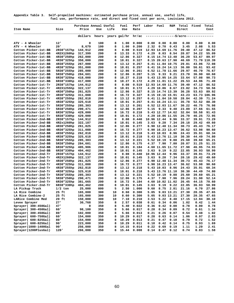| Appendix Table 3. Self-propelled machines: estimated purchase price, annual use, useful life, |
|-----------------------------------------------------------------------------------------------|
| fuel use, performance rate, and direct and fixed cost per acre, Louisiana 2012.               |

|                                              |            | Purchase Annual Useful |            |        | Fuel           |                | Perf Labor Fuel |                   | R&M           | Total Fixed                     |              | Total        |
|----------------------------------------------|------------|------------------------|------------|--------|----------------|----------------|-----------------|-------------------|---------------|---------------------------------|--------------|--------------|
| Item Name                                    | Size       | Price                  | Use        | Life   | Use            | Rate           |                 |                   |               | Direct                          |              | Cost         |
|                                              |            | dollars                | hours      |        | years gal/hr   | hr/ac          |                 |                   |               | ----------------\$/acre-------- |              |              |
| ATV - 4 Wheeler                              | 12'        | 0                      | 100        | 8      | 1.00           | 0.000          | 0.00            | 0.00              | 0.00          | 0.00                            | 0.00         | 0.00         |
| ATV - 4 Wheeler                              | ا 20       | 8,679                  | 100        | 8      | 1.00           | 0.200          | 2.32            | 0.70              | 0.43          | 3.45                            | 2.08         | 5.53         |
| Cotton Picker-1st-BB                         | 2R38"157hp | 144,912                | 200        | 8      | 8.08           | 0.519          |                 | 12.93 14.69 11.76 |               | 39.40                           | 47.12        | 86.52        |
| Cotton Picker-1st-BB                         | 4R2X1260hp | 317,399                | 200        | 8      | 13.33          | 0.172          | 4.29            | 8.03              | 8.54          | 20.87                           | 34.22        | 55.09        |
| Cotton Picker-1st-BB                         | 4R30"250hp | 262,000                | 200        | 8      | 12.86          | 0.327          |                 | 8.15 14.74 13.40  |               | 36.29                           | 53.67        | 89.97        |
| Cotton Picker-1st-BB                         | 4R30"325hp | 350,000                | 200        | 8      | 18.01          | 0.327          |                 | 8.15 20.63 17.90  |               | 46.69                           |              | 71.70 118.39 |
| Cotton Picker-1st-BB                         | 4R38"255hp | 267,000                | 200        | 8      | 13.12          | 0.257          |                 | 6.41 11.84 10.75  |               | 29.01                           | 43.06        | 72.08        |
| Cotton Picker-1st-BB                         | 4R38"325hp | 351,000                | 200        | 8      | 18.01          | 0.257          |                 | 6.41 16.24 14.13  |               | 36.80                           | 56.61        | 93.42        |
| Cotton Picker-1st-BB                         | 5R30"255hp | 285,000                | 200        | 8      | 12.86          | 0.261          |                 | 6.52 11.78 11.66  |               | 29.97                           | 46.70        | 76.67        |
| Cotton Picker-1st-BB                         | 5R38"250hp | 284,601                | 200        | 8      | 12.86          | 0.207          | 5.15            |                   | $9.33$ $9.21$ | 23.70                           | 36.90        | 60.60        |
| Cotton Picker-1st-BB                         | 6R30"325hp | 418,000                | 200        | 8      | 18.27          | 0.218          |                 | 5.43 13.95 14.25  |               | 33.64                           | 57.08        | 90.73        |
| Cotton Picker-1st-BB                         | 6R38"330hp | 417,000                | 200        | 8      | 18.27          | 0.172          |                 | 4.29 11.01 11.22  |               | 26.53                           | 44.96        | 71.49        |
| Cotton Picker-1st-Tr                         | 2R38"157hp | 144,912                | 200        | 8      | 8.08           | 0.519          |                 | 12.93 14.69 11.76 |               | 39.40                           | 47.12        | 86.52        |
| Cotton Picker-1st-Tr                         | 4R2X1255hp | 322,137                | 200        | 8      | 18.01          | 0.172          |                 | 4.29 10.86 8.67   |               | 23.82                           | 34.73        | 58.56        |
| Cotton Picker-1st-Tr                         | 4R30"250hp | 261,825                | 200        | 8      | 12.86          | 0.327          |                 | 8.15 14.74 13.39  |               | 36.28                           | 53.63        | 89.92        |
| Cotton Picker-1st-Tr                         | 4R30"325hp | 311,088                | 200        | 8      | 16.72          | 0.327          |                 | 8.15 19.16 15.91  |               | 43.23                           |              | 63.73 106.96 |
| Cotton Picker-1st-Tr                         | 4R38"255hp | 262,818                | 200        | 8      | 13.12          | 0.257          |                 | 6.41 11.84 10.58  |               | 28.84                           | 42.39        | 71.24        |
| Cotton Picker-1st-Tr                         | 4R38"325hp | 325,618                | 200        | 8      | 18.01          | 0.257          |                 | 6.41 16.24 13.11  |               | 35.78                           | 52.52        | 88.30        |
| Cotton Picker-1st-Tr                         | 5R30"255hp | 285,303                | 200        | 8      | 13.12          | 0.261          |                 | 6.52 12.03 11.67  |               | 30.22                           | 46.75        | 76.98        |
| Cotton Picker-1st-Tr                         | 5R38"250hp | 290,471                | 200        | 8      | 12.86          | 0.207          | 5.15            |                   | 9.33 9.40     | 23.89                           | 37.66        | 61.55        |
| Cotton Picker-1st-Tr                         | 6R30"325hp | 429,000                | 200        | 8      | 16.72          | 0.218          |                 | 5.43 12.77 14.62  |               | 32.84                           | 58.58        | 91.43        |
| Cotton Picker-1st-Tr                         | 6R38"330hp | 429,000                | 200        | 8      | 18.01          | 0.172          |                 | 4.29 10.86 11.55  |               | 26.70                           | 46.25        | 72.95        |
| Cotton Picker-2nd-BB                         | 2R38"157hp | 144,912                | 200        | 8      | 8.08           | 0.440          |                 | 10.96 12.44       | 9.96          | 33.37                           | 39.91        | 73.29        |
| Cotton Picker-2nd-BB                         | 4R2x1260hp | 322,187                | 200        | 8      | 18.01          | 0.145          | 3.63            | 9.20              | 7.34          | 20.18                           | 29.42        | 49.60        |
| Cotton Picker-2nd-BB                         | 4R30"250hp | 261,825                | 200        | 8      | 12.86          | 0.277          |                 | 6.90 12.48 11.34  |               | 30.73                           | 45.43        | 76.17        |
| Cotton Picker-2nd-BB                         | 4R30"325hp | 311,088                | 200        | 8      | 16.72          | 0.277          |                 | 6.90 16.23 13.47  |               | 36.62                           | 53.98        | 90.60        |
| Cotton Picker-2nd-BB                         | 4R38"255hp | 262,818                | 200        | 8      | 13.12          | 0.218          |                 | 5.43 10.03        | 8.96          | 24.43                           | 35.91        | 60.34        |
| Cotton Picker-2nd-BB                         | 4R38"325hp | 325,618                | 200        | 8      | 18.01          | 0.218          |                 | 5.43 13.76 11.10  |               | 30.30                           | 44.49        | 74.80        |
| Cotton Picker-2nd-BB                         | 5R30"255hp | 285,303                | 200        | 8      | 13.12          | 0.221          |                 | 5.52 10.19        | 9.88          | 25.60                           | 39.60        | 65.21        |
| Cotton Picker-2nd-BB                         | 5R38"250hp | 284,601                | 200        | 8      | 12.86          | 0.175          | 4.37            | 7.90              | 7.80          | 20.07                           | 31.25        | 51.33        |
| Cotton Picker-2nd-BB                         | 6R30"325hp | 405,906                | 200        | 8      | 18.01          | 0.184          |                 | 4.60 11.65 11.72  |               | 27.98                           | 46.95        | 74.93        |
| Cotton Picker-2nd-BB                         | 6R38"330hp | 404,462                | 200        | 8      | 18.01          | 0.145          | 3.63            | 9.19              | 9.22          | 22.05                           | 36.93        | 58.99        |
| Cotton Picker-2nd-Tr                         | 2R38"157hp | 144,912                | 200        | 8      | 8.08           | 0.440          |                 | 10.96 12.44       | 9.96          | 33.37                           | 39.91        | 73.29        |
| Cotton Picker-2nd-Tr                         | 4R2X1260hp | 322,137                | 200        | 8      | 18.01          | 0.145          | 3.63            | 9.20              | 7.34          | 20.18                           | 29.42        | 49.60        |
| Cotton Picker-2nd-Tr                         | 4R30"250hp | 261,825                | 200        | 8      | 12.86          | 0.277          |                 | 6.90 12.48 11.34  |               | 30.73                           | 45.43        | 76.17        |
| Cotton Picker-2nd-Tr                         | 4R30"325hp | 311,088                | 200        | 8      | 16.72          | 0.277          |                 | 6.90 16.23 13.47  |               | 36.62                           | 53.98        | 90.60        |
| Cotton Picker-2nd-Tr                         | 4R38"255hp | 262,818                | 200        | 8      | 13.12          | 0.218          |                 | 5.43 10.03        | 8.96          | 24.43                           | 35.91        | 60.34        |
| Cotton Picker-2nd-Tr                         | 4R38"325hp | 325,618                | 200        | 8      | 18.01          | 0.218          |                 | 5.43 13.76 11.10  |               | 30.30                           | 44.49        | 74.80        |
| Cotton Picker-2nd-Tr                         | 5R30"255hp | 285,303                | 200        | 8      | 13.12          | 0.221          |                 | 5.52 10.19        | 9.88          | 25.60                           | 39.60        | 65.21        |
| Cotton Picker-2nd-Tr                         | 5R38"250hp | 290,471                | 200        | 8      | 12.86          | 0.175          | 4.37            | 7.90              | 7.96          | 20.24                           | 31.90        | 52.14        |
| Cotton Picker-2nd-Tr                         | 6R30"325hp | 381,665                | 200        | 8      | 16.72          | 0.184          |                 | 4.60 10.82 11.02  |               | 26.45                           | 44.15        | 70.60        |
| Cotton Picker-2nd-Tr                         | 6R38"330hp | 404,462                | 200        | 8      | 18.01          | 0.145          | 3.63            | 9.19              | 9.22          | 22.05                           | 36.93        | 58.99        |
| LA Pickup Truck                              | $1/2$ ton  | 25,000                 | 800        | 5      | 2.50           | 1.000          | 9.60            | 8.75              | 2.81          | 21.16                           | 6.70         | 27.86        |
| LA Rice Combine                              | 25 ft      | 165,000                | 300        | 10     | 8.60           | 0.300          | 5.05            |                   |               | $9.03$ 13.21 27.30 20.35        |              | 47.65        |
| LA Rice Combine-2                            | 25 ft      | 165,000                | 300        | 10     | 8.60           | 0.300          | 5.05            |                   | 9.03 13.21    | 27.30                           | 20.35        | 47.65        |
| LARice Combine Med                           | 20 ft      | 150,000                | 300        | 10     | 7.10           | 0.210          | 3.53            | 5.22              | 8.40          | 17.15                           | 12.94        | 30.10        |
| Levee Sprayer                                | 27'        | 30,768                 | 350        | 8      | 2.57           | 0.038          | 0.61            | 0.34              | 0.06          | 1.02                            | 0.42         | 1.44         |
| Sprayer( 300-450Gal)<br>Sprayer( 300-450Gal) | 47'        | 0                      | 350        | 8      | 5.40           | 0.022          | 0.36            | 0.42              | 0.00          | 0.78                            | 0.00         | 0.78         |
|                                              | 60'        | 98,100                 | 350        | 8      | 5.66           | 0.017          | 0.28            | 0.34              | 0.09          | 0.72                            | 0.61         | 1.34         |
| Sprayer( 300-450Gal)                         | 80'        | 102,000                | 350        | 8      | 5.66           | 0.013          | 0.21            | 0.26              | 0.07          | 0.54                            | 0.48         | 1.02         |
| Sprayer( 600-750Gal)                         | 60'<br>80' | 154,000<br>154,000     | 350<br>350 | 8<br>8 | 10.29<br>10.29 | 0.017<br>0.013 | 0.28<br>0.21    | 0.63<br>0.47      | 0.14<br>0.10  | 1.06<br>0.79                    | 0.97<br>0.72 | 2.03<br>1.52 |
| Sprayer( 600-825Gal)<br>Sprayer( 600-825Gal) | ا 90       |                        |            | 8      | 10.29          | 0.011          |                 | 0.42              | 0.14          |                                 | 0.93         |              |
| Sprayer(1000-1400Gal                         | ا 90       | 223,000                | 350        | 8      | 14.15          | 0.014          | 0.18<br>0.22    | 0.69              | 0.19          | 0.75<br>1.11                    | 1.29         | 1.69         |
| Sprayer(1200PlusGal)                         | 120'       | 256,000<br>266,000     | 350<br>350 | 8      | 15.44          | 0.008          | 0.14            | 0.47              | 0.12          | 0.74                            | 0.83         | 2.41<br>1.58 |
|                                              |            |                        |            |        |                |                |                 |                   |               |                                 |              |              |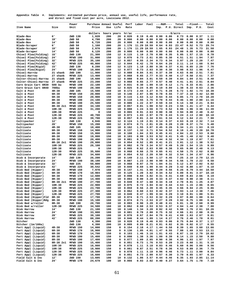**Appendix Table 4. Implements: estimated purchase price, annual use, useful life, performance rate, and direct and fixed cost per acre, Louisiana 2012.** 

| Item Name                                    | Size                       | Power<br>Unit        | Purchase Annual Useful<br>Price | Use         | Life     | Perf<br>Rate   | Labor Fuel   |              | Imp.         | ---R&M----   | Total<br>P.U. Direct         | Imp.         | --Fixed---<br>P.U. | Total<br>Cost  |
|----------------------------------------------|----------------------------|----------------------|---------------------------------|-------------|----------|----------------|--------------|--------------|--------------|--------------|------------------------------|--------------|--------------------|----------------|
|                                              |                            |                      |                                 |             |          |                |              |              |              |              |                              |              |                    |                |
|                                              |                            |                      | dollars                         | hours years |          | hr/ac          |              | -----------  | -----        |              | -----\$/acre---------------- |              |                    |                |
| Blade-Box<br>Blade-Box                       | 6'<br>10'                  | 2WD 130<br>2WD<br>50 | 1,020<br>4,790                  | 200<br>200  | 20<br>20 | 0.020<br>0.000 | 0.19<br>0.00 | 0.46<br>0.00 | 0.00<br>0.00 | 0.06<br>0.00 | 0.73<br>0.00                 | 0.00<br>0.00 | 0.37<br>0.00       | 1.11<br>0.00   |
| Blade-Box                                    | 14'                        | 2WD<br>50            | 6,720                           | 200         | 20       | 0.000          | 0.00         | 0.00         | 0.00         | 0.00         | 0.00                         | 0.00         | 0.00               | 0.00           |
| Blade-Scraper                                | 6'                         | 2WD 50               | 1,160                           | 200         | 20       | 1.176          | 11.29        | 10.59        | 0.64         | 0.93         | 23.47                        | 0.52         | 5.73               | 29.74          |
| Blade-Scraper                                | 10'                        | 2WD<br>50            | 2,970                           | 200         | 20       | 1.176          | 11.29        | 10.59        | 1.65         | 0.93         | 24.48                        | 1.35         | 5.73               | 31.58          |
| Blade-Scraper                                | 14'                        | 50<br>2WD            | 6,120                           | 200         | 20       | 0.000          | 0.00         | 0.00         | 0.00         | 0.00         | 0.00                         | 0.00         | 0.00               | 0.00           |
| Chisel Plow(Folding)                         | 16'                        | 2WD 130              | 21,300                          | 150         | 12       | 0.115          | 1.10         | 2.70         | 0.88         | 0.35         | 5.05                         | 1.57         | 2.15               | 8.78           |
| Chisel Plow(Folding)<br>Chisel Plow(Folding) | 24'<br>32'                 | MFWD 190<br>MFWD 225 | 31,000<br>35,100                | 150<br>150  | 12<br>12 | 0.076<br>0.057 | 0.73<br>0.55 | 2.61<br>2.34 | 0.85<br>0.73 | 0.30<br>0.34 | 4.51<br>3.97                 | 1.51<br>1.29 | 1.94<br>2.20       | 7.97<br>7.47   |
| Chisel Plow(Folding)                         | 42'                        | MFWD 225             | 40,800                          | 150         | 12       | 0.044          | 0.42         | 1.78         | 0.64         | 0.26         | 3.11                         | 1.14         | 1.68               | 5.94           |
| Chisel Plow(Rigid)                           | 15'                        | 2WD 130              | 8,280                           | 150         | 12       | 0.123          | 1.18         | 2.88         | 0.36         | 0.37         | 4.81                         | 0.65         | 2.29               | 7.76           |
| Chisel Plow(Rigid)                           | 24'                        | MFWD 190             | 10,800                          | 150         | 12       | 0.077          | 0.73         | 2.63         | 0.30         | 0.30         | 3.98                         | 0.53         | 1.96               | 6.47           |
| Chisel-Harrow                                | 21 shank                   | 2WD 190              | 11,900                          | 150         | 12       | 0.088          | 0.84         | 3.01         | 0.37         | 0.39         | 4.63                         | 0.66         | 2.51               | 7.81           |
| Chisel-Harrow                                | 27<br>shank                | MFWD 225             | 13,400                          | 150         | 12       | 0.068          | 0.65         | 2.77         | 0.33         | 0.40         | 4.17                         | 0.58         | 2.61               | 7.37           |
| Colter-Chisel-Harrow<br>Colter-Chisel-Harrow | 21 shank<br>27<br>shank    | 2WD 190<br>MFWD 225  | 18,600<br>23,200                | 150<br>150  | 12<br>12 | 0.088<br>0.068 | 0.84<br>0.65 | 3.01<br>2.77 | 0.59<br>0.57 | 0.39<br>0.40 | 4.84<br>4.41                 | 1.04<br>1.01 | 2.51<br>2.61       | 8.40<br>8.04   |
| Corn Grain Cart 8R30                         | 500 bu                     | MFWD 190             | 22,100                          | 200         | 12       | 0.031          | 0.30         | 1.09         | 0.19         | 0.12         | 1.71                         | 0.33         | 0.81               | 2.86           |
| Corn Grain Cart 8R40                         | 700bu                      | MFWD 190             | 28,300                          | 200         | 12       | 0.025          | 0.24         | 0.85         | 0.19         | 0.09         | 1.38                         | 0.33         | 0.63               | 2.36           |
| Cult & Post                                  | $4R - 38$                  | 2WD 105              | 15,500                          | 150         | 10       | 0.173          | 2.44         | 3.27         | 0.71         | 0.28         | 6.72                         | 1.92         | 1.74               | 10.39          |
| Cult & Post                                  | $6R - 30$                  | MFWD 150             | 20,000                          | 150         | 10       | 0.146          | 2.07         | 3.96         | 0.78         | 0.55         | 7.37                         | 2.10         | 3.42               | 12.90          |
| Cult & Post                                  | $6R - 38$                  | MFWD 150             | 20,900                          | 150         | 10       | 0.115          | 1.63         | 3.12         | 0.64         | 0.44         | 5.85                         | 1.73         | 2.70               | 10.28          |
| Cult & Post                                  | $8R - 30$                  | MFWD 190             | 24,100                          | 150         | 10       | 0.110          | 1.55         | 3.76         | 0.70         | 0.43         | 6.46                         | 1.90         | 2.80               | 11.16          |
| Cult & Post<br>Cult & Post                   | $8R - 38$<br>$8R-38$ $2x1$ | MFWD 190<br>MFWD 190 | 25,500<br>34,100                | 150<br>150  | 10<br>10 | 0.086<br>0.057 | 1.22<br>0.81 | 2.97<br>1.98 | 0.59<br>0.52 | 0.34<br>0.23 | 5.14<br>3.55                 | 1.58<br>1.41 | 2.21<br>1.47       | 8.94<br>6.44   |
| Cult & Post                                  | $10R - 30$                 | MFWD 225             | 31,200                          | 150         | 10       | 0.088          | 1.24         | 3.56         | 0.73         | 0.52         | 6.06                         | 1.96         | 3.36               | 11.39          |
| Cult & Post                                  | $10R - 38$                 | MFWD 225             | 0                               | 150         | 10       | 0.065          | 0.91         | 2.63         | 0.00         | 0.38         | 3.94                         | 0.00         | 2.48               | 6.42           |
| Cult & Post                                  | $12R - 30$                 | MFWD 225             | 40,700                          | 150         | 10       | 0.073          | 1.03         | 2.97         | 0.79         | 0.43         | 5.24                         | 2.13         | 2.80               | 10.18          |
| Cult & Post                                  | $12R - 38$                 | MFWD 225             | 39,700                          | 150         | 10       | 0.057          | 0.81         | 2.34         | 0.61         | 0.34         | 4.12                         | 1.64         | 2.21               | 7.98           |
| Cultipacker                                  | 12'                        | 2WD 130              | 4,846                           | 300         | 12       | 0.124          | 1.19         | 2.91         | 0.14         | 0.37         | 4.63                         | 0.19         | 2.32               | 7.14           |
| Cultipacker                                  | 20'                        | MFWD 150             | 15,200                          | 300         | 12       | 0.074          | 0.71         | 2.01         | 0.26         | 0.28         | 3.28                         | 0.37         | 1.74               | 5.40           |
| Cultivate                                    | $4R - 38$                  | 2WD 105<br>MFWD 150  | 10,400                          | 150         | 10       | 0.162          | 1.55         | 3.07         | 0.45         | 0.26         | 5.34                         | 1.21         | 1.63               | 8.19           |
| Cultivate<br>Cultivate                       | $6R - 30$<br>6R-38         | MFWD 150             | 14,900<br>15,800                | 150<br>150  | 10<br>10 | 0.137<br>0.108 | 1.32<br>1.04 | 3.71<br>2.93 | 0.54<br>0.45 | 0.52<br>0.41 | 6.10<br>4.84                 | 1.46<br>1.22 | 3.20<br>2.53       | 10.78<br>8.60  |
| Cultivate                                    | $8R - 30$                  | MFWD 190             | 19,000                          | 150         | 10       | 0.103          | 0.99         | 3.53         | 0.52         | 0.41         | 5.45                         | 1.40         | 2.62               | 9.48           |
| Cultivate                                    | $8R - 38$                  | MFWD 190             | 20,400                          | 150         | 10       | 0.081          | 0.78         | 2.79         | 0.44         | 0.32         | 4.34                         | 1.19         | 2.07               | 7.61           |
| Cultivate                                    | $8R-38$ $2x1$              | MFWD 190             | 29,000                          | 150         | 10       | 0.054          | 0.52         | 1.85         | 0.41         | 0.21         | 3.01                         | 1.12         | 1.38               | 5.52           |
| Cultivate                                    | $10R - 30$                 | MFWD 225             | 26,100                          | 150         | 10       | 0.082          | 0.79         | 3.34         | 0.57         | 0.49         | 5.20                         | 1.54         | 3.15               | 9.89           |
| Cultivate                                    | $10R - 38$                 | MFWD 225             | 0                               | 150         | 10       | 0.065          | 0.62         | 2.63         | 0.00         | 0.38         | 3.65                         | 0.00         | 2.48               | 6.13           |
| Cultivate                                    | $12R - 30$                 | MFWD 225             | 35,600                          | 150         | 10       | 0.068          | 0.66         | 2.78         | 0.65         | 0.41         | 4.50                         | 1.75         | 2.62               | 8.88           |
| Cultivate<br>Disk & Incorporate              | $12R - 38$<br>14'          | MFWD 225<br>2WD 130  | 34,600<br>26,200                | 150<br>200  | 10<br>10 | 0.054<br>0.149 | 0.52<br>2.11 | 2.20<br>3.50 | 0.50<br>1.17 | 0.32<br>0.45 | 3.54<br>7.25                 | 1.34<br>2.10 | 2.07<br>2.79       | 6.96<br>12.15  |
| Disk & Incorporate                           | 24'                        | MFWD 190             | 38,100                          | 200         | 10       | 0.087          | 1.23         | 2.98         | 0.99         | 0.34         | 5.56                         | 1.78         | 2.22               | 9.58           |
| Disk & Incorporate                           | 32'                        | 4WD 225              | 50,800                          | 200         | 10       | 0.068          | 0.97         | 2.78         | 1.04         | 0.31         | 5.12                         | 1.87         | 2.02               | 9.02           |
| Disk & Incorporate                           | 42'                        | MFWD 225             | 30,542                          | 200         | 10       | 0.049          | 0.69         | 1.99         | 0.44         | 0.29         | 3.42                         | 0.80         | 1.87               | 6.10           |
| Disk Bed (Hipper)                            | $4R - 38$                  | MFWD 150             | 7,970                           | 160         | 10       | 0.147          | 1.41         | 3.98         | 0.29         | 0.56         | 6.26                         | 0.79         | 3.44               | 10.50          |
| Disk Bed (Hipper)                            | $6R - 30$                  | MFWD 170             | 10,904                          | 160         | 10       | 0.125          | 1.20         | 3.82         | 0.34         | 0.52         | 5.89                         | 0.91         | 3.37               | 10.18          |
| Disk Bed (Hipper)                            | $6R - 38$                  | MFWD 170             | 12,600                          | 160         | 10       | 0.098          | 0.94         | 3.02         | 0.31         | 0.41         | 4.69                         | 0.83         | 2.66               | 8.19           |
| Disk Bed (Hipper)<br>Disk Bed (Hipper)       | $8R - 30$<br>8R-38 2x1     | MFWD 190<br>MFWD 190 | 14,400<br>27,700                | 160<br>160  | 10<br>10 | 0.093<br>0.049 | 0.90<br>0.47 | 3.20<br>1.68 | 0.33<br>0.34 | 0.37<br>0.19 | 4.82<br>2.70                 | 0.90<br>0.91 | 2.38<br>1.25       | 8.11<br>4.87   |
| Disk Bed (Hipper)                            | $10R - 30$                 | MFWD 225             | 22,900                          | 160         | 10       | 0.075          | 0.72         | 3.04         | 0.42         | 0.44         | 4.63                         | 1.15         | 2.86               | 8.65           |
| Disk Bed (Hipper)                            | $10R - 38$                 | MFWD 225             | 23,700                          | 160         | 10       | 0.059          | 0.56         | 2.39         | 0.35         | 0.35         | 3.66                         | 0.94         | 2.25               | 6.86           |
| Disk Bed (Hipper)                            | $12R - 30$                 | MFWD 225             | 27,300                          | 160         | 10       | 0.062          | 0.60         | 2.53         | 0.42         | 0.37         | 3.93                         | 1.14         | 2.38               | 7.46           |
| Disk Bed (Hipper)                            | $12R - 38$                 | MFWD 225             | 27,700                          | 160         | 10       | 0.049          | 0.47         | 1.99         | 0.34         | 0.29         | 3.10                         | 0.91         | 1.88               | 5.91           |
| Disk Bed (Hipper)Fld                         | $8R - 38$                  | MFWD 190             | 17,700                          | 160         | 10       | 0.074          | 0.71         | 2.53         | 0.32         | 0.29         | 3.87                         | 0.88         | 1.88               | 6.64           |
| Disk Bed (Hipper)Rdg                         | $8R - 38$                  | MFWD 190             | 15,100                          | 160         | 10       | 0.074          | 0.71         | 2.53         | 0.27         | 0.29         | 3.82                         | 0.75         | 1.88               | 6.46           |
| Disk Bed w/roller<br>Disk Bed w/roller       | $8R - 30$<br>$12R - 30$    | 2WD 190<br>MFWD 225  | 20,700<br>34,500                | 160<br>160  | 10<br>10 | 0.093<br>0.062 | 0.90<br>0.60 | 3.20<br>2.53 | 0.48<br>0.53 | 0.41<br>0.37 | 5.01<br>4.04                 | 1.30<br>1.44 | 2.68<br>2.38       | 8.99<br>7.88   |
| Disk Harrow                                  | 14'                        | 2WD 130              | 21,100                          | 180         | 10       | 0.140          | 1.34         | 3.28         | 0.82         | 0.42         | 5.88                         | 1.76         | 2.61               | 10.26          |
| Disk Harrow                                  | 24'                        | MFWD 190             | 33,000                          | 180         | 10       | 0.081          | 0.78         | 2.80         | 0.75         | 0.32         | 4.66                         | 1.61         | 2.08               | 8.36           |
| Disk Harrow                                  | 28'                        | MFWD 225             | 39,100                          | 180         | 10       | 0.070          | 0.67         | 2.84         | 0.76         | 0.41         | 4.69                         | 1.63         | 2.67               | 9.01           |
| Disk Harrow                                  | 42'                        | MFWD 225             | 88,200                          | 180         | 10       | 0.046          | 0.44         | 1.89         | 1.14         | 0.27         | 3.76                         | 2.46         | 1.78               | 8.01           |
| Ditcher                                      |                            | 2WD 130              | 4,390                           | 200         | 10       | 0.020          | 0.19         | 0.46         | 0.03         | 0.06         | 0.75                         | 0.04         | 0.37               | 1.17           |
| Ditcher (1m/160a)                            |                            | 2WD 130              | 4,390                           | 200         | 10       | 0.009          | 0.09         | 0.21         | 0.01         | 0.02         | 0.35                         | 0.02         | 0.17               | 0.55           |
| Fert Appl (Liquid)<br>Fert Appl (Liquid)     | $4R - 38$<br>$6R - 30$     | MFWD 150<br>MFWD 170 | 14,000<br>16,900                | 150<br>150  | 8<br>8   | 0.154<br>0.130 | 2.18<br>1.85 | 4.17<br>4.01 | 1.44<br>1.47 | 0.58<br>0.55 | 8.39<br>7.88                 | 1.65<br>1.69 | 3.60<br>3.53       | 13.66<br>13.11 |
| Fert Appl (Liquid)                           | $6R - 38$                  | MFWD 170             | 14,700                          | 150         | 8        | 0.103          | 1.46         | 3.16         | 1.01         | 0.43         | 6.07                         | 1.16         | 2.79               | 10.02          |
| Fert Appl (Liquid)                           | $8R - 30$                  | MFWD 190             | 15,400                          | 150         | 8        | 0.098          | 1.38         | 3.36         | 1.00         | 0.39         | 6.14                         | 1.15         | 2.50               | 9.80           |
| Fert Appl (Liquid)                           | $8R - 38$                  | MFWD 190             | 17,400                          | 150         | 8        | 0.077          | 1.09         | 2.65         | 0.90         | 0.30         | 4.96                         | 1.03         | 1.97               | 7.97           |
| Fert Appl (Liquid)                           | 8R-38 2x1                  | MFWD 190             | 15,400                          | 150         | 8        | 0.051          | 0.73         | 1.76         | 0.53         | 0.20         | 3.23                         | 0.60         | 1.31               | 5.16           |
| Fert Appl (Liquid)                           | $10R - 30$                 | MFWD 225             | 16,000                          | 150         | 8        | 0.078          | 1.11         | 3.18         | 0.83         | 0.46         | 5.60                         | 0.96         | 3.00               | 9.56           |
| Fert Appl (Liquid)                           | $10R - 38$                 | MFWD 225             | 18,900                          | 150         | 8        | 0.061          | 0.87         | 2.51         | 0.78         | 0.36         | 4.53                         | 0.89         | 2.36               | 7.79           |
| Fert Appl (Liquid)<br>Fert Appl (Liquid)     | $12R - 30$<br>12R-38       | MFWD 225<br>MFWD 225 | 18,500<br>16,600                | 150<br>150  | 8<br>8   | 0.078<br>0.051 | 1.11<br>0.73 | 3.18<br>2.09 | 0.96<br>0.57 | 0.46<br>0.30 | 5.73<br>3.70                 | 1.11<br>0.65 | 3.00<br>1.97       | 9.84<br>6.33   |
| Field Cult & Inc                             | 12'                        | 2WD 150              | 13,605                          | 100         | 10       | 0.132          | 1.86         | 3.57         | 0.44         | 0.46         | 6.35                         |              | 1.93 2.85          | 11.14          |
| Field Cult & Inc                             | 24'                        | MFWD 170             | 24,679                          | 100         | 10       | 0.066          | 0.93         | 2.02         | 0.40         | 0.27         | 3.64                         | 1.75         | 1.78               | 7.18           |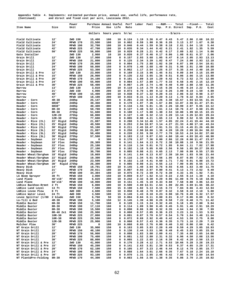| Appendix Table 4. Implements: estimated purchase price, annual use, useful life, performance rate, |                                                     |  |  |  |  |  |
|----------------------------------------------------------------------------------------------------|-----------------------------------------------------|--|--|--|--|--|
| (Continued)                                                                                        | and direct and fixed cost per acre, Louisiana 2012. |  |  |  |  |  |

|                                           |                          |                      |                                 |            |             |                |              |                    |                | ---R&M----   |                                                    |              |                          |                      |
|-------------------------------------------|--------------------------|----------------------|---------------------------------|------------|-------------|----------------|--------------|--------------------|----------------|--------------|----------------------------------------------------|--------------|--------------------------|----------------------|
| Item Name                                 | Size                     | Power<br>Unit        | Purchase Annual Useful<br>Price | Use        | Life        | Perf<br>Rate   | Labor Fuel   |                    | Imp.           |              | Total<br>P.U. Direct                               | Imp.         | --Fixed---<br>P.U.       | Total<br>Cost        |
|                                           |                          |                      | dollars                         |            | hours years | hr/ac          |              |                    |                |              | ----------------------\$/acre--------------------- |              |                          |                      |
|                                           |                          |                      |                                 |            |             |                |              |                    |                |              |                                                    |              |                          |                      |
| Field Cultivate                           | 12'                      | 2WD 150              | 15,400                          | 100        | 10          | 0.124          | 1.19         | 3.36               | 0.47           | 0.43         | 5.47                                               | 2.06         | 2.68                     | 10.22                |
| Field Cultivate<br>Field Cultivate        | 24'<br>32'               | MFWD 170<br>MFWD 190 | 23,500<br>32,700                | 100<br>100 | 10<br>10    | 0.062<br>0.046 | 0.59<br>0.44 | 1.90<br>1.59       | 0.36<br>0.38   | 0.26<br>0.18 | 3.13<br>2.61                                       | 1.57<br>1.64 | 1.67<br>1.18             | 6.38<br>5.44         |
| Field Cultivate                           | 42'                      | MFWD 225             | 47,700                          | 100        | 10          | 0.035          | 0.34         | 1.44               | 0.42           | 0.21         | 2.41                                               | 1.82         | 1.35                     | 5.59                 |
| Field Cultivate                           | 50'                      | MFWD 225             | 56,800                          | 100        | 10          | 0.029          | 0.28         | 1.21               | 0.42           | 0.17         | 2.09                                               | 1.82         | 1.14                     | 5.06                 |
| Gate Installer                            |                          | 2WD 130              | 2,960                           | 10         | 10          | 0.020          | 0.37         | 0.46               | 0.17           | 0.06         | 1.08                                               | 0.61         | 0.37                     | 2.06                 |
| Grain Drill                               | 12'                      | 2WD 130              | 17,900                          | 150        | 8           | 0.157          | 2.93         | 3.68               | 1.05           | 0.47         | 8.14                                               | 2.05         | 2.93                     | 13.13                |
| Grain Drill                               | 15'                      | MFWD 150             | 21,800                          | 150        | 8           | 0.125          | 2.34         | 3.39               | 1.02           | 0.47         | 7.24                                               | 2.00         | 2.93                     | 12.18                |
| Grain Drill                               | 20'                      | MFWD 170             | 29,000                          | 150        | 8           | 0.094          | 1.75         | 2.88               | 1.02           | 0.39         | 6.07                                               | 1.99         | 2.54                     | 10.61                |
| Grain Drill                               | 24'                      | MFWD 190             | 50,800                          | 150        | 8           | 0.078          | 1.46         | 2.68               | 1.49           | 0.31         | 5.96                                               | 2.91         | 2.00                     | 10.88                |
| Grain Drill                               | 30'                      | MFWD 225             | 53,300                          | 150        | 8           | 0.062          | 1.17         | 2.54               | 1.25           | 0.37         | 5.35                                               | 2.44         | 2.40                     | 10.20                |
| Grain Drill & Pre<br>Grain Drill & Pre    | 12'<br>15'               | 2WD 130<br>MFWD 150  | 23,000<br>26,900                | 150<br>150 | 8<br>8      | 0.169<br>0.135 | 3.15<br>2.52 | 3.96<br>3.65       | 1.45<br>1.36   | 0.51<br>0.51 | 9.09<br>8.06                                       | 2.84<br>2.66 | 3.15<br>3.15             | 15.09<br>13.88       |
| Grain Drill & Pre                         | 20'                      | MFWD 170             | 34,100                          | 150        | 8           | 0.101          | 1.89         | 3.10               | 1.29           | 0.42         | 6.73                                               | 2.52         | 2.74                     | 12.00                |
| Grain Drill & Pre                         | 24'                      | MFWD 190             | 55,900                          | 150        | 8           | 0.084          | 1.57         | 2.89               | 1.77           | 0.33         | 6.58                                               | 3.45         | 2.15                     | 12.19                |
| Grain Drill & Pre                         | 30'                      | MFWD 225             | 58,400                          | 150        | 8           | 0.067          | 1.26         | 2.74               | 1.48           | 0.40         | 5.89                                               | 2.88         | 2.58                     | 11.36                |
| Harrow                                    | 13'                      | 2WD 130              | 3,810                           | 200        | 10          | 0.119          | 1.14         | 2.79               | 0.15           | 0.36         | 4.46                                               | 0.24         | 2.22                     | 6.94                 |
| Harrow                                    | 21'                      | 2WD 150              | 4,990                           | 200        | 10          | 0.073          | 0.70         | 1.99               | 0.12           | 0.26         | 3.09                                               | 0.19         | 1.59                     | 4.89                 |
| Harrow                                    | 40'                      | MFWD 190             | 15,400                          | 200        | 10          | 0.038          | 0.37         | 1.32               | 0.20           | 0.15         | 2.06                                               | 0.32         | 0.98                     | 3.37                 |
| Harrow                                    | 47'                      | MFWD 190             | 18,100                          | 200        | 10          | 0.033          | 0.31         | 1.13               | 0.20           | 0.13         | 1.78                                               | 0.32         | 0.84                     | 2.95                 |
| Header - Corn                             | 4R-38                    | 240hp                | 25,147                          | 300        | 8           | 0.201          | 2.33         | 8.69               | 1.26           | 3.38         | 15.67                                              |              | 1.93 13.55               | 31.16                |
| Header - Corn                             | 6R30"                    | 240hp                | 39,360                          | 300        | 8           | 0.170          | 1.97         | 7.36               | 1.67           | 2.86         | 13.87                                              |              | 2.56 11.47               | 27.91                |
| Header - Corn                             | 6R38"                    | 240hp                | 40,400                          | 300        | 8           | 0.134          | 1.55         | 5.81               | 1.35           | 2.26         | 10.99                                              | 2.07         | 9.05                     | 22.12                |
| Header - Corn                             | 8R-30                    | 240hp                | 50,700                          | 300        | 8           | 0.127          | 1.48         | 5.52               | 1.61           | 2.14         | 10.76                                              | 2.47         | 8.60                     | 21.85                |
| Header - Corn<br>Header - Corn            | 8R-38<br>$12R - 20$      | 275hp<br>275hp       | 51,600<br>66,800                | 300<br>300 | 8<br>8      | 0.100<br>0.127 | 1.17<br>1.48 | 5.00<br>6.32       | 1.30<br>2.13   | 2.53<br>3.20 | 10.00<br>13.14                                     |              | 1.99 10.15<br>3.26 12.83 | 22.15<br>29.24       |
| Header - Corn                             | $12R - 30$               | 275hp                | 77,600                          | 300        | 8           | 0.085          | 0.98         | 4.21               | 1.65           | 2.13         | 8.99                                               | 2.52         | 8.55                     | 20.08                |
| $Header - Rice (CL)$                      | 22' Rigid                | 240hp                | 21,887                          | 300        | 8           | 0.288          |              | 3.34 12.46         | 1.57           | 4.85         | 22.24                                              |              | 2.41 19.44               | 44.10                |
| Header - Rice (CL)                        | 25' Rigid                | 240hp                | 49,500                          | 300        | 8           | 0.253          |              | 2.94 10.97         | 3.14           | 4.27         | 21.33                                              |              | 4.80 17.10               | 43.24                |
| Header - Rice (CL)                        | 30' Rigid                | 275hp                | 55,100                          | 300        | 8           | 0.211          |              | 2.45 10.47         | 2.91           | 5.31         | 21.15                                              |              | 4.45 21.26               | 46.88                |
| Header - Rice (SL)                        | 22' Rigid                | 240hp                | 21,887                          | 300        | 8           | 0.250          |              | 2.90 10.80         | 1.36           | 4.20         | 19.28                                              |              | 2.09 16.84               | 38.22                |
| Header - Rice (SL)                        | 25'<br>Rigid             | 240hp                | 50,400                          | 300        | 8           | 0.220          | 2.55         | 9.50               | 2.77           | 3.70         | 18.53                                              |              | 4.24 14.82               | 37.60                |
| Header - Rice (SL)                        | 30' Rigid                | 275hp                | 57,500                          | 300        | 8           | 0.183          | 2.12         | 9.07               | 2.63           | 4.60         | 18.44                                              |              | 4.03 18.43               | 40.90                |
| Header - Soybean                          | 15' Flex                 | 240hp                | 0                               | 300        | 8           | 0.170          | 1.97         | 7.36               | 0.00           | 2.86         | 12.20                                              |              | 0.0011.47                | 23.67                |
| Header - Soybean                          | $18'$ Flex               | 240hp                | 20,309                          | 300        | 8           | 0.141          | 1.64         | 6.13               | 0.72           | 2.38         | 10.88                                              | 1.10         | 9.56                     | 21.55                |
| Header - Soybean                          | 22' Flex                 | 240hp                | 25,100                          | 300        | 8           | 0.116          | 1.34         | 5.01               | 0.72           | 1.95         | 9.04                                               | 1.11         | 7.82                     | 17.98                |
| Header - Soybean                          | 25' Flex                 | 275hp                | 27,100                          | 300<br>300 | 8<br>8      | 0.102<br>0.085 | 1.18<br>0.98 | 5.05<br>4.21       | 0.69<br>0.65   | 2.56<br>2.13 | 9.50<br>7.99                                       | 0.99         | 1.05 10.27<br>8.55       | 20.83<br>17.55       |
| Header - Soybean<br>Header Wheat/Sorghum  | 30' Flex<br>18'<br>Rigid | 275hp<br>240hp       | 30,700<br>19,069                | 300        | 8           | 0.141          | 1.64         | 6.13               | 0.67           | 2.38         | 10.84                                              | 1.03         | 9.56                     | 21.44                |
| Header Wheat/Sorghum                      | 22' Rigid                | 240hp                | 19,300                          | 300        | 8           | 0.116          | 1.34         | 5.01               | 0.56           | 1.95         | 8.87                                               | 0.85         | 7.82                     | 17.56                |
| Header Wheat/Sorghum                      | 25'<br>Rigid             | 240hp                | 23,500                          | 300        | 8           | 0.102          | 1.18         | 4.41               | 0.60           | 1.71         | 7.92                                               | 0.91         | 6.88                     | 15.72                |
| Header Wheat/Sorghum                      | 30'                      | Rigid 275hp          | 26,300                          | 300        | 8           | 0.085          | 0.98         | 4.21               | 0.55           | 2.13         | 7.90                                               | 0.85         | 8.55                     | 17.31                |
| Heavy Disk                                | 14'                      | MFWD 150             | 18,791                          | 180        | 10          | 0.145          | 1.40         | 3.94               | 0.76           | 0.55         | 6.66                                               | 1.63         | 3.40                     | 11.70                |
| Heavy Disk                                | 21'                      | MFWD 170             | 29,911                          | 180        | 10          | 0.097          | 0.93         | 2.97               | 0.80           | 0.41         | 5.13                                               | 1.73         | 2.62                     | 9.49                 |
| Heavy Disk                                | 27'                      | MFWD 190             | 34,304                          | 180        | 10          | 0.075          | 0.72         | 2.59               | 0.72           | 0.30         | 4.33                                               | 1.55         | 1.92                     | 7.81                 |
| LA Boom Sprayer                           | 30 ft                    | MFWD 150             | 3,000                           | 150        | 10          | 0.059          | 0.57         | 1.62               | 0.13           | 0.22         | 2.55                                               | 0.14         | 1.39                     | 4.10                 |
| Land Plane                                | <b>40'x10</b> '          | MFWD 190             | 6,020                           | 200        | 10          | 0.242          | 2.32         | 8.30               | 0.29           | 0.96         | 11.89                                              | 0.78         | 6.18                     | 18.86                |
| Land Plane                                | 50'x16'                  | MFWD 190             | 10,900                          | 200        | 10          | 0.151<br>0.500 | 1.45         | 5.19<br>4.80 13.51 | 0.33           | 0.60         | 7.58                                               | 0.88         | 3.86<br>3.69 11.66       | 12.33                |
| LARice Backhoe-Rrmnt<br>LARice Land Level | 2 ft<br>13 ft            | MFWD 150<br>MFWD 150 | 6,000<br>7,500                  | 100<br>200 | 10<br>15    | 0.190          | 1.82         | 5.13               | 2.64<br>0.15   | 1.90<br>0.72 | 22.85<br>7.84                                      | 0.66         | 4.43                     | 38.22<br>12.94       |
| LARice Levee Plow                         | 8 ft                     | 4WD 300              | 4,600                           | 150        | 10          | 0.050          | 0.48         | 2.70               | 0.07           | 0.32         | 3.58                                               | 0.18         | 2.10                     | 5.88                 |
| LARice Water Level                        | 24 ft                    | 4WD 300              | 3,500                           | 100        | 15          | 0.149          | 1.43         | 8.10               | 0.23           | 0.98         | 10.76                                              | 0.49         | 6.32                     | 17.57                |
| Levee Splitter (1/80                      | 2 blade                  | 2WD 150              | 6,760                           | 50         | 10          | 0.004          | 0.04         | 0.11               | 0.00           | 0.01         | 0.17                                               | 0.06         | 0.09                     | 0.32                 |
| Lo-Till & Bed                             | 4R-38                    | MFWD 190             | 5,100                           | 150        | 12          | 0.145          | 1.39         | 4.98               | 0.26           | 0.58         | 7.22                                               | 0.48         | 3.71                     | 11.42                |
| Middle Buster                             | 6R-38                    | MFWD 150             | 11,700                          | 160        | 8           | 0.120          | 1.15         | 3.24               | 0.32           | 0.45         | 5.18                                               | 1.05         | 2.80                     | 9.04                 |
| Middle Buster                             | 8R-30                    | MFWD 190             | 17,110                          | 160        | 8           | 0.114          | 1.09         | 3.90               | 0.45           | 0.45         | 5.91                                               | 1.46         | 2.91                     | 10.29                |
| Middle Buster                             | 8R-38                    | MFWD 190             | 15,500                          | 160        | 8           | 0.090          | 0.86         | 3.08               | 0.32           | 0.35         | 4.64                                               | 1.04         | 2.30                     | 7.99                 |
| Middle Buster                             | 8R-40 2x1                | MFWD 190             | 25,900                          | 160        | 8           | 0.060          | 0.57         | 2.05               | 0.36           | 0.23         | 3.23                                               | 1.16         | 1.53                     | 5.93                 |
| Middle Buster                             | $10R - 30$               | MFWD 225             | 27,000                          | 160        | 8           | 0.091          | 0.87         | 3.70               | 0.57           | 0.54         | 5.70                                               | 1.84         | 3.48                     | 11.04                |
| Middle Buster                             | $10R - 38$               | MFWD 225             | 29,500                          | 160        | 8           | 0.072          | 0.69         | 2.92               | 0.49           | 0.42         | 4.53                                               | 1.59         | 2.75                     | 8.88                 |
| Middle Buster<br>Mulcher Plow             | 12R-38<br>30'            | MFWD 225<br>MFWD 225 | 25,900<br>0                     | 160<br>100 | 8<br>10     | 0.060<br>0.068 | 0.57<br>0.65 | 2.43<br>2.76       | 0.36<br>0.00   | 0.35<br>0.40 | 3.73<br>3.82                                       | 1.16<br>0.00 | 2.29<br>2.60             | 7.19<br>6.42         |
| NT Grain Drill                            | 12'                      | 2WD 130              | 35,900                          | 150        | 8           | 0.163          | 3.05         | 3.83               | 2.20           | 0.49         | 9.59                                               | 4.29         | 3.05                     | 16.93                |
| NT Grain Drill                            | 15'                      | MFWD 150             | 40,100                          | 150        | 8           | 0.130          | 2.44         | 3.53               | 1.96           | 0.49         | 8.45                                               | 3.83         | 3.05                     | 15.34                |
| NT Grain Drill                            | 10ء                      | MFWD 170             | 56,900                          | 150        | 8           | 0.098          | 1.83         | 3.00               | 2.09           | 0.41         | 7.35                                               | 4.08         | 2.65                     | 14.08                |
| NT Grain Drill                            | 24 '                     | MFWD 190             | 75,400                          | 150        | 8           | 0.081          | 1.52         | 2.80               | 2.31           | 0.32         | 6.96                                               | 4.50         | 2.08                     | 13.56                |
| NT Grain Drill                            | 30'                      | MFWD 225             | 88,000                          | 150        | 8           | 0.065          | 1.22         | 2.65               | 2.16           | 0.39         | 6.42                                               | 4.20         | 2.50                     | 13.13                |
| NT Grain Drill & Pre                      | 12'                      | 2WD 130              | 41,000                          | 150        | 8           | 0.176          | 3.28         | 4.12               | 2.71           | 0.53         | 10.66                                              | 5.28         | 3.28                     | 19.23                |
| NT Grain Drill & Pre                      | 15'                      | MFWD 150             | 45,200                          | 150        | 8           | 0.141          | 2.63         | 3.81               | 2.39           | 0.53         | 9.37                                               | 4.65         | 3.29                     | 17.31                |
| NT Grain Drill & Pre                      | 20'                      | MFWD 170             | 62,100                          | 150        | 8           | 0.105          | 1.97         | 3.23               | 2.46           | 0.44         | 8.12                                               | 4.79         | 2.85                     | 15.77                |
| NT Grain Drill & Pre                      | 24'                      | MFWD 190             | 80,500                          | 150        | 8           | 0.088          | 1.64         | 3.01               | 2.66           | 0.35         | 7.67                                               | 5.18         | 2.24                     | 15.10                |
| NT Grain Drill & Pre                      | 30'                      | MFWD 225             | 93,100                          | 150        | 8           | 0.070          | 1.31         | 2.85               | 2.46           | 0.42         | 7.05                                               | 4.79         | 2.69                     | 14.54                |
| NT Plant&Pre-Folding                      | $8R - 38$                | MFWD 170             | 44,300                          | 150        | 8           | 0.083          | 1.56         |                    | 2.56 1.38 0.35 |              |                                                    |              |                          | 5.86 2.70 2.25 10.82 |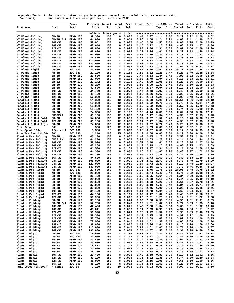|             | Appendix Table 4. Implements: estimated purchase price, annual use, useful life, performance rate, |  |  |  |  |
|-------------|----------------------------------------------------------------------------------------------------|--|--|--|--|
| (Continued) | and direct and fixed cost per acre, Louisiana 2012.                                                |  |  |  |  |

|                                            |                             | Power                | Purchase Annual Useful |            |             | Perf           | Labor Fuel   |              |                   | ---R&M----   | Total                              |              | --Fixed---    | Total          |
|--------------------------------------------|-----------------------------|----------------------|------------------------|------------|-------------|----------------|--------------|--------------|-------------------|--------------|------------------------------------|--------------|---------------|----------------|
| Item Name                                  | Size                        | Unit                 | Price                  | Use        | Life        | Rate           |              |              | Imp.              |              | P.U. Direct                        | Imp.         | P.U.          | Cost           |
|                                            |                             |                      | dollars                |            | hours years | hr/ac          | -----------  |              |                   |              | -----------\$/acre---------------- |              |               |                |
| NT Plant-Folding                           | $8R - 38$                   | MFWD 170             | 39,300<br>64,000       | 150        | 8           | 0.077          | 1.44         | 2.37         | 1.14              | 0.32         | 5.29                               | 2.22         | 2.09          | 9.62           |
| NT Plant-Folding<br>NT Plant-Folding       | $8R-38$ $2x1$<br>$10R - 30$ | MFWD 170<br>MFWD 190 | 52,061                 | 150<br>150 | 8<br>8      | 0.051<br>0.078 | 0.96<br>1.46 | 1.58<br>2.68 | 1.24<br>1.53      | 0.21<br>0.31 | 4.00<br>6.00                       | 2.41<br>2.98 | 1.39<br>2.00  | 7.81<br>10.99  |
| NT Plant-Folding                           | $10R - 38$                  | MFWD 190             | 47,646                 | 150        | 8           | 0.061          | 1.15         | 2.12         | 1.10              | 0.24         | 4.63                               | 2.15         | 1.57          | 8.36           |
| NT Plant-Folding                           | $12R - 20$                  | MFWD 190             | 62,800                 | 150        | 8           | 0.098          | 1.83         | 3.36         | 2.31              | 0.39         | 7.89                               | 4.50         | 2.50          | 14.90          |
| NT Plant-Folding<br>NT Plant-Folding       | 12R-30<br>$12R - 38$        | MFWD 190<br>MFWD 190 | 65,600<br>64,000       | 150<br>150 | 8<br>8      | 0.065<br>0.051 | 1.22<br>0.96 | 2.24<br>1.76 | 1.61<br>1.24      | 0.26<br>0.20 | 5.33<br>4.18                       | 3.13<br>2.41 | 1.66<br>1.31  | 10.14<br>7.91  |
| NT Plant-Folding                           | $16R - 30$                  | MFWD 190             | 86,400                 | 150        | 8           | 0.049          | 0.91         | 1.68         | 1.59              | 0.19         | 4.38                               | 3.09         | 1.25          | 8.73           |
| NT Plant-Folding                           | 23R-15                      | MFWD 190             | 112,000                | 150        | 8           | 0.068          | 1.27         | 2.33         | 2.86              | 0.27         | 6.74                               | 5.58         | 1.73          | 14.06          |
| NT Plant-Folding                           | $24R - 20$                  | MFWD 190             | 127,000                | 150        | 8           | 0.049          | 0.91         | 1.68         | 2.33              | 0.19         | 5.13                               | 4.55         | 1.25          | 10.93          |
| NT Plant-Folding<br>NT Plant-Rigid         | $24R - 30$<br>$4R - 30$     | MFWD 190<br>2WD 130  | 143,000<br>20,600      | 150<br>150 | 8<br>8      | 0.032<br>0.196 | 0.61<br>3.66 | 1.12<br>4.60 | 1.75<br>1.51      | 0.13<br>0.59 | 3.61<br>10.38                      | 3.42<br>2.95 | 0.83<br>3.66  | 7.87<br>17.00  |
| NT Plant-Rigid                             | $4R - 38$                   | 2WD 130              | 22,100                 | 150        | 8           | 0.154          | 2.88         | 3.62         | 1.28              | 0.47         | 8.26                               | 2.49         | 2.88          | 13.64          |
| NT Plant-Rigid                             | 6R-30                       | MFWD 150             | 29,500                 | 150        | 8           | 0.130          | 2.44         | 3.53         | 1.44              | 0.49         | 7.93                               | 2.82         | 3.05          | 13.80          |
| NT Plant-Rigid                             | $6R - 38$                   | MFWD 150             | 27,000                 | 150        | 8<br>8      | 0.103<br>0.133 | 1.92<br>2.49 | 2.79<br>4.09 | 1.04<br>1.05      | 0.39         | 6.16                               | 2.03<br>2.06 | 2.41<br>3.60  | 10.61<br>13.87 |
| NT Plant-Rigid<br>NT Plant-Rigid           | $8R - 22$<br>$8R - 30$      | MFWD 170<br>MFWD 170 | 21,142<br>36,200       | 150<br>150 | 8           | 0.098          | 1.83         | 3.00         | 1.33              | 0.56<br>0.41 | 8.20<br>6.58                       | 2.59         | 2.65          | 11.83          |
| NT Plant-Rigid                             | $8R - 38$                   | MFWD 170             | 32,500                 | 150        | 8           | 0.077          | 1.44         | 2.37         | 0.94              | 0.32         | 5.10                               | 1.84         | 2.09          | 9.03           |
| NT Plant-Rigid                             | $10R - 30$                  | MFWD 190             | 34,700                 | 150        | 8           | 0.078          | 1.46         | 2.68         | 1.02              | 0.31         | 5.49                               | 1.99         | 2.00          | 9.48           |
| NT Plant-Rigid<br>NT Plant-Rigid           | $12R - 20$<br>$12R - 30$    | MFWD 190<br>MFWD 190 | 45,400<br>52,200       | 150<br>150 | 8<br>8      | 0.098<br>0.065 | 1.83<br>1.22 | 3.36<br>2.24 | 1.67<br>1.28      | 0.39<br>0.26 | 7.25<br>5.00                       | 3.25<br>2.49 | 2.50<br>1.66  | 13.01<br>9.17  |
| Paratill & Bed                             | $4R - 30$                   | MFWD 225             | 14,300                 | 150        | 12          | 0.204          | 1.96         | 8.28         | 1.05              | 1.21         | 12.51                              | 1.86         | 7.80          | 22.18          |
| Paratill & Bed                             | $4R - 38$                   | MFWD 225             | 13,200                 | 150        | 12          | 0.160          | 1.54         | 6.52         | 0.76              | 0.96         | 9.79                               | 1.35         | 6.14          | 17.29          |
| Paratill & Bed                             | $6R - 30$                   | MFWD 225             | 19,000                 | 150        | 12          | 0.136          | 1.30         | 5.52         | 0.93              | 0.81         | 8.57                               | 1.65         | 5.20          | 15.43          |
| Paratill & Bed<br>Paratill & Bed           | $6R - 38$<br>$8R - 30$      | MFWD 225<br>MFWD 225 | 18,400<br>24,300       | 150<br>150 | 12<br>12    | 0.107<br>0.102 | 1.03<br>0.98 | 4.35<br>4.14 | 0.71<br>0.89      | 0.64<br>0.60 | 6.74<br>6.62                       | 1.26<br>1.58 | 4.10<br>3.90  | 12.11<br>12.11 |
| Paratill & Bed                             | 8R382X1                     | MFWD 225             | 69,100                 | 150        | 12          | 0.053          | 0.51         | 2.17         | 1.34              | 0.32         | 4.35                               | 2.37         | 2.05          | 8.78           |
| Paratill & Bed Fold.                       | $8R - 38$                   | MFWD 225             | 54,000                 | 150        | 12          | 0.080          | 0.77         | 3.27         | 1.57              | 0.48         | 6.10                               | 2.78         | 3.08          | 11.97          |
| Paratill & Bed Fold.                       | $12R - 38$                  | MFWD 225             | 69,100                 | 150        | 12          | 0.053          | 0.51         | 2.17         | 1.34              | 0.32         | 4.35                               | 2.37         | 2.05          | 8.78           |
| Paratill & Bed Rigid<br>Pipe Drag          | $8R - 38$<br>30'            | MFWD 225<br>2WD 150  | 24,800<br>500          | 150<br>100 | 12<br>12    | 0.080<br>0.051 | 0.77<br>0.49 | 3.27<br>1.39 | 0.72<br>0.00      | 0.48<br>0.18 | 5.25<br>2.08                       | 1.27<br>0.02 | 3.08<br>1.11  | 9.61<br>3.23   |
| Pipe Spool 160ac                           | $1/4m$ roll                 | 2WD 130              | 3,380                  | 15         | 12          | 0.003          | 0.08         | 0.07         | 0.00              | 0.00         | 0.17                               | 0.06         | 0.05          | 0.30           |
| Pipe Trailer 1m/160a                       | 30'                         | 2WD 130              | 1,240                  | 100        | 15          | 0.003          | 0.17         | 0.08         | 0.00              | 0.01         | 0.27                               | 0.00         | 0.06          | 0.34           |
| Plant & Pre Folding                        | 8R-38                       | MFWD 170             | 40,100                 | 150        | 8           | 0.080          | 1.49         | 2.45         | 1.20              | 0.33         | 5.50                               | 2.35         | 2.16          | 10.01          |
| Plant & Pre Folding<br>Plant & Pre Folding | 8R38 2x1<br>$10R - 30$      | MFWD 170<br>MFWD 190 | 64,200<br>52,920       | 150<br>150 | 8<br>8      | 0.053<br>0.081 | 0.99<br>1.51 | 1.63<br>2.78 | 1.28<br>1.61      | 0.22<br>0.32 | 4.14<br>6.23                       | 2.50<br>3.14 | 1.44<br>2.07  | 8.09<br>11.44  |
| Plant & Pre Folding                        | $10R - 38$                  | MFWD 190             | 48,258                 | 150        | 8           | 0.064          | 1.19         | 2.19         | 1.15              | 0.25         | 4.80                               | 2.25         | 1.63          | 8.69           |
| Plant & Pre Folding                        | $12R - 20$                  | MFWD 190             | 61,500                 | 150        | 8           | 0.101          | 1.89         | 3.47         | 2.34              | 0.40         | 8.11                               | 4.56         | 2.58          | 15.26          |
| Plant & Pre Folding                        | $12R - 30$                  | MFWD 190             | 64,300                 | 150        | 8           | 0.067          | 1.26         | 2.31         | 1.63              | 0.26         | 5.48                               | 3.17         | 1.72          | 10.38          |
| Plant & Pre Folding<br>Plant & Pre Folding | 12R-38<br>$16R - 30$        | MFWD 190<br>MFWD 190 | 64,200<br>84,500       | 150<br>150 | 8<br>8      | 0.053<br>0.050 | 0.99<br>0.94 | 1.82<br>1.73 | 1.28<br>1.60      | 0.21<br>0.20 | 4.32<br>4.49                       | 2.50<br>3.13 | 1.36<br>1.29  | 8.19<br>8.92   |
| Plant & Pre Folding                        | $23R - 15$                  | MFWD 190             | 105,000                | 150        | 8           | 0.070          | 1.31         | 2.41         | 2.77              | 0.28         | 6.78                               | 5.40         | 1.79          | 13.99          |
| Plant & Pre Folding                        | $24R - 20$                  | MFWD 190             | 121,000                | 150        | 8           | 0.050          | 0.94         | 1.73         | 2.30              | 0.20         | 5.19                               | 4.48         | 1.29          | 10.97          |
| Plant & Pre Folding                        | 24R-30                      | MFWD 190             | 140,000                | 150        | 8           | 0.033          | 0.63         | 1.15         | 1.77              | 0.13         | 3.70                               | 3.46         | 0.86          | 8.02           |
| Plant & Pre Rigid<br>Plant & Pre Rigid     | $4R - 30$<br>$4R - 38$      | 2WD 130<br>2WD 130   | 23,500<br>25,000       | 150<br>150 | 8<br>8      | 0.203<br>0.159 | 3.78<br>2.98 | 4.75<br>3.74 | 1.78<br>1.49      | 0.61<br>0.48 | 10.95<br>8.71                      | 3.48<br>2.92 | 3.78<br>2.98  | 18.22<br>14.61 |
| Plant & Pre Rigid                          | 6R-30                       | MFWD 150             | 32,400                 | 150        | 8           | 0.135          | 2.52         | 3.65         | 1.64              | 0.51         | 8.34                               | 3.20         | 3.15          | 14.70          |
| Plant & Pre Rigid                          | 6R-38                       | MFWD 150             | 28,900                 | 150        | 8           | 0.106          | 1.99         | 2.88         | 1.15              | 0.40         | 6.44                               | 2.25         | 2.49          | 11.19          |
| Plant & Pre Rigid                          | $8R - 22$<br>$8R - 30$      | MFWD 170<br>MFWD 170 | 23,550                 | 150<br>150 | 8<br>8      | 0.138<br>0.101 | 2.57<br>1.89 | 4.23<br>3.10 | 1.22<br>1.40      | 0.58<br>0.42 | 8.61<br>6.84                       | 2.37<br>2.74 | 3.72<br>2.74  | 14.71<br>12.32 |
| Plant & Pre Rigid<br>Plant & Pre Rigid     | $8R - 38$                   | MFWD 170             | 37,000<br>33,300       | 150        | 8           | 0.080          | 1.49         | 2.45         | 1.00              | 0.33         | 5.29                               | 1.95         | 2.16          | 9.41           |
| Plant & Pre Rigid                          | 10R-30                      | MFWD 190             | 34,400                 | 150        | 8           | 0.081          | 1.51         | 2.78         | 1.04              | 0.32         | 5.66                               | 2.04         | 2.07          | 9.77           |
| Plant & Pre Rigid                          | $12R - 20$                  | MFWD 190             | 44,100                 | 150        | 8           | 0.101          | 1.89         | 3.47         | 1.67              | 0.40         | 7.45                               | 3.27         | 2.58          | 13.31          |
| Plant & Pre Rigid<br>Plant - Folding       | $12R - 30$<br>8R-38         | MFWD 190<br>MFWD 170 | 50,900<br>35,100       | 150<br>150 | 8<br>8      | 0.067<br>0.074 | 1.26<br>1.39 | 2.31<br>2.28 | 1.29<br>0.98      | 0.26<br>0.31 | 5.14<br>4.96                       | 2.51<br>1.91 | 1.72<br>2.01  | 9.38<br>8.89   |
| Plant - Folding                            | 8R-38 2x1                   | MFWD 170             | 57,700                 | 150        | 8           | 0.049          | 0.92         | 1.51         | 1.07              | 0.20         | 3.72                               | 2.09         | 1.33          | 7.16           |
| Plant - Folding                            | $10R - 30$                  | MFWD 190             | 47,426                 | 150        | 8           | 0.075          | 1.40         | 2.58         | 1.34              | 0.30         | 5.63                               | 2.61         | 1.92          | 10.16          |
| Plant - Folding<br>Plant - Folding         | $10R - 38$                  | MFWD 190             | 43,011                 | 150        | 8           | 0.059          | 1.11         | 2.03         | 0.95              | 0.23         | 4.34                               | 1.86         | 1.51          | 7.72           |
| Plant - Folding                            | 12R-20<br>$12R - 30$        | MFWD 190<br>MFWD 190 | 56,500<br>59,300       | 150<br>150 | 8<br>8      | 0.094<br>0.062 | 1.75<br>1.17 | 3.22<br>2.15 | 1.99<br>1.39      | 0.37<br>0.25 | 7.36<br>4.97                       | 3.89<br>2.72 | 2.40<br>1.60  | 13.65<br>9.29  |
| Plant - Folding                            | $12R - 38$                  | MFWD 190             | 57,700                 | 150        | 8           | 0.049          | 0.92         | 1.69         | 1.07              | 0.19         | 3.89                               | 2.09         | 1.26          | 7.25           |
| Plant - Folding                            | 16R-30                      | MFWD 190             | 77,900                 | 150        | 8           | 0.047          | 0.87         | 1.61         | 1.37              | 0.18         | 4.05                               | 2.68         | 1.20          | 7.94           |
| Plant - Folding<br>Plant - Folding         | $23R - 15$<br>$24R - 20$    | MFWD 190<br>MFWD 190 | 99,600<br>115,000      | 150<br>150 | 8<br>8      | 0.065<br>0.047 | 1.22<br>0.87 | 2.24<br>1.61 | 2.44<br>2.03      | 0.26<br>0.18 | 6.16                               | 4.76<br>3.96 | 1.66<br>1.20  | 12.60<br>9.87  |
| Plant - Folding                            | 24R-30                      | MFWD 190             | 130,000                | 150        | 8           | 0.031          | 0.58         | 1.07         | 1.53              | 0.12         | 4.71<br>3.31                       | 2.98         | 0.80          | 7.10           |
| Plant - Rigid                              | $4R - 30$                   | 2WD 130              | 18,500                 | 150        | 8           | 0.188          | 3.51         | 4.41         | 1.30              | 0.57         | 9.81                               | 2.54         | 3.51          | 15.88          |
| Plant - Rigid                              | 4R-38                       | 2WD 130              | 20,000                 | 150        | 8           | 0.148          | 2.77         | 3.47         | 1.11              | 0.45         | 7.81                               | 2.16         | 2.76          | 12.75          |
| Plant - Rigid<br>Plant - Rigid             | 6R-30<br>6R-38              | MFWD 150<br>MFWD 150 | 27,400<br>23,900       | 150<br>150 | 8<br>8      | 0.125<br>0.099 | 2.34<br>1.85 | 3.39<br>2.68 | 1.29<br>0.88      | 0.47<br>0.37 | 7.51<br>5.80                       | 2.51<br>1.73 | 2.93<br>2.31  | 12.96<br>9.85  |
| Plant - Rigid                              | $8R - 22$                   | MFWD 170             | 18,473                 | 150        | 8           | 0.127          | 2.38         | 3.91         | 0.88              | 0.53         | 7.72                               | 1.72         | 3.45          | 12.90          |
| Plant - Rigid                              | $8R - 30$                   | MFWD 170             | 32,000                 | 150        | 8           | 0.094          | 1.75         | 2.88         | 1.13              | 0.39         | 6.17                               | 2.20         | 2.54          | 10.92          |
| Plant - Rigid                              | $8R - 38$                   | MFWD 170             | 28,300                 | 150        | 8           | 0.074          | 1.39         | 2.28         | 0.79              | 0.31         | 4.77                               | 1.54         | 2.01          | 8.33           |
| Plant - Rigid<br>Plant - Rigid             | $10R - 30$<br>$12R - 20$    | MFWD 190<br>MFWD 190 | 29,400<br>39,100       | 150<br>150 | 8<br>8      | 0.075<br>0.094 | 1.40<br>1.75 | 2.58<br>3.22 | 0.83<br>1.38      | 0.30<br>0.37 | 5.12<br>6.74                       | 1.62<br>2.69 | 1.92<br>2.40  | 8.66<br>11.84  |
| Plant - Rigid                              | 12R-30                      | MFWD 190             | 45,900                 | 150        | 8           | 0.062          | 1.17         | 2.15         | 1.08              | 0.25         | 4.65                               | 2.10         | 1.60          | 8.36           |
| Plant - Rigid                              | 15R-15                      | 2WD 150              | 45,100                 | 150        | 8           | 0.094          | 1.75         | 2.54         | 1.59              | 0.33         | 6.23                               | 3.10         | 2.03          | 11.37          |
| Pull Levee (1m/80a))                       | 4 blade                     | 2WD 50               | 3,180                  | 100        | 10          | 0.003          | 0.03         |              | $0.03 \quad 0.00$ | 0.00         | 0.07                               |              | $0.01$ $0.01$ | 0.10           |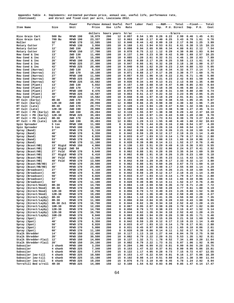Appendix Table 4. Implements: estimated purchase price, annual use, useful life, performance rate, (Continued) and direct and fixed cost per acre, Louisiana 2012.

| Item Name                                    | Size                        | Power<br>Unit        | Purchase Annual Useful<br>Price | Use        | Life              | Perf<br>Rate   | Labor Fuel   |              | ---R&M----<br>Imp. |              | Total<br>P.U. Direct                           | Imp.         | --Fixed---<br>P.U. | Total<br>Cost |
|----------------------------------------------|-----------------------------|----------------------|---------------------------------|------------|-------------------|----------------|--------------|--------------|--------------------|--------------|------------------------------------------------|--------------|--------------------|---------------|
|                                              |                             |                      |                                 |            |                   |                |              |              |                    |              | -----------------------\$/acre---------------- |              |                    |               |
| Rice Grain Cart                              | 500 Bu                      | MFWD 190             | dollars<br>16,979               | 200        | hours years<br>12 | hr/ac<br>0.057 | 0.54         | 1.95         | 0.26               | 0.22         | 2.99                                           | 0.46         | 1.45               | 4.91          |
| Rice Grain Cart                              | 700 Bu                      | MFWD 190             | 23,337                          | 200        | 12                | 0.063          | 0.60         | 2.17         | 0.40               | 0.25         | 3.43                                           | 0.70         | 1.61               | 5.76          |
| Roller                                       | 32'                         | MFWD 170             | 12,595                          | 100        | 12                | 0.046          | 0.44         | 1.42         | 0.09               | 0.19         | 2.17                                           | 0.56         | 1.25               | 3.99          |
| Rotary Cutter<br>Rotary Cutter               | 7'<br>12'                   | MFWD 130<br>2WD 150  | 3,950<br>10,800                 | 185<br>185 | 10<br>10          | 0.168<br>0.098 | 1.61<br>0.94 | 3.94<br>2.65 | 0.53<br>0.86       | 0.51<br>0.34 | 6.61<br>4.80                                   | 0.38<br>0.61 | 3.15<br>2.12       | 10.15<br>7.54 |
| Rotary Cutter                                | 15'                         | MFWD 150             | 17,700                          | 185        | 10                | 0.078          | 0.75         | 2.12         | 1.12               | 0.29         | 4.30                                           | 0.80         | 1.83               | 6.94          |
| Row Cond & Inc                               | 13'                         | 2WD 130              | 11,400                          | 100        | 10                | 0.137          | 1.94         | 3.23         | 0.39               | 0.42         | 5.99                                           | 1.69         | 2.57               | 10.25         |
| Row Cond & Inc                               | 21'                         | 2WD 170              | 15,200                          | 100        | 10                | 0.085          | 1.20         | 2.61         | 0.32               | 0.31         | 4.46                                           | 1.39         | 2.03               | 7.89          |
| Row Cond & Inc<br>Row Cond & Inc             | 26'<br>38'                  | MFWD 190<br>MFWD 225 | 16,600<br>27,300                | 100<br>100 | 10<br>10          | 0.063<br>0.047 | 0.89<br>0.66 | 2.17<br>1.91 | 0.26<br>0.32       | 0.25<br>0.28 | 3.58<br>3.18                                   | 1.13<br>1.38 | 1.61<br>1.80       | 6.32<br>6.37  |
| Row Cond & Inc                               | 42'                         | MFWD 225             | 20,400                          | 100        | 10                | 0.040          | 0.56         | 1.62         | 0.20               | 0.23         | 2.64                                           | 0.88         | 1.53               | 5.05          |
| Row Cond (Harrow)                            | 13'                         | 2WD 130              | 6,310                           | 100        | 10                | 0.114          | 1.10         | 2.69         | 0.18               | 0.34         | 4.32                                           | 0.77         | 2.14               | 7.24          |
| Row Cond (Harrow)                            | 21'<br>27'                  | 2WD 170              | 10,100                          | 100        | 10                | 0.071          | 0.68         | 2.17         | 0.17               | 0.26         | 3.30                                           | 0.77         | 1.69               | 5.76          |
| Row Cond (Harrow)<br>Cond (Harrow)<br>Row    | 38'                         | MFWD 190<br>MFWD 225 | 11,500<br>22,200                | 100<br>100 | 10<br>10          | 0.057<br>0.039 | 0.55<br>0.37 | 1.96<br>1.59 | 0.16<br>0.21       | 0.22<br>0.23 | 2.91<br>2.42                                   | 0.71<br>0.93 | 1.46<br>1.50       | 5.08<br>4.86  |
| Row Cond (Harrow)                            | 42'                         | MFWD 225             | 15,582                          | 100        | 10                | 0.035          | 0.34         | 1.44         | 0.13               | 0.21         | 2.13                                           | 0.59         | 1.35               | 4.08          |
| Row Cond (Plant)                             | 13'                         | 2WD 130              | 5,032                           | 100        | 10                | 0.157          | 1.50         | 3.68         | 0.19               | 0.47         | 5.86                                           | 0.85         | 2.93               | 9.64          |
| Row Cond (Plant)                             | 21'                         | 2WD 170              | 7,710                           | 100        | 10                | 0.097          | 0.93         | 2.97         | 0.18               | 0.36         | 4.46                                           | 0.80         | 2.31               | 7.58          |
| Row Cond (Plant)<br>Row Cond (Plant)         | 27'<br>38'                  | MFWD 190<br>MFWD 225 | 9,476<br>16,587                 | 100<br>100 | 10<br>10          | 0.078<br>0.053 | 0.75<br>0.51 | 2.69<br>2.17 | 0.18<br>0.22       | 0.31<br>0.32 | 3.94<br>3.23                                   | 0.80<br>0.95 | 2.00<br>2.05       | 6.74<br>6.25  |
| Row Cond (Plant)                             | 42'                         | MFWD 225             | 15,582                          | 100        | 10                | 0.048          | 0.46         | 1.97         | 0.18               | 0.29         | 2.91                                           | 0.81         | 1.85               | 5.59          |
| RT Cult (Early)                              | $8R - 30$                   | 2WD 170              | 20,774                          | 200        | 12                | 0.103          | 0.99         | 3.15         | 1.02               | 0.38         | 5.55                                           | 1.05         | 2.45               | 9.07          |
| RT Cult (Early)                              | $12R - 30$                  | 2WD 190              | 29,998                          | 200        | 12                | 0.068          | 0.66         | 2.35         | 0.98               | 0.30         | 4.30                                           | 1.02         | 1.96               | 7.29          |
| RT Cult (Late)<br>RT Cult (Late)             | $8R - 30$<br>$12R - 30$     | 2WD 170<br>2WD 190   | 20,774<br>29,998                | 200<br>200 | 12<br>12          | 0.128<br>0.085 | 1.23<br>0.82 | 3.94<br>2.94 | 1.28<br>1.23       | 0.47<br>0.38 | 6.94<br>5.38                                   | 1.32<br>1.27 | 3.06<br>2.45       | 11.34<br>9.11 |
| RT Cult + PD (Early)                         | $8R - 30$                   | 2WD 150              | 26,264                          | 200        | 12                | 0.110          | 1.55         | 2.97         | 1.38               | 0.38         | 6.29                                           | 1.42         | 2.37               | 10.10         |
| $RT$ Cult + PD (Early)                       | $12R - 30$                  | MFWD 225             | 35,493                          | 200        | 12                | 0.073          | 1.03         | 2.97         | 1.24               | 0.43         | 5.69                                           | 1.28         | 2.80               | 9.78          |
| $RT$ Cult + PD (Late)                        | 8R-30                       | 2WD 170              | 26,264                          | 200        | 12                | 0.137          | 1.94         | 4.21         | 1.73               | 0.51         | 8.39                                           | 1.78         | 3.27               | 13.45         |
| $RT$ Cult + PD (Late)<br>Spin Spreader       | $12R - 30$<br>5 ton         | 2WD 190<br>MFWD 190  | 35,493<br>11,300                | 200<br>100 | 12<br>8           | 0.091<br>0.042 | 1.29<br>0.78 | 3.13<br>1.44 | 1.55<br>0.26       | 0.40<br>0.16 | 6.40<br>2.66                                   | 1.60<br>0.54 | 2.62<br>1.07       | 10.63<br>4.28 |
| Spin Spreader                                | 5 ton                       | MFWD 190             | 11,300                          | 100        | 8                 | 0.042          | 0.78         | 1.44         | 0.26               | 0.16         | 2.66                                           | 0.54         | 1.07               | 4.28          |
| Spray (Band)                                 | 27'                         | MFWD 170             | 5,110                           | 200        | 8                 | 0.062          | 0.88         | 1.91         | 0.15               | 0.26         | 3.21                                           | 0.18         | 1.69               | 5.09          |
| Spray (Band)                                 | 40'                         | MFWD 170             | 6,350                           | 200        | 8                 | 0.042          | 0.59         | 1.29         | 0.12               | 0.17         | 2.19                                           | 0.15         | 1.14               | 3.49          |
| Spray (Band)                                 | 50'<br>53'                  | MFWD 170<br>MFWD 170 | 8,820                           | 200<br>200 | 8<br>8            | 0.033<br>0.031 | 0.47<br>0.45 | 1.03<br>0.97 | 0.13<br>0.08       | 0.14         | 1.79                                           | 0.17<br>0.10 | 0.91<br>0.86       | 2.88<br>2.61  |
| Spray (Band)<br>Spray (Band)                 | 60'                         | MFWD 170             | 5,800<br>11,100                 | 200        | 8                 | 0.028          | 0.39         | 0.86         | 0.14               | 0.13<br>0.11 | 1.65<br>1.52                                   | 0.17         | 0.76               | 2.46          |
| Spray (Bcast/HB)                             | 13'<br>Rigid                | MFWD 150             | 4,860                           | 200        | 8                 | 0.130          | 1.83         | 3.51         | 0.29               | 0.49         | 6.15                                           | 0.36         | 3.03               | 9.55          |
| Spray (Bcast/HB)                             | 20'<br>Rigid                | 2WD 50               | 5,570                           | 200        | 8                 | 0.084          | 1.19         | 0.76         | 0.22               | 0.06         | 2.24                                           | 0.27         | 0.41               | 2.92          |
| Spray (Bcast/HB)<br>Spray (Bcast/HB)         | 27'<br>Fold<br>27'<br>Rigid | MFWD 170<br>MFWD 170 | 9,640<br>6,410                  | 200<br>200 | 8<br>8            | 0.062<br>0.062 | 0.88<br>0.88 | 1.91<br>1.91 | 0.28<br>0.18       | 0.26<br>0.26 | 3.35<br>3.25                                   | 0.34<br>0.23 | 1.69<br>1.69       | 5.39<br>5.18  |
| Spray (Bcast/HB)                             | 30'<br>Fold                 | MFWD 170             | 13,300                          | 200        | 8                 | 0.056          | 0.79         | 1.72         | 0.35               | 0.23         | 3.11                                           | 0.43         | 1.52               | 5.06          |
| Spray (Bcast/HB)                             | 40'<br>Fold                 | MFWD 170             | 13,500                          | 200        | 8                 | 0.042          | 0.59         | 1.29         | 0.26               | 0.17         | 2.33                                           | 0.32         | 1.14               | 3.80          |
| Spray (Bcast/HB/HD)                          | 27'                         | MFWD 170             | 20,500                          | 200        | 8                 | 0.062          | 0.88         | 1.91         | 0.60               | 0.26         | 3.67                                           | 0.73         | 1.69               | 6.10          |
| Spray (Bcast/HB/HD)<br>Spray (Broadcast)     | 40'<br>27'                  | MFWD 170<br>MFWD 170 | 24,400<br>5,110                 | 200<br>200 | 8<br>8            | 0.042<br>0.062 | 0.59<br>0.88 | 1.29<br>1.91 | 0.48<br>0.15       | 0.17<br>0.26 | 2.55<br>3.21                                   | 0.59<br>0.18 | 1.14<br>1.69       | 4.29<br>5.09  |
| Spray (Broadcast)                            | 40'                         | MFWD 170             | 6,350                           | 200        | 8                 | 0.042          | 0.59         | 1.29         | 0.12               | 0.17         | 2.19                                           | 0.15         | 1.14               | 3.49          |
| Spray (Broadcast)                            | 50'                         | MFWD 170             | 8,820                           | 200        | 8                 | 0.033          | 0.47         | 1.03         | 0.13               | 0.14         | 1.79                                           | 0.17         | 0.91               | 2.88          |
| Spray (Broadcast)                            | 53'                         | MFWD 170             | 5,800                           | 200        | 8                 | 0.031          | 0.45         | 0.97         | 0.08               | 0.13         | 1.65                                           | 0.10         | 0.86               | 2.61          |
| Spray (Broadcast)                            | 60'<br>$8R - 30$            | MFWD 170<br>MFWD 170 | 11,100<br>14,700                | 200<br>200 | 8<br>8            | 0.028<br>0.084 | 0.39<br>1.19 | 0.86<br>2.59 | 0.14<br>0.58       | 0.11<br>0.35 | 1.52<br>4.72                                   | 0.17<br>0.71 | 0.76<br>2.28       | 2.46<br>7.72  |
| Spray (Direct/Hood)<br>Spray (Direct/Hood)   | 8R-38                       | MFWD 170             | 16,000                          | 200        | 8                 | 0.066          | 0.94         | 2.04         | 0.50               | 0.28         | 3.77                                           | 0.61         | 1.80               | 6.19          |
| Spray (Direct/Hood)                          | 12R-30                      | MFWD 170             | 18,700                          | 200        | 8                 | 0.056          | 0.79         | 1.72         | 0.49               | 0.23         | 3.25                                           | 0.60         | 1.52               | 5.38          |
| Spray (Direct/Hood)                          | $12R - 38$                  | MFWD 170             | 19,200                          | 200        | 8                 | 0.044          | 0.62         | 1.36         | 0.40               | 0.18         | 2.58                                           | 0.49         | 1.20               | 4.27          |
| Spray (Direct/Layby)<br>Spray (Direct/Layby) | $8R - 30$<br>$8R - 38$      | MFWD 170<br>MFWD 170 | 10,500<br>11,300                | 200<br>200 | 8<br>8            | 0.084<br>0.066 | 1.19<br>0.94 | 2.59<br>2.04 | 0.41<br>0.35       | 0.35<br>0.28 | 4.56<br>3.63                                   | 0.50<br>0.43 | 2.28<br>1.80       | 7.35<br>5.86  |
| Spray (Direct/Layby)                         | 8R-38 2x1                   | MFWD 170             | 16,700                          | 200        | 8                 | 0.044          | 0.62         | 1.36         | 0.34               | 0.18         | 2.52                                           | 0.42         | 1.20               | 4.15          |
| Spray (Direct/Layby)                         | $10R - 30$                  | MFWD 170             | 12,200                          | 200        | 8                 | 0.067          | 0.95         | 2.07         | 0.38               | 0.28         | 3.70                                           | 0.47         | 1.82               | 6.00          |
| Spray (Direct/Layby)                         | $12R - 30$                  | MFWD 170             | 14,700                          | 200        | 8                 | 0.056          | 0.79         | 1.72         | 0.38               | 0.23         | 3.15                                           | 0.47         | 1.52               | 5.14          |
| Spray (Direct/Layby)<br>Spray (Direct/Layby) | $12R - 38$<br>$16R - 20$    | MFWD 170<br>MFWD 170 | 16,700<br>9,840                 | 200<br>200 | 8<br>8            | 0.044<br>0.063 | 0.62<br>0.89 | 1.36<br>1.94 | 0.34<br>0.29       | 0.18<br>0.26 | 2.52<br>3.39                                   | 0.42<br>0.35 | 1.20<br>1.71       | 4.15<br>5.46  |
| Spray (Spot)                                 | 27'                         | MFWD 170             | 5,110                           | 200        | 8                 | 0.062          | 0.88         | 1.91         | 0.15               | 0.26         | 3.21                                           | 0.18         | 1.69               | 5.09          |
| Spray (Spot)                                 | 40'                         | MFWD 170             | 6,350                           | 200        | 8                 | 0.042          | 0.59         | 1.29         | 0.12               | 0.17         | 2.19                                           | 0.15         | 1.14               | 3.49          |
| Spray (Spot)                                 | 50'                         | MFWD 170             | 8,820                           | 200        | 8                 | 0.033          | 0.47         | 1.03         | 0.13               | 0.14         | 1.79                                           | 0.17         | 0.91               | 2.88          |
| Spray (Spot)<br>Spray (Spot)                 | 53'<br>60'                  | MFWD 170<br>MFWD 170 | 5,800<br>11,100                 | 200<br>200 | 8<br>8            | 0.031<br>0.028 | 0.45<br>0.39 | 0.97<br>0.86 | 0.08<br>0.14       | 0.13<br>0.11 | 1.65<br>1.52                                   | 0.10<br>0.17 | 0.86<br>0.76       | 2.61<br>2.46  |
| Stalk Shredder                               | 14'                         | MFWD 150             | 12,400                          | 200        | 10                | 0.117          | 1.13         | 3.18         | 1.27               | 0.44         | 6.04                                           | 0.78         | 2.75               | 9.58          |
| Stalk Shredder                               | 20'                         | MFWD 150             | 30,500                          | 200        | 10                | 0.082          | 0.79         | 2.22         | 2.20               | 0.31         | 5.53                                           | 1.35         | 1.92               | 8.81          |
| Stalk Shredder-Flail                         | 12'                         | MFWD 150             | 14,800                          | 200        | 10                | 0.137          | 1.32         | 3.71         | 1.78               | 0.52         | 7.34                                           | 1.09         | 3.20               | 11.64         |
| Stalk Shredder-Flail<br>Subsoiler            | 20'                         | MFWD 150             | 24,100<br>3,250                 | 200        | 10                | 0.082<br>0.204 | 0.79<br>1.96 | 2.22<br>6.99 | 1.73<br>0.22       | 0.31<br>0.81 | 5.07<br>9.99                                   | 1.06<br>0.56 | 1.92<br>5.20       | 8.06<br>15.75 |
| Subsoiler                                    | 3 shank<br>4 shank          | MFWD 190<br>MFWD 225 | 7,340                           | 100<br>100 | 15<br>15          | 0.153          | 1.47         | 6.22         | 0.37               | 0.91         | 8.99                                           | 0.95         | 5.86               | 15.81         |
| Subsoiler                                    | 5 shank                     | MFWD 225             | 7,070                           | 100        | 15                | 0.122          | 1.17         | 4.95         | 0.28               | 0.73         | 7.15                                           | 0.72         | 4.67               | 12.55         |
| Subsoiler low-till                           | 4 shank                     | MFWD 225             | 10,580                          | 100        | 15                | 0.153          | 1.47         | 6.22         | 0.54               | 0.91         | 9.16                                           | 1.37         | 5.86               | 16.39         |
| Subsoiler low-till<br>Subsoiler low-till     | 6 shank<br>8 shank          | MFWD 225<br>MFWD 225 | 15,100<br>19,250                | 100<br>100 | 15<br>15          | 0.102<br>0.076 | 0.98<br>0.73 | 4.14<br>3.10 | 0.51<br>0.49       | 0.60<br>0.45 | 6.24<br>4.78                                   | 1.30<br>1.24 | 3.90<br>2.92       | 11.44<br>8.94 |
| TerraTill Bed w/roll                         | 4R-38                       | MFWD 225             | 14,300                          | 150        | 12                | 0.160          | 1.54         |              | $6.52 \quad 0.83$  | 0.96         |                                                | 9.85 1.47    |                    | 6.14 17.47    |